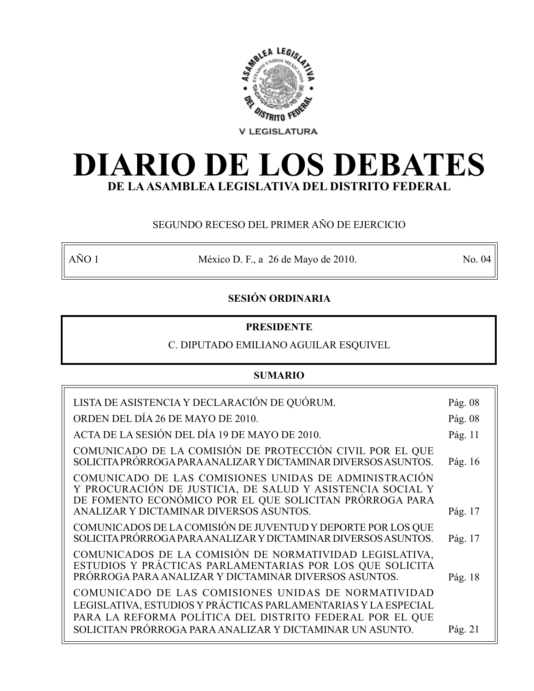

# **DIARIO DE LOS DEBATES DE LA ASAMBLEA LEGISLATIVA DEL DISTRITO FEDERAL**

# SEGUNDO RECESO DEL PRIMER AÑO DE EJERCICIO

AÑO 1 México D. F., a 26 de Mayo de 2010. No. 04

# **SESIÓN ORDINARIA**

# **PRESIDENTE**

## C. DIPUTADO EMILIANO AGUILAR ESQUIVEL

# **SUMARIO**

| LISTA DE ASISTENCIA Y DECLARACIÓN DE QUÓRUM.                                                                                                                                                                             | Pág. 08 |
|--------------------------------------------------------------------------------------------------------------------------------------------------------------------------------------------------------------------------|---------|
| ORDEN DEL DÍA 26 DE MAYO DE 2010.                                                                                                                                                                                        | Pág. 08 |
| ACTA DE LA SESIÓN DEL DÍA 19 DE MAYO DE 2010.                                                                                                                                                                            | Pág. 11 |
| COMUNICADO DE LA COMISIÓN DE PROTECCIÓN CIVIL POR EL QUE<br>SOLICITA PRÓRROGA PARA ANALIZAR Y DICTAMINAR DIVERSOS ASUNTOS.                                                                                               | Pág. 16 |
| COMUNICADO DE LAS COMISIONES UNIDAS DE ADMINISTRACIÓN<br>Y PROCURACIÓN DE JUSTICIA, DE SALUD Y ASISTENCIA SOCIAL Y<br>DE FOMENTO ECONÓMICO POR EL QUE SOLICITAN PRÓRROGA PARA<br>ANALIZAR Y DICTAMINAR DIVERSOS ASUNTOS. | Pág. 17 |
| COMUNICADOS DE LA COMISIÓN DE JUVENTUD Y DEPORTE POR LOS QUE                                                                                                                                                             |         |
| SOLICITA PRÓRROGA PARA ANALIZAR Y DICTAMINAR DIVERSOS ASUNTOS.                                                                                                                                                           | Pág. 17 |
| COMUNICADOS DE LA COMISIÓN DE NORMATIVIDAD LEGISLATIVA,<br>ESTUDIOS Y PRÁCTICAS PARLAMENTARIAS POR LOS QUE SOLICITA<br>PRÓRROGA PARA ANALIZAR Y DICTAMINAR DIVERSOS ASUNTOS.                                             | Pág. 18 |
| COMUNICADO DE LAS COMISIONES UNIDAS DE NORMATIVIDAD<br>LEGISLATIVA, ESTUDIOS Y PRÁCTICAS PARLAMENTARIAS Y LA ESPECIAL<br>PARA LA REFORMA POLÍTICA DEL DISTRITO FEDERAL POR EL QUE                                        |         |
| SOLICITAN PRÓRROGA PARA ANALIZAR Y DICTAMINAR UN ASUNTO.                                                                                                                                                                 | Pág. 21 |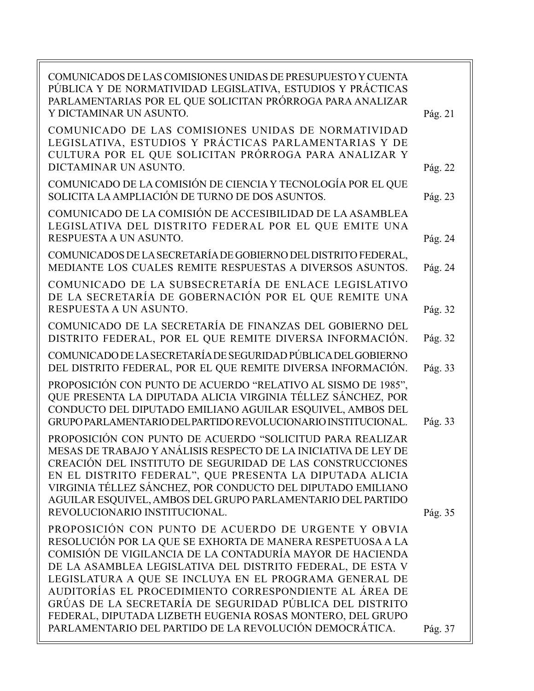| COMUNICADOS DE LAS COMISIONES UNIDAS DE PRESUPUESTO Y CUENTA<br>PÚBLICA Y DE NORMATIVIDAD LEGISLATIVA, ESTUDIOS Y PRÁCTICAS<br>PARLAMENTARIAS POR EL QUE SOLICITAN PRÓRROGA PARA ANALIZAR<br>Y DICTAMINAR UN ASUNTO.                                                                                                                                                                                                                                                                                                                                                                   | Pág. 21 |
|----------------------------------------------------------------------------------------------------------------------------------------------------------------------------------------------------------------------------------------------------------------------------------------------------------------------------------------------------------------------------------------------------------------------------------------------------------------------------------------------------------------------------------------------------------------------------------------|---------|
| COMUNICADO DE LAS COMISIONES UNIDAS DE NORMATIVIDAD<br>LEGISLATIVA, ESTUDIOS Y PRÁCTICAS PARLAMENTARIAS Y DE<br>CULTURA POR EL QUE SOLICITAN PRÓRROGA PARA ANALIZAR Y<br>DICTAMINAR UN ASUNTO.                                                                                                                                                                                                                                                                                                                                                                                         | Pág. 22 |
| COMUNICADO DE LA COMISIÓN DE CIENCIA Y TECNOLOGÍA POR EL QUE<br>SOLICITA LA AMPLIACIÓN DE TURNO DE DOS ASUNTOS.                                                                                                                                                                                                                                                                                                                                                                                                                                                                        | Pág. 23 |
| COMUNICADO DE LA COMISIÓN DE ACCESIBILIDAD DE LA ASAMBLEA<br>LEGISLATIVA DEL DISTRITO FEDERAL POR EL QUE EMITE UNA<br>RESPUESTA A UN ASUNTO.                                                                                                                                                                                                                                                                                                                                                                                                                                           | Pág. 24 |
| COMUNICADOS DE LA SECRETARÍA DE GOBIERNO DEL DISTRITO FEDERAL,<br>MEDIANTE LOS CUALES REMITE RESPUESTAS A DIVERSOS ASUNTOS.                                                                                                                                                                                                                                                                                                                                                                                                                                                            | Pág. 24 |
| COMUNICADO DE LA SUBSECRETARÍA DE ENLACE LEGISLATIVO<br>DE LA SECRETARÍA DE GOBERNACIÓN POR EL QUE REMITE UNA<br>RESPUESTA A UN ASUNTO.                                                                                                                                                                                                                                                                                                                                                                                                                                                | Pág. 32 |
| COMUNICADO DE LA SECRETARÍA DE FINANZAS DEL GOBIERNO DEL<br>DISTRITO FEDERAL, POR EL QUE REMITE DIVERSA INFORMACIÓN.                                                                                                                                                                                                                                                                                                                                                                                                                                                                   | Pág. 32 |
| COMUNICADO DE LA SECRETARÍA DE SEGURIDAD PÚBLICA DEL GOBIERNO<br>DEL DISTRITO FEDERAL, POR EL QUE REMITE DIVERSA INFORMACIÓN.                                                                                                                                                                                                                                                                                                                                                                                                                                                          | Pág. 33 |
| PROPOSICIÓN CON PUNTO DE ACUERDO "RELATIVO AL SISMO DE 1985",<br>QUE PRESENTA LA DIPUTADA ALICIA VIRGINIA TÉLLEZ SÁNCHEZ, POR<br>CONDUCTO DEL DIPUTADO EMILIANO AGUILAR ESQUIVEL, AMBOS DEL<br>GRUPO PARLAMENTARIO DEL PARTIDO REVOLUCIONARIO INSTITUCIONAL.                                                                                                                                                                                                                                                                                                                           | Pág. 33 |
| PROPOSICIÓN CON PUNTO DE ACUERDO "SOLICITUD PARA REALIZAR<br>MESAS DE TRABAJO Y ANÁLISIS RESPECTO DE LA INICIATIVA DE LEY DE<br>CREACIÓN DEL INSTITUTO DE SEGURIDAD DE LAS CONSTRUCCIONES<br>EN EL DISTRITO FEDERAL", QUE PRESENTA LA DIPUTADA ALICIA<br>VIRGINIA TÉLLEZ SÁNCHEZ, POR CONDUCTO DEL DIPUTADO EMILIANO<br>AGUILAR ESQUIVEL, AMBOS DEL GRUPO PARLAMENTARIO DEL PARTIDO                                                                                                                                                                                                    |         |
| REVOLUCIONARIO INSTITUCIONAL.<br>PROPOSICIÓN CON PUNTO DE ACUERDO DE URGENTE Y OBVIA<br>RESOLUCIÓN POR LA QUE SE EXHORTA DE MANERA RESPETUOSA A LA<br>COMISIÓN DE VIGILANCIA DE LA CONTADURÍA MAYOR DE HACIENDA<br>DE LA ASAMBLEA LEGISLATIVA DEL DISTRITO FEDERAL, DE ESTA V<br>LEGISLATURA A QUE SE INCLUYA EN EL PROGRAMA GENERAL DE<br>AUDITORÍAS EL PROCEDIMIENTO CORRESPONDIENTE AL ÁREA DE<br>GRÚAS DE LA SECRETARÍA DE SEGURIDAD PÚBLICA DEL DISTRITO<br>FEDERAL, DIPUTADA LIZBETH EUGENIA ROSAS MONTERO, DEL GRUPO<br>PARLAMENTARIO DEL PARTIDO DE LA REVOLUCIÓN DEMOCRÁTICA. | Pág. 35 |
|                                                                                                                                                                                                                                                                                                                                                                                                                                                                                                                                                                                        | Pág. 37 |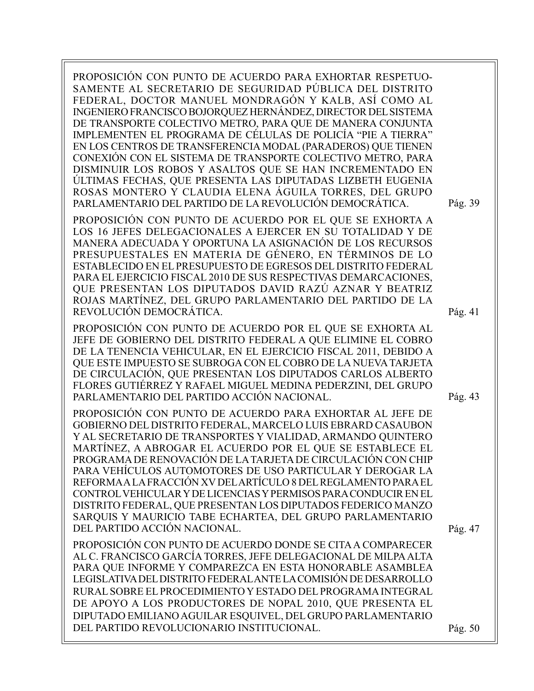PROPOSICIÓN CON PUNTO DE ACUERDO PARA EXHORTAR RESPETUO-SAMENTE AL SECRETARIO DE SEGURIDAD PÚBLICA DEL DISTRITO FEDERAL, DOCTOR MANUEL MONDRAGÓN Y KALB, ASÍ COMO AL INGENIERO FRANCISCO BOJORQUEZ HERNÁNDEZ, DIRECTOR DEL SISTEMA DE TRANSPORTE COLECTIVO METRO, PARA QUE DE MANERA CONJUNTA IMPLEMENTEN EL PROGRAMA DE CÉLULAS DE POLICÍA "PIE A TIERRA" EN LOS CENTROS DE TRANSFERENCIA MODAL (PARADEROS) QUE TIENEN CONEXIÓN CON EL SISTEMA DE TRANSPORTE COLECTIVO METRO, PARA DISMINUIR LOS ROBOS Y ASALTOS QUE SE HAN INCREMENTADO EN ÚLTIMAS FECHAS, QUE PRESENTA LAS DIPUTADAS LIZBETH EUGENIA ROSAS MONTERO Y CLAUDIA ELENA ÁGUILA TORRES, DEL GRUPO PARLAMENTARIO DEL PARTIDO DE LA REVOLUCIÓN DEMOCRÁTICA. Pág. 39

PROPOSICIÓN CON PUNTO DE ACUERDO POR EL QUE SE EXHORTA A LOS 16 JEFES DELEGACIONALES A EJERCER EN SU TOTALIDAD Y DE MANERA ADECUADA Y OPORTUNA LA ASIGNACIÓN DE LOS RECURSOS PRESUPUESTALES EN MATERIA DE GÉNERO, EN TÉRMINOS DE LO ESTABLECIDO EN EL PRESUPUESTO DE EGRESOS DEL DISTRITO FEDERAL PARA EL EJERCICIO FISCAL 2010 DE SUS RESPECTIVAS DEMARCACIONES, QUE PRESENTAN LOS DIPUTADOS DAVID RAZÚ AZNAR Y BEATRIZ ROJAS MARTÍNEZ, DEL GRUPO PARLAMENTARIO DEL PARTIDO DE LA REVOLUCIÓN DEMOCRÁTICA.

PROPOSICIÓN CON PUNTO DE ACUERDO POR EL QUE SE EXHORTA AL JEFE DE GOBIERNO DEL DISTRITO FEDERAL A QUE ELIMINE EL COBRO DE LA TENENCIA VEHICULAR, EN EL EJERCICIO FISCAL 2011, DEBIDO A QUE ESTE IMPUESTO SE SUBROGA CON EL COBRO DE LA NUEVA TARJETA DE CIRCULACIÓN, QUE PRESENTAN LOS DIPUTADOS CARLOS ALBERTO FLORES GUTIÉRREZ Y RAFAEL MIGUEL MEDINA PEDERZINI, DEL GRUPO PARLAMENTARIO DEL PARTIDO ACCIÓN NACIONAL.

PROPOSICIÓN CON PUNTO DE ACUERDO PARA EXHORTAR AL JEFE DE GOBIERNO DEL DISTRITO FEDERAL, MARCELO LUIS EBRARD CASAUBON Y AL SECRETARIO DE TRANSPORTES Y VIALIDAD, ARMANDO QUINTERO MARTÍNEZ, A ABROGAR EL ACUERDO POR EL QUE SE ESTABLECE EL PROGRAMA DE RENOVACIÓN DE LA TARJETA DE CIRCULACIÓN CON CHIP PARA VEHÍCULOS AUTOMOTORES DE USO PARTICULAR Y DEROGAR LA REFORMA A LA FRACCIÓN XV DEL ARTÍCULO 8 DEL REGLAMENTO PARA EL CONTROL VEHICULAR Y DE LICENCIAS Y PERMISOS PARA CONDUCIR EN EL DISTRITO FEDERAL, QUE PRESENTAN LOS DIPUTADOS FEDERICO MANZO SARQUIS Y MAURICIO TABE ECHARTEA, DEL GRUPO PARLAMENTARIO DEL PARTIDO ACCIÓN NACIONAL.

PROPOSICIÓN CON PUNTO DE ACUERDO DONDE SE CITA A COMPARECER AL C. FRANCISCO GARCÍA TORRES, JEFE DELEGACIONAL DE MILPA ALTA PARA QUE INFORME Y COMPAREZCA EN ESTA HONORABLE ASAMBLEA LEGISLATIVA DEL DISTRITO FEDERAL ANTE LA COMISIÓN DE DESARROLLO RURAL SOBRE EL PROCEDIMIENTO Y ESTADO DEL PROGRAMA INTEGRAL DE APOYO A LOS PRODUCTORES DE NOPAL 2010, QUE PRESENTA EL DIPUTADO EMILIANO AGUILAR ESQUIVEL, DEL GRUPO PARLAMENTARIO DEL PARTIDO REVOLUCIONARIO INSTITUCIONAL.

Pág. 41

Pág. 43

Pág. 47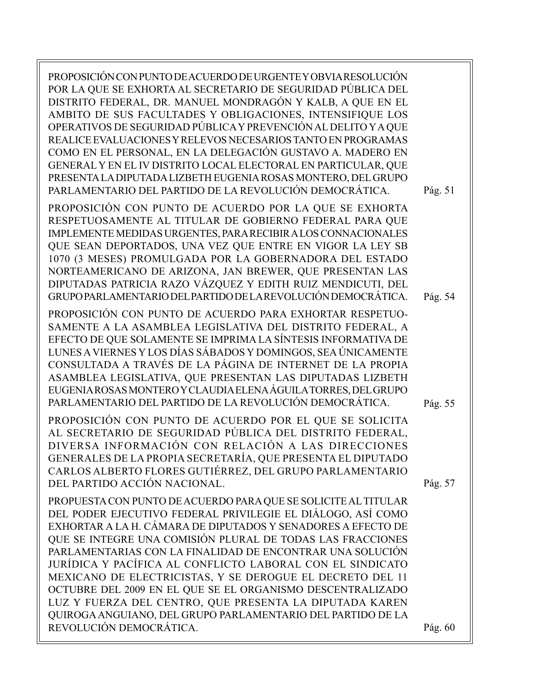PROPOSICIÓN CON PUNTO DE ACUERDO DE URGENTE Y OBVIA RESOLUCIÓN POR LA QUE SE EXHORTA AL SECRETARIO DE SEGURIDAD PÚBLICA DEL DISTRITO FEDERAL, DR. MANUEL MONDRAGÓN Y KALB, A QUE EN EL AMBITO DE SUS FACULTADES Y OBLIGACIONES, INTENSIFIQUE LOS OPERATIVOS DE SEGURIDAD PÚBLICA Y PREVENCIÓN AL DELITO Y A QUE REALICE EVALUACIONES Y RELEVOS NECESARIOS TANTO EN PROGRAMAS COMO EN EL PERSONAL, EN LA DELEGACIÓN GUSTAVO A. MADERO EN GENERAL Y EN EL IV DISTRITO LOCAL ELECTORAL EN PARTICULAR, QUE PRESENTA LA DIPUTADA LIZBETH EUGENIA ROSAS MONTERO, DEL GRUPO PARLAMENTARIO DEL PARTIDO DE LA REVOLUCIÓN DEMOCRÁTICA. PROPOSICIÓN CON PUNTO DE ACUERDO POR LA QUE SE EXHORTA RESPETUOSAMENTE AL TITULAR DE GOBIERNO FEDERAL PARA QUE IMPLEMENTE MEDIDAS URGENTES, PARA RECIBIR A LOS CONNACIONALES QUE SEAN DEPORTADOS, UNA VEZ QUE ENTRE EN VIGOR LA LEY SB 1070 (3 MESES) PROMULGADA POR LA GOBERNADORA DEL ESTADO NORTEAMERICANO DE ARIZONA, JAN BREWER, QUE PRESENTAN LAS DIPUTADAS PATRICIA RAZO VÁZQUEZ Y EDITH RUIZ MENDICUTI, DEL GRUPO PARLAMENTARIO DEL PARTIDO DE LA REVOLUCIÓN DEMOCRÁTICA. PROPOSICIÓN CON PUNTO DE ACUERDO PARA EXHORTAR RESPETUO-SAMENTE A LA ASAMBLEA LEGISLATIVA DEL DISTRITO FEDERAL, A EFECTO DE QUE SOLAMENTE SE IMPRIMA LA SÍNTESIS INFORMATIVA DE LUNES A VIERNES Y LOS DÍAS SÁBADOS Y DOMINGOS, SEA ÚNICAMENTE CONSULTADA A TRAVÉS DE LA PÁGINA DE INTERNET DE LA PROPIA ASAMBLEA LEGISLATIVA, QUE PRESENTAN LAS DIPUTADAS LIZBETH EUGENIA ROSAS MONTERO Y CLAUDIA ELENA ÁGUILA TORRES, DEL GRUPO PARLAMENTARIO DEL PARTIDO DE LA REVOLUCIÓN DEMOCRÁTICA. PROPOSICIÓN CON PUNTO DE ACUERDO POR EL QUE SE SOLICITA AL SECRETARIO DE SEGURIDAD PÚBLICA DEL DISTRITO FEDERAL, DIVERSA INFORMACIÓN CON RELACIÓN A LAS DIRECCIONES GENERALES DE LA PROPIA SECRETARÍA, QUE PRESENTA EL DIPUTADO CARLOS ALBERTO FLORES GUTIÉRREZ, DEL GRUPO PARLAMENTARIO DEL PARTIDO ACCIÓN NACIONAL. PROPUESTA CON PUNTO DE ACUERDO PARA QUE SE SOLICITE AL TITULAR DEL PODER EJECUTIVO FEDERAL PRIVILEGIE EL DIÁLOGO, ASÍ COMO EXHORTAR A LA H. CÁMARA DE DIPUTADOS Y SENADORES A EFECTO DE QUE SE INTEGRE UNA COMISIÓN PLURAL DE TODAS LAS FRACCIONES PARLAMENTARIAS CON LA FINALIDAD DE ENCONTRAR UNA SOLUCIÓN JURÍDICA Y PACÍFICA AL CONFLICTO LABORAL CON EL SINDICATO MEXICANO DE ELECTRICISTAS, Y SE DEROGUE EL DECRETO DEL 11 OCTUBRE DEL 2009 EN EL QUE SE EL ORGANISMO DESCENTRALIZADO LUZ Y FUERZA DEL CENTRO, QUE PRESENTA LA DIPUTADA KAREN QUIROGA ANGUIANO, DEL GRUPO PARLAMENTARIO DEL PARTIDO DE LA REVOLUCIÓN DEMOCRÁTICA. Pág. 54 Pág. 55 Pág. 57 Pág. 60 Pág. 51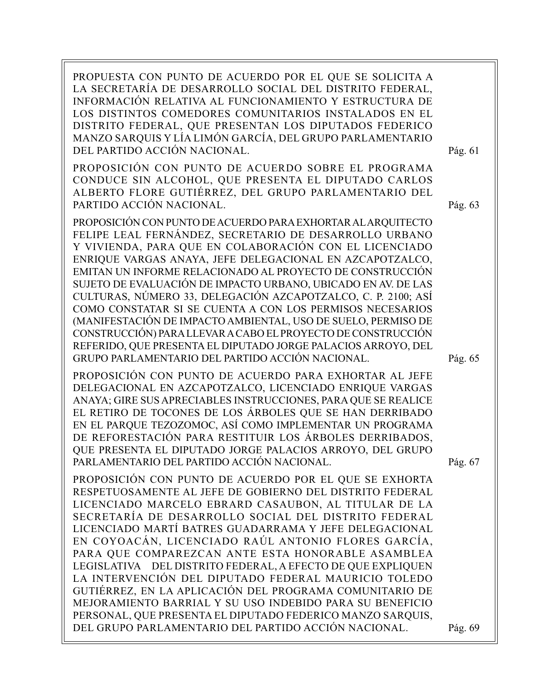PROPUESTA CON PUNTO DE ACUERDO POR EL QUE SE SOLICITA A LA SECRETARÍA DE DESARROLLO SOCIAL DEL DISTRITO FEDERAL, INFORMACIÓN RELATIVA AL FUNCIONAMIENTO Y ESTRUCTURA DE LOS DISTINTOS COMEDORES COMUNITARIOS INSTALADOS EN EL DISTRITO FEDERAL, QUE PRESENTAN LOS DIPUTADOS FEDERICO MANZO SARQUIS Y LÍA LIMÓN GARCÍA, DEL GRUPO PARLAMENTARIO DEL PARTIDO ACCIÓN NACIONAL. PROPOSICIÓN CON PUNTO DE ACUERDO SOBRE EL PROGRAMA CONDUCE SIN ALCOHOL, QUE PRESENTA EL DIPUTADO CARLOS ALBERTO FLORE GUTIÉRREZ, DEL GRUPO PARLAMENTARIO DEL PARTIDO ACCIÓN NACIONAL. PROPOSICIÓN CON PUNTO DE ACUERDO PARA EXHORTAR AL ARQUITECTO FELIPE LEAL FERNÁNDEZ, SECRETARIO DE DESARROLLO URBANO Y VIVIENDA, PARA QUE EN COLABORACIÓN CON EL LICENCIADO ENRIQUE VARGAS ANAYA, JEFE DELEGACIONAL EN AZCAPOTZALCO, EMITAN UN INFORME RELACIONADO AL PROYECTO DE CONSTRUCCIÓN SUJETO DE EVALUACIÓN DE IMPACTO URBANO, UBICADO EN AV. DE LAS CULTURAS, NÚMERO 33, DELEGACIÓN AZCAPOTZALCO, C. P. 2100; ASÍ COMO CONSTATAR SI SE CUENTA A CON LOS PERMISOS NECESARIOS (MANIFESTACIÓN DE IMPACTO AMBIENTAL, USO DE SUELO, PERMISO DE CONSTRUCCIÓN) PARA LLEVAR A CABO EL PROYECTO DE CONSTRUCCIÓN REFERIDO, QUE PRESENTA EL DIPUTADO JORGE PALACIOS ARROYO, DEL GRUPO PARLAMENTARIO DEL PARTIDO ACCIÓN NACIONAL. PROPOSICIÓN CON PUNTO DE ACUERDO PARA EXHORTAR AL JEFE DELEGACIONAL EN AZCAPOTZALCO, LICENCIADO ENRIQUE VARGAS ANAYA; GIRE SUS APRECIABLES INSTRUCCIONES, PARA QUE SE REALICE EL RETIRO DE TOCONES DE LOS ÁRBOLES QUE SE HAN DERRIBADO EN EL PARQUE TEZOZOMOC, ASÍ COMO IMPLEMENTAR UN PROGRAMA DE REFORESTACIÓN PARA RESTITUIR LOS ÁRBOLES DERRIBADOS, QUE PRESENTA EL DIPUTADO JORGE PALACIOS ARROYO, DEL GRUPO PARLAMENTARIO DEL PARTIDO ACCIÓN NACIONAL. PROPOSICIÓN CON PUNTO DE ACUERDO POR EL QUE SE EXHORTA RESPETUOSAMENTE AL JEFE DE GOBIERNO DEL DISTRITO FEDERAL LICENCIADO MARCELO EBRARD CASAUBON, AL TITULAR DE LA SECRETARÍA DE DESARROLLO SOCIAL DEL DISTRITO FEDERAL LICENCIADO MARTÍ BATRES GUADARRAMA Y JEFE DELEGACIONAL EN COYOACÁN, LICENCIADO RAÚL ANTONIO FLORES GARCÍA, PARA QUE COMPAREZCAN ANTE ESTA HONORABLE ASAMBLEA LEGISLATIVA DEL DISTRITO FEDERAL, A EFECTO DE QUE EXPLIQUEN LA INTERVENCIÓN DEL DIPUTADO FEDERAL MAURICIO TOLEDO GUTIÉRREZ, EN LA APLICACIÓN DEL PROGRAMA COMUNITARIO DE MEJORAMIENTO BARRIAL Y SU USO INDEBIDO PARA SU BENEFICIO PERSONAL, QUE PRESENTA EL DIPUTADO FEDERICO MANZO SARQUIS, DEL GRUPO PARLAMENTARIO DEL PARTIDO ACCIÓN NACIONAL. Pág. 65 Pág. 63 Pág. 67 Pág. 69 Pág. 61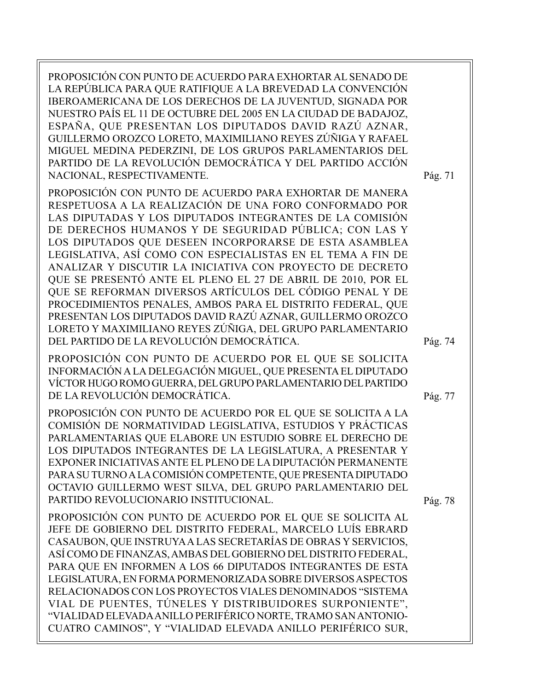PROPOSICIÓN CON PUNTO DE ACUERDO PARA EXHORTAR AL SENADO DE LA REPÚBLICA PARA QUE RATIFIQUE A LA BREVEDAD LA CONVENCIÓN IBEROAMERICANA DE LOS DERECHOS DE LA JUVENTUD, SIGNADA POR NUESTRO PAÍS EL 11 DE OCTUBRE DEL 2005 EN LA CIUDAD DE BADAJOZ, ESPAÑA, QUE PRESENTAN LOS DIPUTADOS DAVID RAZÚ AZNAR, GUILLERMO OROZCO LORETO, MAXIMILIANO REYES ZÚÑIGA Y RAFAEL MIGUEL MEDINA PEDERZINI, DE LOS GRUPOS PARLAMENTARIOS DEL PARTIDO DE LA REVOLUCIÓN DEMOCRÁTICA Y DEL PARTIDO ACCIÓN NACIONAL, RESPECTIVAMENTE.

PROPOSICIÓN CON PUNTO DE ACUERDO PARA EXHORTAR DE MANERA RESPETUOSA A LA REALIZACIÓN DE UNA FORO CONFORMADO POR LAS DIPUTADAS Y LOS DIPUTADOS INTEGRANTES DE LA COMISIÓN DE DERECHOS HUMANOS Y DE SEGURIDAD PÚBLICA; CON LAS Y LOS DIPUTADOS QUE DESEEN INCORPORARSE DE ESTA ASAMBLEA LEGISLATIVA, ASÍ COMO CON ESPECIALISTAS EN EL TEMA A FIN DE ANALIZAR Y DISCUTIR LA INICIATIVA CON PROYECTO DE DECRETO QUE SE PRESENTÓ ANTE EL PLENO EL 27 DE ABRIL DE 2010, POR EL QUE SE REFORMAN DIVERSOS ARTÍCULOS DEL CÓDIGO PENAL Y DE PROCEDIMIENTOS PENALES, AMBOS PARA EL DISTRITO FEDERAL, QUE PRESENTAN LOS DIPUTADOS DAVID RAZÚ AZNAR, GUILLERMO OROZCO LORETO Y MAXIMILIANO REYES ZÚÑIGA, DEL GRUPO PARLAMENTARIO DEL PARTIDO DE LA REVOLUCIÓN DEMOCRÁTICA.

PROPOSICIÓN CON PUNTO DE ACUERDO POR EL QUE SE SOLICITA INFORMACIÓN A LA DELEGACIÓN MIGUEL, QUE PRESENTA EL DIPUTADO VÍCTOR HUGO ROMO GUERRA, DEL GRUPO PARLAMENTARIO DEL PARTIDO DE LA REVOLUCIÓN DEMOCRÁTICA.

PROPOSICIÓN CON PUNTO DE ACUERDO POR EL QUE SE SOLICITA A LA COMISIÓN DE NORMATIVIDAD LEGISLATIVA, ESTUDIOS Y PRÁCTICAS PARLAMENTARIAS QUE ELABORE UN ESTUDIO SOBRE EL DERECHO DE LOS DIPUTADOS INTEGRANTES DE LA LEGISLATURA, A PRESENTAR Y EXPONER INICIATIVAS ANTE EL PLENO DE LA DIPUTACIÓN PERMANENTE PARA SU TURNO A LA COMISIÓN COMPETENTE, QUE PRESENTA DIPUTADO OCTAVIO GUILLERMO WEST SILVA, DEL GRUPO PARLAMENTARIO DEL PARTIDO REVOLUCIONARIO INSTITUCIONAL.

PROPOSICIÓN CON PUNTO DE ACUERDO POR EL QUE SE SOLICITA AL JEFE DE GOBIERNO DEL DISTRITO FEDERAL, MARCELO LUÍS EBRARD CASAUBON, QUE INSTRUYA A LAS SECRETARÍAS DE OBRAS Y SERVICIOS, ASÍ COMO DE FINANZAS, AMBAS DEL GOBIERNO DEL DISTRITO FEDERAL, PARA QUE EN INFORMEN A LOS 66 DIPUTADOS INTEGRANTES DE ESTA LEGISLATURA, EN FORMA PORMENORIZADA SOBRE DIVERSOS ASPECTOS RELACIONADOS CON LOS PROYECTOS VIALES DENOMINADOS "SISTEMA VIAL DE PUENTES, TÚNELES Y DISTRIBUIDORES SURPONIENTE", "VIALIDAD ELEVADA ANILLO PERIFÉRICO NORTE, TRAMO SAN ANTONIO-CUATRO CAMINOS", Y "VIALIDAD ELEVADA ANILLO PERIFÉRICO SUR, Pág. 71

Pág. 74

Pág. 77

Pág. 78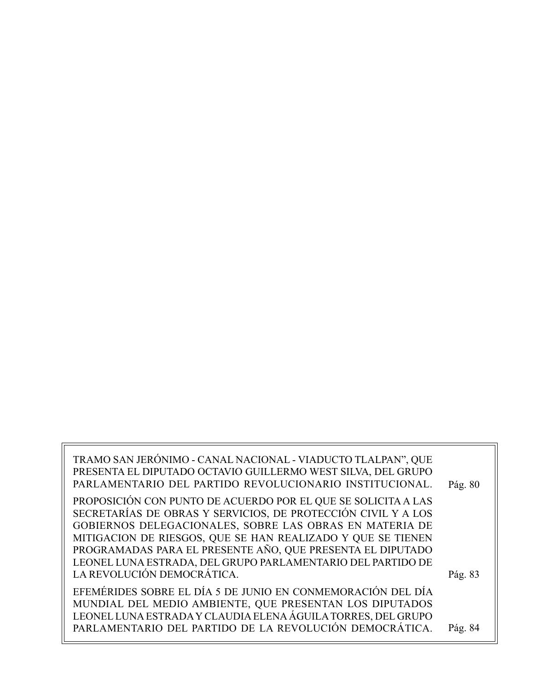| TRAMO SAN JERÓNIMO - CANAL NACIONAL - VIADUCTO TLALPAN", QUE<br>PRESENTA EL DIPUTADO OCTAVIO GUILLERMO WEST SILVA, DEL GRUPO<br>PARLAMENTARIO DEL PARTIDO REVOLUCIONARIO INSTITUCIONAL.                                                                                                                                                                                               | Pág. 80 |
|---------------------------------------------------------------------------------------------------------------------------------------------------------------------------------------------------------------------------------------------------------------------------------------------------------------------------------------------------------------------------------------|---------|
| PROPOSICIÓN CON PUNTO DE ACUERDO POR EL QUE SE SOLICITA A LAS<br>SECRETARÍAS DE OBRAS Y SERVICIOS, DE PROTECCIÓN CIVIL Y A LOS<br>GOBIERNOS DELEGACIONALES, SOBRE LAS OBRAS EN MATERIA DE<br>MITIGACION DE RIESGOS, QUE SE HAN REALIZADO Y QUE SE TIENEN<br>PROGRAMADAS PARA EL PRESENTE AÑO, QUE PRESENTA EL DIPUTADO<br>LEONEL LUNA ESTRADA, DEL GRUPO PARLAMENTARIO DEL PARTIDO DE |         |
| LA REVOLUCIÓN DEMOCRÁTICA.                                                                                                                                                                                                                                                                                                                                                            | Pág. 83 |
| EFEMÉRIDES SOBRE EL DÍA 5 DE JUNIO EN CONMEMORACIÓN DEL DÍA<br>MUNDIAL DEL MEDIO AMBIENTE, QUE PRESENTAN LOS DIPUTADOS<br>LEONEL LUNA ESTRADA Y CLAUDIA ELENA ÁGUILA TORRES, DEL GRUPO<br>PARLAMENTARIO DEL PARTIDO DE LA REVOLUCIÓN DEMOCRÁTICA.                                                                                                                                     | Pág. 84 |
|                                                                                                                                                                                                                                                                                                                                                                                       |         |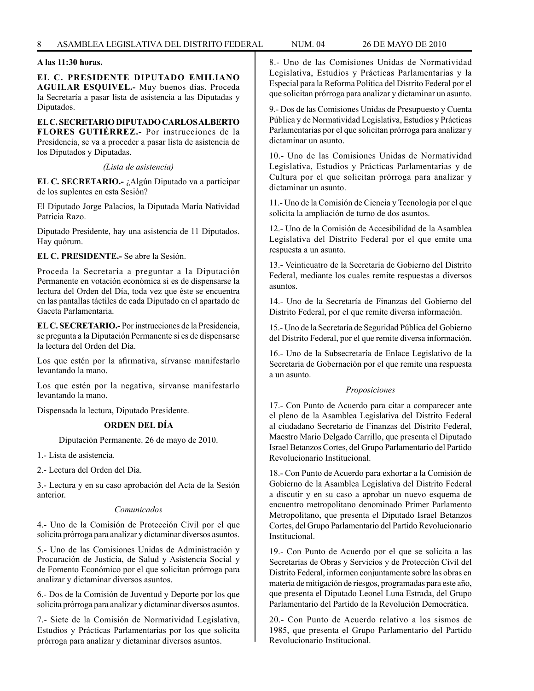### **A las 11:30 horas.**

**EL C. PRESIDENTE DIPUTADO EMILIANO AGUILAR ESQUIVEL.-** Muy buenos días. Proceda la Secretaría a pasar lista de asistencia a las Diputadas y Diputados.

#### **EL C. SECRETARIO DIPUTADO CARLOS ALBERTO FLORES GUTIÉRREZ.-** Por instrucciones de la

Presidencia, se va a proceder a pasar lista de asistencia de los Diputados y Diputadas.

*(Lista de asistencia)*

**EL C. SECRETARIO.-** ¿Algún Diputado va a participar de los suplentes en esta Sesión?

El Diputado Jorge Palacios, la Diputada María Natividad Patricia Razo.

Diputado Presidente, hay una asistencia de 11 Diputados. Hay quórum.

**EL C. PRESIDENTE.-** Se abre la Sesión.

Proceda la Secretaría a preguntar a la Diputación Permanente en votación económica si es de dispensarse la lectura del Orden del Día, toda vez que éste se encuentra en las pantallas táctiles de cada Diputado en el apartado de Gaceta Parlamentaria.

**EL C. SECRETARIO.-** Por instrucciones de la Presidencia, se pregunta a la Diputación Permanente si es de dispensarse la lectura del Orden del Día.

Los que estén por la afirmativa, sírvanse manifestarlo levantando la mano.

Los que estén por la negativa, sírvanse manifestarlo levantando la mano.

Dispensada la lectura, Diputado Presidente.

### **ORDEN DEL DÍA**

Diputación Permanente. 26 de mayo de 2010.

1.- Lista de asistencia.

2.- Lectura del Orden del Día.

3.- Lectura y en su caso aprobación del Acta de la Sesión anterior.

#### *Comunicados*

4.- Uno de la Comisión de Protección Civil por el que solicita prórroga para analizar y dictaminar diversos asuntos.

5.- Uno de las Comisiones Unidas de Administración y Procuración de Justicia, de Salud y Asistencia Social y de Fomento Económico por el que solicitan prórroga para analizar y dictaminar diversos asuntos.

6.- Dos de la Comisión de Juventud y Deporte por los que solicita prórroga para analizar y dictaminar diversos asuntos.

7.- Siete de la Comisión de Normatividad Legislativa, Estudios y Prácticas Parlamentarias por los que solicita prórroga para analizar y dictaminar diversos asuntos.

8.- Uno de las Comisiones Unidas de Normatividad Legislativa, Estudios y Prácticas Parlamentarias y la Especial para la Reforma Política del Distrito Federal por el que solicitan prórroga para analizar y dictaminar un asunto.

9.- Dos de las Comisiones Unidas de Presupuesto y Cuenta Pública y de Normatividad Legislativa, Estudios y Prácticas Parlamentarias por el que solicitan prórroga para analizar y dictaminar un asunto.

10.- Uno de las Comisiones Unidas de Normatividad Legislativa, Estudios y Prácticas Parlamentarias y de Cultura por el que solicitan prórroga para analizar y dictaminar un asunto.

11.- Uno de la Comisión de Ciencia y Tecnología por el que solicita la ampliación de turno de dos asuntos.

12.- Uno de la Comisión de Accesibilidad de la Asamblea Legislativa del Distrito Federal por el que emite una respuesta a un asunto.

13.- Veinticuatro de la Secretaría de Gobierno del Distrito Federal, mediante los cuales remite respuestas a diversos asuntos.

14.- Uno de la Secretaría de Finanzas del Gobierno del Distrito Federal, por el que remite diversa información.

15.- Uno de la Secretaría de Seguridad Pública del Gobierno del Distrito Federal, por el que remite diversa información.

16.- Uno de la Subsecretaría de Enlace Legislativo de la Secretaría de Gobernación por el que remite una respuesta a un asunto.

#### *Proposiciones*

17.- Con Punto de Acuerdo para citar a comparecer ante el pleno de la Asamblea Legislativa del Distrito Federal al ciudadano Secretario de Finanzas del Distrito Federal, Maestro Mario Delgado Carrillo, que presenta el Diputado Israel Betanzos Cortes, del Grupo Parlamentario del Partido Revolucionario Institucional.

18.- Con Punto de Acuerdo para exhortar a la Comisión de Gobierno de la Asamblea Legislativa del Distrito Federal a discutir y en su caso a aprobar un nuevo esquema de encuentro metropolitano denominado Primer Parlamento Metropolitano, que presenta el Diputado Israel Betanzos Cortes, del Grupo Parlamentario del Partido Revolucionario Institucional.

19.- Con Punto de Acuerdo por el que se solicita a las Secretarías de Obras y Servicios y de Protección Civil del Distrito Federal, informen conjuntamente sobre las obras en materia de mitigación de riesgos, programadas para este año, que presenta el Diputado Leonel Luna Estrada, del Grupo Parlamentario del Partido de la Revolución Democrática.

20.- Con Punto de Acuerdo relativo a los sismos de 1985, que presenta el Grupo Parlamentario del Partido Revolucionario Institucional.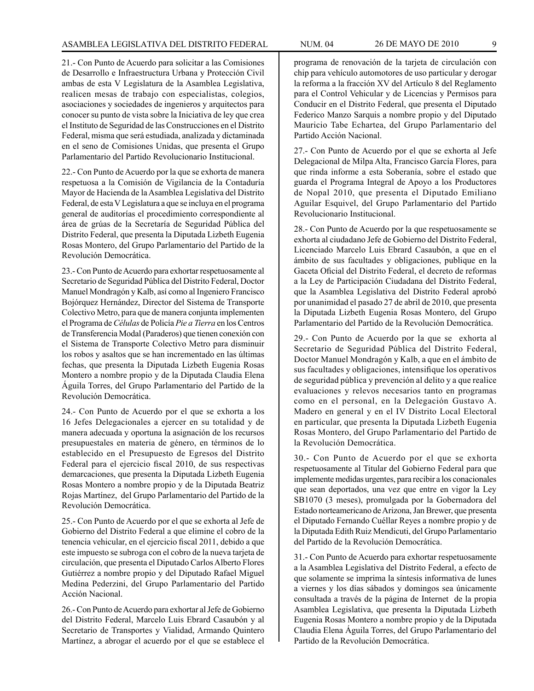21.- Con Punto de Acuerdo para solicitar a las Comisiones de Desarrollo e Infraestructura Urbana y Protección Civil ambas de esta V Legislatura de la Asamblea Legislativa, realicen mesas de trabajo con especialistas, colegios, asociaciones y sociedades de ingenieros y arquitectos para conocer su punto de vista sobre la Iniciativa de ley que crea el Instituto de Seguridad de las Construcciones en el Distrito Federal, misma que será estudiada, analizada y dictaminada en el seno de Comisiones Unidas, que presenta el Grupo Parlamentario del Partido Revolucionario Institucional.

22.- Con Punto de Acuerdo por la que se exhorta de manera respetuosa a la Comisión de Vigilancia de la Contaduría Mayor de Hacienda de la Asamblea Legislativa del Distrito Federal, de esta V Legislatura a que se incluya en el programa general de auditorías el procedimiento correspondiente al área de grúas de la Secretaría de Seguridad Pública del Distrito Federal, que presenta la Diputada Lizbeth Eugenia Rosas Montero, del Grupo Parlamentario del Partido de la Revolución Democrática.

23.- Con Punto de Acuerdo para exhortar respetuosamente al Secretario de Seguridad Pública del Distrito Federal, Doctor Manuel Mondragón y Kalb, así como al Ingeniero Francisco Bojórquez Hernández, Director del Sistema de Transporte Colectivo Metro, para que de manera conjunta implementen el Programa de *Células* de Policía *Pie a Tierra* en los Centros de Transferencia Modal (Paraderos) que tienen conexión con el Sistema de Transporte Colectivo Metro para disminuir los robos y asaltos que se han incrementado en las últimas fechas, que presenta la Diputada Lizbeth Eugenia Rosas Montero a nombre propio y de la Diputada Claudia Elena Águila Torres, del Grupo Parlamentario del Partido de la Revolución Democrática.

24.- Con Punto de Acuerdo por el que se exhorta a los 16 Jefes Delegacionales a ejercer en su totalidad y de manera adecuada y oportuna la asignación de los recursos presupuestales en materia de género, en términos de lo establecido en el Presupuesto de Egresos del Distrito Federal para el ejercicio fiscal 2010, de sus respectivas demarcaciones, que presenta la Diputada Lizbeth Eugenia Rosas Montero a nombre propio y de la Diputada Beatriz Rojas Martínez, del Grupo Parlamentario del Partido de la Revolución Democrática.

25.- Con Punto de Acuerdo por el que se exhorta al Jefe de Gobierno del Distrito Federal a que elimine el cobro de la tenencia vehicular, en el ejercicio fiscal 2011, debido a que este impuesto se subroga con el cobro de la nueva tarjeta de circulación, que presenta el Diputado Carlos Alberto Flores Gutiérrez a nombre propio y del Diputado Rafael Miguel Medina Pederzini, del Grupo Parlamentario del Partido Acción Nacional.

26.- Con Punto de Acuerdo para exhortar al Jefe de Gobierno del Distrito Federal, Marcelo Luis Ebrard Casaubón y al Secretario de Transportes y Vialidad, Armando Quintero Martínez, a abrogar el acuerdo por el que se establece el programa de renovación de la tarjeta de circulación con chip para vehículo automotores de uso particular y derogar la reforma a la fracción XV del Artículo 8 del Reglamento para el Control Vehicular y de Licencias y Permisos para Conducir en el Distrito Federal, que presenta el Diputado Federico Manzo Sarquis a nombre propio y del Diputado Mauricio Tabe Echartea, del Grupo Parlamentario del Partido Acción Nacional.

27.- Con Punto de Acuerdo por el que se exhorta al Jefe Delegacional de Milpa Alta, Francisco García Flores, para que rinda informe a esta Soberanía, sobre el estado que guarda el Programa Integral de Apoyo a los Productores de Nopal 2010, que presenta el Diputado Emiliano Aguilar Esquivel, del Grupo Parlamentario del Partido Revolucionario Institucional.

28.- Con Punto de Acuerdo por la que respetuosamente se exhorta al ciudadano Jefe de Gobierno del Distrito Federal, Licenciado Marcelo Luis Ebrard Casaubón, a que en el ámbito de sus facultades y obligaciones, publique en la Gaceta Oficial del Distrito Federal, el decreto de reformas a la Ley de Participación Ciudadana del Distrito Federal, que la Asamblea Legislativa del Distrito Federal aprobó por unanimidad el pasado 27 de abril de 2010, que presenta la Diputada Lizbeth Eugenia Rosas Montero, del Grupo Parlamentario del Partido de la Revolución Democrática.

29.- Con Punto de Acuerdo por la que se exhorta al Secretario de Seguridad Pública del Distrito Federal, Doctor Manuel Mondragón y Kalb, a que en el ámbito de sus facultades y obligaciones, intensifique los operativos de seguridad pública y prevención al delito y a que realice evaluaciones y relevos necesarios tanto en programas como en el personal, en la Delegación Gustavo A. Madero en general y en el IV Distrito Local Electoral en particular, que presenta la Diputada Lizbeth Eugenia Rosas Montero, del Grupo Parlamentario del Partido de la Revolución Democrática.

30.- Con Punto de Acuerdo por el que se exhorta respetuosamente al Titular del Gobierno Federal para que implemente medidas urgentes, para recibir a los conacionales que sean deportados, una vez que entre en vigor la Ley SB1070 (3 meses), promulgada por la Gobernadora del Estado norteamericano de Arizona, Jan Brewer, que presenta el Diputado Fernando Cuéllar Reyes a nombre propio y de la Diputada Edith Ruiz Mendicuti, del Grupo Parlamentario del Partido de la Revolución Democrática.

31.- Con Punto de Acuerdo para exhortar respetuosamente a la Asamblea Legislativa del Distrito Federal, a efecto de que solamente se imprima la síntesis informativa de lunes a viernes y los días sábados y domingos sea únicamente consultada a través de la página de Internet de la propia Asamblea Legislativa, que presenta la Diputada Lizbeth Eugenia Rosas Montero a nombre propio y de la Diputada Claudia Elena Águila Torres, del Grupo Parlamentario del Partido de la Revolución Democrática.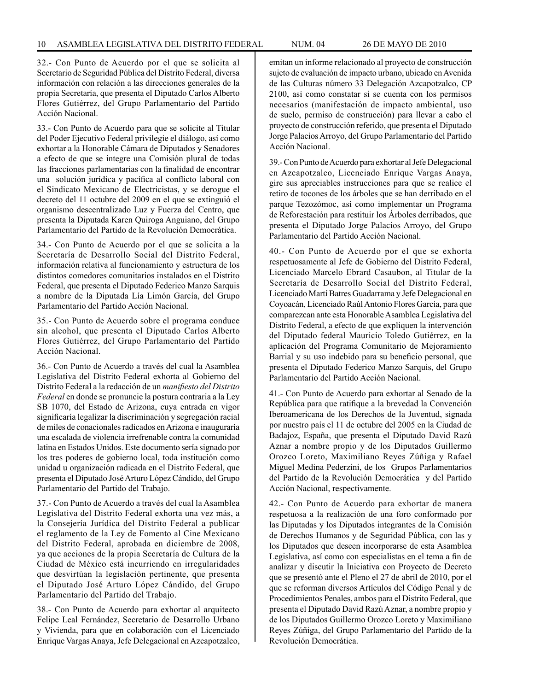32.- Con Punto de Acuerdo por el que se solicita al Secretario de Seguridad Pública del Distrito Federal, diversa información con relación a las direcciones generales de la propia Secretaría, que presenta el Diputado Carlos Alberto Flores Gutiérrez, del Grupo Parlamentario del Partido Acción Nacional.

33.- Con Punto de Acuerdo para que se solicite al Titular del Poder Ejecutivo Federal privilegie el diálogo, así como exhortar a la Honorable Cámara de Diputados y Senadores a efecto de que se integre una Comisión plural de todas las fracciones parlamentarias con la finalidad de encontrar una solución jurídica y pacífica al conflicto laboral con el Sindicato Mexicano de Electricistas, y se derogue el decreto del 11 octubre del 2009 en el que se extinguió el organismo descentralizado Luz y Fuerza del Centro, que presenta la Diputada Karen Quiroga Anguiano, del Grupo Parlamentario del Partido de la Revolución Democrática.

34.- Con Punto de Acuerdo por el que se solicita a la Secretaría de Desarrollo Social del Distrito Federal, información relativa al funcionamiento y estructura de los distintos comedores comunitarios instalados en el Distrito Federal, que presenta el Diputado Federico Manzo Sarquis a nombre de la Diputada Lía Limón García, del Grupo Parlamentario del Partido Acción Nacional.

35.- Con Punto de Acuerdo sobre el programa conduce sin alcohol, que presenta el Diputado Carlos Alberto Flores Gutiérrez, del Grupo Parlamentario del Partido Acción Nacional.

36.- Con Punto de Acuerdo a través del cual la Asamblea Legislativa del Distrito Federal exhorta al Gobierno del Distrito Federal a la redacción de un *manifiesto del Distrito Federal* en donde se pronuncie la postura contraria a la Ley SB 1070, del Estado de Arizona, cuya entrada en vigor significaría legalizar la discriminación y segregación racial de miles de conacionales radicados en Arizona e inauguraría una escalada de violencia irrefrenable contra la comunidad latina en Estados Unidos. Este documento sería signado por los tres poderes de gobierno local, toda institución como unidad u organización radicada en el Distrito Federal, que presenta el Diputado José Arturo López Cándido, del Grupo Parlamentario del Partido del Trabajo.

37.- Con Punto de Acuerdo a través del cual la Asamblea Legislativa del Distrito Federal exhorta una vez más, a la Consejería Jurídica del Distrito Federal a publicar el reglamento de la Ley de Fomento al Cine Mexicano del Distrito Federal, aprobada en diciembre de 2008, ya que acciones de la propia Secretaría de Cultura de la Ciudad de México está incurriendo en irregularidades que desvirtúan la legislación pertinente, que presenta el Diputado José Arturo López Cándido, del Grupo Parlamentario del Partido del Trabajo.

38.- Con Punto de Acuerdo para exhortar al arquitecto Felipe Leal Fernández, Secretario de Desarrollo Urbano y Vivienda, para que en colaboración con el Licenciado Enrique Vargas Anaya, Jefe Delegacional en Azcapotzalco,

emitan un informe relacionado al proyecto de construcción sujeto de evaluación de impacto urbano, ubicado en Avenida de las Culturas número 33 Delegación Azcapotzalco, CP 2100, así como constatar si se cuenta con los permisos necesarios (manifestación de impacto ambiental, uso de suelo, permiso de construcción) para llevar a cabo el proyecto de construcción referido, que presenta el Diputado Jorge Palacios Arroyo, del Grupo Parlamentario del Partido Acción Nacional.

39.- Con Punto de Acuerdo para exhortar al Jefe Delegacional en Azcapotzalco, Licenciado Enrique Vargas Anaya, gire sus apreciables instrucciones para que se realice el retiro de tocones de los árboles que se han derribado en el parque Tezozómoc, así como implementar un Programa de Reforestación para restituir los Árboles derribados, que presenta el Diputado Jorge Palacios Arroyo, del Grupo Parlamentario del Partido Acción Nacional.

40.- Con Punto de Acuerdo por el que se exhorta respetuosamente al Jefe de Gobierno del Distrito Federal, Licenciado Marcelo Ebrard Casaubon, al Titular de la Secretaría de Desarrollo Social del Distrito Federal, Licenciado Martí Batres Guadarrama y Jefe Delegacional en Coyoacán, Licenciado Raúl Antonio Flores García, para que comparezcan ante esta Honorable Asamblea Legislativa del Distrito Federal, a efecto de que expliquen la intervención del Diputado federal Mauricio Toledo Gutiérrez, en la aplicación del Programa Comunitario de Mejoramiento Barrial y su uso indebido para su beneficio personal, que presenta el Diputado Federico Manzo Sarquis, del Grupo Parlamentario del Partido Acción Nacional.

41.- Con Punto de Acuerdo para exhortar al Senado de la República para que ratifique a la brevedad la Convención Iberoamericana de los Derechos de la Juventud, signada por nuestro país el 11 de octubre del 2005 en la Ciudad de Badajoz, España, que presenta el Diputado David Razú Aznar a nombre propio y de los Diputados Guillermo Orozco Loreto, Maximiliano Reyes Zúñiga y Rafael Miguel Medina Pederzini, de los Grupos Parlamentarios del Partido de la Revolución Democrática y del Partido Acción Nacional, respectivamente.

42.- Con Punto de Acuerdo para exhortar de manera respetuosa a la realización de una foro conformado por las Diputadas y los Diputados integrantes de la Comisión de Derechos Humanos y de Seguridad Pública, con las y los Diputados que deseen incorporarse de esta Asamblea Legislativa, así como con especialistas en el tema a fin de analizar y discutir la Iniciativa con Proyecto de Decreto que se presentó ante el Pleno el 27 de abril de 2010, por el que se reforman diversos Artículos del Código Penal y de Procedimientos Penales, ambos para el Distrito Federal, que presenta el Diputado David Razú Aznar, a nombre propio y de los Diputados Guillermo Orozco Loreto y Maximiliano Reyes Zúñiga, del Grupo Parlamentario del Partido de la Revolución Democrática.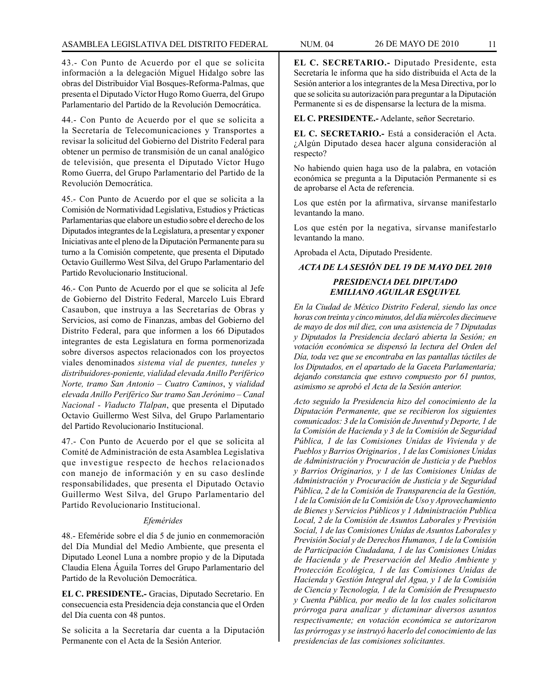43.- Con Punto de Acuerdo por el que se solicita información a la delegación Miguel Hidalgo sobre las obras del Distribuidor Vial Bosques-Reforma-Palmas, que presenta el Diputado Víctor Hugo Romo Guerra, del Grupo Parlamentario del Partido de la Revolución Democrática.

44.- Con Punto de Acuerdo por el que se solicita a la Secretaría de Telecomunicaciones y Transportes a revisar la solicitud del Gobierno del Distrito Federal para obtener un permiso de transmisión de un canal analógico de televisión, que presenta el Diputado Víctor Hugo Romo Guerra, del Grupo Parlamentario del Partido de la Revolución Democrática.

45.- Con Punto de Acuerdo por el que se solicita a la Comisión de Normatividad Legislativa, Estudios y Prácticas Parlamentarias que elabore un estudio sobre el derecho de los Diputados integrantes de la Legislatura, a presentar y exponer Iniciativas ante el pleno de la Diputación Permanente para su turno a la Comisión competente, que presenta el Diputado Octavio Guillermo West Silva, del Grupo Parlamentario del Partido Revolucionario Institucional.

46.- Con Punto de Acuerdo por el que se solicita al Jefe de Gobierno del Distrito Federal, Marcelo Luis Ebrard Casaubon, que instruya a las Secretarías de Obras y Servicios, así como de Finanzas, ambas del Gobierno del Distrito Federal, para que informen a los 66 Diputados integrantes de esta Legislatura en forma pormenorizada sobre diversos aspectos relacionados con los proyectos viales denominados *sistema vial de puentes, tuneles y distribuidores-poniente, vialidad elevada Anillo Periférico Norte, tramo San Antonio – Cuatro Caminos*, y *vialidad elevada Anillo Periférico Sur tramo San Jerónimo – Canal Nacional - Viaducto Tlalpan*, que presenta el Diputado Octavio Guillermo West Silva, del Grupo Parlamentario del Partido Revolucionario Institucional.

47.- Con Punto de Acuerdo por el que se solicita al Comité de Administración de esta Asamblea Legislativa que investigue respecto de hechos relacionados con manejo de información y en su caso deslinde responsabilidades, que presenta el Diputado Octavio Guillermo West Silva, del Grupo Parlamentario del Partido Revolucionario Institucional.

### *Efemérides*

48.- Efeméride sobre el día 5 de junio en conmemoración del Día Mundial del Medio Ambiente, que presenta el Diputado Leonel Luna a nombre propio y de la Diputada Claudia Elena Águila Torres del Grupo Parlamentario del Partido de la Revolución Democrática.

**EL C. PRESIDENTE.-** Gracias, Diputado Secretario. En consecuencia esta Presidencia deja constancia que el Orden del Día cuenta con 48 puntos.

Se solicita a la Secretaría dar cuenta a la Diputación Permanente con el Acta de la Sesión Anterior.

**EL C. SECRETARIO.-** Diputado Presidente, esta Secretaría le informa que ha sido distribuida el Acta de la Sesión anterior a los integrantes de la Mesa Directiva, por lo que se solicita su autorización para preguntar a la Diputación Permanente si es de dispensarse la lectura de la misma.

**EL C. PRESIDENTE.-** Adelante, señor Secretario.

**EL C. SECRETARIO.-** Está a consideración el Acta. ¿Algún Diputado desea hacer alguna consideración al respecto?

No habiendo quien haga uso de la palabra, en votación económica se pregunta a la Diputación Permanente si es de aprobarse el Acta de referencia.

Los que estén por la afirmativa, sírvanse manifestarlo levantando la mano.

Los que estén por la negativa, sírvanse manifestarlo levantando la mano.

Aprobada el Acta, Diputado Presidente.

### *ACTA DE LA SESIÓN DEL 19 DE MAYO DEL 2010*

### *PRESIDENCIA DEL DIPUTADO EMILIANO AGUILAR ESQUIVEL*

*En la Ciudad de México Distrito Federal, siendo las once horas con treinta y cinco minutos, del día miércoles diecinueve de mayo de dos mil diez, con una asistencia de 7 Diputadas y Diputados la Presidencia declaró abierta la Sesión; en votación económica se dispensó la lectura del Orden del Día, toda vez que se encontraba en las pantallas táctiles de los Diputados, en el apartado de la Gaceta Parlamentaria; dejando constancia que estuvo compuesto por 61 puntos, asimismo se aprobó el Acta de la Sesión anterior.* 

*Acto seguido la Presidencia hizo del conocimiento de la Diputación Permanente, que se recibieron los siguientes comunicados: 3 de la Comisión de Juventud y Deporte, 1 de la Comisión de Hacienda y 3 de la Comisión de Seguridad Pública, 1 de las Comisiones Unidas de Vivienda y de Pueblos y Barrios Originarios , 1 de las Comisiones Unidas de Administración y Procuración de Justicia y de Pueblos y Barrios Originarios, y 1 de las Comisiones Unidas de Administración y Procuración de Justicia y de Seguridad Pública, 2 de la Comisión de Transparencia de la Gestión, 1 de la Comisión de la Comisión de Uso y Aprovechamiento de Bienes y Servicios Públicos y 1 Administración Publica Local, 2 de la Comisión de Asuntos Laborales y Previsión Social, 1 de las Comisiones Unidas de Asuntos Laborales y Previsión Social y de Derechos Humanos, 1 de la Comisión de Participación Ciudadana, 1 de las Comisiones Unidas de Hacienda y de Preservación del Medio Ambiente y Protección Ecológica, 1 de las Comisiones Unidas de Hacienda y Gestión Integral del Agua, y 1 de la Comisión de Ciencia y Tecnología, 1 de la Comisión de Presupuesto y Cuenta Pública, por medio de la los cuales solicitaron prórroga para analizar y dictaminar diversos asuntos respectivamente; en votación económica se autorizaron las prórrogas y se instruyó hacerlo del conocimiento de las presidencias de las comisiones solicitantes.*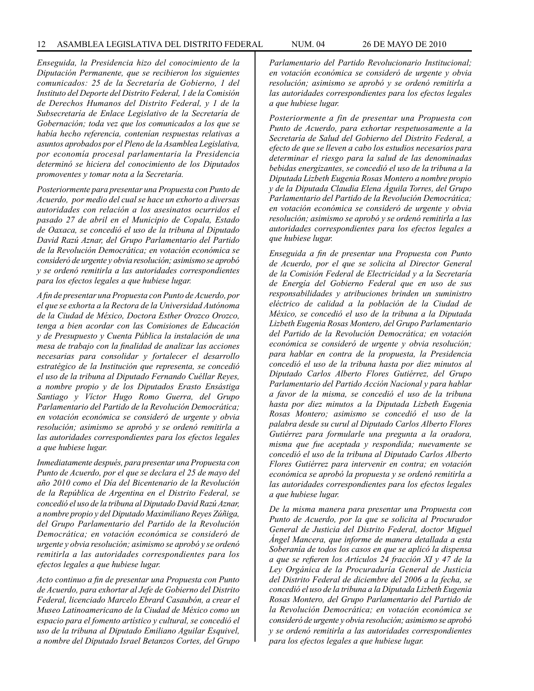*Enseguida, la Presidencia hizo del conocimiento de la Diputación Permanente, que se recibieron los siguientes comunicados: 25 de la Secretaría de Gobierno, 1 del Instituto del Deporte del Distrito Federal, 1 de la Comisión de Derechos Humanos del Distrito Federal, y 1 de la Subsecretaría de Enlace Legislativo de la Secretaría de Gobernación; toda vez que los comunicados a los que se había hecho referencia, contenían respuestas relativas a asuntos aprobados por el Pleno de la Asamblea Legislativa, por economía procesal parlamentaria la Presidencia determinó se hiciera del conocimiento de los Diputados promoventes y tomar nota a la Secretaría.*

*Posteriormente para presentar una Propuesta con Punto de Acuerdo, por medio del cual se hace un exhorto a diversas autoridades con relación a los asesinatos ocurridos el pasado 27 de abril en el Municipio de Copala, Estado de Oaxaca, se concedió el uso de la tribuna al Diputado David Razú Aznar, del Grupo Parlamentario del Partido de la Revolución Democrática; en votación económica se consideró de urgente y obvia resolución; asimismo se aprobó y se ordenó remitirla a las autoridades correspondientes para los efectos legales a que hubiese lugar.* 

*A fin de presentar una Propuesta con Punto de Acuerdo, por el que se exhorta a la Rectora de la Universidad Autónoma de la Ciudad de México, Doctora Esther Orozco Orozco, tenga a bien acordar con las Comisiones de Educación y de Presupuesto y Cuenta Pública la instalación de una mesa de trabajo con la finalidad de analizar las acciones necesarias para consolidar y fortalecer el desarrollo estratégico de la Institución que representa, se concedió el uso de la tribuna al Diputado Fernando Cuéllar Reyes, a nombre propio y de los Diputados Erasto Ensástiga Santiago y Víctor Hugo Romo Guerra, del Grupo Parlamentario del Partido de la Revolución Democrática; en votación económica se consideró de urgente y obvia resolución; asimismo se aprobó y se ordenó remitirla a las autoridades correspondientes para los efectos legales a que hubiese lugar.* 

*Inmediatamente después, para presentar una Propuesta con Punto de Acuerdo, por el que se declara el 25 de mayo del año 2010 como el Día del Bicentenario de la Revolución de la República de Argentina en el Distrito Federal, se concedió el uso de la tribuna al Diputado David Razú Aznar, a nombre propio y del Diputado Maximiliano Reyes Zúñiga, del Grupo Parlamentario del Partido de la Revolución Democrática; en votación económica se consideró de urgente y obvia resolución; asimismo se aprobó y se ordenó remitirla a las autoridades correspondientes para los efectos legales a que hubiese lugar.* 

*Acto continuo a fin de presentar una Propuesta con Punto de Acuerdo, para exhortar al Jefe de Gobierno del Distrito Federal, licenciado Marcelo Ebrard Casaubón, a crear el Museo Latinoamericano de la Ciudad de México como un espacio para el fomento artístico y cultural, se concedió el uso de la tribuna al Diputado Emiliano Aguilar Esquivel, a nombre del Diputado Israel Betanzos Cortes, del Grupo* 

*Parlamentario del Partido Revolucionario Institucional; en votación económica se consideró de urgente y obvia resolución; asimismo se aprobó y se ordenó remitirla a las autoridades correspondientes para los efectos legales a que hubiese lugar.* 

*Posteriormente a fin de presentar una Propuesta con Punto de Acuerdo, para exhortar respetuosamente a la Secretaría de Salud del Gobierno del Distrito Federal, a efecto de que se lleven a cabo los estudios necesarios para determinar el riesgo para la salud de las denominadas bebidas energizantes, se concedió el uso de la tribuna a la Diputada Lizbeth Eugenia Rosas Montero a nombre propio y de la Diputada Claudia Elena Águila Torres, del Grupo Parlamentario del Partido de la Revolución Democrática; en votación económica se consideró de urgente y obvia resolución; asimismo se aprobó y se ordenó remitirla a las autoridades correspondientes para los efectos legales a que hubiese lugar.* 

*Enseguida a fin de presentar una Propuesta con Punto de Acuerdo, por el que se solicita al Director General de la Comisión Federal de Electricidad y a la Secretaría de Energía del Gobierno Federal que en uso de sus responsabilidades y atribuciones brinden un suministro eléctrico de calidad a la población de la Ciudad de México, se concedió el uso de la tribuna a la Diputada Lizbeth Eugenia Rosas Montero, del Grupo Parlamentario del Partido de la Revolución Democrática; en votación económica se consideró de urgente y obvia resolución; para hablar en contra de la propuesta, la Presidencia concedió el uso de la tribuna hasta por diez minutos al Diputado Carlos Alberto Flores Gutiérrez, del Grupo Parlamentario del Partido Acción Nacional y para hablar a favor de la misma, se concedió el uso de la tribuna hasta por diez minutos a la Diputada Lizbeth Eugenia Rosas Montero; asimismo se concedió el uso de la palabra desde su curul al Diputado Carlos Alberto Flores Gutiérrez para formularle una pregunta a la oradora, misma que fue aceptada y respondida; nuevamente se concedió el uso de la tribuna al Diputado Carlos Alberto Flores Gutiérrez para intervenir en contra; en votación económica se aprobó la propuesta y se ordenó remitirla a las autoridades correspondientes para los efectos legales a que hubiese lugar.* 

*De la misma manera para presentar una Propuesta con Punto de Acuerdo, por la que se solicita al Procurador General de Justicia del Distrito Federal, doctor Miguel Ángel Mancera, que informe de manera detallada a esta Soberanía de todos los casos en que se aplicó la dispensa a que se refieren los Artículos 24 fracción XI y 47 de la Ley Orgánica de la Procuraduría General de Justicia del Distrito Federal de diciembre del 2006 a la fecha, se concedió el uso de la tribuna a la Diputada Lizbeth Eugenia Rosas Montero, del Grupo Parlamentario del Partido de la Revolución Democrática; en votación económica se consideró de urgente y obvia resolución; asimismo se aprobó y se ordenó remitirla a las autoridades correspondientes para los efectos legales a que hubiese lugar.*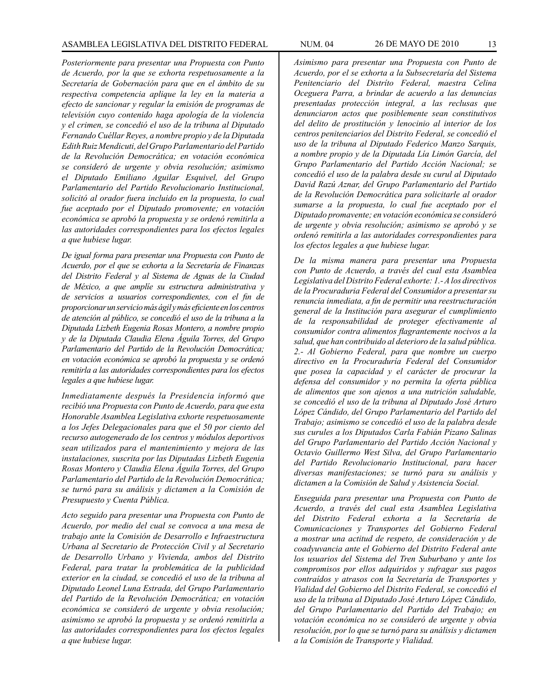*Posteriormente para presentar una Propuesta con Punto de Acuerdo, por la que se exhorta respetuosamente a la Secretaría de Gobernación para que en el ámbito de su respectiva competencia aplique la ley en la materia a efecto de sancionar y regular la emisión de programas de televisión cuyo contenido haga apología de la violencia y el crimen, se concedió el uso de la tribuna al Diputado Fernando Cuéllar Reyes, a nombre propio y de la Diputada Edith Ruiz Mendicuti, del Grupo Parlamentario del Partido de la Revolución Democrática; en votación económica se consideró de urgente y obvia resolución; asimismo el Diputado Emiliano Aguilar Esquivel, del Grupo Parlamentario del Partido Revolucionario Institucional, solicitó al orador fuera incluido en la propuesta, lo cual fue aceptado por el Diputado promovente; en votación económica se aprobó la propuesta y se ordenó remitirla a las autoridades correspondientes para los efectos legales a que hubiese lugar.* 

*De igual forma para presentar una Propuesta con Punto de Acuerdo, por el que se exhorta a la Secretaría de Finanzas del Distrito Federal y al Sistema de Aguas de la Ciudad de México, a que amplíe su estructura administrativa y de servicios a usuarios correspondientes, con el fin de proporcionar un servicio más ágil y más eficiente en los centros de atención al público, se concedió el uso de la tribuna a la Diputada Lizbeth Eugenia Rosas Montero, a nombre propio y de la Diputada Claudia Elena Águila Torres, del Grupo Parlamentario del Partido de la Revolución Democrática; en votación económica se aprobó la propuesta y se ordenó remitirla a las autoridades correspondientes para los efectos legales a que hubiese lugar.* 

*Inmediatamente después la Presidencia informó que recibió una Propuesta con Punto de Acuerdo, para que esta Honorable Asamblea Legislativa exhorte respetuosamente a los Jefes Delegacionales para que el 50 por ciento del recurso autogenerado de los centros y módulos deportivos sean utilizados para el mantenimiento y mejora de las instalaciones, suscrita por las Diputadas Lizbeth Eugenia Rosas Montero y Claudia Elena Águila Torres, del Grupo Parlamentario del Partido de la Revolución Democrática; se turnó para su análisis y dictamen a la Comisión de Presupuesto y Cuenta Pública.* 

*Acto seguido para presentar una Propuesta con Punto de Acuerdo, por medio del cual se convoca a una mesa de trabajo ante la Comisión de Desarrollo e Infraestructura Urbana al Secretario de Protección Civil y al Secretario de Desarrollo Urbano y Vivienda, ambos del Distrito Federal, para tratar la problemática de la publicidad exterior en la ciudad, se concedió el uso de la tribuna al Diputado Leonel Luna Estrada, del Grupo Parlamentario del Partido de la Revolución Democrática; en votación económica se consideró de urgente y obvia resolución; asimismo se aprobó la propuesta y se ordenó remitirla a las autoridades correspondientes para los efectos legales a que hubiese lugar.* 

*Asimismo para presentar una Propuesta con Punto de Acuerdo, por el se exhorta a la Subsecretaría del Sistema Penitenciario del Distríto Federal, maestra Celina Oceguera Parra, a brindar de acuerdo a las denuncias presentadas protección integral, a las reclusas que denunciaron actos que posiblemente sean constitutivos del delito de prostitución y lenocinio al interior de los centros penitenciarios del Distrito Federal, se concedió el uso de la tribuna al Diputado Federico Manzo Sarquis, a nombre propio y de la Diputada Lía Limón García, del Grupo Parlamentario del Partido Acción Nacional; se concedió el uso de la palabra desde su curul al Diputado David Razú Aznar, del Grupo Parlamentario del Partido de la Revolución Democrática para solicitarle al orador sumarse a la propuesta, lo cual fue aceptado por el Diputado promavente; en votación económica se consideró de urgente y obvia resolución; asimismo se aprobó y se ordenó remitirla a las autoridades correspondientes para los efectos legales a que hubiese lugar.* 

*De la misma manera para presentar una Propuesta con Punto de Acuerdo, a través del cual esta Asamblea Legislativa del Distrito Federal exhorte: 1.- A los directivos de la Procuraduria Federal del Consumidor a presentar su renuncia inmediata, a fin de permitir una reestructuración general de la Institución para asegurar el cumplimiento de la responsabilidad de proteger efectivamente al consumidor contra alimentos flagrantemente nocivos a la salud, que han contribuido al deterioro de la salud pública. 2.- Al Gobierno Federal, para que nombre un cuerpo directivo en la Procuraduría Federal del Consumidor que posea la capacidad y el carácter de procurar la defensa del consumidor y no permita la oferta pública de alimentos que son ajenos a una nutrición saludable, se concedió el uso de la tribuna al Diputado José Arturo López Cándido, del Grupo Parlamentario del Partido del Trabajo; asimismo se concedió el uso de la palabra desde sus curules a los Diputados Carla Fabián Pizano Salinas del Grupo Parlamentario del Partido Acción Nacional y Octavio Guillermo West Silva, del Grupo Parlamentario del Partido Revolucionario Institucional, para hacer diversas manifestaciones; se turnó para su análisis y dictamen a la Comisión de Salud y Asistencia Social.* 

*Enseguida para presentar una Propuesta con Punto de Acuerdo, a través del cual esta Asamblea Legislativa del Distrito Federal exhorta a la Secretaría de Comunicaciones y Transportes del Gobierno Federal a mostrar una actitud de respeto, de consideración y de coadyuvancia ante el Gobierno del Distrito Federal ante los usuarios del Sistema del Tren Suburbano y ante los compromisos por ellos adquiridos y sufragar sus pagos contraídos y atrasos con la Secretaría de Transportes y Vialidad del Gobierno del Distrito Federal, se concedió el uso de la tribuna al Diputado José Arturo López Cándido, del Grupo Parlamentario del Partido del Trabajo; en votación económica no se consideró de urgente y obvia resolución, por lo que se turnó para su análisis y dictamen a la Comisión de Transporte y Vialidad.*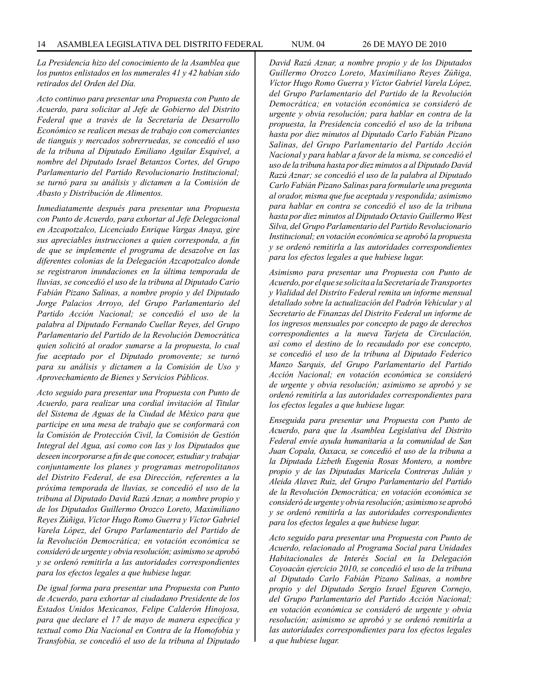*La Presidencia hizo del conocimiento de la Asamblea que los puntos enlistados en los numerales 41 y 42 habían sido retirados del Orden del Día.* 

*Acto continuo para presentar una Propuesta con Punto de Acuerdo, para solicitar al Jefe de Gobierno del Distrito Federal que a través de la Secretaría de Desarrollo Económico se realicen mesas de trabajo con comerciantes de tianguis y mercados sobrerruedas, se concedió el uso de la tribuna al Diputado Emiliano Aguilar Esquivel, a nombre del Diputado Israel Betanzos Cortes, del Grupo Parlamentario del Partido Revolucionario Institucional; se turnó para su análisis y dictamen a la Comisión de Abasto y Distribución de Alimentos.* 

*Inmediatamente después para presentar una Propuesta con Punto de Acuerdo, para exhortar al Jefe Delegacional en Azcapotzalco, Licenciado Enrique Vargas Anaya, gire sus apreciables instrucciones a quien corresponda, a fin de que se implemente el programa de desazolve en las diferentes colonias de la Delegación Azcapotzalco donde se registraron inundaciones en la última temporada de lluvias, se concedió el uso de la tribuna al Diputado Cario Fabián Pizano Salinas, a nombre propio y del Diputado Jorge Palacios Arroyo, del Grupo Parlamentario del Partido Acción Nacional; se concedió el uso de la palabra al Diputado Fernando Cuellar Reyes, del Grupo Parlamentario del Partido de la Revolución Democrática quien solicitó al orador sumarse a la propuesta, lo cual fue aceptado por el Diputado promovente; se turnó para su análisis y dictamen a la Comisión de Uso y Aprovechamiento de Bienes y Servicios Públicos.* 

*Acto seguido para presentar una Propuesta con Punto de Acuerdo, para realizar una cordial invitación al Titular del Sistema de Aguas de la Ciudad de México para que participe en una mesa de trabajo que se conformará con la Comisión de Protección Civil, la Comisión de Gestión Integral del Agua, así como con las y los Diputados que deseen incorporarse a fin de que conocer, estudiar y trabajar conjuntamente los planes y programas metropolitanos del Distrito Federal, de esa Dirección, referentes a la próxima temporada de lluvias, se concedió el uso de la tribuna al Diputado David Razú Aznar, a nombre propio y de los Diputados Guillermo Orozco Loreto, Maximiliano Reyes Zúñiga, Víctor Hugo Romo Guerra y Víctor Gabriel Varela López, del Grupo Parlamentario del Partido de la Revolución Democrática; en votación económica se consideró de urgente y obvia resolución; asimismo se aprobó y se ordenó remitirla a las autoridades correspondientes para los efectos legales a que hubiese lugar.* 

*De igual forma para presentar una Propuesta con Punto de Acuerdo, para exhortar al ciudadano Presidente de los Estados Unidos Mexicanos, Felipe Calderón Hinojosa, para que declare el 17 de mayo de manera específica y textual como Día Nacional en Contra de la Homofobia y Transfobia, se concedió el uso de la tribuna al Diputado*  *David Razú Aznar, a nombre propio y de los Diputados Guillermo Orozco Loreto, Maximiliano Reyes Zúñiga, Víctor Hugo Romo Guerra y Víctor Gabriel Varela López, del Grupo Parlamentario del Partido de la Revolución Democrática; en votación económica se consideró de urgente y obvia resolución; para hablar en contra de la propuesta, la Presidencia concedió el uso de la tribuna hasta por diez minutos al Diputado Carlo Fabián Pizano Salinas, del Grupo Parlamentario del Partido Acción Nacional y para hablar a favor de la misma, se concedió el uso de la tribuna hasta por diez minutos a al Diputado David Razú Aznar; se concedió el uso de la palabra al Diputado Carlo Fabián Pizano Salinas para formularle una pregunta al orador, misma que fue aceptada y respondida; asimismo para hablar en contra se concedió el uso de la tribuna hasta por diez minutos al Diputado Octavio Guillermo West Silva, del Grupo Parlamentario del Partido Revolucionario Institucional; en votación económica se aprobó la propuesta y se ordenó remitirla a las autoridades correspondientes para los efectos legales a que hubiese lugar.* 

*Asimismo para presentar una Propuesta con Punto de Acuerdo, por el que se solicita a la Secretaría de Transportes y Vialidad del Distrito Federal remita un informe mensual detallado sobre la actualización del Padrón Vehicular y al Secretario de Finanzas del Distrito Federal un informe de los ingresos mensuales por concepto de pago de derechos correspondientes a la nueva Tarjeta de Circulación, así como el destino de lo recaudado por ese concepto, se concedió el uso de la tribuna al Diputado Federico Manzo Sarquis, del Grupo Parlamentario del Partido Acción Nacional; en votación económica se consideró de urgente y obvia resolución; asimismo se aprobó y se ordenó remitirla a las autoridades correspondientes para los efectos legales a que hubiese lugar.* 

*Enseguida para presentar una Propuesta con Punto de Acuerdo, para que la Asamblea Legislativa del Distrito Federal envíe ayuda humanitaria a la comunidad de San Juan Copala, Oaxaca, se concedió el uso de la tribuna a la Diputada Lizbeth Eugenia Rosas Montero, a nombre propio y de las Diputadas Maricela Contreras Julián y Aleida Alavez Ruiz, del Grupo Parlamentario del Partido de la Revolución Democrática; en votación económica se consideró de urgente y obvia resolución; asimismo se aprobó y se ordenó remitirla a las autoridades correspondientes para los efectos legales a que hubiese lugar.* 

*Acto seguido para presentar una Propuesta con Punto de Acuerdo, relacionado al Programa Social para Unidades Habitacionales de Interés Social en la Delegación Coyoacán ejercicio 2010, se concedió el uso de la tribuna al Diputado Carlo Fabián Pizano Salinas, a nombre propio y del Diputado Sergio Israel Eguren Cornejo, del Grupo Parlamentario del Partido Acción Nacional; en votación económica se consideró de urgente y obvia resolución; asimismo se aprobó y se ordenó remitirla a las autoridades correspondientes para los efectos legales a que hubiese lugar.*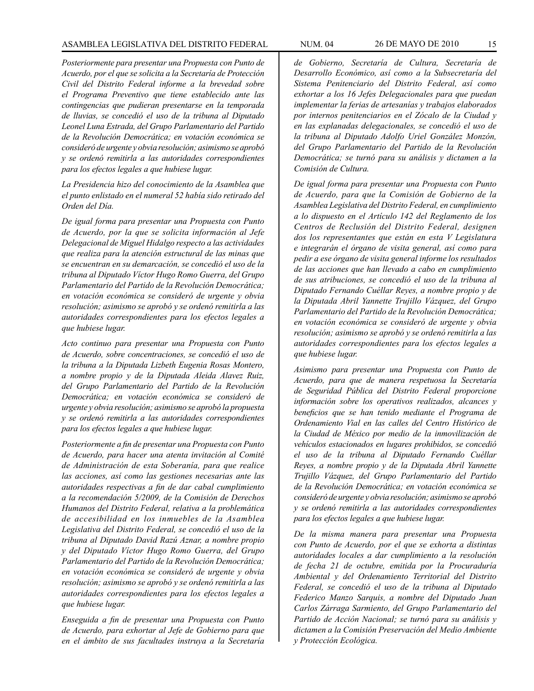*Posteriormente para presentar una Propuesta con Punto de Acuerdo, por el que se solicita a la Secretaría de Protección Civil del Distrito Federal informe a la brevedad sobre el Programa Preventivo que tiene establecido ante las contingencias que pudieran presentarse en la temporada de lluvias, se concedió el uso de la tribuna al Diputado Leonel Luna Estrada, del Grupo Parlamentario del Partido de la Revolución Democrática; en votación económica se consideró de urgente y obvia resolución; asimismo se aprobó y se ordenó remitirla a las autoridades correspondientes para los efectos legales a que hubiese lugar.* 

*La Presidencia hizo del conocimiento de la Asamblea que el punto enlistado en el numeral 52 había sido retirado del Orden del Día.* 

*De igual forma para presentar una Propuesta con Punto de Acuerdo, por la que se solicita información al Jefe Delegacional de Miguel Hidalgo respecto a las actividades que realiza para la atención estructural de las minas que se encuentran en su demarcación, se concedió el uso de la tribuna al Diputado Víctor Hugo Romo Guerra, del Grupo Parlamentario del Partido de la Revolución Democrática; en votación económica se consideró de urgente y obvia resolución; asimismo se aprobó y se ordenó remitirla a las autoridades correspondientes para los efectos legales a que hubiese lugar.* 

*Acto continuo para presentar una Propuesta con Punto de Acuerdo, sobre concentraciones, se concedió el uso de la tribuna a la Diputada Lizbeth Eugenia Rosas Montero, a nombre propio y de la Diputada Aleida Alavez Ruiz, del Grupo Parlamentario del Partido de la Revolución Democrática; en votación económica se consideró de urgente y obvia resolución; asimismo se aprobó la propuesta y se ordenó remitirla a las autoridades correspondientes para los efectos legales a que hubiese lugar.* 

*Posteriormente a fin de presentar una Propuesta con Punto de Acuerdo, para hacer una atenta invitación al Comité de Administración de esta Soberanía, para que realice las acciones, así como las gestiones necesarias ante las autoridades respectivas a fin de dar cabal cumplimiento a la recomendación 5/2009, de la Comisión de Derechos Humanos del Distrito Federal, relativa a la problemática de accesibilidad en los inmuebles de la Asamblea Legislativa del Distrito Federal, se concedió el uso de la tribuna al Diputado David Razú Aznar, a nombre propio y del Diputado Víctor Hugo Romo Guerra, del Grupo Parlamentario del Partido de la Revolución Democrática; en votación económica se consideró de urgente y obvia resolución; asimismo se aprobó y se ordenó remitirla a las autoridades correspondientes para los efectos legales a que hubiese lugar.* 

*Enseguida a fin de presentar una Propuesta con Punto de Acuerdo, para exhortar al Jefe de Gobierno para que en el ámbito de sus facultades instruya a la Secretaría* 

*por internos penitenciarios en el Zócalo de la Ciudad y en las explanadas delegacionales, se concedió el uso de la tribuna al Diputado Adolfo Uriel González Monzón, del Grupo Parlamentario del Partido de la Revolución Democrática; se turnó para su análisis y dictamen a la Comisión de Cultura.* 

*De igual forma para presentar una Propuesta con Punto de Acuerdo, para que la Comisión de Gobierno de la Asamblea Legislativa del Distrito Federal, en cumplimiento a lo dispuesto en el Artículo 142 del Reglamento de los Centros de Reclusión del Distrito Federal, designen dos los representantes que están en esta V Legislatura e integrarán el órgano de visita general, así como para pedir a ese órgano de visita general informe los resultados de las acciones que han llevado a cabo en cumplimiento de sus atribuciones, se concedió el uso de la tribuna al Diputado Fernando Cuéllar Reyes, a nombre propio y de la Diputada Abril Yannette Trujillo Vázquez, del Grupo Parlamentario del Partido de la Revolución Democrática; en votación económica se consideró de urgente y obvia resolución; asimismo se aprobó y se ordenó remitirla a las autoridades correspondientes para los efectos legales a que hubiese lugar.* 

*Asimismo para presentar una Propuesta con Punto de Acuerdo, para que de manera respetuosa la Secretaría de Seguridad Pública del Distrito Federal proporcione información sobre los operativos realizados, alcances y beneficios que se han tenido mediante el Programa de Ordenamiento Vial en las calles del Centro Histórico de la Ciudad de México por medio de la inmovilización de vehículos estacionados en lugares prohibidos, se concedió el uso de la tribuna al Diputado Fernando Cuéllar Reyes, a nombre propio y de la Diputada Abril Yannette Trujillo Vázquez, del Grupo Parlamentario del Partido de la Revolución Democrática; en votación económica se consideró de urgente y obvia resolución; asimismo se aprobó y se ordenó remitirla a las autoridades correspondientes para los efectos legales a que hubiese lugar.* 

*De la misma manera para presentar una Propuesta con Punto de Acuerdo, por el que se exhorta a distintas autoridades locales a dar cumplimiento a la resolución de fecha 21 de octubre, emitida por la Procuraduría Ambiental y del Ordenamiento Territorial del Distrito Federal, se concedió el uso de la tribuna al Diputado Federico Manzo Sarquis, a nombre del Diputado Juan Carlos Zárraga Sarmiento, del Grupo Parlamentario del Partido de Acción Nacional; se turnó para su análisis y dictamen a la Comisión Preservación del Medio Ambiente y Protección Ecológica.*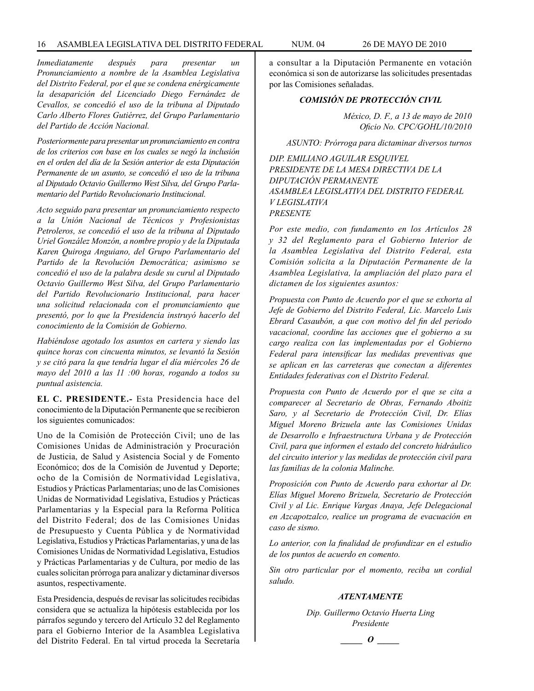*Inmediatamente después para presentar un Pronunciamiento a nombre de la Asamblea Legislativa del Distrito Federal, por el que se condena enérgicamente la desaparición del Licenciado Diego Fernández de Cevallos, se concedió el uso de la tribuna al Diputado Carlo Alberto Flores Gutiérrez, del Grupo Parlamentario del Partido de Acción Nacional.* 

*Posteriormente para presentar un pronunciamiento en contra de los criterios con base en los cuales se negó la inclusión en el orden del día de la Sesión anterior de esta Diputación Permanente de un asunto, se concedió el uso de la tribuna al Diputado Octavio Guillermo West Silva, del Grupo Parlamentario del Partido Revolucionario Institucional.* 

*Acto seguido para presentar un pronunciamiento respecto a la Unión Nacional de Técnicos y Profesionistas Petroleros, se concedió el uso de la tribuna al Diputado Uriel González Monzón, a nombre propio y de la Diputada Karen Quiroga Anguiano, del Grupo Parlamentario del Partido de la Revolución Democrática; asimismo se concedió el uso de la palabra desde su curul al Diputado Octavio Guillermo West Silva, del Grupo Parlamentario del Partido Revolucionario Institucional, para hacer una solicitud relacionada con el pronunciamiento que presentó, por lo que la Presidencia instruyó hacerlo del conocimiento de la Comisión de Gobierno.* 

*Habiéndose agotado los asuntos en cartera y siendo las quince horas con cincuenta minutos, se levantó la Sesión y se citó para la que tendría lugar el día miércoles 26 de mayo del 2010 a las 11 :00 horas, rogando a todos su puntual asistencia.*

**EL C. PRESIDENTE.-** Esta Presidencia hace del conocimiento de la Diputación Permanente que se recibieron los siguientes comunicados:

Uno de la Comisión de Protección Civil; uno de las Comisiones Unidas de Administración y Procuración de Justicia, de Salud y Asistencia Social y de Fomento Económico; dos de la Comisión de Juventud y Deporte; ocho de la Comisión de Normatividad Legislativa, Estudios y Prácticas Parlamentarias; uno de las Comisiones Unidas de Normatividad Legislativa, Estudios y Prácticas Parlamentarias y la Especial para la Reforma Política del Distrito Federal; dos de las Comisiones Unidas de Presupuesto y Cuenta Pública y de Normatividad Legislativa, Estudios y Prácticas Parlamentarias, y una de las Comisiones Unidas de Normatividad Legislativa, Estudios y Prácticas Parlamentarias y de Cultura, por medio de las cuales solicitan prórroga para analizar y dictaminar diversos asuntos, respectivamente.

Esta Presidencia, después de revisar las solicitudes recibidas considera que se actualiza la hipótesis establecida por los párrafos segundo y tercero del Artículo 32 del Reglamento para el Gobierno Interior de la Asamblea Legislativa del Distrito Federal. En tal virtud proceda la Secretaría a consultar a la Diputación Permanente en votación económica si son de autorizarse las solicitudes presentadas por las Comisiones señaladas.

### *COMISIÓN DE PROTECCIÓN CIVIL*

*México, D. F., a 13 de mayo de 2010 Oficio No. CPC/GOHL/10/2010*

*ASUNTO: Prórroga para dictaminar diversos turnos*

*DIP. EMILIANO AGUILAR ESQUIVEL PRESIDENTE DE LA MESA DIRECTIVA DE LA DIPUTACIÓN PERMANENTE ASAMBLEA LEGISLATIVA DEL DISTRITO FEDERAL V LEGISLATIVA PRESENTE*

*Por este medio, con fundamento en los Artículos 28 y 32 del Reglamento para el Gobierno Interior de la Asamblea Legislativa del Distrito Federal, esta Comisión solicita a la Diputación Permanente de la Asamblea Legislativa, la ampliación del plazo para el dictamen de los siguientes asuntos:* 

*Propuesta con Punto de Acuerdo por el que se exhorta al Jefe de Gobierno del Distrito Federal, Lic. Marcelo Luis Ebrard Casaubón, a que con motivo del fin del periodo vacacional, coordine las acciones que el gobierno a su cargo realiza con las implementadas por el Gobierno Federal para intensificar las medidas preventivas que se aplican en las carreteras que conectan a diferentes Entidades federativas con el Distrito Federal.* 

*Propuesta con Punto de Acuerdo por el que se cita a comparecer al Secretario de Obras, Fernando Aboitiz Saro, y al Secretario de Protección Civil, Dr. Elías Miguel Moreno Brizuela ante las Comisiones Unidas de Desarrollo e Infraestructura Urbana y de Protección Civil, para que informen el estado del concreto hidráulico del circuito interior y las medidas de protección civil para las familias de la colonia Malinche.* 

*Proposición con Punto de Acuerdo para exhortar al Dr. Elías Miguel Moreno Brizuela, Secretario de Protección Civil y al Lic. Enrique Vargas Anaya, Jefe Delegacional en Azcapotzalco, realice un programa de evacuación en caso de sismo.*

*Lo anterior, con la finalidad de profundizar en el estudio de los puntos de acuerdo en comento.*

*Sin otro particular por el momento, reciba un cordial saludo.*

#### *ATENTAMENTE*

*Dip. Guillermo Octavio Huerta Ling Presidente*

*\_\_\_\_\_ O \_\_\_\_\_*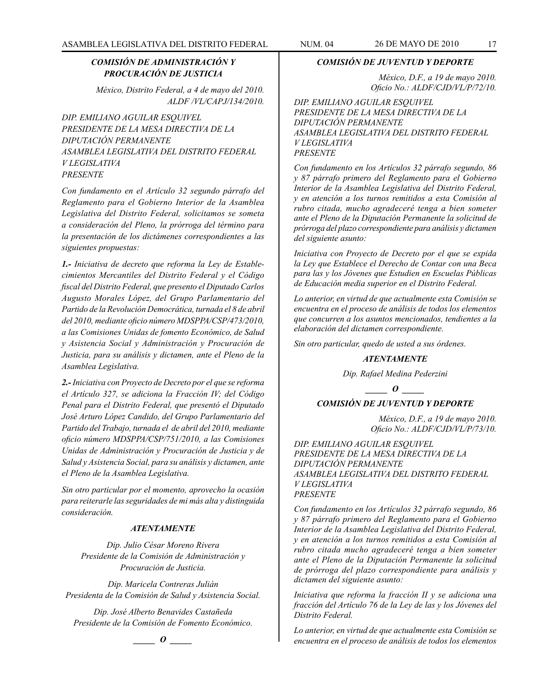### *COMISIÓN DE ADMINISTRACIÓN Y PROCURACIÓN DE JUSTICIA*

*México, Distrito Federal, a 4 de mayo del 2010. ALDF /VL/CAPJ/134/2010.*

*DIP. EMILIANO AGUILAR ESQUIVEL PRESIDENTE DE LA MESA DIRECTIVA DE LA DIPUTACIÓN PERMANENTE ASAMBLEA LEGISLATIVA DEL DISTRITO FEDERAL V LEGISLATIVA PRESENTE*

*Con fundamento en el Artículo 32 segundo párrafo del Reglamento para el Gobierno Interior de la Asamblea Legislativa del Distrito Federal, solicitamos se someta a consideración del Pleno, la prórroga del término para la presentación de los dictámenes correspondientes a las siguientes propuestas:*

*1.- Iniciativa de decreto que reforma la Ley de Establecimientos Mercantiles del Distrito Federal y el Código fiscal del Distrito Federal, que presento el Diputado Carlos Augusto Morales López, del Grupo Parlamentario del Partido de la Revolución Democrática, turnada el 8 de abril del 2010, mediante oficio número MDSPPA/CSP/473/2010, a las Comisiones Unidas de fomento Económico, de Salud y Asistencia Social y Administración y Procuración de Justicia, para su análisis y dictamen, ante el Pleno de la Asamblea Legislativa.*

*2.- Iniciativa con Proyecto de Decreto por el que se reforma el Artículo 327, se adiciona la Fracción IV; del Código Penal para el Distrito Federal, que presentó el Diputado José Arturo López Candido, del Grupo Parlamentario del Partido del Trabajo, turnada el de abril del 2010, mediante oficio número MDSPPA/CSP/751/2010, a las Comisiones Unidas de Administración y Procuración de Justicia y de Salud y Asistencia Social, para su análisis y dictamen, ante el Pleno de la Asamblea Legislativa.*

*Sin otro particular por el momento, aprovecho la ocasión para reiterarle las seguridades de mi más alta y distinguida consideración.*

### *ATENTAMENTE*

*Dip. Julio César Moreno Rivera Presidente de la Comisión de Administración y Procuración de Justicia.*

*Dip. Maricela Contreras Julián Presidenta de la Comisión de Salud y Asistencia Social.*

*Dip. José Alberto Benavides Castañeda Presidente de la Comisión de Fomento Económico.*

*\_\_\_\_\_ O \_\_\_\_\_*

### *COMISIÓN DE JUVENTUD Y DEPORTE*

*México, D.F., a 19 de mayo 2010. Oficio No.: ALDF/CJD/VL/P/72/10.*

*DIP. EMILIANO AGUILAR ESQUIVEL PRESIDENTE DE LA MESA DIRECTIVA DE LA DIPUTACIÓN PERMANENTE ASAMBLEA LEGISLATIVA DEL DISTRITO FEDERAL V LEGISLATIVA PRESENTE*

*Con fundamento en los Artículos 32 párrafo segundo, 86 y 87 párrafo primero del Reglamento para el Gobierno Interior de la Asamblea Legislativa del Distrito Federal, y en atención a los turnos remitidos a esta Comisión al rubro citada, mucho agradeceré tenga a bien someter ante el Pleno de la Diputación Permanente la solicitud de prórroga del plazo correspondiente para análisis y dictamen del siguiente asunto:*

*Iniciativa con Proyecto de Decreto por el que se expida la Ley que Establece el Derecho de Contar con una Beca para las y los Jóvenes que Estudien en Escuelas Públicas de Educación media superior en el Distrito Federal.*

*Lo anterior, en virtud de que actualmente esta Comisión se encuentra en el proceso de análisis de todos los elementos que concurren a los asuntos mencionados, tendientes a la elaboración del dictamen correspondiente.*

*Sin otro particular, quedo de usted a sus órdenes.*

#### *ATENTAMENTE*

*Dip. Rafael Medina Pederzini*

*\_\_\_\_\_ O \_\_\_\_\_*

### *COMISIÓN DE JUVENTUD Y DEPORTE*

*México, D.F., a 19 de mayo 2010. Oficio No.: ALDF/CJD/VL/P/73/10.*

*DIP. EMILIANO AGUILAR ESQUIVEL PRESIDENTE DE LA MESA DIRECTIVA DE LA DIPUTACIÓN PERMANENTE ASAMBLEA LEGISLATIVA DEL DISTRITO FEDERAL V LEGISLATIVA PRESENTE*

*Con fundamento en los Artículos 32 párrafo segundo, 86 y 87 párrafo primero del Reglamento para el Gobierno Interior de la Asamblea Legislativa del Distrito Federal, y en atención a los turnos remitidos a esta Comisión al rubro citada mucho agradeceré tenga a bien someter ante el Pleno de la Diputación Permanente la solicitud de prórroga del plazo correspondiente para análisis y dictamen del siguiente asunto:*

*Iniciativa que reforma la fracción II y se adiciona una fracción del Artículo 76 de la Ley de las y los Jóvenes del Distrito Federal.*

*Lo anterior, en virtud de que actualmente esta Comisión se encuentra en el proceso de análisis de todos los elementos*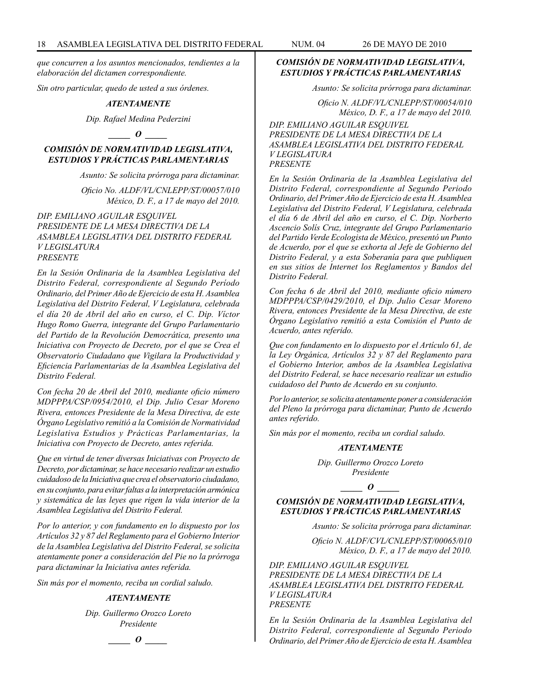*que concurren a los asuntos mencionados, tendientes a la elaboración del dictamen correspondiente.*

*Sin otro particular, quedo de usted a sus órdenes.*

#### *ATENTAMENTE*

*Dip. Rafael Medina Pederzini*

### *\_\_\_\_\_ O \_\_\_\_\_*

### *COMISIÓN DE NORMATIVIDAD LEGISLATIVA, ESTUDIOS Y PRÁCTICAS PARLAMENTARIAS*

*Asunto: Se solicita prórroga para dictaminar.*

*Oficio No. ALDF/VL/CNLEPP/ST/00057/010 México, D. F., a 17 de mayo del 2010.*

*DIP. EMILIANO AGUILAR ESQUIVEL PRESIDENTE DE LA MESA DIRECTIVA DE LA ASAMBLEA LEGISLATIVA DEL DISTRITO FEDERAL V LEGISLATURA PRESENTE*

*En la Sesión Ordinaria de la Asamblea Legislativa del Distrito Federal, correspondiente al Segundo Período Ordinario, del Primer Año de Ejercicio de esta H. Asamblea Legislativa del Distrito Federal, V Legislatura, celebrada el día 20 de Abril del año en curso, el C. Dip. Víctor Hugo Romo Guerra, integrante del Grupo Parlamentario del Partido de la Revolución Democrática, presento una Iniciativa con Proyecto de Decreto, por el que se Crea el Observatorio Ciudadano que Vigilara la Productividad y Eficiencia Parlamentarias de la Asamblea Legislativa del Distrito Federal.*

*Con fecha 20 de Abril del 2010, mediante oficio número MDPPPA/CSP/0954/2010, el Dip. Julio Cesar Moreno Rivera, entonces Presidente de la Mesa Directiva, de este Órgano Legislativo remitió a la Comisión de Normatividad Legislativa Estudios y Prácticas Parlamentarias, la Iniciativa con Proyecto de Decreto, antes referida.*

*Que en virtud de tener diversas Iniciativas con Proyecto de Decreto, por dictaminar, se hace necesario realizar un estudio cuidadoso de la Iniciativa que crea el observatorio ciudadano, en su conjunto, para evitar faltas a la interpretación armónica y sistemática de las leyes que rigen la vida interior de la Asamblea Legislativa del Distrito Federal.*

*Por lo anterior, y con fundamento en lo dispuesto por los Artículos 32 y 87 del Reglamento para el Gobierno Interior de la Asamblea Legislativa del Distrito Federal, se solicita atentamente poner a consideración del Pie no la prórroga para dictaminar la Iniciativa antes referida.*

*Sin más por el momento, reciba un cordial saludo.*

#### *ATENTAMENTE*

*Dip. Guillermo Orozco Loreto Presidente*

*\_\_\_\_\_ O \_\_\_\_\_*

### *COMISIÓN DE NORMATIVIDAD LEGISLATIVA, ESTUDIOS Y PRÁCTICAS PARLAMENTARIAS*

*Asunto: Se solicita prórroga para dictaminar.*

*Oficio N. ALDF/VL/CNLEPP/ST/00054/010 México, D. F., a 17 de mayo del 2010. DIP. EMILIANO AGUILAR ESQUIVEL PRESIDENTE DE LA MESA DIRECTIVA DE LA ASAMBLEA LEGISLATIVA DEL DISTRITO FEDERAL V LEGISLATURA PRESENTE*

*En la Sesión Ordinaria de la Asamblea Legislativa del Distrito Federal, correspondiente al Segundo Periodo Ordinario, del Primer Año de Ejercicio de esta H. Asamblea Legislativa del Distrito Federal, V Legislatura, celebrada el día 6 de Abril del año en curso, el C. Dip. Norberto Ascencio Solís Cruz, integrante del Grupo Parlamentario del Partido Verde Ecologista de México, presentó un Punto de Acuerdo, por el que se exhorta al Jefe de Gobierno del Distrito Federal, y a esta Soberanía para que publiquen en sus sitios de Internet los Reglamentos y Bandos del Distrito Federal.*

*Con fecha 6 de Abril del 2010, mediante oficio número MDPPPA/CSP/0429/2010, el Dip. Julio Cesar Moreno Rivera, entonces Presidente de la Mesa Directiva, de este Órgano Legislativo remitió a esta Comisión el Punto de Acuerdo, antes referido.*

*Que con fundamento en lo dispuesto por el Artículo 61, de la Ley Orgánica, Artículos 32 y 87 del Reglamento para el Gobierno Interior, ambos de la Asamblea Legislativa del Distrito Federal, se hace necesario realizar un estudio cuidadoso del Punto de Acuerdo en su conjunto.*

*Por lo anterior, se solicita atentamente poner a consideración del Pleno la prórroga para dictaminar, Punto de Acuerdo antes referido.*

*Sin más por el momento, reciba un cordial saludo.*

#### *ATENTAMENTE*

*Dip. Guillermo Orozco Loreto Presidente*

### *\_\_\_\_\_ O \_\_\_\_\_*

### *COMISIÓN DE NORMATIVIDAD LEGISLATIVA, ESTUDIOS Y PRÁCTICAS PARLAMENTARIAS*

*Asunto: Se solicita prórroga para dictaminar.*

*Oficio N. ALDF/CVL/CNLEPP/ST/00065/010* 

*México, D. F., a 17 de mayo del 2010.*

*DIP. EMILIANO AGUILAR ESQUIVEL PRESIDENTE DE LA MESA DIRECTIVA DE LA ASAMBLEA LEGISLATIVA DEL DISTRITO FEDERAL V LEGISLATURA PRESENTE*

*En la Sesión Ordinaria de la Asamblea Legislativa del Distrito Federal, correspondiente al Segundo Periodo Ordinario, del Primer Año de Ejercicio de esta H. Asamblea*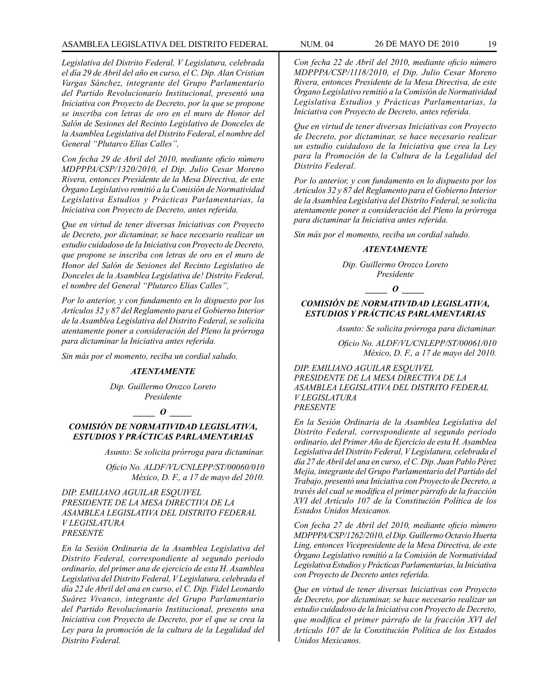### ASAMBLEA LEGISLATIVA DEL DISTRITO FEDERAL NUM. 04 26 de mayo DE 2010 19

*Legislativa del Distrito Federal, V Legislatura, celebrada el día 29 de Abril del año en curso, el C. Dip. Alan Cristian Vargas Sánchez, integrante del Grupo Parlamentario del Partido Revolucionario Institucional, presentó una Iniciativa con Proyecto de Decreto, por la que se propone se inscriba con letras de oro en el muro de Honor del Salón de Sesiones del Recinto Legislativo de Donceles de la Asamblea Legislativa del Distrito Federal, el nombre del General "Plutarco Elías Calles",*

*Con fecha 29 de Abril del 2010, mediante oficio número MDPPPA/CSP/1320/2010, el Dip. Julio Cesar Moreno Rivera, entonces Presidente de la Mesa Directiva, de este Órgano Legislativo remitió a la Comisión de Normatividad Legislativa Estudios y Prácticas Parlamentarias, la Iniciativa con Proyecto de Decreto, antes referida.*

*Que en virtud de tener diversas Iniciativas con Proyecto de Decreto, por dictaminar, se hace necesario realizar un estudio cuidadoso de la Iniciativa con Proyecto de Decreto, que propone se inscriba con letras de oro en el muro de Honor del Salón de Sesiones del Recinto Legislativo de Donceles de la Asamblea Legislativa de! Distrito Federal, el nombre del General "Plutarco Elías Calles",*

*Por lo anterior, y con fundamento en lo dispuesto por los Artículos 32 y 87 del Reglamento para el Gobierno Interior de la Asamblea Legislativa del Distrito Federal, se solicita atentamente poner a consideración del Pleno la prórroga para dictaminar la Iniciativa antes referida.*

*Sin más por el momento, reciba un cordial saludo.*

#### *ATENTAMENTE*

*Dip. Guillermo Orozco Loreto Presidente*

*\_\_\_\_\_ O \_\_\_\_\_*

### *COMISIÓN DE NORMATIVIDAD LEGISLATIVA, ESTUDIOS Y PRÁCTICAS PARLAMENTARIAS*

*Asunto: Se solicita prórroga para dictaminar.*

*Oficio No. ALDF/VL/CNLEPP/ST/00060/010 México, D. F., a 17 de mayo del 2010.*

*DIP. EMILIANO AGUILAR ESQUIVEL PRESIDENTE DE LA MESA DIRECTIVA DE LA ASAMBLEA LEGISLATIVA DEL DISTRITO FEDERAL V LEGISLATURA PRESENTE*

*En la Sesión Ordinaria de la Asamblea Legislativa del Distrito Federal, correspondiente al segundo periodo ordinario, del primer ana de ejercicio de esta H. Asamblea Legislativa del Distrito Federal, V Legislatura, celebrada el día 22 de Abril del ana en curso, el C. Dip. Fidel Leonardo Suárez Vivanco, integrante del Grupo Parlamentario del Partido Revolucionario Institucional, presento una Iniciativa con Proyecto de Decreto, por el que se crea la Ley para la promoción de la cultura de la Legalidad del Distrito Federal.*

*Con fecha 22 de Abril del 2010, mediante oficio número MDPPPA/CSP/1118/2010, el Dip. Julio Cesar Moreno Rivera, entonces Presidente de la Mesa Directiva, de este Órgano Legislativo remitió a la Comisión de Normatividad Legislativa Estudios y Prácticas Parlamentarias, la Iniciativa con Proyecto de Decreto, antes referida.*

*Que en virtud de tener diversas Iniciativas con Proyecto de Decreto, por dictaminar, se hace necesario realizar un estudio cuidadoso de la Iniciativa que crea la Ley para la Promoción de la Cultura de la Legalidad del Distrito Federal.*

*Por lo anterior, y con fundamento en lo dispuesto por los Artículos 32 y 87 del Reglamento para el Gobierno Interior de la Asamblea Legislativa del Distrito Federal, se solicita atentamente poner a consideración del Pleno la prórroga para dictaminar la Iniciativa antes referida.*

*Sin más por el momento, reciba un cordial saludo.*

### *ATENTAMENTE*

*Dip. Guillermo Orozco Loreto Presidente*

*\_\_\_\_\_ O \_\_\_\_\_*

### *COMISIÓN DE NORMATIVIDAD LEGISLATIVA, ESTUDIOS Y PRÁCTICAS PARLAMENTARIAS*

*Asunto: Se solicita prórroga para dictaminar.*

*Oficio No. ALDF/VL/CNLEPP/ST/00061/010 México, D. F., a 17 de mayo del 2010.*

*DIP. EMILIANO AGUILAR ESQUIVEL PRESIDENTE DE LA MESA DIRECTIVA DE LA ASAMBLEA LEGISLATIVA DEL DISTRITO FEDERAL V LEGISLATURA PRESENTE*

*En la Sesión Ordinaria de la Asamblea Legislativa del Distrito Federal, correspondiente al segundo periodo ordinario, del Primer Año de Ejercicio de esta H. Asamblea Legislativa del Distrito Federal, V Legislatura, celebrada el día 27 de Abril del ana en curso, el C. Dip. Juan Pablo Pérez Mejía, integrante del Grupo Parlamentario del Partido del Trabajo, presentó una Iniciativa con Proyecto de Decreto, a través del cual se modifica el primer párrafo de la fracción XVI del Artículo 107 de la Constitución Política de los Estados Unidos Mexicanos.*

*Con fecha 27 de Abril del 2010, mediante oficio número MDPPPA/CSP/1262/2010, el Dip. Guillermo Octavio Huerta Ling, entonces Vicepresidente de la Mesa Directiva, de este Órgano Legislativo remitió a la Comisión de Normatividad Legislativa Estudios y Prácticas Parlamentarias, la Iniciativa con Proyecto de Decreto antes referida.*

*Que en virtud de tener diversas Iniciativas con Proyecto de Decreto, por dictaminar, se hace necesario realizar un estudio cuidadoso de la Iniciativa con Proyecto de Decreto, que modifica el primer párrafo de la fracción XVI del Artículo 107 de la Constitución Política de los Estados Unidos Mexicanos.*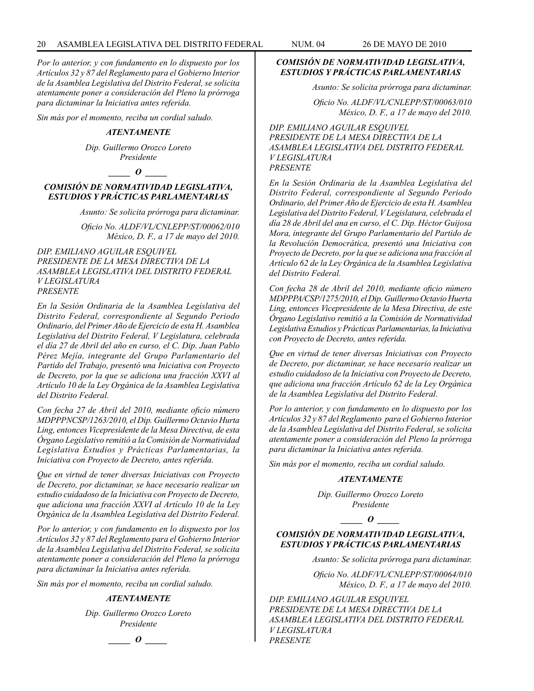*Por lo anterior, y con fundamento en lo dispuesto por los Artículos 32 y 87 del Reglamento para el Gobierno Interior de la Asamblea Legislativa del Distrito Federal, se solicita atentamente poner a consideración del Pleno la prórroga para dictaminar la Iniciativa antes referida.*

*Sin más por el momento, reciba un cordial saludo.*

#### *ATENTAMENTE*

*Dip. Guillermo Orozco Loreto Presidente*

### *\_\_\_\_\_ O \_\_\_\_\_*

### *COMISIÓN DE NORMATIVIDAD LEGISLATIVA, ESTUDIOS Y PRÁCTICAS PARLAMENTARIAS*

*Asunto: Se solicita prórroga para dictaminar.*

*Oficio No. ALDF/VL/CNLEPP/ST/00062/010 México, D. F., a 17 de mayo del 2010.*

*DIP. EMILIANO AGUILAR ESQUIVEL PRESIDENTE DE LA MESA DIRECTIVA DE LA ASAMBLEA LEGISLATIVA DEL DISTRITO FEDERAL V LEGISLATURA PRESENTE*

*En la Sesión Ordinaria de la Asamblea Legislativa del Distrito Federal, correspondiente al Segundo Periodo Ordinario, del Primer Año de Ejercicio de esta H. Asamblea Legislativa del Distrito Federal, V Legislatura, celebrada el día 27 de Abril del año en curso, el C. Dip. Juan Pablo Pérez Mejía, integrante del Grupo Parlamentario del Partido del Trabajo, presentó una Iniciativa con Proyecto de Decreto, por la que se adiciona una fracción XXVI al Artículo 10 de la Ley Orgánica de la Asamblea Legislativa del Distrito Federal.*

*Con fecha 27 de Abril del 2010, mediante oficio número MDPPPNCSP/1263/2010, el Dip. Guillermo Octavio Hurta Ling, entonces Vicepresidente de la Mesa Directiva, de esta Órgano Legislativo remitió a la Comisión de Normatividad Legislativa Estudios y Prácticas Parlamentarias, la Iniciativa con Proyecto de Decreto, antes referida.*

*Que en virtud de tener diversas Iniciativas con Proyecto de Decreto, por dictaminar, se hace necesario realizar un estudio cuidadoso de la Iniciativa con Proyecto de Decreto, que adiciona una fracción XXVI al Artículo 10 de la Ley Orgánica de la Asamblea Legislativa del Distrito Federal.*

*Por lo anterior, y con fundamento en lo dispuesto por los Artículos 32 y 87 del Reglamento para el Gobierno Interior de la Asamblea Legislativa del Distrito Federal, se solicita atentamente poner a consideración del Pleno la prórroga para dictaminar la Iniciativa antes referida.*

*Sin más por el momento, reciba un cordial saludo.*

#### *ATENTAMENTE*

*Dip. Guillermo Orozco Loreto Presidente*

*\_\_\_\_\_ O \_\_\_\_\_*

# *COMISIÓN DE NORMATIVIDAD LEGISLATIVA, ESTUDIOS Y PRÁCTICAS PARLAMENTARIAS*

*Asunto: Se solicita prórroga para dictaminar.*

*Oficio No. ALDF/VL/CNLEPP/ST/00063/010 México, D. F., a 17 de mayo del 2010.*

*DIP. EMILIANO AGUILAR ESQUIVEL PRESIDENTE DE LA MESA DIRECTIVA DE LA ASAMBLEA LEGISLATIVA DEL DISTRITO FEDERAL V LEGISLATURA PRESENTE*

*En la Sesión Ordinaria de la Asamblea Legislativa del Distrito Federal, correspondiente al Segundo Periodo Ordinario, del Primer Año de Ejercicio de esta H. Asamblea Legislativa del Distrito Federal, V Legislatura, celebrada el día 28 de Abril del ana en curso, el C. Dip. Héctor Guijosa Mora, integrante del Grupo Parlamentario del Partido de la Revolución Democrática, presentó una Iniciativa con Proyecto de Decreto, por la que se adiciona una fracción al Artículo 62 de la Ley Orgánica de la Asamblea Legislativa del Distrito Federal.*

*Con fecha 28 de Abril del 2010, mediante oficio número MDPPPA/CSP/1275/2010, el Dip. Guillermo Octavio Huerta Ling, entonces Vicepresidente de la Mesa Directiva, de este Órgano Legislativo remitió a la Comisión de Normatividad Legislativa Estudios y Prácticas Parlamentarias, la Iniciativa con Proyecto de Decreto, antes referida.*

*Que en virtud de tener diversas Iniciativas con Proyecto de Decreto, por dictaminar, se hace necesario realizar un estudio cuidadoso de la Iniciativa con Proyecto de Decreto, que adiciona una fracción Artículo 62 de la Ley Orgánica de la Asamblea Legislativa del Distrito Federal.*

*Por lo anterior, y con fundamento en lo dispuesto por los Artículos 32 y 87 del Reglamento para el Gobierno Interior de la Asamblea Legislativa del Distrito Federal, se solicita atentamente poner a consideración del Pleno la prórroga para dictaminar la Iniciativa antes referida.*

*Sin más por el momento, reciba un cordial saludo.*

#### *ATENTAMENTE*

*Dip. Guillermo Orozco Loreto Presidente*

*\_\_\_\_\_ O \_\_\_\_\_*

*COMISIÓN DE NORMATIVIDAD LEGISLATIVA, ESTUDIOS Y PRÁCTICAS PARLAMENTARIAS*

*Asunto: Se solicita prórroga para dictaminar.*

*Oficio No. ALDF/VL/CNLEPP/ST/00064/010 México, D. F., a 17 de mayo del 2010.*

*DIP. EMILIANO AGUILAR ESQUIVEL PRESIDENTE DE LA MESA DIRECTIVA DE LA ASAMBLEA LEGISLATIVA DEL DISTRITO FEDERAL V LEGISLATURA PRESENTE*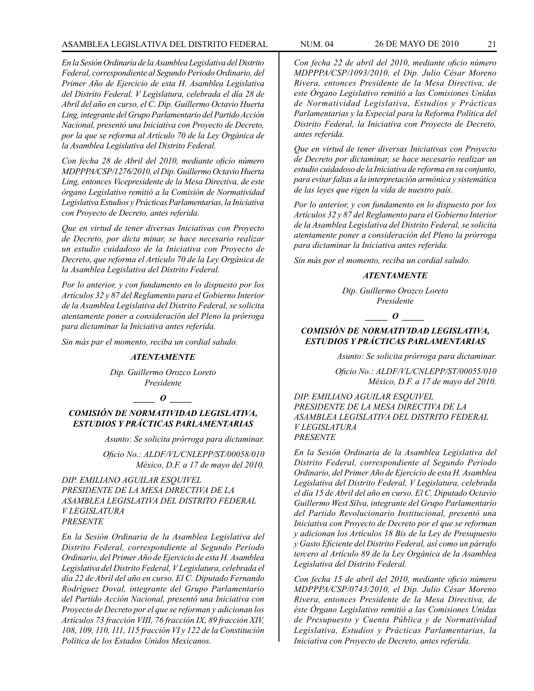### ASAMBLEA LEGISLATIVA DEL DISTRITO FEDERAL NUM. 04 26 de mayo DE 2010 21

*En la Sesión Ordinaria de la Asamblea Legislativa del Distrito Federal, correspondiente al Segundo Periodo Ordinario, del Primer Año de Ejercicio de esta H. Asamblea Legislativa del Distrito Federal, V Legislatura, celebrada el día 28 de Abril del año en curso, el C. Dip. Guillermo Octavio Huerta Ling, integrante del Grupo Parlamentario del Partido Acción Nacional, presentó una Iniciativa con Proyecto de Decreto, por la que se reforma al Artículo 70 de la Ley Orgánica de la Asamblea Legislativa del Distrito Federal.*

*Con fecha 28 de Abril del 2010, mediante oficio número MDPPPA/CSP/1276/2010, el Dip. Guillermo Octavio Huerta Ling, entonces Vicepresidente de la Mesa Directiva, de este órgano Legislativo remitió a la Comisión de Normatividad Legislativa Estudios y Prácticas Parlamentarias, la Iniciativa con Proyecto de Decreto, antes referida.*

*Que en virtud de tener diversas Iniciativas con Proyecto de Decreto, por dicta minar, se hace necesario realizar un estudio cuidadoso de la Iniciativa con Proyecto de Decreto, que reforma el Artículo 70 de la Ley Orgánica de la Asamblea Legislativa del Distrito Federal.*

*Por lo anterior, y con fundamento en lo dispuesto por los Artículos 32 y 87 del Reglamento para el Gobierno Interior de la Asamblea Legislativa del Distrito Federal, se solicita atentamente poner a consideración del Pleno la prórroga para dictaminar la Iniciativa antes referida.*

*Sin más par el momento, reciba un cordial saludo.*

#### *ATENTAMENTE*

*Dip. Guillermo Orozco Loreto Presidente*

#### *\_\_\_\_\_ O \_\_\_\_\_*

### *COMISIÓN DE NORMATIVIDAD LEGISLATIVA, ESTUDIOS Y PRÁCTICAS PARLAMENTARIAS*

*Asunto: Se solicita prórroga para dictaminar.*

*Oficio No.: ALDF/VL/CNLEPP/ST/00058/010 México, D.F. a 17 de mayo del 2010.*

*DIP. EMILIANO AGUILAR ESQUIVEL PRESIDENTE DE LA MESA DIRECTIVA DE LA ASAMBLEA LEGISLATIVA DEL DISTRITO FEDERAL V LEGISLATURA PRESENTE*

*En la Sesión Ordinaria de la Asamblea Legislativa del Distrito Federal, correspondiente al Segundo Período Ordinario, del Primer Año de Ejercicio de esta H. Asamblea Legislativa del Distrito Federal, V Legislatura, celebrada el día 22 de Abril del año en curso. El C. Diputado Fernando Rodríguez Doval, integrante del Grupo Parlamentario del Partido Acción Nacional, presentó una Iniciativa con Proyecto de Decreto por el que se reforman y adicionan los Artículos 73 fracción VIII, 76 fracción IX, 89 fracción XIV, 108, 109, 110, 111, 115 fracción VI y 122 de la Constitución Política de los Estados Unidos Mexicanos.*

*Con fecha 22 de abril del 2010, mediante oficio número MDPPPA/CSP/1093/2010, el Dip. Julio César Moreno Rivera, entonces Presidente de la Mesa Directiva, de este Órgano Legislativo remitió a las Comisiones Unidas de Normatividad Legislativa, Estudios y Prácticas Parlamentarias y la Especial para la Reforma Política del Distrito Federal, la Iniciativa con Proyecto de Decreto, antes referida.*

*Que en virtud de tener diversas Iniciativas con Proyecto de Decreto por dictaminar, se hace necesario realizar un estudio cuidadoso de la Iniciativa de reforma en su conjunto, para evitar faltas a la interpretación armónica y sistemática de las leyes que rigen la vida de nuestro país.*

*Por lo anterior, y con fundamento en lo dispuesto por los Artículos 32 y 87 del Reglamento para el Gobierno Interior de la Asamblea Legislativa del Distrito Federal, se solicita atentamente poner a consideración del Pleno la prórroga para dictaminar la Iniciativa antes referida.*

*Sin más por el momento, reciba un cordial saludo.*

#### *ATENTAMENTE*

*Dip. Guillermo Orozco Loreto Presidente*

*\_\_\_\_\_ O \_\_\_\_\_*

### *COMISIÓN DE NORMATIVIDAD LEGISLATIVA, ESTUDIOS Y PRÁCTICAS PARLAMENTARIAS*

*Asunto: Se solicita prórroga para dictaminar.*

*Oficio No.: ALDF/VL/CNLEPP/ST/00055/010 México, D.F. a 17 de mayo del 2010.*

*DIP. EMILIANO AGUILAR ESQUIVEL PRESIDENTE DE LA MESA DIRECTIVA DE LA ASAMBLEA LEGISLATIVA DEL DISTRITO FEDERAL V LEGISLATURA PRESENTE*

*En la Sesión Ordinaria de la Asamblea Legislativa del Distrito Federal, correspondiente al Segundo Período Ordinario, del Primer Año de Ejercicio de esta H. Asamblea Legislativa del Distrito Federal, V Legislatura, celebrada el día 15 de Abril del año en curso. El C. Diputado Octavio Guillermo West Silva, integrante del Grupo Parlamentario del Partido Revolucionario Institucional, presentó una Iniciativa con Proyecto de Decreto por el que se reforman y adicionan los Artículos 18 Bis de la Ley de Presupuesto y Gasto Eficiente del Distrito Federal, así como un párrafo tercero al Artículo 89 de la Ley Orgánica de la Asamblea Legislativa del Distrito Federal.*

*Con fecha 15 de abril del 2010, mediante oficio número MDPPPA/CSP/0743/2010, el Dip. Julio César Moreno Rivera, entonces Presidente de la Mesa Directiva, de éste Órgano Legislativo remitió a las Comisiones Unidas de Presupuesto y Cuenta Pública y de Normatividad Legislativa, Estudios y Prácticas Parlamentarias, la Iniciativa con Proyecto de Decreto, antes referida.*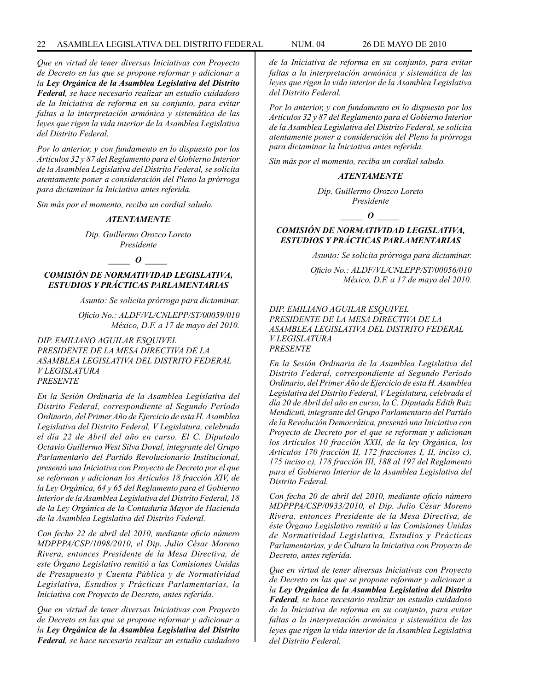*Que en virtud de tener diversas Iniciativas con Proyecto de Decreto en las que se propone reformar y adicionar a la Ley Orgánica de la Asamblea Legislativa del Distrito Federal, se hace necesario realizar un estudio cuidadoso de la Iniciativa de reforma en su conjunto, para evitar faltas a la interpretación armónica y sistemática de las leyes que rigen la vida interior de la Asamblea Legislativa del Distrito Federal.*

*Por lo anterior, y con fundamento en lo dispuesto por los Artículos 32 y 87 del Reglamento para el Gobierno Interior de la Asamblea Legislativa del Distrito Federal, se solicita atentamente poner a consideración del Pleno la prórroga para dictaminar la Iniciativa antes referida.*

*Sin más por el momento, reciba un cordial saludo.*

#### *ATENTAMENTE*

*Dip. Guillermo Orozco Loreto Presidente*

#### *\_\_\_\_\_ O \_\_\_\_\_*

*COMISIÓN DE NORMATIVIDAD LEGISLATIVA, ESTUDIOS Y PRÁCTICAS PARLAMENTARIAS*

*Asunto: Se solicita prórroga para dictaminar.*

*Oficio No.: ALDF/VL/CNLEPP/ST/00059/010 México, D.F. a 17 de mayo del 2010.*

*DIP. EMILIANO AGUILAR ESQUIVEL PRESIDENTE DE LA MESA DIRECTIVA DE LA ASAMBLEA LEGISLATIVA DEL DISTRITO FEDERAL V LEGISLATURA PRESENTE*

*En la Sesión Ordinaria de la Asamblea Legislativa del Distrito Federal, correspondiente al Segundo Período Ordinario, del Primer Año de Ejercicio de esta H. Asamblea Legislativa del Distrito Federal, V Legislatura, celebrada el día 22 de Abril del año en curso. El C. Diputado Octavio Guillermo West Silva Doval, integrante del Grupo Parlamentario del Partido Revolucionario Institucional, presentó una Iniciativa con Proyecto de Decreto por el que se reforman y adicionan los Artículos 18 fracción XIV, de la Ley Orgánica, 64 y 65 del Reglamento para el Gobierno Interior de la Asamblea Legislativa del Distrito Federal, 18 de la Ley Orgánica de la Contaduría Mayor de Hacienda de la Asamblea Legislativa del Distrito Federal.*

*Con fecha 22 de abril del 2010, mediante oficio número MDPPPA/CSP/1098/2010, el Dip. Julio César Moreno Rivera, entonces Presidente de la Mesa Directiva, de este Órgano Legislativo remitió a las Comisiones Unidas de Presupuesto y Cuenta Pública y de Normatividad Legislativa, Estudios y Prácticas Parlamentarias, la Iniciativa con Proyecto de Decreto, antes referida.*

*Que en virtud de tener diversas Iniciativas con Proyecto de Decreto en las que se propone reformar y adicionar a la Ley Orgánica de la Asamblea Legislativa del Distrito Federal, se hace necesario realizar un estudio cuidadoso* 

*de la Iniciativa de reforma en su conjunto, para evitar faltas a la interpretación armónica y sistemática de las leyes que rigen la vida interior de la Asamblea Legislativa del Distrito Federal.*

*Por lo anterior, y con fundamento en lo dispuesto por los Artículos 32 y 87 del Reglamento para el Gobierno Interior de la Asamblea Legislativa del Distrito Federal, se solicita atentamente poner a consideración del Pleno la prórroga para dictaminar la Iniciativa antes referida.*

*Sin más por el momento, reciba un cordial saludo.*

#### *ATENTAMENTE*

*Dip. Guillermo Orozco Loreto Presidente*

*\_\_\_\_\_ O \_\_\_\_\_*

### *COMISIÓN DE NORMATIVIDAD LEGISLATIVA, ESTUDIOS Y PRÁCTICAS PARLAMENTARIAS*

*Asunto: Se solicita prórroga para dictaminar.*

*Oficio No.: ALDF/VL/CNLEPP/ST/00056/010 México, D.F. a 17 de mayo del 2010.*

#### *DIP. EMILIANO AGUILAR ESQUIVEL PRESIDENTE DE LA MESA DIRECTIVA DE LA ASAMBLEA LEGISLATIVA DEL DISTRITO FEDERAL V LEGISLATURA PRESENTE*

*En la Sesión Ordinaria de la Asamblea Legislativa del Distrito Federal, correspondiente al Segundo Período Ordinario, del Primer Año de Ejercicio de esta H. Asamblea Legislativa del Distrito Federal, V Legislatura, celebrada el día 20 de Abril del año en curso, la C. Diputada Edith Ruiz Mendicuti, integrante del Grupo Parlamentario del Partido de la Revolución Democrática, presentó una Iniciativa con Proyecto de Decreto por el que se reforman y adicionan los Artículos 10 fracción XXII, de la ley Orgánica, los Artículos 170 fracción II, 172 fracciones I, II, inciso c), 175 inciso c), 178 fracción III, 188 al 197 del Reglamento para el Gobierno Interior de la Asamblea Legislativa del Distrito Federal.*

*Con fecha 20 de abril del 2010, mediante oficio número MDPPPA/CSP/0933/2010, el Dip. Julio César Moreno Rivera, entonces Presidente de la Mesa Directiva, de éste Órgano Legislativo remitió a las Comisiones Unidas de Normatividad Legislativa, Estudios y Prácticas Parlamentarias, y de Cultura la Iniciativa con Proyecto de Decreto, antes referida.*

*Que en virtud de tener diversas Iniciativas con Proyecto de Decreto en las que se propone reformar y adicionar a la Ley Orgánica de la Asamblea Legislativa del Distrito Federal, se hace necesario realizar un estudio cuidadoso de la Iniciativa de reforma en su conjunto, para evitar faltas a la interpretación armónica y sistemática de las leyes que rigen la vida interior de la Asamblea Legislativa del Distrito Federal.*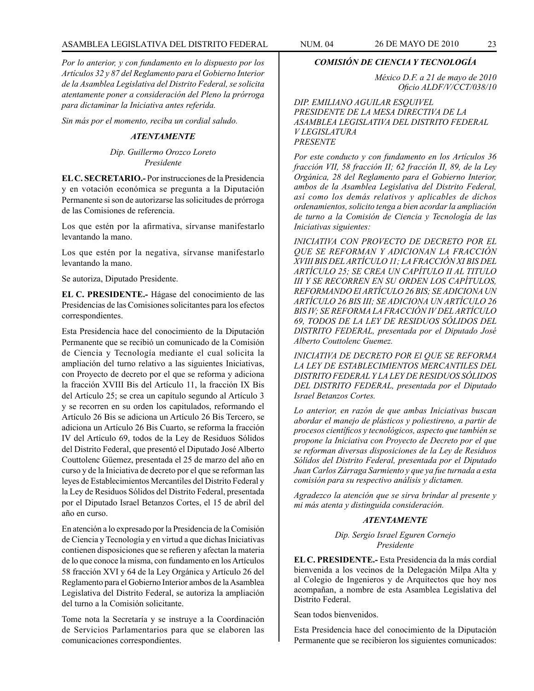### ASAMBLEA LEGISLATIVA DEL DISTRITO FEDERAL NUM. 04 26 de mayo DE 2010 23

*Por lo anterior, y con fundamento en lo dispuesto por los Artículos 32 y 87 del Reglamento para el Gobierno Interior de la Asamblea Legislativa del Distrito Federal, se solicita atentamente poner a consideración del Pleno la prórroga para dictaminar la Iniciativa antes referida.*

*Sin más por el momento, reciba un cordial saludo.*

#### *ATENTAMENTE*

*Dip. Guillermo Orozco Loreto Presidente*

**EL C. SECRETARIO.-** Por instrucciones de la Presidencia y en votación económica se pregunta a la Diputación Permanente si son de autorizarse las solicitudes de prórroga de las Comisiones de referencia.

Los que estén por la afirmativa, sírvanse manifestarlo levantando la mano.

Los que estén por la negativa, sírvanse manifestarlo levantando la mano.

Se autoriza, Diputado Presidente.

**EL C. PRESIDENTE.-** Hágase del conocimiento de las Presidencias de las Comisiones solicitantes para los efectos correspondientes.

Esta Presidencia hace del conocimiento de la Diputación Permanente que se recibió un comunicado de la Comisión de Ciencia y Tecnología mediante el cual solicita la ampliación del turno relativo a las siguientes Iniciativas, con Proyecto de decreto por el que se reforma y adiciona la fracción XVIII Bis del Artículo 11, la fracción IX Bis del Artículo 25; se crea un capítulo segundo al Artículo 3 y se recorren en su orden los capitulados, reformando el Artículo 26 Bis se adiciona un Artículo 26 Bis Tercero, se adiciona un Artículo 26 Bis Cuarto, se reforma la fracción IV del Artículo 69, todos de la Ley de Residuos Sólidos del Distrito Federal, que presentó el Diputado José Alberto Couttolenc Güemez, presentada el 25 de marzo del año en curso y de la Iniciativa de decreto por el que se reforman las leyes de Establecimientos Mercantiles del Distrito Federal y la Ley de Residuos Sólidos del Distrito Federal, presentada por el Diputado Israel Betanzos Cortes, el 15 de abril del año en curso.

En atención a lo expresado por la Presidencia de la Comisión de Ciencia y Tecnología y en virtud a que dichas Iniciativas contienen disposiciones que se refieren y afectan la materia de lo que conoce la misma, con fundamento en los Artículos 58 fracción XVI y 64 de la Ley Orgánica y Artículo 26 del Reglamento para el Gobierno Interior ambos de la Asamblea Legislativa del Distrito Federal, se autoriza la ampliación del turno a la Comisión solicitante.

Tome nota la Secretaría y se instruye a la Coordinación de Servicios Parlamentarios para que se elaboren las comunicaciones correspondientes.

### *COMISIÓN DE CIENCIA Y TECNOLOGÍA*

*México D.F. a 21 de mayo de 2010 Oficio ALDF/V/CCT/038/10*

*DIP. EMILIANO AGUILAR ESQUIVEL PRESIDENTE DE LA MESA DIRECTIVA DE LA ASAMBLEA LEGISLATIVA DEL DISTRITO FEDERAL V LEGISLATURA PRESENTE*

*Por este conducto y con fundamento en los Artículos 36 fracción VII, 58 fracción II; 62 fracción II, 89, de la Ley Orgánica, 28 del Reglamento para el Gobierno Interior, ambos de la Asamblea Legislativa del Distrito Federal, así como los demás relativos y aplicables de dichos ordenamientos, solicito tenga a bien acordar la ampliación de turno a la Comisión de Ciencia y Tecnología de las Iniciativas siguientes:*

*INICIATIVA CON PROVECTO DE DECRETO POR EL QUE SE REFORMAN Y ADICIONAN LA FRACCIÓN XVIII BIS DEL ARTÍCULO 11; LA FRACCIÓN XI BIS DEL ARTÍCULO 25; SE CREA UN CAPÍTULO II AL TITULO III Y SE RECORREN EN SU ORDEN LOS CAPÍTULOS, REFORMANDO El ARTÍCULO 26 BIS; SE ADICIONA UN ARTÍCULO 26 BIS III; SE ADICIONA UN ARTÍCULO 26 BIS IV; SE REFORMA LA FRACCIÓN IV DEL ARTÍCULO 69, TODOS DE LA LEY DE RESIDUOS SÓLIDOS DEL DISTRITO FEDERAL, presentada por el Diputado José Alberto Couttolenc Guemez.*

*INICIATIVA DE DECRETO POR El QUE SE REFORMA LA LEY DE ESTABLECIMIENTOS MERCANTILES DEL DISTRITO FEDERAL Y LA LEY DE RESIDUOS SÓLIDOS DEL DISTRITO FEDERAL, presentada por el Diputado Israel Betanzos Cortes.*

*Lo anterior, en razón de que ambas Iniciativas buscan abordar el manejo de plásticos y poliestireno, a partir de procesos científicos y tecnológicos, aspecto que también se propone la Iniciativa con Proyecto de Decreto por el que se reforman diversas disposiciones de la Ley de Residuos Sólidos del Distrito Federal, presentada por el Diputado Juan Carlos Zárraga Sarmiento y que ya fue turnada a esta comisión para su respectivo análisis y dictamen.*

*Agradezco la atención que se sirva brindar al presente y mi más atenta y distinguida consideración.*

#### *ATENTAMENTE*

*Dip. Sergio Israel Eguren Cornejo Presidente*

**EL C. PRESIDENTE.-** Esta Presidencia da la más cordial bienvenida a los vecinos de la Delegación Milpa Alta y al Colegio de Ingenieros y de Arquitectos que hoy nos acompañan, a nombre de esta Asamblea Legislativa del Distrito Federal.

Sean todos bienvenidos.

Esta Presidencia hace del conocimiento de la Diputación Permanente que se recibieron los siguientes comunicados: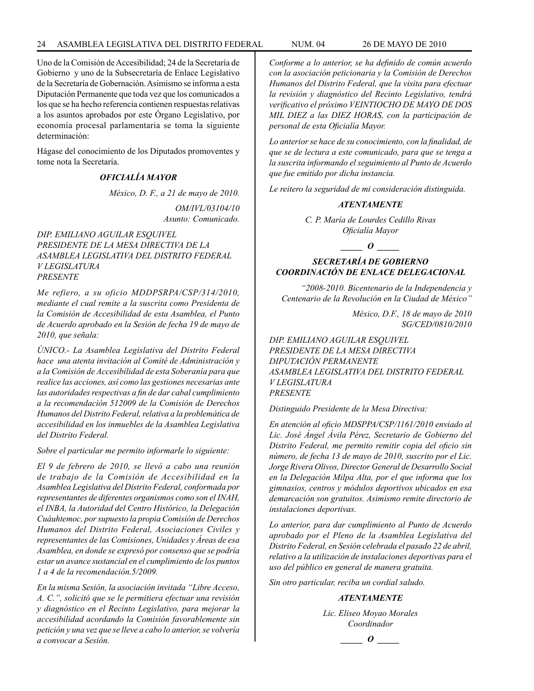Uno de la Comisión de Accesibilidad; 24 de la Secretaría de Gobierno y uno de la Subsecretaría de Enlace Legislativo de la Secretaría de Gobernación. Asimismo se informa a esta Diputación Permanente que toda vez que los comunicados a los que se ha hecho referencia contienen respuestas relativas a los asuntos aprobados por este Órgano Legislativo, por economía procesal parlamentaria se toma la siguiente determinación:

Hágase del conocimiento de los Diputados promoventes y tome nota la Secretaría.

### *OFICIALÍA MAYOR*

*México, D. F., a 21 de mayo de 2010.*

*OM/IVL/03104/10 Asunto: Comunicado.*

### *DIP. EMILIANO AGUILAR ESQUIVEL PRESIDENTE DE LA MESA DIRECTIVA DE LA ASAMBLEA LEGISLATIVA DEL DISTRITO FEDERAL V LEGISLATURA PRESENTE*

*Me refiero, a su oficio MDDPSRPA/CSP/314/2010, mediante el cual remite a la suscrita como Presidenta de la Comisión de Accesibilidad de esta Asamblea, el Punto de Acuerdo aprobado en la Sesión de fecha 19 de mayo de 2010, que señala:*

*ÚNICO.- La Asamblea Legislativa del Distrito Federal hace una atenta invitación al Comité de Administración y a la Comisión de Accesibilidad de esta Soberanía para que realice las acciones, así como las gestiones necesarias ante las autoridades respectivas a fin de dar cabal cumplimiento a la recomendación 512009 de la Comisión de Derechos Humanos del Distrito Federal, relativa a la problemática de accesibilidad en los inmuebles de la Asamblea Legislativa del Distrito Federal.*

*Sobre el particular me permito informarle lo siguiente:*

*El 9 de febrero de 2010, se llevó a cabo una reunión de trabajo de la Comisión de Accesibilidad en la Asamblea Legislativa del Distrito Federal, conformada por representantes de diferentes organismos como son el INAH, el INBA, la Autoridad del Centro Histórico, la Delegación Cuáuhtemoc, por supuesto la propia Comisión de Derechos Humanos del Distrito Federal, Asociaciones Civiles y representantes de las Comisiones, Unidades y Áreas de esa Asamblea, en donde se expresó por consenso que se podría estar un avance sustancial en el cumplimiento de los puntos 1 a 4 de la recomendación.5/2009.*

*En la misma Sesión, la asociación invitada "Libre Acceso, A. C.", solicitó que se le permitiera efectuar una revisión y diagnóstico en el Recinto Legislativo, para mejorar la accesibilidad acordando la Comisión favorablemente sin petición y una vez que se lleve a cabo lo anterior, se volvería a convocar a Sesión.*

*Conforme a lo anterior, se ha definido de común acuerdo con la asociación peticionaria y la Comisión de Derechos Humanos del Distrito Federal, que la visita para efectuar la revisión y diagnóstico del Recinto Legislativo, tendrá verificativo el próximo VEINTIOCHO DE MAYO DE DOS MIL DIEZ a las DIEZ HORAS, con la participación de personal de esta Oficialía Mayor.*

*Lo anterior se hace de su conocimiento, con la finalidad, de que se de lectura a este comunicado, para que se tenga a la suscrita informando el seguimiento al Punto de Acuerdo que fue emitido por dicha instancia.*

*Le reitero la seguridad de mi consideración distinguida.*

#### *ATENTAMENTE*

*C. P. María de Lourdes Cedillo Rivas Oficialía Mayor*

*\_\_\_\_\_ O \_\_\_\_\_*

### *SECRETARÍA DE GOBIERNO COORDINACIÓN DE ENLACE DELEGACIONAL*

*"2008-2010. Bicentenario de la Independencia y Centenario de la Revolución en la Ciudad de México"*

> *México, D.F., 18 de mayo de 2010 SG/CED/0810/2010*

*DIP. EMILIANO AGUILAR ESQUIVEL PRESIDENTE DE LA MESA DIRECTIVA DIPUTACIÓN PERMANENTE ASAMBLEA LEGISLATIVA DEL DISTRITO FEDERAL V LEGISLATURA PRESENTE*

*Distinguido Presidente de la Mesa Directiva:*

*En atención al oficio MDSPPA/CSP/1161/2010 enviado al Lic. José Ángel Ávila Pérez, Secretario de Gobierno del Distrito Federal, me permito remitir copia del oficio sin número, de fecha 13 de mayo de 2010, suscrito por el Lic. Jorge Rivera Olivos, Director General de Desarrollo Social en la Delegación Milpa Alta, por el que informa que los gimnasios, centros y módulos deportivos ubicados en esa demarcación son gratuitos. Asimismo remite directorio de instalaciones deportivas.*

*Lo anterior, para dar cumplimiento al Punto de Acuerdo aprobado por el Pleno de la Asamblea Legislativa del Distrito Federal, en Sesión celebrada el pasado 22 de abril, relativo a la utilización de instalaciones deportivas para el uso del público en general de manera gratuita.*

*Sin otro particular, reciba un cordial saludo.*

#### *ATENTAMENTE*

*Lic. Eliseo Moyao Morales Coordinador*

*\_\_\_\_\_ O \_\_\_\_\_*

$$
f_{\rm{max}}
$$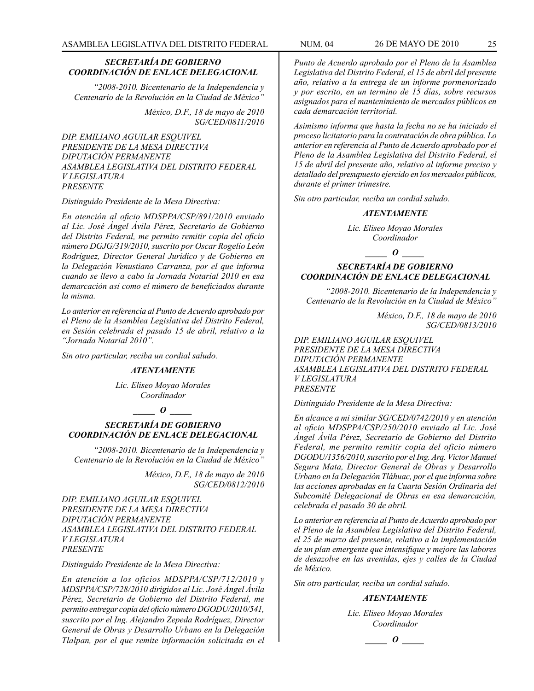*"2008-2010. Bicentenario de la Independencia y Centenario de la Revolución en la Ciudad de México"*

> *México, D.F., 18 de mayo de 2010 SG/CED/0811/2010*

*DIP. EMILIANO AGUILAR ESQUIVEL PRESIDENTE DE LA MESA DIRECTIVA DIPUTACIÓN PERMANENTE ASAMBLEA LEGISLATIVA DEL DISTRITO FEDERAL V LEGISLATURA PRESENTE*

*Distinguido Presidente de la Mesa Directiva:*

*En atención al oficio MDSPPA/CSP/891/2010 enviado al Lic. José Ángel Ávila Pérez, Secretario de Gobierno del Distrito Federal, me permito remitir copia del oficio número DGJG/319/2010, suscrito por Oscar Rogelio León Rodríguez, Director General Jurídico y de Gobierno en la Delegación Venustiano Carranza, por el que informa cuando se llevo a cabo la Jornada Notarial 2010 en esa demarcación así como el número de beneficiados durante la misma.*

*Lo anterior en referencia al Punto de Acuerdo aprobado por el Pleno de la Asamblea Legislativa del Distrito Federal, en Sesión celebrada el pasado 15 de abril, relativo a la "Jornada Notarial 2010".*

*Sin otro particular, reciba un cordial saludo.*

#### *ATENTAMENTE*

*Lic. Eliseo Moyao Morales Coordinador*

*\_\_\_\_\_ O \_\_\_\_\_*

### *SECRETARÍA DE GOBIERNO COORDINACIÓN DE ENLACE DELEGACIONAL*

*"2008-2010. Bicentenario de la Independencia y Centenario de la Revolución en la Ciudad de México"*

> *México, D.F., 18 de mayo de 2010 SG/CED/0812/2010*

*DIP. EMILIANO AGUILAR ESQUIVEL PRESIDENTE DE LA MESA DIRECTIVA DIPUTACIÓN PERMANENTE ASAMBLEA LEGISLATIVA DEL DISTRITO FEDERAL V LEGISLATURA PRESENTE*

*Distinguido Presidente de la Mesa Directiva:*

*En atención a los oficios MDSPPA/CSP/712/2010 y MDSPPA/CSP/728/2010 dirigidos al Lic. José Ángel Ávila Pérez, Secretario de Gobierno del Distrito Federal, me permito entregar copia del oficio número DGODU/2010/541, suscrito por el Ing. Alejandro Zepeda Rodríguez, Director General de Obras y Desarrollo Urbano en la Delegación Tlalpan, por el que remite información solicitada en el* 

*Punto de Acuerdo aprobado por el Pleno de la Asamblea Legislativa del Distrito Federal, el 15 de abril del presente año, relativo a la entrega de un informe pormenorizado y por escrito, en un termino de 15 días, sobre recursos asignados para el mantenimiento de mercados públicos en cada demarcación territorial.*

*Asimismo informa que hasta la fecha no se ha iniciado el proceso licitatorio para la contratación de obra pública. Lo anterior en referencia al Punto de Acuerdo aprobado por el Pleno de la Asamblea Legislativa del Distrito Federal, el 15 de abril del presente año, relativo al informe preciso y detallado del presupuesto ejercido en los mercados públicos, durante el primer trimestre.*

*Sin otro particular, reciba un cordial saludo.*

#### *ATENTAMENTE*

*Lic. Eliseo Moyao Morales Coordinador*

*\_\_\_\_\_ O \_\_\_\_\_*

#### *SECRETARÍA DE GOBIERNO COORDINACIÓN DE ENLACE DELEGACIONAL*

*"2008-2010. Bicentenario de la Independencia y Centenario de la Revolución en la Ciudad de México"*

> *México, D.F., 18 de mayo de 2010 SG/CED/0813/2010*

*DIP. EMILIANO AGUILAR ESQUIVEL PRESIDENTE DE LA MESA DIRECTIVA DIPUTACIÓN PERMANENTE ASAMBLEA LEGISLATIVA DEL DISTRITO FEDERAL V LEGISLATURA PRESENTE*

*Distinguido Presidente de la Mesa Directiva:*

*En alcance a mi similar SG/CED/0742/2010 y en atención al oficio MDSPPA/CSP/250/2010 enviado al Lic. José Ángel Ávila Pérez, Secretario de Gobierno del Distrito Federal, me permito remitir copia del oficio número DGODU/1356/2010, suscrito por el Ing. Arq. Víctor Manuel Segura Mata, Director General de Obras y Desarrollo Urbano en la Delegación Tláhuac, por el que informa sobre las acciones aprobadas en la Cuarta Sesión Ordinaria del Subcomité Delegacional de Obras en esa demarcación, celebrada el pasado 30 de abril.*

*Lo anterior en referencia al Punto de Acuerdo aprobado por el Pleno de la Asamblea Legislativa del Distrito Federal, el 25 de marzo del presente, relativo a la implementación de un plan emergente que intensifique y mejore las labores de desazolve en las avenidas, ejes y calles de la Ciudad de México.*

*Sin otro particular, reciba un cordial saludo.*

#### *ATENTAMENTE*

*Lic. Eliseo Moyao Morales Coordinador*

*\_\_\_\_\_ O \_\_\_\_\_*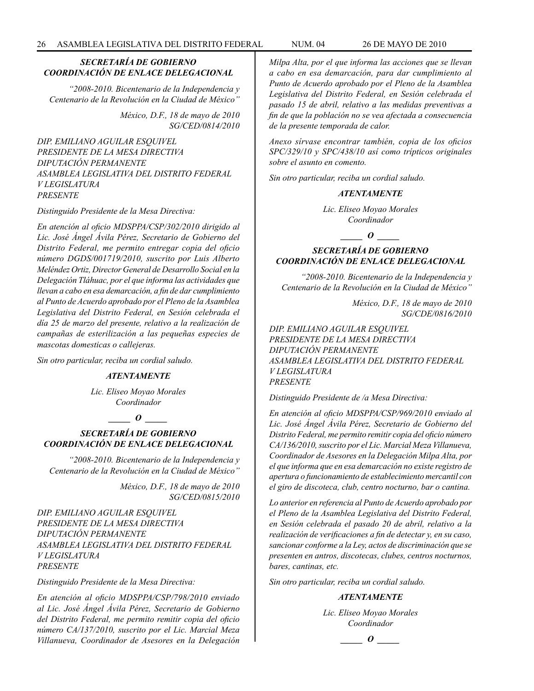*"2008-2010. Bicentenario de la Independencia y Centenario de la Revolución en la Ciudad de México"*

> *México, D.F., 18 de mayo de 2010 SG/CED/0814/2010*

*DIP. EMILIANO AGUILAR ESQUIVEL PRESIDENTE DE LA MESA DIRECTIVA DIPUTACIÓN PERMANENTE ASAMBLEA LEGISLATIVA DEL DISTRITO FEDERAL V LEGISLATURA PRESENTE*

*Distinguido Presidente de la Mesa Directiva:*

*En atención al oficio MDSPPA/CSP/302/2010 dirigido al Lic. José Ángel Ávila Pérez, Secretario de Gobierno del Distrito Federal, me permito entregar copia del oficio número DGDS/001719/2010, suscrito por Luis Alberto Meléndez Ortiz, Director General de Desarrollo Social en la Delegación Tláhuac, por el que informa las actividades que llevan a cabo en esa demarcación, a fin de dar cumplimiento al Punto de Acuerdo aprobado por el Pleno de la Asamblea Legislativa del Distrito Federal, en Sesión celebrada el día 25 de marzo del presente, relativo a la realización de campañas de esterilización a las pequeñas especies de mascotas domesticas o callejeras.* 

*Sin otro particular, reciba un cordial saludo.*

#### *ATENTAMENTE*

*Lic. Eliseo Moyao Morales Coordinador*

*\_\_\_\_\_ O \_\_\_\_\_*

### *SECRETARÍA DE GOBIERNO COORDINACIÓN DE ENLACE DELEGACIONAL*

*"2008-2010. Bicentenario de la Independencia y Centenario de la Revolución en la Ciudad de México"*

> *México, D.F., 18 de mayo de 2010 SG/CED/0815/2010*

*DIP. EMILIANO AGUILAR ESQUIVEL PRESIDENTE DE LA MESA DIRECTIVA DIPUTACIÓN PERMANENTE ASAMBLEA LEGISLATIVA DEL DISTRITO FEDERAL V LEGISLATURA PRESENTE*

*Distinguido Presidente de la Mesa Directiva:*

*En atención al oficio MDSPPA/CSP/798/2010 enviado al Lic. José Ángel Ávila Pérez, Secretario de Gobierno del Distrito Federal, me permito remitir copia del oficio número CA/137/2010, suscrito por el Lic. Marcial Meza Villanueva, Coordinador de Asesores en la Delegación* 

*Milpa Alta, por el que informa las acciones que se llevan a cabo en esa demarcación, para dar cumplimiento al Punto de Acuerdo aprobado por el Pleno de la Asamblea Legislativa del Distrito Federal, en Sesión celebrada el pasado 15 de abril, relativo a las medidas preventivas a fin de que la población no se vea afectada a consecuencia de la presente temporada de calor.*

*Anexo sírvase encontrar también, copia de los oficios SPC/329/10 y SPC/438/10 así como trípticos originales sobre el asunto en comento.* 

*Sin otro particular, reciba un cordial saludo.*

#### *ATENTAMENTE*

*Lic. Eliseo Moyao Morales Coordinador*

*\_\_\_\_\_ O \_\_\_\_\_*

### *SECRETARÍA DE GOBIERNO COORDINACIÓN DE ENLACE DELEGACIONAL*

*"2008-2010. Bicentenario de la Independencia y Centenario de la Revolución en la Ciudad de México"*

> *México, D.F., 18 de mayo de 2010 SG/CDE/0816/2010*

*DIP. EMILIANO AGUILAR ESQUIVEL PRESIDENTE DE LA MESA DIRECTIVA DIPUTACIÓN PERMANENTE ASAMBLEA LEGISLATIVA DEL DISTRITO FEDERAL V LEGISLATURA PRESENTE*

*Distinguido Presidente de /a Mesa Directiva:*

*En atención al oficio MDSPPA/CSP/969/2010 enviado al Lic. José Ángel Ávila Pérez, Secretario de Gobierno del Distrito Federal, me permito remitir copia del oficio número CA/136/2010, suscrito por el Lic. Marcial Meza Villanueva, Coordinador de Asesores en la Delegación Milpa Alta, por el que informa que en esa demarcación no existe registro de apertura o funcionamiento de establecimiento mercantil con el giro de discoteca, club, centro nocturno, bar o cantina.*

*Lo anterior en referencia al Punto de Acuerdo aprobado por el Pleno de la Asamblea Legislativa del Distrito Federal, en Sesión celebrada el pasado 20 de abril, relativo a la realización de verificaciones a fin de detectar y, en su caso, sancionar conforme a la Ley, actos de discriminación que se presenten en antros, discotecas, clubes, centros nocturnos, bares, cantinas, etc.*

*Sin otro particular, reciba un cordial saludo.*

#### *ATENTAMENTE*

*Lic. Eliseo Moyao Morales Coordinador*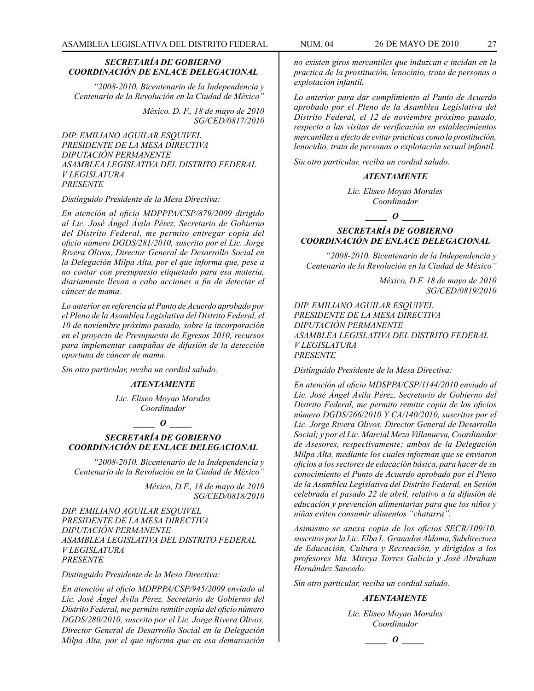*"2008-2010. Bicentenario de la Independencia y Centenario de la Revolución en la Ciudad de México"*

> *México. D. F., 18 de mayo de 2010 SG/CED/0817/2010*

*DIP. EMILIANO AGUILAR ESQUIVEL PRESIDENTE DE LA MESA DIRECTIVA DIPUTACIÓN PERMANENTE ASAMBLEA LEGISLATIVA DEL DISTRITO FEDERAL V LEGISLATURA PRESENTE*

*Distinguido Presidente de la Mesa Directiva:*

*En atención al oficio MDPPPA/CSP/879/2009 dirigido al Lic. José Ángel Ávila Pérez, Secretario de Gobierno del Distrito Federal, me permito entregar copia del oficio número DGDS/281/2010, suscrito por el Lic. Jorge Rivera Olivos, Director General de Desarrollo Social en la Delegación Milpa Alta, por el que informa que, pese a no contar con presupuesto etiquetado para esa materia, diariamente llevan a cabo acciones a fin de detectar el cáncer de mama.*

*Lo anterior en referencia al Punto de Acuerdo aprobado por el Pleno de la Asamblea Legislativa del Distrito Federal, el 10 de noviembre próximo pasado, sobre la incorporación en el proyecto de Presupuesto de Egresos 2010, recursos para implementar campañas de difusión de la detección oportuna de cáncer de mama.*

*Sin otro particular, reciba un cordial saludo.*

### *ATENTAMENTE*

*Lic. Eliseo Moyao Morales Coordinador*

*\_\_\_\_\_ O \_\_\_\_\_*

### *SECRETARÍA DE GOBIERNO COORDINACIÓN DE ENLACE DELEGACIONAL*

*"2008-2010. Bicentenario de la Independencia y Centenario de la Revolución en la Ciudad de México"*

> *México, D.F., 18 de mayo de 2010 SG/CED/0818/2010*

*DIP. EMILIANO AGUILAR ESQUIVEL PRESIDENTE DE LA MESA DIRECTIVA DIPUTACIÓN PERMANENTE ASAMBLEA LEGISLATIVA DEL DISTRITO FEDERAL V LEGISLATURA PRESENTE*

*Distinguido Presidente de la Mesa Directiva:*

*En atención al oficio MDPPPA/CSP/945/2009 enviado al Lic. José Ángel Ávila Pérez, Secretario de Gobierno del Distrito Federal, me permito remitir copia del oficio número DGDS/280/2010, suscrito por el Lic. Jorge Rivera Olivos, Director General de Desarrollo Social en la Delegación Milpa Alta, por el que informa que en esa demarcación* 

*no existen giros mercantiles que induzcan e incidan en la practica de la prostitución, lenocinio, trata de personas o explotación infantil.*

*Lo anterior para dar cumplimiento al Punto de Acuerdo aprobado por el Pleno de la Asamblea Legislativa del Distrito Federal, el 12 de noviembre próximo pasado, respecto a las visitas de verificación en establecimientos mercantiles a efecto de evitar prácticas como la prostitución, lenocidio, trata de personas o explotación sexual infantil.*

*Sin otro particular, reciba un cordial saludo.*

#### *ATENTAMENTE*

*Lic. Eliseo Moyao Morales Coordinador*

 $\bm{o}$ 

### *SECRETARÍA DE GOBIERNO COORDINACIÓN DE ENLACE DELEGACIONAL*

*"2008-2010. Bicentenario de la Independencia y Centenario de la Revolución en la Ciudad de México"*

> *México, D.F. 18 de mayo de 2010 SG/CED/0819/2010*

*DIP. EMILIANO AGUILAR ESQUIVEL PRESIDENTE DE LA MESA DIRECTIVA DIPUTACIÓN PERMANENTE ASAMBLEA LEGISLATIVA DEL DISTRITO FEDERAL V LEGISLATURA PRESENTE*

*Distinguido Presidente de la Mesa Directiva:*

*En atención al oficio MDSPPA/CSP/1144/2010 enviado al Lic. José Ángel Ávila Pérez, Secretario de Gobierno del Distrito Federal, me permito remitir copia de los oficios número DGDS/266/2010 Y CA/140/2010, suscritos por el Lic. Jorge Rivera Olivos, Director General de Desarrollo Social; y por el Lic. Marcial Meza Villanueva, Coordinador de Asesores, respectivamente; ambos de la Delegación Milpa Alta, mediante los cuales informan que se enviaron oficios a los sectores de educación básica, para hacer de su conocimiento el Punto de Acuerdo aprobado por el Pleno de la Asamblea Legislativa del Distrito Federal, en Sesión celebrada el pasado 22 de abril, relativo a la difusión de educación y prevención alimentarías para que los niños y niñas eviten consumir alimentos "chatarra".*

*Asimismo se anexa copia de los oficios SECR/109/10, suscritos por la Lic. Elba L. Granados Aldama, Subdirectora de Educación, Cultura y Recreación, y dirigidos a los profesores Ma. Mireya Torres Galicia y José Abraham Hernández Saucedo.*

*Sin otro particular, reciba un cordial saludo.*

#### *ATENTAMENTE*

*Lic. Eliseo Moyao Morales Coordinador*

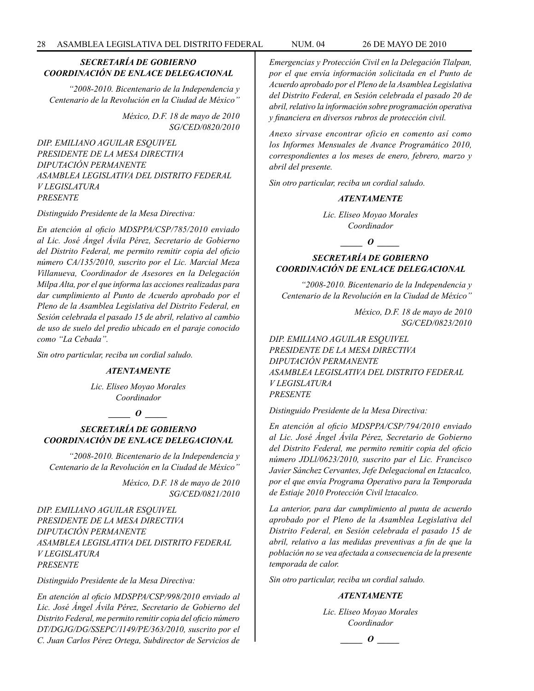*"2008-2010. Bicentenario de la Independencia y Centenario de la Revolución en la Ciudad de México"*

> *México, D.F. 18 de mayo de 2010 SG/CED/0820/2010*

*DIP. EMILIANO AGUILAR ESQUIVEL PRESIDENTE DE LA MESA DIRECTIVA DIPUTACIÓN PERMANENTE ASAMBLEA LEGISLATIVA DEL DISTRITO FEDERAL V LEGISLATURA PRESENTE*

*Distinguido Presidente de la Mesa Directiva:*

*En atención al oficio MDSPPA/CSP/785/2010 enviado al Lic. José Ángel Ávila Pérez, Secretario de Gobierno del Distrito Federal, me permito remitir copia del oficio número CA/135/2010, suscrito por el Lic. Marcial Meza Villanueva, Coordinador de Asesores en la Delegación Milpa Alta, por el que informa las acciones realizadas para dar cumplimiento al Punto de Acuerdo aprobado por el Pleno de la Asamblea Legislativa del Distrito Federal, en Sesión celebrada el pasado 15 de abril, relativo al cambio de uso de suelo del predio ubicado en el paraje conocido como "La Cebada".*

*Sin otro particular, reciba un cordial saludo.*

#### *ATENTAMENTE*

*Lic. Eliseo Moyao Morales Coordinador*

### $\bm{o}$

### *SECRETARÍA DE GOBIERNO COORDINACIÓN DE ENLACE DELEGACIONAL*

*"2008-2010. Bicentenario de la Independencia y Centenario de la Revolución en la Ciudad de México"*

> *México, D.F. 18 de mayo de 2010 SG/CED/0821/2010*

*DIP. EMILIANO AGUILAR ESQUIVEL PRESIDENTE DE LA MESA DIRECTIVA DIPUTACIÓN PERMANENTE ASAMBLEA LEGISLATIVA DEL DISTRITO FEDERAL V LEGISLATURA PRESENTE*

*Distinguido Presidente de la Mesa Directiva:*

*En atención al oficio MDSPPA/CSP/998/2010 enviado al Lic. José Ángel Ávila Pérez, Secretario de Gobierno del Distrito Federal, me permito remitir copia del oficio número DT/DGJG/DG/SSEPC/1149/PE/363/2010, suscrito por el C. Juan Carlos Pérez Ortega, Subdirector de Servicios de* 

*Emergencias y Protección Civil en la Delegación Tlalpan, por el que envía información solicitada en el Punto de Acuerdo aprobado por el Pleno de la Asamblea Legislativa del Distrito Federal, en Sesión celebrada el pasado 20 de abril, relativo la información sobre programación operativa y financiera en diversos rubros de protección civil.*

*Anexo sírvase encontrar oficio en comento así como los Informes Mensuales de Avance Programático 2010, correspondientes a los meses de enero, febrero, marzo y abril del presente.*

*Sin otro particular, reciba un cordial saludo.*

#### *ATENTAMENTE*

*Lic. Eliseo Moyao Morales Coordinador*

*\_\_\_\_\_ O \_\_\_\_\_*

### *SECRETARÍA DE GOBIERNO COORDINACIÓN DE ENLACE DELEGACIONAL*

*"2008-2010. Bicentenario de la Independencia y Centenario de la Revolución en la Ciudad de México"*

> *México, D.F. 18 de mayo de 2010 SG/CED/0823/2010*

*DIP. EMILIANO AGUILAR ESQUIVEL PRESIDENTE DE LA MESA DIRECTIVA DIPUTACIÓN PERMANENTE ASAMBLEA LEGISLATIVA DEL DISTRITO FEDERAL V LEGISLATURA PRESENTE*

*Distinguido Presidente de la Mesa Directiva:*

*En atención al oficio MDSPPA/CSP/794/2010 enviado al Lic. José Ángel Ávila Pérez, Secretario de Gobierno del Distrito Federal, me permito remitir copia del oficio número JDLl/0623/2010, suscrito par el Lic. Francisco Javier Sánchez Cervantes, Jefe Delegacional en Iztacalco, por el que envía Programa Operativo para la Temporada de Estiaje 2010 Protección Civil lztacalco.*

*La anterior, para dar cumplimiento al punta de acuerdo aprobado por el Pleno de la Asamblea Legislativa del Distrito Federal, en Sesión celebrada el pasado 15 de abril, relativo a las medidas preventivas a fin de que la población no se vea afectada a consecuencia de la presente temporada de calor.*

*Sin otro particular, reciba un cordial saludo.*

### *ATENTAMENTE*

*Lic. Eliseo Moyao Morales Coordinador*

 $\bm{o}$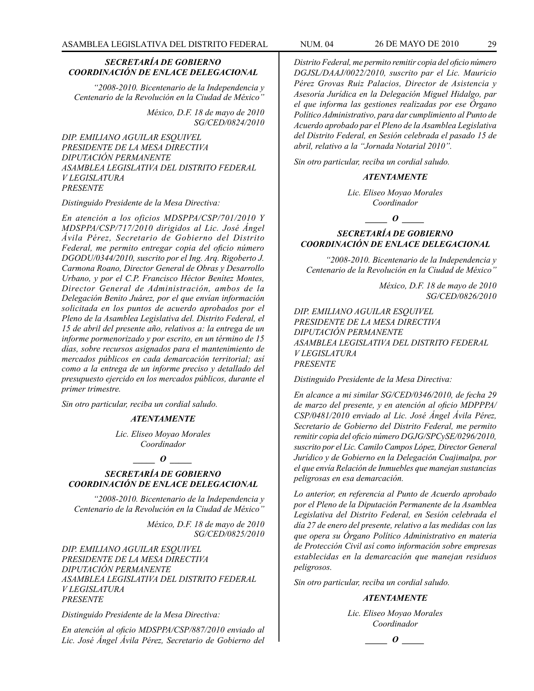*"2008-2010. Bicentenario de la Independencia y Centenario de la Revolución en la Ciudad de México"*

> *México, D.F. 18 de mayo de 2010 SG/CED/0824/2010*

*DIP. EMILIANO AGUILAR ESQUIVEL PRESIDENTE DE LA MESA DIRECTIVA DIPUTACIÓN PERMANENTE ASAMBLEA LEGISLATIVA DEL DISTRITO FEDERAL V LEGISLATURA PRESENTE*

#### *Distinguido Presidente de la Mesa Directiva:*

*En atención a los oficios MDSPPA/CSP/701/2010 Y MDSPPA/CSP/717/2010 dirigidos al Lic. José Ángel Ávila Pérez, Secretario de Gobierno del Distrito Federal, me permito entregar copia del oficio número DGODU/0344/2010, suscrito por el Ing. Arq. Rigoberto J. Carmona Roano, Director General de Obras y Desarrollo Urbano, y por el C.P. Francisco Héctor Benítez Montes, Director General de Administración, ambos de la Delegación Benito Juárez, por el que envían información solicitada en los puntos de acuerdo aprobados por el Pleno de la Asamblea Legislativa del. Distrito Federal, el 15 de abril del presente año, relativos a: la entrega de un informe pormenorizado y por escrito, en un término de 15 días, sobre recursos asignados para el mantenimiento de mercados públicos en cada demarcación territorial; así como a la entrega de un informe preciso y detallado del presupuesto ejercido en los mercados públicos, durante el primer trimestre.*

*Sin otro particular, reciba un cordial saludo.*

#### *ATENTAMENTE*

*Lic. Eliseo Moyao Morales Coordinador*

### *\_\_\_\_\_ O \_\_\_\_\_*

### *SECRETARÍA DE GOBIERNO COORDINACIÓN DE ENLACE DELEGACIONAL*

*"2008-2010. Bicentenario de la Independencia y Centenario de la Revolución en la Ciudad de México"*

> *México, D.F. 18 de mayo de 2010 SG/CED/0825/2010*

*DIP. EMILIANO AGUILAR ESQUIVEL PRESIDENTE DE LA MESA DIRECTIVA DIPUTACIÓN PERMANENTE ASAMBLEA LEGISLATIVA DEL DISTRITO FEDERAL V LEGISLATURA PRESENTE*

#### *Distinguido Presidente de la Mesa Directiva:*

*En atención al oficio MDSPPA/CSP/887/2010 enviado al Lic. José Ángel Ávila Pérez, Secretario de Gobierno del* 

*Distrito Federal, me permito remitir copia del oficio número DGJSL/DAAJ/0022/2010, suscrito par el Lic. Mauricio Pérez Grovas Ruiz Palacios, Director de Asistencia y Asesoría Jurídica en la Delegación Miguel Hidalgo, par el que informa las gestiones realizadas por ese Órgano Político Administrativo, para dar cumplimiento al Punto de Acuerdo aprobado par el Pleno de la Asamblea Legislativa del Distrito Federal, en Sesión celebrada el pasado 15 de abril, relativo a la "Jornada Notarial 2010".*

*Sin otro particular, reciba un cordial saludo.* 

#### *ATENTAMENTE*

*Lic. Eliseo Moyao Morales Coordinador*

 $\bm{o}$  *o* 

### *SECRETARÍA DE GOBIERNO COORDINACIÓN DE ENLACE DELEGACIONAL*

*"2008-2010. Bicentenario de la Independencia y Centenario de la Revolución en la Ciudad de México"*

> *México, D.F. 18 de mayo de 2010 SG/CED/0826/2010*

*DIP. EMILIANO AGUILAR ESQUIVEL PRESIDENTE DE LA MESA DIRECTIVA DIPUTACIÓN PERMANENTE ASAMBLEA LEGISLATIVA DEL DISTRITO FEDERAL V LEGISLATURA PRESENTE*

*Distinguido Presidente de la Mesa Directiva:*

*En alcance a mi similar SG/CED/0346/2010, de fecha 29 de marzo del presente, y en atención al oficio MDPPPA/ CSP/0481/2010 enviado al Lic. José Ángel Ávila Pérez, Secretario de Gobierno del Distrito Federal, me permito remitir copia del oficio número DGJG/SPCySE/0296/2010, suscrito por el Lic. Camilo Campos López, Director General Jurídico y de Gobierno en la Delegación Cuajimalpa, por el que envía Relación de Inmuebles que manejan sustancias peligrosas en esa demarcación.*

*Lo anterior, en referencia al Punto de Acuerdo aprobado por el Pleno de la Diputación Permanente de la Asamblea Legislativa del Distrito Federal, en Sesión celebrada el día 27 de enero del presente, relativo a las medidas con las que opera su Órgano Político Administrativo en materia de Protección Civil así como información sobre empresas establecidas en la demarcación que manejan residuos peligrosos.*

*Sin otro particular, reciba un cordial saludo.* 

#### *ATENTAMENTE*

*Lic. Eliseo Moyao Morales Coordinador*

$$
\boxed{\qquad \qquad }
$$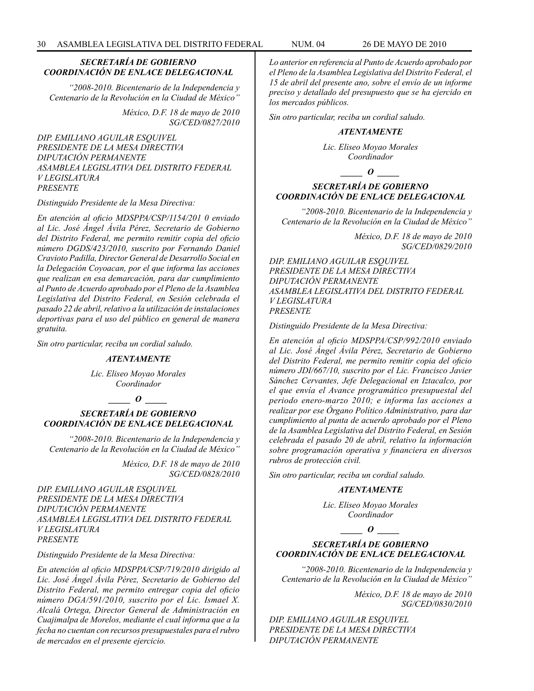*"2008-2010. Bicentenario de la Independencia y Centenario de la Revolución en la Ciudad de México"*

> *México, D.F. 18 de mayo de 2010 SG/CED/0827/2010*

*DIP. EMILIANO AGUILAR ESQUIVEL PRESIDENTE DE LA MESA DIRECTIVA DIPUTACIÓN PERMANENTE ASAMBLEA LEGISLATIVA DEL DISTRITO FEDERAL V LEGISLATURA PRESENTE*

*Distinguido Presidente de la Mesa Directiva:*

*En atención al oficio MDSPPA/CSP/1154/201 0 enviado al Lic. José Ángel Ávila Pérez, Secretario de Gobierno del Distrito Federal, me permito remitir copia del oficio número DGDS/423/2010, suscrito por Fernando Daniel Cravioto Padilla, Director General de Desarrollo Social en la Delegación Coyoacan, por el que informa las acciones que realizan en esa demarcación, para dar cumplimiento al Punto de Acuerdo aprobado por el Pleno de la Asamblea Legislativa del Distrito Federal, en Sesión celebrada el pasado 22 de abril, relativo a la utilización de instalaciones deportivas para el uso del público en general de manera gratuita.*

*Sin otro particular, reciba un cordial saludo.* 

#### *ATENTAMENTE*

*Lic. Eliseo Moyao Morales Coordinador*

 $\bm{o}$ 

### *SECRETARÍA DE GOBIERNO COORDINACIÓN DE ENLACE DELEGACIONAL*

*"2008-2010. Bicentenario de la Independencia y Centenario de la Revolución en la Ciudad de México"*

> *México, D.F. 18 de mayo de 2010 SG/CED/0828/2010*

*DIP. EMILIANO AGUILAR ESQUIVEL PRESIDENTE DE LA MESA DIRECTIVA DIPUTACIÓN PERMANENTE ASAMBLEA LEGISLATIVA DEL DISTRITO FEDERAL V LEGISLATURA PRESENTE*

*Distinguido Presidente de la Mesa Directiva:*

*En atención al oficio MDSPPA/CSP/719/2010 dirigido al Lic. José Ángel Ávila Pérez, Secretario de Gobierno del Distrito Federal, me permito entregar copia del oficio número DGA/591/2010, suscrito por el Lic. Ismael X. Alcalá Ortega, Director General de Administración en Cuajimalpa de Morelos, mediante el cual informa que a la fecha no cuentan con recursos presupuestales para el rubro de mercados en el presente ejercicio.*

*Lo anterior en referencia al Punto de Acuerdo aprobado por el Pleno de la Asamblea Legislativa del Distrito Federal, el 15 de abril del presente ano, sobre el envío de un informe preciso y detallado del presupuesto que se ha ejercido en los mercados públicos.*

*Sin otro particular, reciba un cordial saludo.* 

#### *ATENTAMENTE*

*Lic. Eliseo Moyao Morales Coordinador*

*\_\_\_\_\_ O \_\_\_\_\_*

### *SECRETARÍA DE GOBIERNO COORDINACIÓN DE ENLACE DELEGACIONAL*

*"2008-2010. Bicentenario de la Independencia y Centenario de la Revolución en la Ciudad de México"*

> *México, D.F. 18 de mayo de 2010 SG/CED/0829/2010*

*DIP. EMILIANO AGUILAR ESQUIVEL PRESIDENTE DE LA MESA DIRECTIVA DIPUTACIÓN PERMANENTE ASAMBLEA LEGISLATIVA DEL DISTRITO FEDERAL V LEGISLATURA PRESENTE*

*Distinguido Presidente de la Mesa Directiva:*

*En atención al oficio MDSPPA/CSP/992/2010 enviado al Lic. José Ángel Ávila Pérez, Secretario de Gobierno del Distrito Federal, me permito remitir copia del oficio número JDI/667/10, suscrito por el Lic. Francisco Javier Sánchez Cervantes, Jefe Delegacional en Iztacalco, por el que envía el Avance programático presupuestal del periodo enero-marzo 2010; e informa las acciones a realizar por ese Órgano Político Administrativo, para dar cumplimiento al punta de acuerdo aprobado por el Pleno de la Asamblea Legislativa del Distrito Federal, en Sesión celebrada el pasado 20 de abril, relativo la información sobre programación operativa y financiera en diversos rubros de protección civil.*

*Sin otro particular, reciba un cordial saludo.* 

### *ATENTAMENTE*

*Lic. Eliseo Moyao Morales Coordinador*

*\_\_\_\_\_ O \_\_\_\_\_*

### *SECRETARÍA DE GOBIERNO COORDINACIÓN DE ENLACE DELEGACIONAL*

*"2008-2010. Bicentenario de la Independencia y Centenario de la Revolución en la Ciudad de México"*

> *México, D.F. 18 de mayo de 2010 SG/CED/0830/2010*

*DIP. EMILIANO AGUILAR ESQUIVEL PRESIDENTE DE LA MESA DIRECTIVA DIPUTACIÓN PERMANENTE*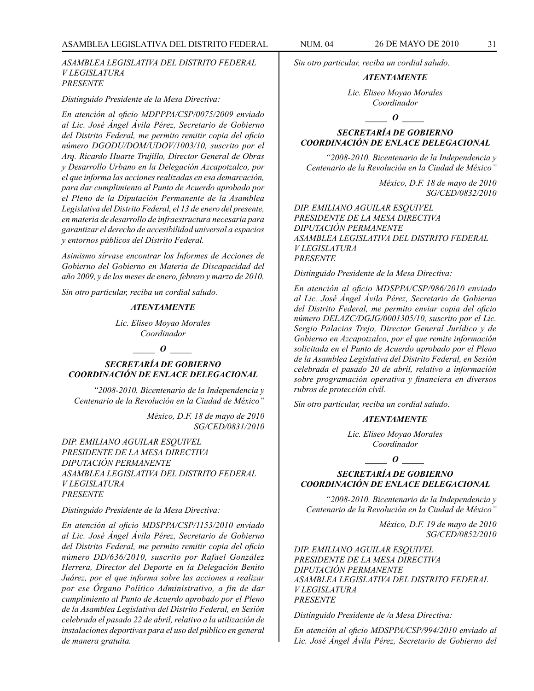*ASAMBLEA LEGISLATIVA DEL DISTRITO FEDERAL V LEGISLATURA PRESENTE*

#### *Distinguido Presidente de la Mesa Directiva:*

*En atención al oficio MDPPPA/CSP/0075/2009 enviado al Lic. José Ángel Ávila Pérez, Secretario de Gobierno del Distrito Federal, me permito remitir copia del oficio número DGODU/DOM/UDOV/1003/10, suscrito por el Arq. Ricardo Huarte Trujillo, Director General de Obras y Desarrollo Urbano en la Delegación Azcapotzalco, por el que informa las acciones realizadas en esa demarcación, para dar cumplimiento al Punto de Acuerdo aprobado por el Pleno de la Diputación Permanente de la Asamblea Legislativa del Distrito Federal, el 13 de enero del presente, en materia de desarrollo de infraestructura necesaria para garantizar el derecho de accesibilidad universal a espacios y entornos públicos del Distrito Federal.*

*Asimismo sírvase encontrar los Informes de Acciones de Gobierno del Gobierno en Materia de Discapacidad del año 2009, y de los meses de enero, febrero y marzo de 2010.*

*Sin otro particular, reciba un cordial saludo.* 

### *ATENTAMENTE*

*Lic. Eliseo Moyao Morales Coordinador*

#### *\_\_\_\_\_ O \_\_\_\_\_*

### *SECRETARÍA DE GOBIERNO COORDINACIÓN DE ENLACE DELEGACIONAL*

*"2008-2010. Bicentenario de la Independencia y Centenario de la Revolución en la Ciudad de México"*

> *México, D.F. 18 de mayo de 2010 SG/CED/0831/2010*

*DIP. EMILIANO AGUILAR ESQUIVEL PRESIDENTE DE LA MESA DIRECTIVA DIPUTACIÓN PERMANENTE ASAMBLEA LEGISLATIVA DEL DISTRITO FEDERAL V LEGISLATURA PRESENTE*

#### *Distinguido Presidente de la Mesa Directiva:*

*En atención al oficio MDSPPA/CSP/1153/2010 enviado al Lic. José Ángel Ávila Pérez, Secretario de Gobierno del Distrito Federal, me permito remitir copia del oficio número DD/636/2010, suscrito por Rafael González Herrera, Director del Deporte en la Delegación Benito Juárez, por el que informa sobre las acciones a realizar por ese Órgano Político Administrativo, a fin de dar cumplimiento al Punto de Acuerdo aprobado por el Pleno de la Asamblea Legislativa del Distrito Federal, en Sesión celebrada el pasado 22 de abril, relativo a la utilización de instalaciones deportivas para el uso del público en general de manera gratuita.*

*Sin otro particular, reciba un cordial saludo.*

#### *ATENTAMENTE*

*Lic. Eliseo Moyao Morales Coordinador*

 $\overline{\phantom{a}}$   $\overline{\phantom{a}}$ 

### *SECRETARÍA DE GOBIERNO COORDINACIÓN DE ENLACE DELEGACIONAL*

*"2008-2010. Bicentenario de la Independencia y Centenario de la Revolución en la Ciudad de México"*

> *México, D.F. 18 de mayo de 2010 SG/CED/0832/2010*

*DIP. EMILIANO AGUILAR ESQUIVEL PRESIDENTE DE LA MESA DIRECTIVA DIPUTACIÓN PERMANENTE ASAMBLEA LEGISLATIVA DEL DISTRITO FEDERAL V LEGISLATURA PRESENTE*

*Distinguido Presidente de la Mesa Directiva:*

*En atención al oficio MDSPPA/CSP/986/2010 enviado al Lic. José Ángel Ávila Pérez, Secretario de Gobierno del Distrito Federal, me permito enviar copia del oficio número DELAZC/DGJG/0001305/10, suscrito por el Lic. Sergio Palacios Trejo, Director General Jurídico y de Gobierno en Azcapotzalco, por el que remite información solicitada en el Punto de Acuerdo aprobado por el Pleno de la Asamblea Legislativa del Distrito Federal, en Sesión celebrada el pasado 20 de abril, relativo a información sobre programación operativa y financiera en diversos rubros de protección civil.*

*Sin otro particular, reciba un cordial saludo.*

#### *ATENTAMENTE*

*Lic. Eliseo Moyao Morales Coordinador*

### *SECRETARÍA DE GOBIERNO COORDINACIÓN DE ENLACE DELEGACIONAL*

*\_\_\_\_\_ O \_\_\_\_\_*

*"2008-2010. Bicentenario de la Independencia y Centenario de la Revolución en la Ciudad de México"*

> *México, D.F. 19 de mayo de 2010 SG/CED/0852/2010*

*DIP. EMILIANO AGUILAR ESQUIVEL PRESIDENTE DE LA MESA DIRECTIVA DIPUTACIÓN PERMANENTE ASAMBLEA LEGISLATIVA DEL DISTRITO FEDERAL V LEGISLATURA PRESENTE*

*Distinguido Presidente de /a Mesa Directiva:*

*En atención al oficio MDSPPA/CSP/994/2010 enviado al Lic. José Ángel Ávila Pérez, Secretario de Gobierno del*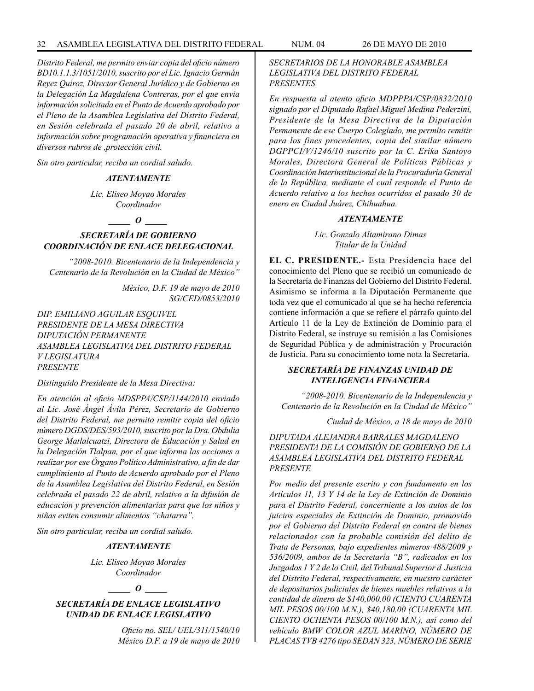*Distrito Federal, me permito enviar copia del oficio número BD10.1.1.3/1051/2010, suscrito por el Lic. Ignacio Germán Reyez Quiroz, Director General Jurídico y de Gobierno en la Delegación La Magdalena Contreras, por el que envía información solicitada en el Punto de Acuerdo aprobado por el Pleno de la Asamblea Legislativa del Distrito Federal, en Sesión celebrada el pasado 20 de abril, relativo a información sobre programación operativa y financiera en diversos rubros de ,protección civil.*

*Sin otro particular, reciba un cordial saludo.*

### *ATENTAMENTE*

*Lic. Eliseo Moyao Morales Coordinador*

*\_\_\_\_\_ O \_\_\_\_\_*

### *SECRETARÍA DE GOBIERNO COORDINACIÓN DE ENLACE DELEGACIONAL*

*"2008-2010. Bicentenario de la Independencia y Centenario de la Revolución en la Ciudad de México"*

> *México, D.F. 19 de mayo de 2010 SG/CED/0853/2010*

*DIP. EMILIANO AGUILAR ESQUIVEL PRESIDENTE DE LA MESA DIRECTIVA DIPUTACIÓN PERMANENTE ASAMBLEA LEGISLATIVA DEL DISTRITO FEDERAL V LEGISLATURA PRESENTE*

*Distinguido Presidente de la Mesa Directiva:*

*En atención al oficio MDSPPA/CSP/1144/2010 enviado al Lic. José Ángel Ávila Pérez, Secretario de Gobierno del Distrito Federal, me permito remitir copia del oficio número DGDS/DES/593/2010, suscrito por la Dra. Obdulia George Matlalcuatzi, Directora de Educación y Salud en la Delegación Tlalpan, por el que informa las acciones a realizar por ese Órgano Político Administrativo, a fin de dar cumplimiento al Punto de Acuerdo aprobado por el Pleno de la Asamblea Legislativa del Distrito Federal, en Sesión celebrada el pasado 22 de abril, relativo a la difusión de educación y prevención alimentarías para que los niños y niñas eviten consumir alimentos "chatarra".*

*Sin otro particular, reciba un cordial saludo.*

### *ATENTAMENTE*

*Lic. Eliseo Moyao Morales Coordinador*

#### $\bm{o}$

*SECRETARÍA DE ENLACE LEGISLATIVO UNIDAD DE ENLACE LEGISLATIVO*

> *Oficio no. SEL/ UEL/311/1540/10 México D.F. a 19 de mayo de 2010*

*SECRETARIOS DE LA HONORABLE ASAMBLEA LEGISLATIVA DEL DISTRITO FEDERAL PRESENTES*

*En respuesta al atento oficio MDPPPA/CSP/0832/2010 signado por el Diputado Rafael Miguel Medina Pederzini, Presidente de la Mesa Directiva de la Diputación Permanente de ese Cuerpo Colegiado, me permito remitir para los fines procedentes, copia del similar número DGPPCI/V/1246/10 suscrito por la C. Erika Santoyo Morales, Directora General de Políticas Públicas y Coordinación Interinstitucional de la Procuraduría General de la República, mediante el cual responde el Punto de Acuerdo relativo a los hechos ocurridos el pasado 30 de enero en Ciudad Juárez, Chihuahua.*

#### *ATENTAMENTE*

*Lic. Gonzalo Altamirano Dimas Titular de la Unidad*

**EL C. PRESIDENTE.-** Esta Presidencia hace del conocimiento del Pleno que se recibió un comunicado de la Secretaría de Finanzas del Gobierno del Distrito Federal. Asimismo se informa a la Diputación Permanente que toda vez que el comunicado al que se ha hecho referencia contiene información a que se refiere el párrafo quinto del Artículo 11 de la Ley de Extinción de Dominio para el Distrito Federal, se instruye su remisión a las Comisiones de Seguridad Pública y de administración y Procuración de Justicia. Para su conocimiento tome nota la Secretaría.

### *SECRETARÍA DE FINANZAS UNIDAD DE INTELIGENCIA FINANCIERA*

 *"2008-2010. Bicentenario de la Independencia y Centenario de la Revolución en la Ciudad de México"*

*Ciudad de México, a 18 de mayo de 2010*

*DIPUTADA ALEJANDRA BARRALES MAGDALENO PRESIDENTA DE LA COMISIÓN DE GOBIERNO DE LA ASAMBLEA LEGISLATIVA DEL DISTRITO FEDERAL PRESENTE* 

*Por medio del presente escrito y con fundamento en los Artículos 11, 13 Y 14 de la Ley de Extinción de Dominio para el Distrito Federal, concerniente a los autos de los juicios especiales de Extinción de Dominio, promovido por el Gobierno del Distrito Federal en contra de bienes relacionados con la probable comisión del delito de Trata de Personas, bajo expedientes números 488/2009 y 536/2009, ambos de la Secretaría "B", radicados en los Juzgados 1 Y 2 de lo Civil, del Tribunal Superior d Justicia del Distrito Federal, respectivamente, en nuestro carácter de depositarios judiciales de bienes muebles relativos a la cantidad de dinero de \$140,000.00 (CIENTO CUARENTA MIL PESOS 00/100 M.N.), \$40,180.00 (CUARENTA MIL CIENTO OCHENTA PESOS 00/100 M.N.), así como del vehículo BMW COLOR AZUL MARINO, NÚMERO DE PLACAS TVB 4276 tipo SEDAN 323, NÚMERO DE SERIE*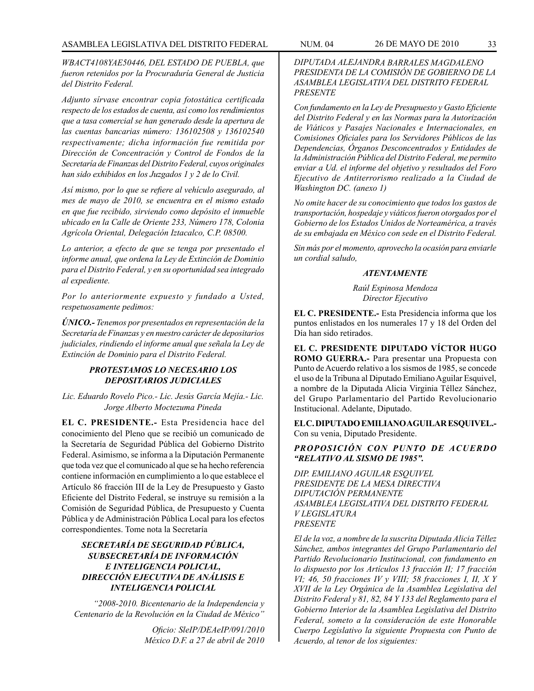*WBACT4108YAE50446, DEL ESTADO DE PUEBLA, que fueron retenidos por la Procuraduría General de Justicia del Distrito Federal.*

*Adjunto sírvase encontrar copia fotostática certificada respecto de los estados de cuenta, así como los rendimientos que a tasa comercial se han generado desde la apertura de las cuentas bancarias número: 136102508 y 136102540 respectivamente; dicha información fue remitida por Dirección de Concentración y Control de Fondos de la Secretaría de Finanzas del Distrito Federal, cuyos originales han sido exhibidos en los Juzgados 1 y 2 de lo Civil.*

*Así mismo, por lo que se refiere al vehículo asegurado, al mes de mayo de 2010, se encuentra en el mismo estado en que fue recibido, sirviendo como depósito el inmueble ubicado en la Calle de Oriente 233, Número 178, Colonia Agrícola Oriental, Delegación Iztacalco, C.P. 08500.*

*Lo anterior, a efecto de que se tenga por presentado el informe anual, que ordena la Ley de Extinción de Dominio para el Distrito Federal, y en su oportunidad sea integrado al expediente.*

*Por lo anteriormente expuesto y fundado a Usted, respetuosamente pedimos:*

*ÚNICO.- Tenemos por presentados en representación de la Secretaría de Finanzas y en nuestro carácter de depositarios judiciales, rindiendo el informe anual que señala la Ley de Extinción de Dominio para el Distrito Federal.*

### *PROTESTAMOS LO NECESARIO LOS DEPOSITARIOS JUDICIALES*

*Lic. Eduardo Rovelo Pico.- Lic. Jesús García Mejía.- Lic. Jorge Alberto Moctezuma Pineda*

**EL C. PRESIDENTE.-** Esta Presidencia hace del conocimiento del Pleno que se recibió un comunicado de la Secretaría de Seguridad Pública del Gobierno Distrito Federal. Asimismo, se informa a la Diputación Permanente que toda vez que el comunicado al que se ha hecho referencia contiene información en cumplimiento a lo que establece el Artículo 86 fracción III de la Ley de Presupuesto y Gasto Eficiente del Distrito Federal, se instruye su remisión a la Comisión de Seguridad Pública, de Presupuesto y Cuenta Pública y de Administración Pública Local para los efectos correspondientes. Tome nota la Secretaría

### *SECRETARÍA DE SEGURIDAD PÚBLICA, SUBSECRETARÍA DE INFORMACIÓN E INTELIGENCIA POLICIAL, DIRECCIÓN EJECUTIVA DE ANÁLISIS E INTELIGENCIA POLICIAL*

 *"2008-2010. Bicentenario de la Independencia y Centenario de la Revolución en la Ciudad de México"*

> *Oficio: SleIP/DEAeIP/091/2010 México D.F. a 27 de abril de 2010*

*DIPUTADA ALEJANDRA BARRALES MAGDALENO PRESIDENTA DE LA COMISIÓN DE GOBIERNO DE LA ASAMBLEA LEGISLATIVA DEL DISTRITO FEDERAL PRESENTE* 

*Con fundamento en la Ley de Presupuesto y Gasto Eficiente del Distrito Federal y en las Normas para la Autorización de Viáticos y Pasajes Nacionales e Internacionales, en Comisiones Oficiales para los Servidores Públicos de las Dependencias, Órganos Desconcentrados y Entidades de la Administración Pública del Distrito Federal, me permito enviar a Ud. el informe del objetivo y resultados del Foro Ejecutivo de Antiterrorismo realizado a la Ciudad de Washington DC. (anexo 1)*

*No omite hacer de su conocimiento que todos los gastos de transportación, hospedaje y viáticos fueron otorgados por el Gobierno de los Estados Unidos de Norteamérica, a través de su embajada en México con sede en el Distrito Federal.* 

*Sin más por el momento, aprovecho la ocasión para enviarle un cordial saludo,*

### *ATENTAMENTE*

*Raúl Espinosa Mendoza Director Ejecutivo*

**EL C. PRESIDENTE.-** Esta Presidencia informa que los puntos enlistados en los numerales 17 y 18 del Orden del Día han sido retirados.

**EL C. PRESIDENTE DIPUTADO VÍCTOR HUGO ROMO GUERRA.-** Para presentar una Propuesta con Punto de Acuerdo relativo a los sismos de 1985, se concede el uso de la Tribuna al Diputado Emiliano Aguilar Esquivel, a nombre de la Diputada Alicia Virginia Téllez Sánchez, del Grupo Parlamentario del Partido Revolucionario Institucional. Adelante, Diputado.

**EL C. DIPUTADO EMILIANO AGUILAR ESQUIVEL.-**  Con su venia, Diputado Presidente.

### *PROPOSICIÓN CON PUNTO DE ACUERDO "RELATIVO AL SISMO DE 1985".*

*DIP. EMILIANO AGUILAR ESQUIVEL PRESIDENTE DE LA MESA DIRECTIVA DIPUTACIÓN PERMANENTE ASAMBLEA LEGISLATIVA DEL DISTRITO FEDERAL V LEGISLATURA PRESENTE*

*El de la voz, a nombre de la suscrita Diputada Alicia Téllez Sánchez, ambos integrantes del Grupo Parlamentario del Partido Revolucionario Institucional, con fundamento en lo dispuesto por los Artículos 13 fracción II; 17 fracción VI; 46, 50 fracciones IV y VIII; 58 fracciones I, II, X Y XVII de la Ley Orgánica de la Asamblea Legislativa del Distrito Federal y 81, 82, 84 Y 133 del Reglamento para el Gobierno Interior de la Asamblea Legislativa del Distrito Federal, someto a la consideración de este Honorable Cuerpo Legislativo la siguiente Propuesta con Punto de Acuerdo, al tenor de los siguientes:*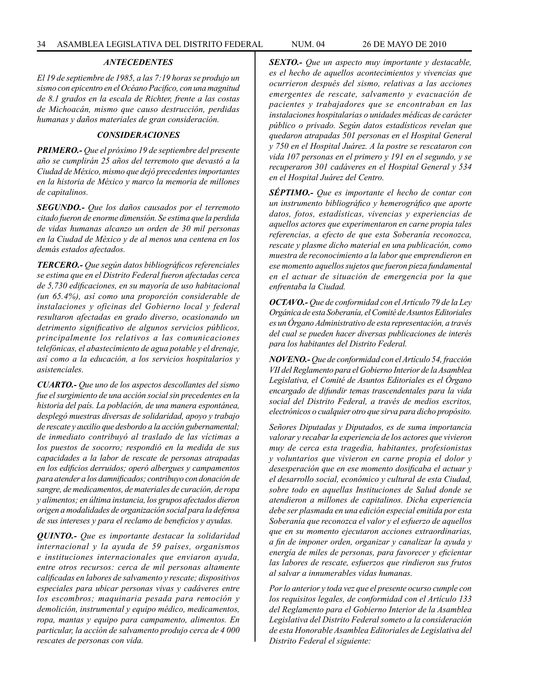#### *ANTECEDENTES*

*El 19 de septiembre de 1985, a las 7:19 horas se produjo un sismo con epicentro en el Océano Pacifico, con una magnitud de 8.1 grados en la escala de Richter, frente a las costas de Michoacán, mismo que causo destrucción, perdidas humanas y daños materiales de gran consideración.*

#### *CONSIDERACIONES*

*PRIMERO.- Que el próximo 19 de septiembre del presente año se cumplirán 25 años del terremoto que devastó a la Ciudad de México, mismo que dejó precedentes importantes en la historia de México y marco la memoria de millones de capitalinos.*

*SEGUNDO.- Que los daños causados por el terremoto citado fueron de enorme dimensión. Se estima que la perdida de vidas humanas alcanzo un orden de 30 mil personas en la Ciudad de México y de al menos una centena en los demás estados afectados.*

*TERCERO.- Que según datos bibliográficos referenciales se estima que en el Distrito Federal fueron afectadas cerca de 5,730 edificaciones, en su mayoría de uso habitacional (un 65.4%), así como una proporción considerable de instalaciones y oficinas del Gobierno local y federal resultaron afectadas en grado diverso, ocasionando un detrimento significativo de algunos servicios públicos, principalmente los relativos a las comunicaciones telefónicas, el abastecimiento de agua potable y el drenaje, así como a la educación, a los servicios hospitalarios y asistenciales.*

*CUARTO.- Que uno de los aspectos descollantes del sismo fue el surgimiento de una acción social sin precedentes en la historia del país. La población, de una manera espontánea, desplegó muestras diversas de solidaridad, apoyo y trabajo de rescate y auxilio que desbordo a la acción gubernamental; de inmediato contribuyó al traslado de las víctimas a los puestos de socorro; respondió en la medida de sus capacidades a la labor de rescate de personas atrapadas en los edificios derruidos; operó albergues y campamentos para atender a los damnificados; contribuyo con donación de sangre, de medicamentos, de materiales de curación, de ropa y alimentos; en última instancia, los grupos afectados dieron origen a modalidades de organización social para la defensa de sus intereses y para el reclamo de beneficios y ayudas.*

*QUINTO.- Que es importante destacar la solidaridad internacional y la ayuda de 59 países, organismos e instituciones internacionales que enviaron ayuda, entre otros recursos: cerca de mil personas altamente calificadas en labores de salvamento y rescate; dispositivos especiales para ubicar personas vivas y cadáveres entre los escombros; maquinaria pesada para remoción y demolición, instrumental y equipo médico, medicamentos, ropa, mantas y equipo para campamento, alimentos. En particular, la acción de salvamento produjo cerca de 4 000 rescates de personas con vida.*

*SEXTO.- Que un aspecto muy importante y destacable, es el hecho de aquellos acontecimientos y vivencias que ocurrieron después del sismo, relativas a las acciones emergentes de rescate, salvamento y evacuación de pacientes y trabajadores que se encontraban en las instalaciones hospitalarias o unidades médicas de carácter público o privado. Según datos estadísticos revelan que quedaron atrapadas 501 personas en el Hospital General y 750 en el Hospital Juárez. A la postre se rescataron con vida 107 personas en el primero y 191 en el segundo, y se recuperaron 301 cadáveres en el Hospital General y 534 en el Hospital Juárez del Centro.*

*SÉPTIMO.- Que es importante el hecho de contar con un instrumento bibliográfico y hemerográfico que aporte datos, fotos, estadísticas, vivencias y experiencias de aquellos actores que experimentaron en carne propia tales referencias, a efecto de que esta Soberanía reconozca, rescate y plasme dicho material en una publicación, como muestra de reconocimiento a la labor que emprendieron en ese momento aquellos sujetos que fueron pieza fundamental en el actuar de situación de emergencia por la que enfrentaba la Ciudad.*

*OCTAVO.- Que de conformidad con el Artículo 79 de la Ley Orgánica de esta Soberanía, el Comité de Asuntos Editoriales es un Órgano Administrativo de esta representación, a través del cual se pueden hacer diversas publicaciones de interés para los habitantes del Distrito Federal.*

*NOVENO.- Que de conformidad con el Artículo 54, fracción VII del Reglamento para el Gobierno Interior de la Asamblea Legislativa, el Comité de Asuntos Editoriales es el Órgano encargado de difundir temas trascendentales para la vida social del Distrito Federal, a través de medios escritos, electrónicos o cualquier otro que sirva para dicho propósito.*

*Señores Diputadas y Diputados, es de suma importancia valorar y recabar la experiencia de los actores que vivieron muy de cerca esta tragedia, habitantes, profesionistas y voluntarios que vivieron en carne propia el dolor y desesperación que en ese momento dosificaba el actuar y el desarrollo social, económico y cultural de esta Ciudad, sobre todo en aquellas Instituciones de Salud donde se atendieron a millones de capitalinos. Dicha experiencia debe ser plasmada en una edición especial emitida por esta Soberanía que reconozca el valor y el esfuerzo de aquellos que en su momento ejecutaron acciones extraordinarias, a fin de imponer orden, organizar y canalizar la ayuda y energía de miles de personas, para favorecer y eficientar las labores de rescate, esfuerzos que rindieron sus frutos al salvar a innumerables vidas humanas.*

*Por lo anterior y toda vez que el presente ocurso cumple con los requisitos legales, de conformidad con el Artículo 133 del Reglamento para el Gobierno Interior de la Asamblea Legislativa del Distrito Federal someto a la consideración de esta Honorable Asamblea Editoriales de Legislativa del Distrito Federal el siguiente:*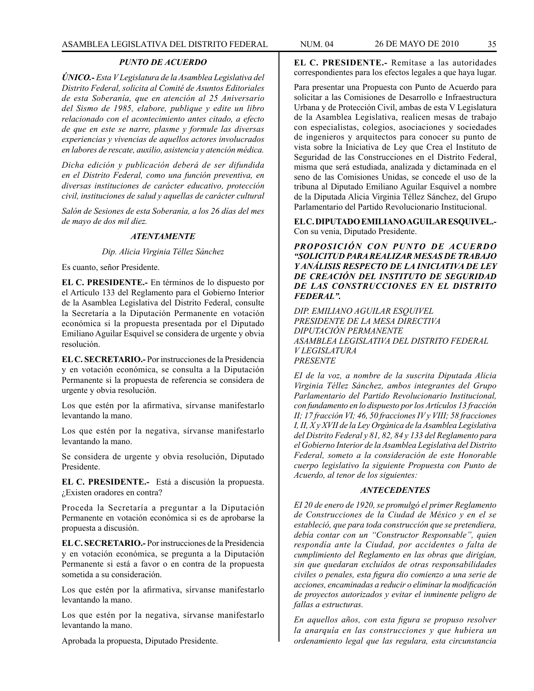### *PUNTO DE ACUERDO*

*ÚNICO.- Esta V Legislatura de la Asamblea Legislativa del Distrito Federal, solicita al Comité de Asuntos Editoriales de esta Soberanía, que en atención al 25 Aniversario del Sismo de 1985, elabore, publique y edite un libro relacionado con el acontecimiento antes citado, a efecto de que en este se narre, plasme y formule las diversas experiencias y vivencias de aquellos actores involucrados en labores de rescate, auxilio, asistencia y atención médica.*

*Dicha edición y publicación deberá de ser difundida en el Distrito Federal, como una función preventiva, en diversas instituciones de carácter educativo, protección civil, instituciones de salud y aquellas de carácter cultural*

*Salón de Sesiones de esta Soberanía, a los 26 días del mes de mayo de dos mil diez.*

#### *ATENTAMENTE*

*Dip. Alicia Virginia Téllez Sánchez*

Es cuanto, señor Presidente.

**EL C. PRESIDENTE.-** En términos de lo dispuesto por el Artículo 133 del Reglamento para el Gobierno Interior de la Asamblea Legislativa del Distrito Federal, consulte la Secretaría a la Diputación Permanente en votación económica si la propuesta presentada por el Diputado Emiliano Aguilar Esquivel se considera de urgente y obvia resolución.

**EL C. SECRETARIO.-** Por instrucciones de la Presidencia y en votación económica, se consulta a la Diputación Permanente si la propuesta de referencia se considera de urgente y obvia resolución.

Los que estén por la afirmativa, sírvanse manifestarlo levantando la mano.

Los que estén por la negativa, sírvanse manifestarlo levantando la mano.

Se considera de urgente y obvia resolución, Diputado Presidente.

**EL C. PRESIDENTE.-** Está a discusión la propuesta. ¿Existen oradores en contra?

Proceda la Secretaría a preguntar a la Diputación Permanente en votación económica si es de aprobarse la propuesta a discusión.

**EL C. SECRETARIO.-** Por instrucciones de la Presidencia y en votación económica, se pregunta a la Diputación Permanente si está a favor o en contra de la propuesta sometida a su consideración.

Los que estén por la afirmativa, sírvanse manifestarlo levantando la mano.

Los que estén por la negativa, sírvanse manifestarlo levantando la mano.

Aprobada la propuesta, Diputado Presidente.

**EL C. PRESIDENTE.-** Remítase a las autoridades correspondientes para los efectos legales a que haya lugar.

Para presentar una Propuesta con Punto de Acuerdo para solicitar a las Comisiones de Desarrollo e Infraestructura Urbana y de Protección Civil, ambas de esta V Legislatura de la Asamblea Legislativa, realicen mesas de trabajo con especialistas, colegios, asociaciones y sociedades de ingenieros y arquitectos para conocer su punto de vista sobre la Iniciativa de Ley que Crea el Instituto de Seguridad de las Construcciones en el Distrito Federal, misma que será estudiada, analizada y dictaminada en el seno de las Comisiones Unidas, se concede el uso de la tribuna al Diputado Emiliano Aguilar Esquivel a nombre de la Diputada Alicia Virginia Téllez Sánchez, del Grupo Parlamentario del Partido Revolucionario Institucional.

**EL C. DIPUTADO EMILIANO AGUILAR ESQUIVEL.-** Con su venia, Diputado Presidente.

*PROPOSICIÓN CON PUNTO DE ACUERDO "SOLICITUD PARA REALIZAR MESAS DE TRABAJO Y ANÁLISIS RESPECTO DE LA INICIATIVA DE LEY DE CREACIÓN DEL INSTITUTO DE SEGURIDAD DE LAS CONSTRUCCIONES EN EL DISTRITO FEDERAL".*

*DIP. EMILIANO AGUILAR ESQUIVEL PRESIDENTE DE LA MESA DIRECTIVA DIPUTACIÓN PERMANENTE ASAMBLEA LEGISLATIVA DEL DISTRITO FEDERAL V LEGISLATURA PRESENTE*

*EI de la voz, a nombre de la suscrita Diputada Alicia Virginia Téllez Sánchez, ambos integrantes del Grupo Parlamentario del Partido Revolucionario Institucional, con fundamento en lo dispuesto por los Artículos 13 fracción II; 17 fracción VI; 46, 50 fracciones IV y VIII; 58 fracciones I, II, X y XVII de la Ley Orgánica de la Asamblea Legislativa del Distrito Federal y 81, 82, 84 y 133 del Reglamento para el Gobierno Interior de la Asamblea Legislativa del Distrito Federal, someto a la consideración de este Honorable cuerpo legislativo la siguiente Propuesta con Punto de Acuerdo, al tenor de los siguientes:*

### *ANTECEDENTES*

*EI 20 de enero de 1920, se promulgó el primer Reglamento de Construcciones de la Ciudad de México y en el se estableció, que para toda construcción que se pretendiera, debía contar con un "Constructor Responsable", quien respondía ante la Ciudad, por accidentes o falta de cumplimiento del Reglamento en las obras que dirigían, sin que quedaran excluídos de otras responsabilidades civiles o penales, esta figura dio comienzo a una serie de acciones, encaminadas a reducir o eliminar la modificación de proyectos autorizados y evitar el inminente peligro de fallas a estructuras.*

*En aquellos años, con esta figura se propuso resolver la anarquía en las construcciones y que hubiera un ordenamiento legal que las regulara, esta circunstancia*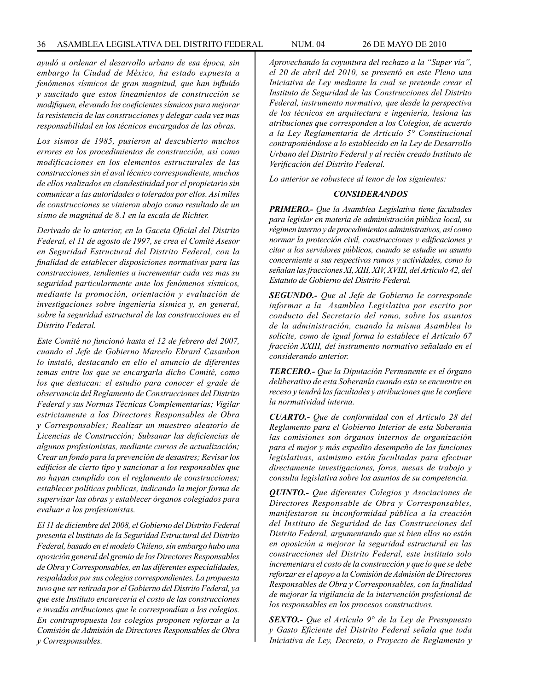*ayudó a ordenar el desarrollo urbano de esa época, sin embargo la Ciudad de México, ha estado expuesta a fenómenos sísmicos de gran magnitud, que han influido y suscitado que estos lineamientos de construcción se modifiquen, elevando los coeficientes sísmicos para mejorar la resistencia de las construcciones y delegar cada vez mas responsabilidad en los técnicos encargados de las obras.*

*Los sismos de 1985, pusieron al descubierto muchos errores en los procedimientos de construcción, así como modificaciones en los elementos estructurales de las construcciones sin el aval técnico correspondiente, muchos de ellos realizados en clandestinidad por el propietario sin comunicar a las autoridades o tolerados por ellos. Así miles de construcciones se vinieron abajo como resultado de un sismo de magnitud de 8.1 en la escala de Richter.*

*Derivado de lo anterior, en la Gaceta Oficial del Distrito Federal, el 11 de agosto de 1997, se crea el Comité Asesor en Seguridad Estructural del Distrito Federal, con la finalidad de establecer disposiciones normativas para las construcciones, tendientes a incrementar cada vez mas su seguridad particularmente ante los fenómenos sísmicos, mediante la promoción, orientación y evaluación de investigaciones sobre ingeniería sísmica y, en general, sobre la seguridad estructural de las construcciones en el Distrito Federal.*

*Este Comité no funcionó hasta el 12 de febrero del 2007, cuando el Jefe de Gobierno Marcelo Ebrard Casaubon lo instaló, destacando en ello el anuncio de diferentes temas entre los que se encargarla dicho Comité, como los que destacan: el estudio para conocer el grade de observancia del Reglamento de Construcciones del Distrito Federal y sus Normas Técnicas Complementarias; Vigilar estrictamente a los Directores Responsables de Obra y Corresponsables; Realizar un muestreo aleatorio de Licencias de Construcción; Subsanar las deficiencias de algunos profesionistas, mediante cursos de actualización; Crear un fondo para la prevención de desastres; Revisar los edificios de cierto tipo y sancionar a los responsables que no hayan cumplido con el reglamento de construcciones; establecer políticas publicas, indicando la mejor forma de supervisar las obras y establecer órganos colegiados para evaluar a los profesionistas.*

*El 11 de diciembre del 2008, el Gobierno del Distrito Federal presenta el lnstituto de la Seguridad Estructural del Distrito Federal, basado en el modelo Chileno, sin embargo hubo una oposición general del gremio de los Directores Responsables de Obra y Corresponsables, en las diferentes especialidades, respaldados por sus colegios correspondientes. La propuesta tuvo que ser retirada por el Gobierno del Distrito Federal, ya que este Instituto encarecería el costo de las construcciones e invadía atribuciones que le correspondían a los colegios. En contrapropuesta los colegios proponen reforzar a la Comisión de Admisión de Directores Responsables de Obra y Corresponsables.*

*Aprovechando la coyuntura del rechazo a la "Super vía", el 20 de abril del 2010, se presentó en este Pleno una Iniciativa de Ley mediante la cual se pretende crear el Instituto de Seguridad de las Construcciones del Distrito Federal, instrumento normativo, que desde la perspectiva de los técnicos en arquitectura e ingeniería, lesiona las atribuciones que corresponden a los Colegios, de acuerdo a la Ley Reglamentaria de Artículo 5° Constitucional contraponiéndose a lo establecido en la Ley de Desarrollo Urbano del Distrito Federal y al recién creado Instituto de Verificación del Distrito Federal.*

*Lo anterior se robustece al tenor de los siguientes:*

#### *CONSIDERANDOS*

*PRIMERO.- Que la Asamblea Legislativa tiene facultades para legislar en materia de administración pública local, su régimen interno y de procedimientos administrativos, así como normar la protección civil, construcciones y edificaciones y citar a los servidores públicos, cuando se estudie un asunto concerniente a sus respectivos ramos y actividades, como lo señalan las fracciones XI, XIII, XIV, XVIII, del Artículo 42, del Estatuto de Gobierno del Distrito Federal.*

*SEGUNDO.- Que al Jefe de Gobierno Ie corresponde informar a la Asamblea Legislativa por escrito por conducto del Secretario del ramo, sobre los asuntos de la administración, cuando la misma Asamblea lo solicite, como de igual forma lo establece el Artículo 67 fracción XXIII, del instrumento normativo señalado en el considerando anterior.*

*TERCERO.- Que la Diputación Permanente es el órgano deliberativo de esta Soberanía cuando esta se encuentre en receso y tendrá las facultades y atribuciones que Ie confiere la normatividad interna.*

*CUARTO.- Que de conformidad con el Artículo 28 del Reglamento para el Gobierno Interior de esta Soberanía las comisiones son órganos internos de organización para el mejor y más expedito desempeño de las funciones legislativas, asimismo están facultadas para efectuar directamente investigaciones, foros, mesas de trabajo y consulta legislativa sobre los asuntos de su competencia.*

*QUINTO.- Que diferentes Colegios y Asociaciones de Directores Responsable de Obra y Corresponsables, manifestaron su inconformidad pública a la creación del Instituto de Seguridad de las Construcciones del Distrito Federal, argumentando que si bien ellos no están en oposición a mejorar la seguridad estructural en las construcciones del Distrito Federal, este instituto solo incrementara el costo de la construcción y que lo que se debe reforzar es el apoyo a la Comisión de Admisión de Directores Responsables de Obra y Corresponsables, con la finalidad de mejorar la vigilancia de la intervención profesional de los responsables en los procesos constructivos.*

*SEXTO.- Que el Artículo 9° de la Ley de Presupuesto y Gasto Eficiente del Distrito Federal señala que toda Iniciativa de Ley, Decreto, o Proyecto de Reglamento y*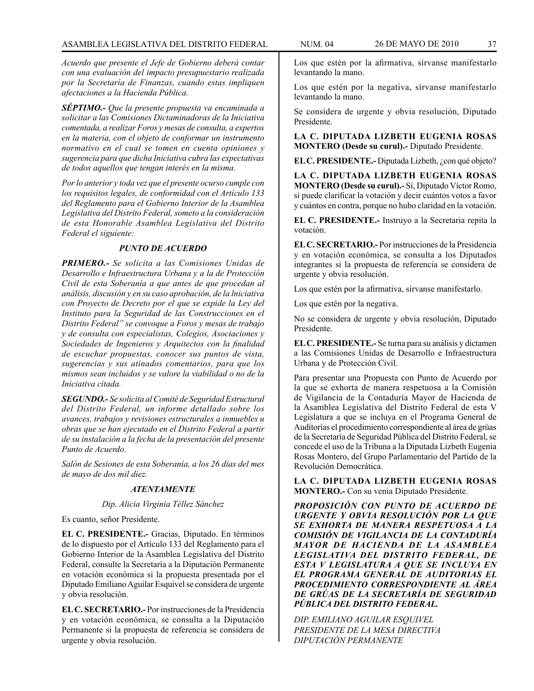*Acuerdo que presente el Jefe de Gobierno deberá contar con una evaluación del impacto presupuestario realizada por la Secretaría de Finanzas, cuando estas impliquen afectaciones a la Hacienda Pública.*

*SÉPTIMO.- Que la presente propuesta va encaminada a solicitar a las Comisiones Dictaminadoras de la Iniciativa comentada, a realizar Foros y mesas de consulta, a expertos en la materia, con el objeto de conformar un instrumento normativo en el cual se tomen en cuenta opiniones y sugerencia para que dicha Iniciativa cubra las expectativas de todos aquellos que tengan interés en la misma.*

*Por lo anterior y toda vez que el presente ocurso cumple con los requisitos legales, de conformidad con el Artículo 133 del Reglamento para el Gobierno Interior de la Asamblea Legislativa del Distrito Federal, someto a la consideración de esta Honorable Asamblea Legislativa del Distrito Federal el siguiente:*

#### *PUNTO DE ACUERDO*

*PRIMERO.- Se solicita a las Comisiones Unidas de Desarrollo e Infraestructura Urbana y a la de Protección Civil de esta Soberanía a que antes de que procedan al análisis, discusión y en su caso aprobación, de la lniciativa con Proyecto de Decreto por el que se expide la Ley del Instituto para la Seguridad de las Construcciones en el Distrito Federal" se convoque a Foros y mesas de trabajo y de consulta con especialistas, Colegios, Asociaciones y Sociedades de Ingenieros y Arquitectos con la finalidad de escuchar propuestas, conocer sus puntos de vista, sugerencias y sus atinados comentarios, para que los mismos sean incluidos y se valore la viabilidad o no de la Iniciativa citada.*

*SEGUNDO.- Se solicita al Comité de Seguridad Estructural del Distrito Federal, un informe detallado sobre los avances, trabajos y revisiones estructurales a inmuebles u obras que se han ejecutado en el Distrito Federal a partir de su instalación a la fecha de la presentación del presente Punto de Acuerdo.*

*Salón de Sesiones de esta Soberanía, a los 26 días del mes de mayo de dos mil diez.*

## *ATENTAMENTE*

## *Dip. Alicia Virginia Téllez Sánchez*

Es cuanto, señor Presidente.

**EL C. PRESIDENTE.-** Gracias, Diputado. En términos de lo dispuesto por el Artículo 133 del Reglamento para el Gobierno Interior de la Asamblea Legislativa del Distrito Federal, consulte la Secretaría a la Diputación Permanente en votación económica si la propuesta presentada por el Diputado Emiliano Aguilar Esquivel se considera de urgente y obvia resolución.

**EL C. SECRETARIO.-** Por instrucciones de la Presidencia y en votación económica, se consulta a la Diputación Permanente si la propuesta de referencia se considera de urgente y obvia resolución.

Los que estén por la afirmativa, sírvanse manifestarlo levantando la mano.

Los que estén por la negativa, sírvanse manifestarlo levantando la mano.

Se considera de urgente y obvia resolución, Diputado Presidente.

**LA C. DIPUTADA LIZBETH EUGENIA ROSAS MONTERO (Desde su curul).-** Diputado Presidente.

**EL C. PRESIDENTE.-** Diputada Lizbeth, ¿con qué objeto?

**LA C. DIPUTADA LIZBETH EUGENIA ROSAS MONTERO (Desde su curul).-** Sí, Diputado Víctor Romo, si puede clarificar la votación y decir cuántos votos a favor y cuántos en contra, porque no hubo claridad en la votación.

**EL C. PRESIDENTE.-** Instruyo a la Secretaria repita la votación.

**EL C. SECRETARIO.-** Por instrucciones de la Presidencia y en votación económica, se consulta a los Diputados integrantes si la propuesta de referencia se considera de urgente y obvia resolución.

Los que estén por la afirmativa, sírvanse manifestarlo.

Los que estén por la negativa.

No se considera de urgente y obvia resolución, Diputado Presidente.

**EL C. PRESIDENTE.-** Se turna para su análisis y dictamen a las Comisiones Unidas de Desarrollo e Infraestructura Urbana y de Protección Civil.

Para presentar una Propuesta con Punto de Acuerdo por la que se exhorta de manera respetuosa a la Comisión de Vigilancia de la Contaduría Mayor de Hacienda de la Asamblea Legislativa del Distrito Federal de esta V Legislatura a que se incluya en el Programa General de Auditorías el procedimiento correspondiente al área de grúas de la Secretaría de Seguridad Pública del Distrito Federal, se concede el uso de la Tribuna a la Diputada Lizbeth Eugenia Rosas Montero, del Grupo Parlamentario del Partido de la Revolución Democrática.

**LA C. DIPUTADA LIZBETH EUGENIA ROSAS MONTERO.-** Con su venia Diputado Presidente.

*PROPOSICIÓN CON PUNTO DE ACUERDO DE URGENTE Y OBVIA RESOLUCIÓN POR LA QUE SE EXHORTA DE MANERA RESPETUOSA A LA COMISIÓN DE VIGILANCIA DE LA CONTADURÍA MAYOR DE HACIENDA DE LA ASAMBLEA LEGISLATIVA DEL DISTRITO FEDERAL, DE ESTA V LEGISLATURA A QUE SE INCLUYA EN EL PROGRAMA GENERAL DE AUDITORIAS EL PROCEDIMIENTO CORRESPONDIENTE AL ÁREA DE GRÚAS DE LA SECRETARÍA DE SEGURIDAD PÚBLICA DEL DISTRITO FEDERAL.*

*DIP. EMILIANO AGUILAR ESQUIVEL PRESIDENTE DE LA MESA DIRECTIVA DIPUTACIÓN PERMANENTE*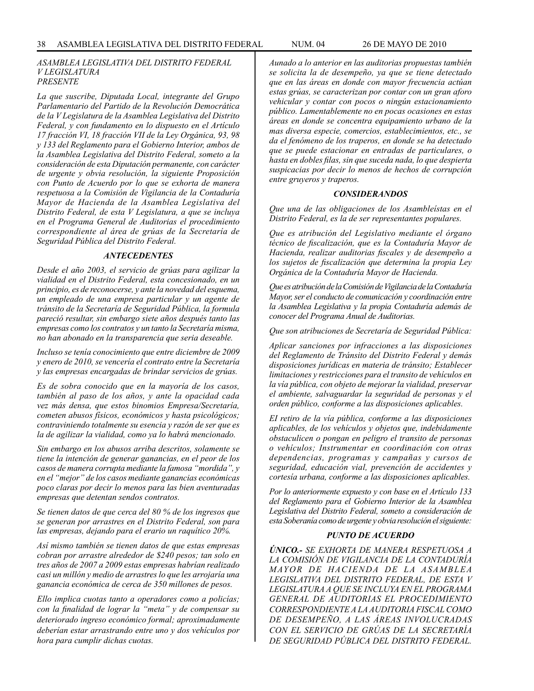#### *ASAMBLEA LEGISLATIVA DEL DISTRITO FEDERAL V LEGISLATURA PRESENTE*

*La que suscribe, Diputada Local, integrante del Grupo Parlamentario del Partido de la Revolución Democrática de la V Legislatura de la Asamblea Legislativa del Distrito Federal, y con fundamento en lo dispuesto en el Artículo 17 fracción VI, 18 fracción VII de la Ley Orgánica, 93, 98 y 133 del Reglamento para el Gobierno Interior, ambos de la Asamblea Legislativa del Distrito Federal, someto a la consideración de esta Diputación permanente, con carácter de urgente y obvia resolución, la siguiente Proposición con Punto de Acuerdo por lo que se exhorta de manera respetuosa a la Comisión de Vigilancia de la Contaduría Mayor de Hacienda de la Asamblea Legislativa del Distrito Federal, de esta V Legislatura, a que se incluya en el Programa General de Auditorias el procedimiento correspondiente al área de grúas de la Secretaría de Seguridad Pública del Distrito Federal.*

### *ANTECEDENTES*

*Desde el año 2003, el servicio de grúas para agilizar la vialidad en el Distrito Federal, esta concesionado, en un principio, es de reconocerse, y ante la novedad del esquema, un empleado de una empresa particular y un agente de tránsito de la Secretaría de Seguridad Pública, la formula pareció resultar, sin embargo siete años después tanto las empresas como los contratos y un tanto la Secretaría misma, no han abonado en la transparencia que seria deseable.*

*Incluso se tenía conocimiento que entre diciembre de 2009 y enero de 2010, se vencería el contrato entre la Secretaría y las empresas encargadas de brindar servicios de grúas.*

*Es de sobra conocido que en la mayoría de los casos, también al paso de los años, y ante la opacidad cada vez más densa, que estos binomios Empresa/Secretaría, cometen abusos físicos, económicos y hasta psicológicos; contraviniendo totalmente su esencia y razón de ser que es la de agilizar la vialidad, como ya lo habrá mencionado.*

*Sin embargo en los abusos arriba descritos, solamente se tiene la intención de generar ganancias, en el peor de los casos de manera corrupta mediante la famosa "mordida", y en el "mejor" de los casos mediante ganancias económicas poco claras por decir lo menos para las bien aventuradas empresas que detentan sendos contratos.*

*Se tienen datos de que cerca del 80 % de los ingresos que se generan por arrastres en el Distrito Federal, son para las empresas, dejando para el erario un raquítico 20%.*

*Así mismo también se tienen datos de que estas empresas cobran por arrastre alrededor de \$240 pesos; tan solo en tres años de 2007 a 2009 estas empresas habrían realizado casi un millón y medio de arrastres lo que les arrojaría una ganancia económica de cerca de 350 millones de pesos.*

*Ello implica cuotas tanto a operadores como a policías; con la finalidad de lograr la "meta" y de compensar su deteriorado ingreso económico formal; aproximadamente deberían estar arrastrando entre uno y dos vehículos por hora para cumplir dichas cuotas.*

*Aunado a lo anterior en las auditorias propuestas también se solicita la de desempeño, ya que se tiene detectado que en las áreas en donde con mayor frecuencia actúan estas grúas, se caracterizan por contar con un gran aforo vehicular y contar con pocos o ningún estacionamiento público. Lamentablemente no en pocas ocasiones en estas áreas en donde se concentra equipamiento urbano de la mas diversa especie, comercios, establecimientos, etc., se da el fenómeno de los traperos, en donde se ha detectado que se puede estacionar en entradas de particulares, o hasta en dobles filas, sin que suceda nada, lo que despierta suspicacias por decir lo menos de hechos de corrupción entre gruyeros y traperos.*

#### *CONSIDERANDOS*

*Que una de las obligaciones de los Asambleístas en el Distrito Federal, es la de ser representantes populares.*

*Que es atribución del Legislativo mediante el órgano técnico de fiscalización, que es la Contaduría Mayor de Hacienda, realizar auditorias fiscales y de desempeño a los sujetos de fiscalización que determina la propia Ley Orgánica de la Contaduría Mayor de Hacienda.*

*Que es atribución de la Comisión de Vigilancia de la Contaduría Mayor, ser el conducto de comunicación y coordinación entre la Asamblea Legislativa y la propia Contaduría además de conocer del Programa Anual de Auditorias.*

*Que son atribuciones de Secretaría de Seguridad Pública:*

*Aplicar sanciones por infracciones a las disposiciones del Reglamento de Tránsito del Distrito Federal y demás disposiciones jurídicas en materia de tránsito; Establecer limitaciones y restricciones para el transito de vehículos en la vía pública, con objeto de mejorar la vialidad, preservar el ambiente, salvaguardar la seguridad de personas y el orden público, conforme a las disposiciones aplicables.*

*EI retiro de la vía pública, conforme a las disposiciones aplicables, de los vehículos y objetos que, indebidamente obstaculicen o pongan en peligro el transito de personas o vehículos; Instrumentar en coordinación con otras dependencias, programas y campañas y cursos de seguridad, educación vial, prevención de accidentes y cortesía urbana, conforme a las disposiciones aplicables.*

*Por lo anteriormente expuesto y con base en el Artículo 133 del Reglamento para el Gobierno Interior de la Asamblea Legislativa del Distrito Federal, someto a consideración de esta Soberanía como de urgente y obvia resolución el siguiente:*

### *PUNTO DE ACUERDO*

*ÚNICO.- SE EXHORTA DE MANERA RESPETUOSA A LA COMISIÓN DE VIGILANCIA DE LA CONTADURÍA MAYOR DE HACIENDA DE LA ASAMBLEA LEGISLATIVA DEL DISTRITO FEDERAL, DE ESTA V LEGISLATURA A QUE SE INCLUYA EN EL PROGRAMA GENERAL DE AUDITORIAS EL PROCEDIMIENTO CORRESPONDIENTE A LA AUDITORIA FISCAL COMO DE DESEMPEÑO, A LAS ÁREAS INVOLUCRADAS CON EL SERVICIO DE GRÚAS DE LA SECRETARÍA DE SEGURIDAD PÚBLICA DEL DISTRITO FEDERAL.*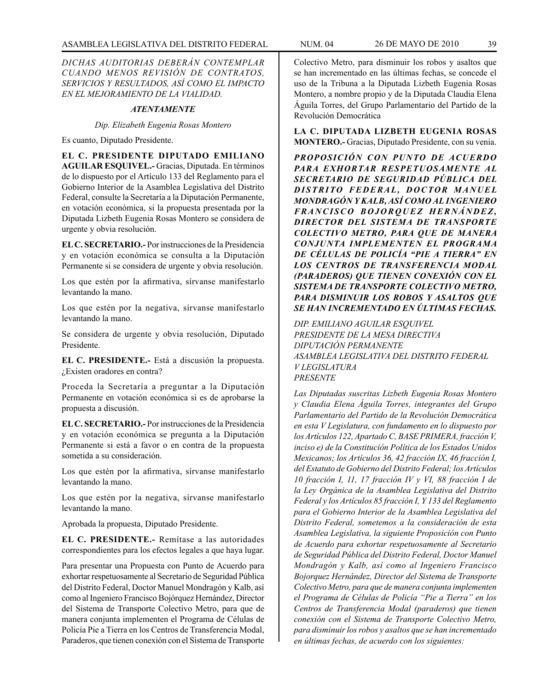*DICHAS AUDITORIAS DEBERÁN CONTEMPLAR CUANDO MENOS REVISIÓN DE CONTRATOS, SERVICIOS Y RESULTADOS, ASÍ COMO EL IMPACTO EN EL MEJORAMIENTO DE LA VIALIDAD.*

# *ATENTAMENTE*

*Dip. Elizabeth Eugenia Rosas Montero*

Es cuanto, Diputado Presidente.

**EL C. PRESIDENTE DIPUTADO EMILIANO AGUILAR ESQUIVEL.-** Gracias, Diputada. En términos de lo dispuesto por el Artículo 133 del Reglamento para el Gobierno Interior de la Asamblea Legislativa del Distrito Federal, consulte la Secretaría a la Diputación Permanente, en votación económica, si la propuesta presentada por la Diputada Lizbeth Eugenia Rosas Montero se considera de urgente y obvia resolución.

**EL C. SECRETARIO.-** Por instrucciones de la Presidencia y en votación económica se consulta a la Diputación Permanente si se considera de urgente y obvia resolución.

Los que estén por la afirmativa, sírvanse manifestarlo levantando la mano.

Los que estén por la negativa, sírvanse manifestarlo levantando la mano.

Se considera de urgente y obvia resolución, Diputado Presidente.

**EL C. PRESIDENTE.-** Está a discusión la propuesta. ¿Existen oradores en contra?

Proceda la Secretaría a preguntar a la Diputación Permanente en votación económica si es de aprobarse la propuesta a discusión.

**EL C. SECRETARIO.-** Por instrucciones de la Presidencia y en votación económica se pregunta a la Diputación Permanente si está a favor o en contra de la propuesta sometida a su consideración.

Los que estén por la afirmativa, sírvanse manifestarlo levantando la mano.

Los que estén por la negativa, sírvanse manifestarlo levantando la mano.

Aprobada la propuesta, Diputado Presidente.

**EL C. PRESIDENTE.-** Remítase a las autoridades correspondientes para los efectos legales a que haya lugar.

Para presentar una Propuesta con Punto de Acuerdo para exhortar respetuosamente al Secretario de Seguridad Pública del Distrito Federal, Doctor Manuel Mondragón y Kalb, así como al Ingeniero Francisco Bojórquez Hernández, Director del Sistema de Transporte Colectivo Metro, para que de manera conjunta implementen el Programa de Células de Policía Pie a Tierra en los Centros de Transferencia Modal, Paraderos, que tienen conexión con el Sistema de Transporte

Colectivo Metro, para disminuir los robos y asaltos que se han incrementado en las últimas fechas, se concede el uso de la Tribuna a la Diputada Lizbeth Eugenia Rosas Montero, a nombre propio y de la Diputada Claudia Elena Águila Torres, del Grupo Parlamentario del Partido de la Revolución Democrática

**LA C. DIPUTADA LIZBETH EUGENIA ROSAS MONTERO.-** Gracias, Diputado Presidente, con su venia.

*PROPOSICIÓN CON PUNTO DE ACUERDO PARA EXHORTAR RESPETUOSAMENTE AL SECRETARIO DE SEGURIDAD PÚBLICA DEL*  **DISTRITO FEDERAL, DOCTOR MANUEL** *MONDRAGÓN Y KALB, ASÍ COMO AL INGENIERO*   $FRANCISCO$  BOJORQUEZ HERNÁNDEZ, *DIRECTOR DEL SISTEMA DE TRANSPORTE COLECTIVO METRO, PARA QUE DE MANERA CONJUNTA IMPLEMENTEN EL PROGRAMA DE CÉLULAS DE POLICÍA "PIE A TIERRA" EN LOS CENTROS DE TRANSFERENCIA MODAL (PARADEROS) QUE TIENEN CONEXIÓN CON EL SISTEMA DE TRANSPORTE COLECTIVO METRO, PARA DISMINUIR LOS ROBOS Y ASALTOS QUE SE HAN INCREMENTADO EN ÚLTIMAS FECHAS.*

*DIP. EMILIANO AGUILAR ESQUIVEL PRESIDENTE DE LA MESA DIRECTIVA DIPUTACIÓN PERMANENTE ASAMBLEA LEGISLATIVA DEL DISTRITO FEDERAL V LEGISLATURA PRESENTE*

*Las Diputadas suscritas Lizbeth Eugenia Rosas Montero y Claudia Elena Águila Torres, integrantes del Grupo Parlamentario del Partido de la Revolución Democrática en esta V Legislatura, con fundamento en lo dispuesto por los Artículos 122, Apartado C, BASE PRIMERA, fracción V, inciso e) de la Constitución Política de los Estados Unidos Mexicanos; los Artículos 36, 42 fracción IX, 46 fracción I, del Estatuto de Gobierno del Distrito Federal; los Artículos 10 fracción I, 11, 17 fracción IV y VI, 88 fracción I de la Ley Orgánica de la Asamblea Legislativa del Distrito Federal y los Artículos 85 fracción I, Y 133 del Reglamento para el Gobierno Interior de la Asamblea Legislativa del Distrito Federal, sometemos a la consideración de esta Asamblea Legislativa, la siguiente Proposición con Punto de Acuerdo para exhortar respetuosamente al Secretario de Seguridad Pública del Distrito Federal, Doctor Manuel Mondragón y Kalb, así como al Ingeniero Francisco Bojorquez Hernández, Director del Sistema de Transporte Colectivo Metro, para que de manera conjunta implementen el Programa de Células de Policía "Pie a Tierra" en los Centros de Transferencia Modal (paraderos) que tienen conexión con el Sistema de Transporte Colectivo Metro, para disminuir los robos y asaltos que se han incrementado en últimas fechas, de acuerdo con los siguientes:*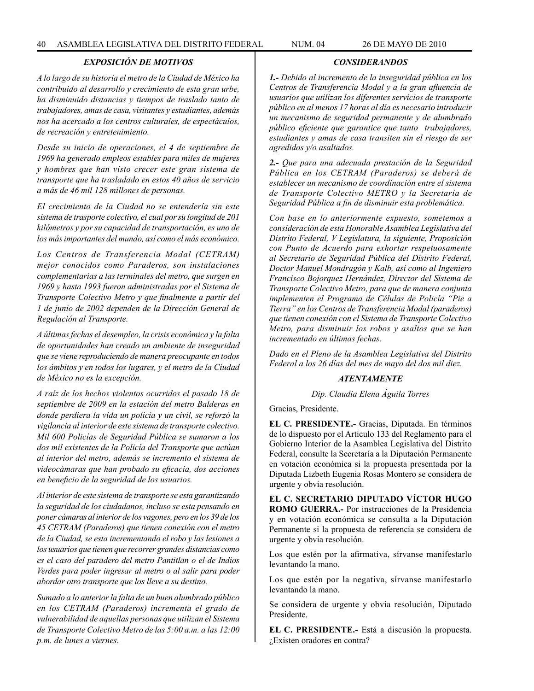# *EXPOSICIÓN DE MOTIVOS*

*A lo largo de su historia el metro de la Ciudad de México ha contribuido al desarrollo y crecimiento de esta gran urbe, ha disminuido distancias y tiempos de traslado tanto de trabajadores, amas de casa, visitantes y estudiantes, además nos ha acercado a los centros culturales, de espectáculos, de recreación y entretenimiento.*

*Desde su inicio de operaciones, el 4 de septiembre de 1969 ha generado empleos estables para miles de mujeres y hombres que han visto crecer este gran sistema de transporte que ha trasladado en estos 40 años de servicio a más de 46 mil 128 millones de personas.*

*El crecimiento de la Ciudad no se entendería sin este sistema de trasporte colectivo, el cual por su longitud de 201 kilómetros y por su capacidad de transportación, es uno de los más importantes del mundo, así como el más económico.*

*Los Centros de Transferencia Modal (CETRAM) mejor conocidos como Paraderos, son instalaciones complementarias a las terminales del metro, que surgen en 1969 y hasta 1993 fueron administradas por el Sistema de Transporte Colectivo Metro y que finalmente a partir del 1 de junio de 2002 dependen de la Dirección General de Regulación al Transporte.*

*A últimas fechas el desempleo, la crisis económica y la falta de oportunidades han creado un ambiente de inseguridad que se viene reproduciendo de manera preocupante en todos los ámbitos y en todos los lugares, y el metro de la Ciudad de México no es la excepción.*

*A raíz de los hechos violentos ocurridos el pasado 18 de septiembre de 2009 en la estación del metro Balderas en donde perdiera la vida un policía y un civil, se reforzó la vigilancia al interior de este sistema de transporte colectivo. Mil 600 Policías de Seguridad Pública se sumaron a los dos mil existentes de la Policía del Transporte que actúan al interior del metro, además se incremento el sistema de videocámaras que han probado su eficacia, dos acciones en beneficio de la seguridad de los usuarios.*

*Al interior de este sistema de transporte se esta garantizando la seguridad de los ciudadanos, incluso se esta pensando en poner cámaras al interior de los vagones, pero en los 39 de los 45 CETRAM (Paraderos) que tienen conexión con el metro de la Ciudad, se esta incrementando el robo y las lesiones a los usuarios que tienen que recorrer grandes distancias como es el caso del paradero del metro Pantitlan o el de Indios Verdes para poder ingresar al metro o al salir para poder abordar otro transporte que los lleve a su destino.*

*Sumado a lo anterior la falta de un buen alumbrado público en los CETRAM (Paraderos) incrementa el grado de vulnerabilidad de aquellas personas que utilizan el Sistema de Transporte Colectivo Metro de las 5:00 a.m. a las 12:00 p.m. de lunes a viernes.*

*1.- Debido al incremento de la inseguridad pública en los Centros de Transferencia Modal y a la gran afluencia de usuarios que utilizan los diferentes servicios de transporte público en al menos 17 horas al día es necesario introducir un mecanismo de seguridad permanente y de alumbrado público eficiente que garantice que tanto trabajadores, estudiantes y amas de casa transiten sin el riesgo de ser agredidos y/o asaltados.*

*CONSIDERANDOS*

*2.- Que para una adecuada prestación de la Seguridad Pública en los CETRAM (Paraderos) se deberá de establecer un mecanismo de coordinación entre el sistema de Transporte Colectivo METRO y la Secretaría de Seguridad Pública a fin de disminuir esta problemática.*

*Con base en lo anteriormente expuesto, sometemos a consideración de esta Honorable Asamblea Legislativa del Distrito Federal, V Legislatura, la siguiente, Proposición con Punto de Acuerdo para exhortar respetuosamente al Secretario de Seguridad Pública del Distrito Federal, Doctor Manuel Mondragón y Kalb, así como al Ingeniero Francisco Bojorquez Hernández, Director del Sistema de Transporte Colectivo Metro, para que de manera conjunta implementen el Programa de Células de Policía "Pie a Tierra" en los Centros de Transferencia Modal (paraderos) que tienen conexión con el Sistema de Transporte Colectivo Metro, para disminuir los robos y asaltos que se han incrementado en últimas fechas.*

*Dado en el Pleno de la Asamblea Legislativa del Distrito Federal a los 26 días del mes de mayo del dos mil diez.*

# *ATENTAMENTE*

*Dip. Claudia Elena Águila Torres*

Gracias, Presidente.

**EL C. PRESIDENTE.-** Gracias, Diputada. En términos de lo dispuesto por el Artículo 133 del Reglamento para el Gobierno Interior de la Asamblea Legislativa del Distrito Federal, consulte la Secretaría a la Diputación Permanente en votación económica si la propuesta presentada por la Diputada Lizbeth Eugenia Rosas Montero se considera de urgente y obvia resolución.

**EL C. SECRETARIO DIPUTADO VÍCTOR HUGO ROMO GUERRA.-** Por instrucciones de la Presidencia y en votación económica se consulta a la Diputación Permanente si la propuesta de referencia se considera de urgente y obvia resolución.

Los que estén por la afirmativa, sírvanse manifestarlo levantando la mano.

Los que estén por la negativa, sírvanse manifestarlo levantando la mano.

Se considera de urgente y obvia resolución, Diputado Presidente.

**EL C. PRESIDENTE.-** Está a discusión la propuesta. ¿Existen oradores en contra?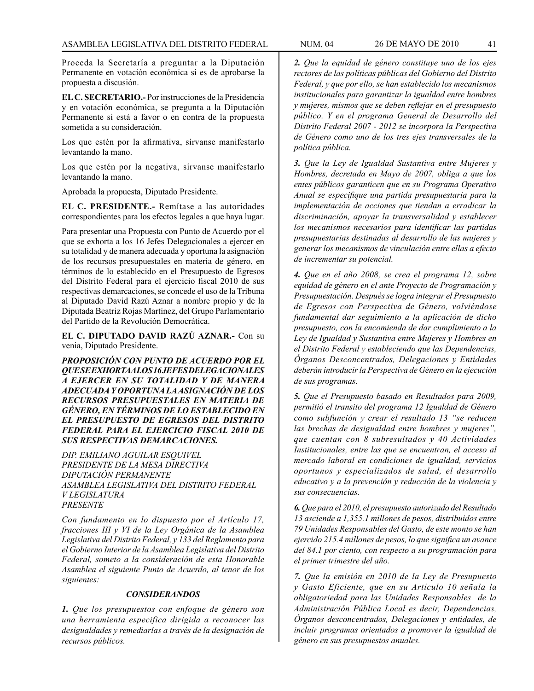Proceda la Secretaría a preguntar a la Diputación Permanente en votación económica si es de aprobarse la propuesta a discusión.

**EL C. SECRETARIO.-** Por instrucciones de la Presidencia y en votación económica, se pregunta a la Diputación Permanente si está a favor o en contra de la propuesta sometida a su consideración.

Los que estén por la afirmativa, sírvanse manifestarlo levantando la mano.

Los que estén por la negativa, sírvanse manifestarlo levantando la mano.

Aprobada la propuesta, Diputado Presidente.

**EL C. PRESIDENTE.-** Remítase a las autoridades correspondientes para los efectos legales a que haya lugar.

Para presentar una Propuesta con Punto de Acuerdo por el que se exhorta a los 16 Jefes Delegacionales a ejercer en su totalidad y de manera adecuada y oportuna la asignación de los recursos presupuestales en materia de género, en términos de lo establecido en el Presupuesto de Egresos del Distrito Federal para el ejercicio fiscal 2010 de sus respectivas demarcaciones, se concede el uso de la Tribuna al Diputado David Razú Aznar a nombre propio y de la Diputada Beatriz Rojas Martínez, del Grupo Parlamentario del Partido de la Revolución Democrática.

**EL C. DIPUTADO DAVID RAZÚ AZNAR.-** Con su venia, Diputado Presidente.

*PROPOSICIÓN CON PUNTO DE ACUERDO POR EL QUE SE EXHORTA A LOS 16 JEFES DELEGACIONALES A EJERCER EN SU TOTALIDAD Y DE MANERA ADECUADA Y OPORTUNA LA ASIGNACIÓN DE LOS RECURSOS PRESUPUESTALES EN MATERIA DE GÉNERO, EN TÉRMINOS DE LO ESTABLECIDO EN EL PRESUPUESTO DE EGRESOS DEL DISTRITO FEDERAL PARA EL EJERCICIO FISCAL 2010 DE SUS RESPECTIVAS DEMARCACIONES.*

*DIP. EMILIANO AGUILAR ESQUIVEL PRESIDENTE DE LA MESA DIRECTIVA DIPUTACIÓN PERMANENTE ASAMBLEA LEGISLATIVA DEL DISTRITO FEDERAL V LEGISLATURA PRESENTE*

*Con fundamento en lo dispuesto por el Artículo 17, fracciones III y VI de la Ley Orgánica de la Asamblea Legislativa del Distrito Federal, y 133 del Reglamento para el Gobierno Interior de la Asamblea Legislativa del Distrito Federal, someto a la consideración de esta Honorable Asamblea el siguiente Punto de Acuerdo, al tenor de los siguientes:*

# *CONSIDERANDOS*

*1. Que los presupuestos con enfoque de género son una herramienta especifica dirigida a reconocer las desigualdades y remediarlas a través de la designación de recursos públicos.*

*2. Que la equidad de género constituye uno de los ejes rectores de las políticas públicas del Gobierno del Distrito Federal, y que por ello, se han establecido los mecanismos institucionales para garantizar la igualdad entre hombres y mujeres, mismos que se deben reflejar en el presupuesto público. Y en el programa General de Desarrollo del Distrito Federal 2007 - 2012 se incorpora la Perspectiva de Género como uno de los tres ejes transversales de la política pública.*

*3. Que la Ley de Igualdad Sustantiva entre Mujeres y Hombres, decretada en Mayo de 2007, obliga a que los entes públicos garanticen que en su Programa Operativo Anual se especifique una partida presupuestaria para la implementación de acciones que tiendan a erradicar la discriminación, apoyar la transversalidad y establecer los mecanismos necesarios para identificar las partidas presupuestarias destinadas al desarrollo de las mujeres y generar los mecanismos de vinculación entre ellas a efecto de incrementar su potencial.*

*4. Que en el año 2008, se crea el programa 12, sobre equidad de género en el ante Proyecto de Programación y Presupuestación. Después se logra integrar el Presupuesto de Egresos con Perspectiva de Género, volviéndose fundamental dar seguimiento a la aplicación de dicho presupuesto, con la encomienda de dar cumplimiento a la Ley de Igualdad y Sustantiva entre Mujeres y Hombres en el Distrito Federal y estableciendo que las Dependencias, Órganos Desconcentrados, Delegaciones y Entidades deberán introducir la Perspectiva de Género en la ejecución de sus programas.*

*5. Que el Presupuesto basado en Resultados para 2009, permitió el transito del programa 12 Igualdad de Género como subfunción y crear el resultado 13 "se reducen las brechas de desigualdad entre hombres y mujeres", que cuentan con 8 subresultados y 40 Actividades Institucionales, entre las que se encuentran, el acceso al mercado laboral en condiciones de igualdad, servicios oportunos y especializados de salud, el desarrollo educativo y a la prevención y reducción de la violencia y sus consecuencias.*

*6. Que para el 2010, el presupuesto autorizado del Resultado 13 asciende a 1,355.1 millones de pesos, distribuidos entre 79 Unidades Responsables del Gasto, de este monto se han ejercido 215.4 millones de pesos, lo que significa un avance del 84.1 por ciento, con respecto a su programación para el primer trimestre del año.*

*7. Que la emisión en 2010 de la Ley de Presupuesto y Gasto Eficiente, que en su Artículo 10 señala la obligatoriedad para las Unidades Responsables de la Administración Pública Local es decir, Dependencias, Órganos desconcentrados, Delegaciones y entidades, de incluir programas orientados a promover la igualdad de género en sus presupuestos anuales.*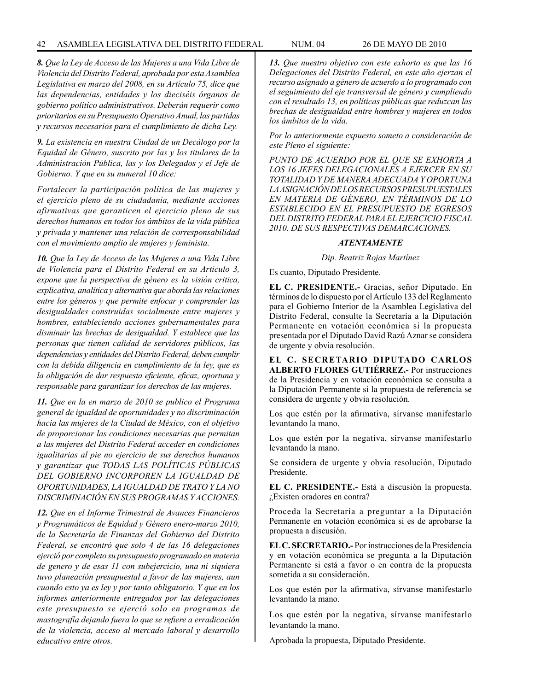*8. Que la Ley de Acceso de las Mujeres a una Vida Libre de Violencia del Distrito Federal, aprobada por esta Asamblea Legislativa en marzo del 2008, en su Artículo 75, dice que las dependencias, entidades y los dieciséis órganos de gobierno político administrativos. Deberán requerir como prioritarios en su Presupuesto Operativo Anual, las partidas y recursos necesarios para el cumplimiento de dicha Ley.*

*9. La existencia en nuestra Ciudad de un Decálogo por la Equidad de Género, suscrito por las y los titulares de la Administración Pública, las y los Delegados y el Jefe de Gobierno. Y que en su numeral 10 dice:*

*Fortalecer la participación política de las mujeres y el ejercicio pleno de su ciudadanía, mediante acciones afirmativas que garanticen el ejercicio pleno de sus derechos humanos en todos los ámbitos de la vida pública y privada y mantener una relación de corresponsabilidad con el movimiento amplio de mujeres y feminista.*

*10. Que la Ley de Acceso de las Mujeres a una Vida Libre de Violencia para el Distrito Federal en su Artículo 3, expone que la perspectiva de género es la visión critica, explicativa, analítica y alternativa que aborda las relaciones entre los géneros y que permite enfocar y comprender las desigualdades construidas socialmente entre mujeres y hombres, estableciendo acciones gubernamentales para disminuir las brechas de desigualdad. Y establece que las personas que tienen calidad de servidores públicos, las dependencias y entidades del Distrito Federal, deben cumplir con la debida diligencia en cumplimiento de la ley, que es la obligación de dar respuesta eficiente, eficaz, oportuna y responsable para garantizar los derechos de las mujeres.*

*11. Que en la en marzo de 2010 se publico el Programa general de igualdad de oportunidades y no discriminación hacia las mujeres de la Ciudad de México, con el objetivo de proporcionar las condiciones necesarias que permitan a las mujeres del Distrito Federal acceder en condiciones igualitarias al pie no ejercicio de sus derechos humanos y garantizar que TODAS LAS POLÍTICAS PÚBLICAS DEL GOBIERNO INCORPOREN LA IGUALDAD DE OPORTUNIDADES, LA IGUALDAD DE TRATO Y LA NO DISCRIMINACIÓN EN SUS PROGRAMAS Y ACCIONES.*

*12. Que en el Informe Trimestral de Avances Financieros y Programáticos de Equidad y Género enero-marzo 2010, de la Secretaría de Finanzas del Gobierno del Distrito Federal, se encontró que solo 4 de las 16 delegaciones ejerció por completo su presupuesto programado en materia de genero y de esas 11 con subejercicio, una ni siquiera tuvo planeación presupuestal a favor de las mujeres, aun cuando esto ya es ley y por tanto obligatorio. Y que en los informes anteriormente entregados por las delegaciones este presupuesto se ejerció solo en programas de mastografía dejando fuera lo que se refiere a erradicación de la violencia, acceso al mercado laboral y desarrollo educativo entre otros.*

*13. Que nuestro objetivo con este exhorto es que las 16 Delegaciones del Distrito Federal, en este año ejerzan el recurso asignado a género de acuerdo a lo programado con el seguimiento del eje transversal de género y cumpliendo con el resultado 13, en políticas públicas que reduzcan las brechas de desigualdad entre hombres y mujeres en todos los ámbitos de la vida.*

*Por lo anteriormente expuesto someto a consideración de este Pleno el siguiente:*

*PUNTO DE ACUERDO POR EL QUE SE EXHORTA A LOS 16 JEFES DELEGACIONALES A EJERCER EN SU TOTALIDAD Y DE MANERA ADECUADA Y OPORTUNA LA ASIGNACIÓN DE LOS RECURSOS PRESUPUESTALES EN MATERIA DE GÉNERO, EN TÉRMINOS DE LO ESTABLECIDO EN EL PRESUPUESTO DE EGRESOS DEL DISTRITO FEDERAL PARA EL EJERCICIO FISCAL 2010. DE SUS RESPECTIVAS DEMARCACIONES.*

### *ATENTAMENTE*

#### *Dip. Beatriz Rojas Martínez*

Es cuanto, Diputado Presidente.

**EL C. PRESIDENTE.-** Gracias, señor Diputado. En términos de lo dispuesto por el Artículo 133 del Reglamento para el Gobierno Interior de la Asamblea Legislativa del Distrito Federal, consulte la Secretaría a la Diputación Permanente en votación económica si la propuesta presentada por el Diputado David Razú Aznar se considera de urgente y obvia resolución.

**EL C. SECRETARIO DIPUTADO CARLOS ALBERTO FLORES GUTIÉRREZ.-** Por instrucciones de la Presidencia y en votación económica se consulta a la Diputación Permanente si la propuesta de referencia se considera de urgente y obvia resolución.

Los que estén por la afirmativa, sírvanse manifestarlo levantando la mano.

Los que estén por la negativa, sírvanse manifestarlo levantando la mano.

Se considera de urgente y obvia resolución, Diputado Presidente.

**EL C. PRESIDENTE.-** Está a discusión la propuesta. ¿Existen oradores en contra?

Proceda la Secretaría a preguntar a la Diputación Permanente en votación económica si es de aprobarse la propuesta a discusión.

**EL C. SECRETARIO.-** Por instrucciones de la Presidencia y en votación económica se pregunta a la Diputación Permanente si está a favor o en contra de la propuesta sometida a su consideración.

Los que estén por la afirmativa, sírvanse manifestarlo levantando la mano.

Los que estén por la negativa, sírvanse manifestarlo levantando la mano.

Aprobada la propuesta, Diputado Presidente.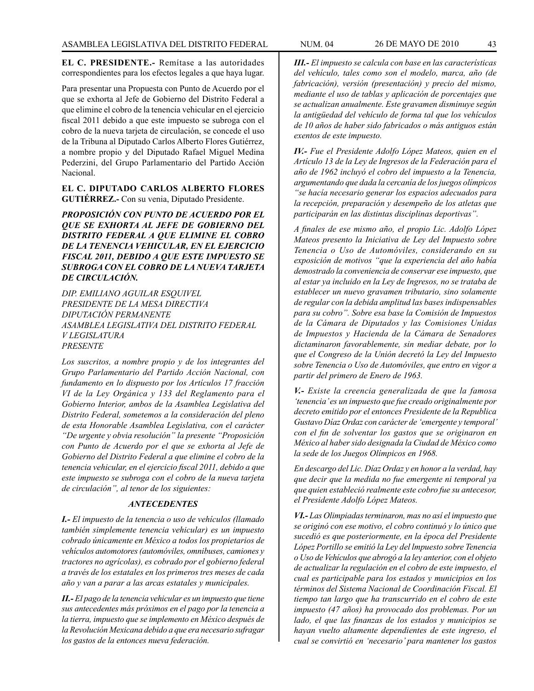**EL C. PRESIDENTE.-** Remítase a las autoridades correspondientes para los efectos legales a que haya lugar.

Para presentar una Propuesta con Punto de Acuerdo por el que se exhorta al Jefe de Gobierno del Distrito Federal a que elimine el cobro de la tenencia vehicular en el ejercicio fiscal 2011 debido a que este impuesto se subroga con el cobro de la nueva tarjeta de circulación, se concede el uso de la Tribuna al Diputado Carlos Alberto Flores Gutiérrez, a nombre propio y del Diputado Rafael Miguel Medina Pederzini, del Grupo Parlamentario del Partido Acción Nacional.

## **EL C. DIPUTADO CARLOS ALBERTO FLORES GUTIÉRREZ.-** Con su venia, Diputado Presidente.

*PROPOSICIÓN CON PUNTO DE ACUERDO POR EL QUE SE EXHORTA AL JEFE DE GOBIERNO DEL DISTRITO FEDERAL A QUE ELIMINE EL COBRO DE LA TENENCIA VEHICULAR, EN EL EJERCICIO FISCAL 2011, DEBIDO A QUE ESTE IMPUESTO SE SUBROGA CON EL COBRO DE LA NUEVA TARJETA DE CIRCULACIÓN.*

*DIP. EMILIANO AGUILAR ESQUIVEL PRESIDENTE DE LA MESA DIRECTIVA DIPUTACIÓN PERMANENTE ASAMBLEA LEGISLATIVA DEL DISTRITO FEDERAL V LEGISLATURA PRESENTE*

*Los suscritos, a nombre propio y de los integrantes del Grupo Parlamentario del Partido Acción Nacional, con fundamento en lo dispuesto por los Artículos 17 fracción VI de la Ley Orgánica y 133 del Reglamento para el Gobierno Interior, ambos de la Asamblea Legislativa del Distrito Federal, sometemos a la consideración del pleno de esta Honorable Asamblea Legislativa, con el carácter "De urgente y obvia resolución" la presente "Proposición con Punto de Acuerdo por el que se exhorta al Jefe de Gobierno del Distrito Federal a que elimine el cobro de la tenencia vehicular, en el ejercicio fiscal 2011, debido a que este impuesto se subroga con el cobro de la nueva tarjeta de circulación", al tenor de los siguientes:*

### *ANTECEDENTES*

*I.- El impuesto de la tenencia o uso de vehículos (llamado también simplemente tenencia vehicular) es un impuesto cobrado únicamente en México a todos los propietarios de vehículos automotores (automóviles, omnibuses, camiones y tractores no agrícolas), es cobrado por el gobierno federal a través de los estatales en los primeros tres meses de cada año y van a parar a las arcas estatales y municipales.*

*II.- El pago de la tenencia vehicular es un impuesto que tiene sus antecedentes más próximos en el pago por la tenencia a la tierra, impuesto que se implemento en México después de la Revolución Mexicana debido a que era necesario sufragar los gastos de la entonces nueva federación.*

*III.- El impuesto se calcula con base en las características del vehículo, tales como son el modelo, marca, año (de fabricación), versión (presentación) y precio del mismo, mediante el uso de tablas y aplicación de porcentajes que se actualizan anualmente. Este gravamen disminuye según la antigüedad del vehículo de forma tal que los vehículos de 10 años de haber sido fabricados o más antiguos están exentos de este impuesto.*

*IV.- Fue el Presidente Adolfo López Mateos, quien en el Artículo 13 de la Ley de Ingresos de la Federación para el año de 1962 incluyó el cobro del impuesto a la Tenencia, argumentando que dada la cercanía de los juegos olímpicos "se hacía necesario generar los espacios adecuados para la recepción, preparación y desempeño de los atletas que participarán en las distintas disciplinas deportivas".*

*A finales de ese mismo año, el propio Lic. Adolfo López Mateos presento la Iniciativa de Ley del Impuesto sobre Tenencia o Uso de Automóviles, considerando en su exposición de motivos "que la experiencia del año había demostrado la conveniencia de conservar ese impuesto, que al estar ya incluido en la Ley de Ingresos, no se trataba de establecer un nuevo gravamen tributario, sino solamente de regular con la debida amplitud las bases indispensables para su cobro". Sobre esa base la Comisión de Impuestos de la Cámara de Diputados y las Comisiones Unidas de Impuestos y Hacienda de la Cámara de Senadores dictaminaron favorablemente, sin mediar debate, por lo que el Congreso de la Unión decretó la Ley del Impuesto sobre Tenencia o Uso de Automóviles, que entro en vigor a partir del primero de Enero de 1963.*

*V.- Existe la creencia generalizada de que la famosa 'tenencia' es un impuesto que fue creado originalmente por decreto emitido por el entonces Presidente de la Republica Gustavo Díaz Ordaz con carácter de 'emergente y temporal' con el fin de solventar los gastos que se originaron en México al haber sido designada la Ciudad de México como la sede de los Juegos Olímpicos en 1968.*

*En descargo del Lic. Díaz Ordaz y en honor a la verdad, hay que decir que la medida no fue emergente ni temporal ya que quien estableció realmente este cobro fue su antecesor, el Presidente Adolfo López Mateos.*

*VI.- Las Olimpiadas terminaron, mas no así el impuesto que se originó con ese motivo, el cobro continuó y lo único que sucedió es que posteriormente, en la época del Presidente López Portillo se emitió la Ley del lmpuesto sobre Tenencia o Uso de Vehículos que abrogó a la ley anterior, con el objeto de actualizar la regulación en el cobro de este impuesto, el cual es participable para los estados y municipios en los términos del Sistema Nacional de Coordinación Fiscal. El tiempo tan largo que ha transcurrido en el cobro de este impuesto (47 años) ha provocado dos problemas. Por un lado, el que las finanzas de los estados y municipios se hayan vuelto altamente dependientes de este ingreso, el cual se convirtió en 'necesario' para mantener los gastos*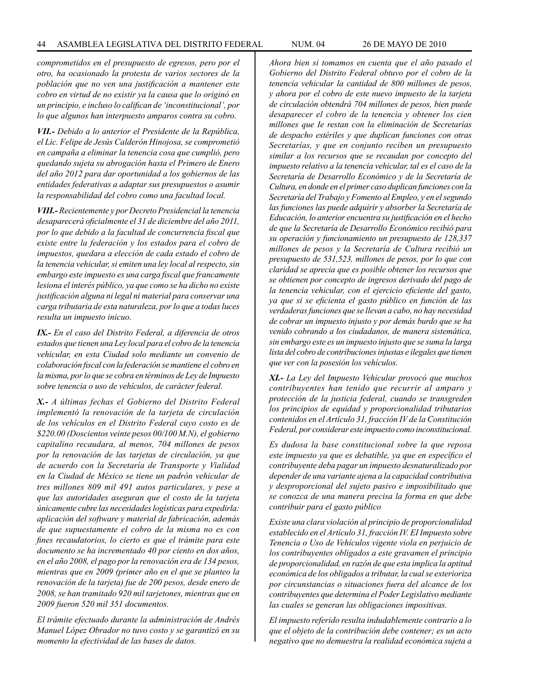*comprometidos en el presupuesto de egresos, pero por el otro, ha ocasionado la protesta de varios sectores de la población que no ven una justificación a mantener este cobro en virtud de no existir ya la causa que lo originó en un principio, e incluso lo califican de 'inconstitucional', por lo que algunos han interpuesto amparos contra su cobro.*

*VII.- Debido a lo anterior el Presidente de la República, el Lic. Felipe de Jesús Calderón Hinojosa, se comprometió en campaña a eliminar la tenencia cosa que cumplió, pero quedando sujeta su abrogación hasta el Primero de Enero del año 2012 para dar oportunidad a los gobiernos de las entidades federativas a adaptar sus presupuestos o asumir la responsabilidad del cobro como una facultad local.*

*VIII.- Recientemente y por Decreto Presidencial la tenencia desaparecerá oficialmente el 31 de diciembre del año 2011, por lo que debido a la facultad de concurrencia fiscal que existe entre la federación y los estados para el cobro de impuestos, quedara a elección de cada estado el cobro de la tenencia vehicular, si emiten una ley local al respecto, sin embargo este impuesto es una carga fiscal que francamente lesiona el interés público, ya que como se ha dicho no existe justificación alguna ni legal ni material para conservar una carga tributaria de esta naturaleza, por lo que a todas luces resulta un impuesto inicuo.*

*IX.- En el caso del Distrito Federal, a diferencia de otros estados que tienen una Ley local para el cobro de la tenencia vehicular, en esta Ciudad solo mediante un convenio de colaboración fiscal con la federación se mantiene el cobro en la misma, por lo que se cobra en términos de Ley de Impuesto sobre tenencia o uso de vehículos, de carácter federal.*

*X.- A últimas fechas el Gobierno del Distrito Federal implementó la renovación de la tarjeta de circulación de los vehículos en el Distrito Federal cuyo costo es de \$220.00 (Doscientos veinte pesos 00/100 M.N), el gobierno capitalino recaudara, al menos, 704 millones de pesos por la renovación de las tarjetas de circulación, ya que de acuerdo con la Secretaría de Transporte y Vialidad en la Ciudad de México se tiene un padrón vehicular de tres millones 809 mil 491 autos particulares, y pese a que las autoridades aseguran que el costo de la tarjeta únicamente cubre las necesidades logísticas para expedirla: aplicación del software y material de fabricación, además de que supuestamente el cobro de la misma no es con fines recaudatorios, lo cierto es que el trámite para este documento se ha incrementado 40 por ciento en dos años, en el año 2008, el pago por la renovación era de 134 pesos, mientras que en 2009 (primer año en el que se planteo la renovación de la tarjeta) fue de 200 pesos, desde enero de 2008, se han tramitado 920 mil tarjetones, mientras que en 2009 fueron 520 mil 351 documentos.*

*El trámite efectuado durante la administración de Andrés Manuel López Obrador no tuvo costo y se garantizó en su momento la efectividad de las bases de datos.*

*Ahora bien si tomamos en cuenta que el año pasado el Gobierno del Distrito Federal obtuvo por el cobro de la tenencia vehicular la cantidad de 800 millones de pesos, y ahora por el cobro de este nuevo impuesto de la tarjeta de circulación obtendrá 704 millones de pesos, bien puede desaparecer el cobro de la tenencia y obtener los cien millones que Ie restan con la eliminación de Secretarías de despacho estériles y que duplican funciones con otras Secretarías, y que en conjunto reciben un presupuesto similar a los recursos que se recaudan por concepto del impuesto relativo a la tenencia vehicular, tal es el caso de la Secretaría de Desarrollo Económico y de la Secretaría de Cultura, en donde en el primer caso duplican funciones con la Secretaría del Trabajo y Fomento al Empleo, y en el segundo las funciones las puede adquirir y absorber la Secretaría de Educación, lo anterior encuentra su justificación en el hecho de que la Secretaría de Desarrollo Económico recibió para su operación y funcionamiento un presupuesto de 128,337 millones de pesos y la Secretaría de Cultura recibió un presupuesto de 531,523, millones de pesos, por lo que con claridad se aprecia que es posible obtener los recursos que se obtienen por concepto de ingresos derivado del pago de la tenencia vehicular, con el ejercicio eficiente del gasto, ya que si se eficienta el gasto público en función de las verdaderas funciones que se llevan a cabo, no hay necesidad de cobrar un impuesto injusto y por demás burdo que se ha venido cobrando a los ciudadanos, de manera sistemática, sin embargo este es un impuesto injusto que se suma la larga lista del cobro de contribuciones injustas e ilegales que tienen que ver con la posesión los vehículos.*

*XI.- La Ley del Impuesto Vehicular provocó que muchos contribuyentes han tenido que recurrir al amparo y protección de la justicia federal, cuando se transgreden los principios de equidad y proporcionalidad tributarios contenidos en el Artículo 31, fracción IV de la Constitución Federal, por considerar este impuesto como inconstitucional.*

*Es dudosa la base constitucional sobre la que reposa este impuesto ya que es debatible, ya que en específico el contribuyente deba pagar un impuesto desnaturalizado por depender de una variante ajena a la capacidad contributiva y desproporcional del sujeto pasivo e imposibilitado que se conozca de una manera precisa la forma en que debe contribuir para el gasto público*

*Existe una clara violación al principio de proporcionalidad establecido en el Artículo 31, fracción IV. EI Impuesto sobre Tenencia o Uso de Vehículos vigente viola en perjuicio de los contribuyentes obligados a este gravamen el principio de proporcionalidad, en razón de que esta implica la aptitud económica de los obligados a tributar, la cual se exterioriza por circunstancias o situaciones fuera del alcance de los contribuyentes que determina el Poder Legislativo mediante las cuales se generan las obligaciones impositivas.*

*El impuesto referido resulta indudablemente contrario a lo que el objeto de la contribución debe contener; es un acto negativo que no demuestra la realidad económica sujeta a*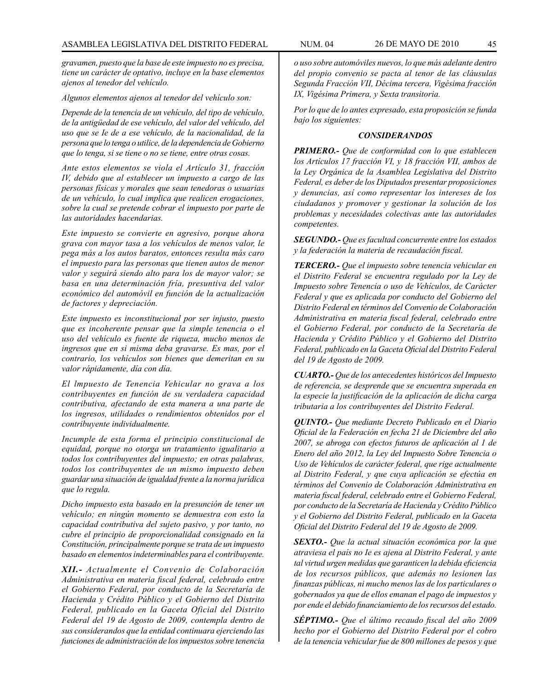*gravamen, puesto que la base de este impuesto no es precisa, tiene un carácter de optativo, incluye en la base elementos ajenos al tenedor del vehículo.*

#### *Algunos elementos ajenos al tenedor del vehículo son:*

*Depende de la tenencia de un vehículo, del tipo de vehículo, de la antigüedad de ese vehículo, del valor del vehículo, del uso que se Ie de a ese vehículo, de la nacionalidad, de la persona que lo tenga o utilice, de la dependencia de Gobierno que lo tenga, si se tiene o no se tiene, entre otras cosas.*

*Ante estos elementos se viola el Artículo 31, fracción IV, debido que al establecer un impuesto a cargo de las personas físicas y morales que sean tenedoras o usuarias de un vehículo, lo cual implica que realicen erogaciones, sobre la cual se pretende cobrar el impuesto por parte de las autoridades hacendarias.*

*Este impuesto se convierte en agresivo, porque ahora grava con mayor tasa a los vehículos de menos valor, le pega más a los autos baratos, entonces resulta más caro el impuesto para las personas que tienen autos de menor valor y seguirá siendo alto para los de mayor valor; se basa en una determinación fría, presuntiva del valor económico del automóvil en función de la actualización de factores y depreciación.*

*Este impuesto es inconstitucional por ser injusto, puesto que es incoherente pensar que la simple tenencia o el uso del vehículo es fuente de riqueza, mucho menos de ingresos que en si misma deba gravarse. Es mas, por el contrario, los vehículos son bienes que demeritan en su valor rápidamente, día con día.*

*El lmpuesto de Tenencia Vehicular no grava a los contribuyentes en función de su verdadera capacidad contributiva, afectando de esta manera a una parte de los ingresos, utilidades o rendimientos obtenidos por el contribuyente individualmente.*

*Incumple de esta forma el principio constitucional de equidad, porque no otorga un tratamiento igualitario a todos los contribuyentes del impuesto; en otras palabras, todos los contribuyentes de un mismo impuesto deben guardar una situación de igualdad frente a la norma jurídica que lo regula.*

*Dicho impuesto esta basado en la presunción de tener un vehículo; en ningún momento se demuestra con esto la capacidad contributiva del sujeto pasivo, y por tanto, no cubre el principio de proporcionalidad consignado en la Constitución, principalmente porque se trata de un impuesto basado en elementos indeterminables para el contribuyente.*

*XII.- Actualmente el Convenio de Colaboración Administrativa en materia fiscal federal, celebrado entre el Gobierno Federal, por conducto de la Secretaría de Hacienda y Crédito Público y el Gobierno del Distrito Federal, publicado en la Gaceta Oficial del Distrito Federal del 19 de Agosto de 2009, contempla dentro de sus considerandos que la entidad continuara ejerciendo las funciones de administración de los impuestos sobre tenencia* 

*o uso sobre automóviles nuevos, lo que más adelante dentro del propio convenio se pacta al tenor de las cláusulas Segunda Fracción VII, Décima tercera, Vigésima fracción IX, Vigésima Primera, y Sexta transitoria.*

*Por lo que de lo antes expresado, esta proposición se funda bajo los siguientes:*

#### *CONSIDERANDOS*

*PRIMERO.- Que de conformidad con lo que establecen los Artículos 17 fracción VI, y 18 fracción VII, ambos de la Ley Orgánica de la Asamblea Legislativa del Distrito Federal, es deber de los Diputados presentar proposiciones y denuncias, así como representar los intereses de los ciudadanos y promover y gestionar la solución de los problemas y necesidades colectivas ante las autoridades competentes.*

*SEGUNDO.- Que es facultad concurrente entre los estados y la federación la materia de recaudación fiscal.*

*TERCERO.- Que el impuesto sobre tenencia vehicular en el Distrito Federal se encuentra regulado por la Ley de Impuesto sobre Tenencia o uso de Vehículos, de Carácter Federal y que es aplicada por conducto del Gobierno del Distrito Federal en términos del Convenio de Colaboración Administrativa en materia fiscal federal, celebrado entre el Gobierno Federal, por conducto de la Secretaría de Hacienda y Crédito Público y el Gobierno del Distrito Federal, publicado en la Gaceta Oficial del Distrito Federal del 19 de Agosto de 2009.*

*CUARTO.- Que de los antecedentes históricos del Impuesto de referencia, se desprende que se encuentra superada en la especie la justificación de la aplicación de dicha carga tributaria a los contribuyentes del Distrito Federal.*

*QUINTO.- Que mediante Decreto Publicado en el Diario Oficial de la Federación en fecha 21 de Diciembre del año 2007, se abroga con efectos futuros de aplicación al 1 de Enero del año 2012, la Ley del Impuesto Sobre Tenencia o Uso de Vehículos de carácter federal, que rige actualmente al Distrito Federal, y que cuya aplicación se efectúa en términos del Convenio de Colaboración Administrativa en materia fiscal federal, celebrado entre el Gobierno Federal, por conducto de la Secretaría de Hacienda y Crédito Público y el Gobierno del Distrito Federal, publicado en la Gaceta Oficial del Distrito Federal del 19 de Agosto de 2009.*

*SEXTO.- Que la actual situación económica por la que atraviesa el país no Ie es ajena al Distrito Federal, y ante tal virtud urgen medidas que garanticen la debida eficiencia de los recursos públicos, que además no lesionen las finanzas públicas, ni mucho menos las de los particulares o gobernados ya que de ellos emanan el pago de impuestos y por ende el debido financiamiento de los recursos del estado.*

*SÉPTIMO.- Que el último recaudo fiscal del año 2009 hecho por el Gobierno del Distrito Federal por el cobro de la tenencia vehicular fue de 800 millones de pesos y que*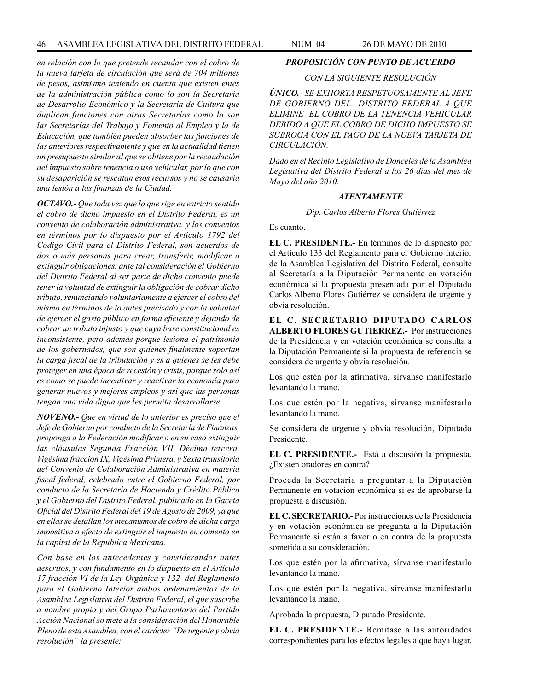*en relación con lo que pretende recaudar con el cobro de la nueva tarjeta de circulación que será de 704 millones de pesos, asimismo teniendo en cuenta que existen entes de la administración pública como lo son la Secretaría de Desarrollo Económico y la Secretaría de Cultura que duplican funciones con otras Secretarías como lo son las Secretarías del Trabajo y Fomento al Empleo y la de Educación, que también pueden absorber las funciones de las anteriores respectivamente y que en la actualidad tienen un presupuesto similar al que se obtiene por la recaudación del impuesto sobre tenencia o uso vehicular, por lo que con su desaparición se rescatan esos recursos y no se causaría una lesión a las finanzas de la Ciudad.*

*OCTAVO.- Que toda vez que lo que rige en estricto sentido el cobro de dicho impuesto en el Distrito Federal, es un convenio de colaboración administrativa, y los convenios en términos por lo dispuesto por el Artículo 1792 del Código Civil para el Distrito Federal, son acuerdos de dos o más personas para crear, transferir, modificar o extinguir obligaciones, ante tal consideración el Gobierno del Distrito Federal al ser parte de dicho convenio puede tener la voluntad de extinguir la obligación de cobrar dicho tributo, renunciando voluntariamente a ejercer el cobro del mismo en términos de lo antes precisado y con la voluntad de ejercer el gasto público en forma eficiente y dejando de cobrar un tributo injusto y que cuya base constitucional es inconsistente, pero además porque lesiona el patrimonio de los gobernados, que son quienes finalmente soportan la carga fiscal de la tributación y es a quienes se les debe proteger en una época de recesión y crisis, porque solo así es como se puede incentivar y reactivar la economía para generar nuevos y mejores empleos y así que las personas tengan una vida digna que les permita desarrollarse.*

*NOVENO.- Que en virtud de lo anterior es preciso que el Jefe de Gobierno por conducto de la Secretaría de Finanzas, proponga a la Federación modificar o en su caso extinguir las cláusulas Segunda Fracción VII, Décima tercera, Vigésima fracción IX, Vigésima Primera, y Sexta transitoria del Convenio de Colaboración Administrativa en materia fiscal federal, celebrado entre el Gobierno Federal, por conducto de la Secretaría de Hacienda y Crédito Público y el Gobierno del Distrito Federal, publicado en la Gaceta Oficial del Distrito Federal del 19 de Agosto de 2009, ya que en ellas se detallan los mecanismos de cobro de dicha carga impositiva a efecto de extinguir el impuesto en comento en la capital de la Republica Mexicana.*

*Con base en los antecedentes y considerandos antes descritos, y con fundamento en lo dispuesto en el Artículo 17 fracción VI de la Ley Orgánica y 132 del Reglamento para el Gobierno Interior ambos ordenamientos de la Asamblea Legislativa del Distrito Federal, el que suscribe a nombre propio y del Grupo Parlamentario del Partido Acción Nacional so mete a la consideración del Honorable Pleno de esta Asamblea, con el carácter "De urgente y obvia resolución" la presente:* 

## *PROPOSICIÓN CON PUNTO DE ACUERDO*

# *CON LA SIGUIENTE RESOLUCIÓN*

*ÚNICO.- SE EXHORTA RESPETUOSAMENTE AL JEFE DE GOBIERNO DEL DISTRITO FEDERAL A QUE ELIMINE EL COBRO DE LA TENENCIA VEHICULAR DEBIDO A QUE EL COBRO DE DICHO IMPUESTO SE SUBROGA CON EL PAGO DE LA NUEVA TARJETA DE CIRCULACIÓN.*

*Dado en el Recinto Legislativo de Donceles de la Asamblea Legislativa del Distrito Federal a los 26 días del mes de Mayo del año 2010.*

## *ATENTAMENTE*

*Dip. Carlos Alberto Flores Gutiérrez*

Es cuanto.

**EL C. PRESIDENTE.-** En términos de lo dispuesto por el Artículo 133 del Reglamento para el Gobierno Interior de la Asamblea Legislativa del Distrito Federal, consulte al Secretaría a la Diputación Permanente en votación económica si la propuesta presentada por el Diputado Carlos Alberto Flores Gutiérrez se considera de urgente y obvia resolución.

**EL C. SECRETARIO DIPUTADO CARLOS ALBERTO FLORES GUTIERREZ.-** Por instrucciones de la Presidencia y en votación económica se consulta a la Diputación Permanente si la propuesta de referencia se considera de urgente y obvia resolución.

Los que estén por la afirmativa, sírvanse manifestarlo levantando la mano.

Los que estén por la negativa, sírvanse manifestarlo levantando la mano.

Se considera de urgente y obvia resolución, Diputado Presidente.

**EL C. PRESIDENTE.-** Está a discusión la propuesta. ¿Existen oradores en contra?

Proceda la Secretaría a preguntar a la Diputación Permanente en votación económica si es de aprobarse la propuesta a discusión.

**EL C. SECRETARIO.-** Por instrucciones de la Presidencia y en votación económica se pregunta a la Diputación Permanente si están a favor o en contra de la propuesta sometida a su consideración.

Los que estén por la afirmativa, sírvanse manifestarlo levantando la mano.

Los que estén por la negativa, sírvanse manifestarlo levantando la mano.

Aprobada la propuesta, Diputado Presidente.

**EL C. PRESIDENTE.-** Remítase a las autoridades correspondientes para los efectos legales a que haya lugar.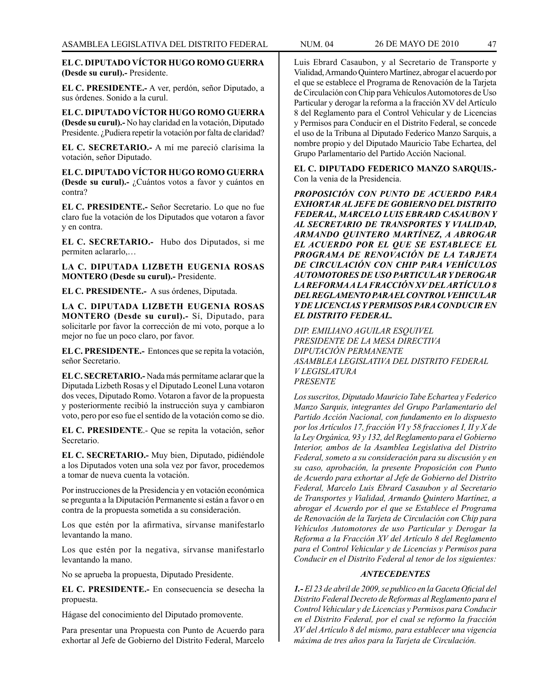# **EL C. DIPUTADO VÍCTOR HUGO ROMO GUERRA (Desde su curul).-** Presidente.

**EL C. PRESIDENTE.-** A ver, perdón, señor Diputado, a sus órdenes. Sonido a la curul.

**EL C. DIPUTADO VÍCTOR HUGO ROMO GUERRA (Desde su curul).-** No hay claridad en la votación, Diputado Presidente. ¿Pudiera repetir la votación por falta de claridad?

**EL C. SECRETARIO.-** A mí me pareció clarísima la votación, señor Diputado.

**EL C. DIPUTADO VÍCTOR HUGO ROMO GUERRA (Desde su curul).-** ¿Cuántos votos a favor y cuántos en contra?

**EL C. PRESIDENTE.-** Señor Secretario. Lo que no fue claro fue la votación de los Diputados que votaron a favor y en contra.

**EL C. SECRETARIO.-** Hubo dos Diputados, si me permiten aclararlo,…

**LA C. DIPUTADA LIZBETH EUGENIA ROSAS MONTERO (Desde su curul).-** Presidente.

**EL C. PRESIDENTE.-** A sus órdenes, Diputada.

**LA C. DIPUTADA LIZBETH EUGENIA ROSAS MONTERO (Desde su curul).-** Sí, Diputado, para solicitarle por favor la corrección de mi voto, porque a lo mejor no fue un poco claro, por favor.

**EL C. PRESIDENTE.-** Entonces que se repita la votación, señor Secretario.

**EL C. SECRETARIO.-** Nada más permítame aclarar que la Diputada Lizbeth Rosas y el Diputado Leonel Luna votaron dos veces, Diputado Romo. Votaron a favor de la propuesta y posteriormente recibió la instrucción suya y cambiaron voto, pero por eso fue el sentido de la votación como se dio.

**EL C. PRESIDENTE**.- Que se repita la votación, señor Secretario.

**EL C. SECRETARIO.-** Muy bien, Diputado, pidiéndole a los Diputados voten una sola vez por favor, procedemos a tomar de nueva cuenta la votación.

Por instrucciones de la Presidencia y en votación económica se pregunta a la Diputación Permanente si están a favor o en contra de la propuesta sometida a su consideración.

Los que estén por la afirmativa, sírvanse manifestarlo levantando la mano.

Los que estén por la negativa, sírvanse manifestarlo levantando la mano.

No se aprueba la propuesta, Diputado Presidente.

**EL C. PRESIDENTE.-** En consecuencia se desecha la propuesta.

Hágase del conocimiento del Diputado promovente.

Para presentar una Propuesta con Punto de Acuerdo para exhortar al Jefe de Gobierno del Distrito Federal, Marcelo

Luis Ebrard Casaubon, y al Secretario de Transporte y Vialidad, Armando Quintero Martínez, abrogar el acuerdo por el que se establece el Programa de Renovación de la Tarjeta de Circulación con Chip para Vehículos Automotores de Uso Particular y derogar la reforma a la fracción XV del Artículo 8 del Reglamento para el Control Vehicular y de Licencias y Permisos para Conducir en el Distrito Federal, se concede el uso de la Tribuna al Diputado Federico Manzo Sarquis, a nombre propio y del Diputado Mauricio Tabe Echartea, del Grupo Parlamentario del Partido Acción Nacional.

**EL C. DIPUTADO FEDERICO MANZO SARQUIS.-**  Con la venia de la Presidencia.

*PROPOSICIÓN CON PUNTO DE ACUERDO PARA EXHORTAR AL JEFE DE GOBIERNO DEL DISTRITO FEDERAL, MARCELO LUIS EBRARD CASAUBON Y AL SECRETARIO DE TRANSPORTES Y VIALIDAD, ARMANDO QUINTERO MARTÍNEZ, A ABROGAR EL ACUERDO POR EL QUE SE ESTABLECE EL PROGRAMA DE RENOVACIÓN DE LA TARJETA DE CIRCULACIÓN CON CHIP PARA VEHÍCULOS AUTOMOTORES DE USO PARTICULAR Y DEROGAR LA REFORMA A LA FRACCIÓN XV DEL ARTÍCULO 8 DEL REGLAMENTO PARA EL CONTROL VEHICULAR Y DE LICENCIAS Y PERMISOS PARA CONDUCIR EN EL DISTRITO FEDERAL.*

*DIP. EMILIANO AGUILAR ESQUIVEL PRESIDENTE DE LA MESA DIRECTIVA DIPUTACIÓN PERMANENTE ASAMBLEA LEGISLATIVA DEL DISTRITO FEDERAL V LEGISLATURA PRESENTE*

*Los suscritos, Diputado Mauricio Tabe Echartea y Federico Manzo Sarquis, integrantes del Grupo Parlamentario del Partido Acción Nacional, con fundamento en lo dispuesto por los Artículos 17, fracción VI y 58 fracciones I, II y X de la Ley Orgánica, 93 y 132, del Reglamento para el Gobierno Interior, ambos de la Asamblea Legislativa del Distrito Federal, someto a su consideración para su discusión y en su caso, aprobación, la presente Proposición con Punto de Acuerdo para exhortar al Jefe de Gobierno del Distrito Federal, Marcelo Luis Ebrard Casaubon y al Secretario de Transportes y Vialidad, Armando Quintero Martínez, a abrogar el Acuerdo por el que se Establece el Programa de Renovación de la Tarjeta de Circulación con Chip para Vehículos Automotores de uso Particular y Derogar la Reforma a la Fracción XV del Artículo 8 del Reglamento para el Control Vehicular y de Licencias y Permisos para Conducir en el Distrito Federal al tenor de los siguientes:*

# *ANTECEDENTES*

*1.- El 23 de abril de 2009, se publico en la Gaceta Oficial del Distrito Federal Decreto de Reformas al Reglamento para el Control Vehicular y de Licencias y Permisos para Conducir en el Distrito Federal, por el cual se reformo la fracción XV del Artículo 8 del mismo, para establecer una vigencia máxima de tres años para la Tarjeta de Circulación.*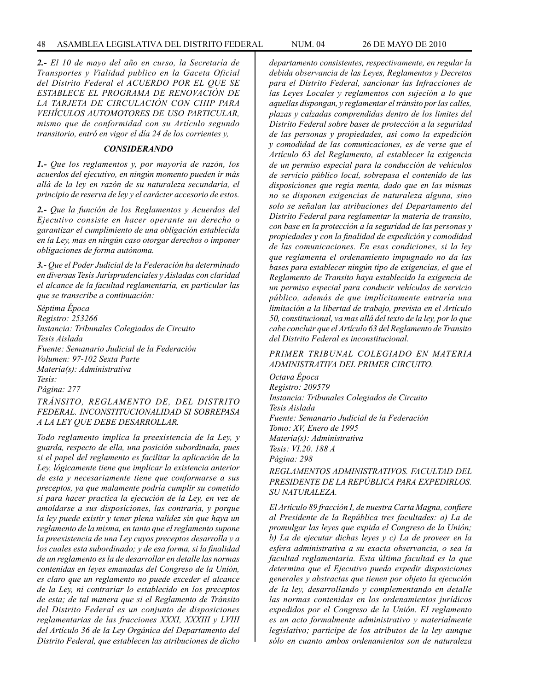*2.- El 10 de mayo del año en curso, la Secretaría de Transportes y Vialidad publico en la Gaceta Oficial del Distrito Federal el ACUERDO POR EL QUE SE ESTABLECE EL PROGRAMA DE RENOVACIÓN DE LA TARJETA DE CIRCULACIÓN CON CHIP PARA VEHÍCULOS AUTOMOTORES DE USO PARTICULAR, mismo que de conformidad con su Artículo segundo transitorio, entró en vigor el día 24 de los corrientes y,*

### *CONSIDERANDO*

*1.- Que los reglamentos y, por mayoría de razón, los acuerdos del ejecutivo, en ningún momento pueden ir más allá de la ley en razón de su naturaleza secundaria, el principio de reserva de ley y el carácter accesorio de estos.*

*2.- Que la función de los Reglamentos y Acuerdos del Ejecutivo consiste en hacer operante un derecho o garantizar el cumplimiento de una obligación establecida en la Ley, mas en ningún caso otorgar derechos o imponer obligaciones de forma autónoma.*

*3.- Que el Poder Judicial de la Federación ha determinado en diversas Tesis Jurisprudenciales y Aisladas con claridad el alcance de la facultad reglamentaria, en particular las que se transcribe a continuación:*

*Séptima Época Registro: 253266 Instancia: Tribunales Colegiados de Circuito Tesis Aislada Fuente: Semanario Judicial de la Federación Volumen: 97-102 Sexta Parte Materia(s): Administrativa Tesis: Página: 277*

*TRÁNSITO, REGLAMENTO DE, DEL DISTRITO FEDERAL. INCONSTITUCIONALIDAD SI SOBREPASA A LA LEY QUE DEBE DESARROLLAR.*

*Todo reglamento implica la preexistencia de la Ley, y guarda, respecto de ella, una posición subordinada, pues si el papel del reglamento es facilitar la aplicación de la Ley, lógicamente tiene que implicar la existencia anterior de esta y necesariamente tiene que conformarse a sus preceptos, ya que malamente podría cumplir su cometido si para hacer practica la ejecución de la Ley, en vez de amoldarse a sus disposiciones, las contraria, y porque la ley puede existir y tener plena validez sin que haya un reglamento de la misma, en tanto que el reglamento supone la preexistencia de una Ley cuyos preceptos desarrolla y a los cuales esta subordinado; y de esa forma, si la finalidad de un reglamento es la de desarrollar en detalle las normas contenidas en leyes emanadas del Congreso de la Unión, es claro que un reglamento no puede exceder el alcance de la Ley, ni contrariar lo establecido en los preceptos de esta; de tal manera que si el Reglamento de Tránsito del Distrito Federal es un conjunto de disposiciones reglamentarias de las fracciones XXXI, XXXIII y LVIII del Artículo 36 de la Ley Orgánica del Departamento del Distrito Federal, que establecen las atribuciones de dicho*  *departamento consistentes, respectivamente, en regular la debida observancia de las Leyes, Reglamentos y Decretos para el Distrito Federal, sancionar las Infracciones de las Leyes Locales y reglamentos con sujeción a lo que aquellas dispongan, y reglamentar el tránsito por las calles, plazas y calzadas comprendidas dentro de los limites del Distrito Federal sobre bases de protección a la seguridad de las personas y propiedades, así como la expedición y comodidad de las comunicaciones, es de verse que el Artículo 63 del Reglamento, al establecer la exigencia de un permiso especial para la conducción de vehículos de servicio público local, sobrepasa el contenido de las disposiciones que regia menta, dado que en las mismas no se disponen exigencias de naturaleza alguna, sino solo se señalan las atribuciones del Departamento del Distrito Federal para reglamentar la materia de transito, con base en la protección a la seguridad de las personas y propiedades y con la finalidad de expedición y comodidad de las comunicaciones. En esas condiciones, si la ley que reglamenta el ordenamiento impugnado no da las bases para establecer ningún tipo de exigencias, el que el Reglamento de Transito haya establecido la exigencia de un permiso especial para conducir vehículos de servicio público, además de que implícitamente entraría una limitación a la libertad de trabajo, prevista en el Artículo 50, constitucional, va mas allá del texto de la ley, por lo que cabe concluir que el Artículo 63 del Reglamento de Transito del Distrito Federal es inconstitucional.*

### *PRIMER TRIBUNAL COLEGIADO EN MATERIA ADMINISTRATIVA DEL PRIMER CIRCUITO.*

*Octava Época Registro: 209579 Instancia: Tribunales Colegiados de Circuito Tesis Aislada Fuente: Semanario Judicial de la Federación Tomo: XV, Enero de 1995 Materia(s): Administrativa Tesis: VI.20. 188 A Página: 298 REGLAMENTOS ADMINISTRATIVOS. FACULTAD DEL* 

*PRESIDENTE DE LA REPÚBLICA PARA EXPEDIRLOS. SU NATURALEZA.*

*El Artículo 89 fracción I, de nuestra Carta Magna, confiere al Presidente de la República tres facultades: a) La de promulgar las leyes que expida el Congreso de la Unión; b) La de ejecutar dichas leyes y c) La de proveer en la esfera administrativa a su exacta observancia, o sea la facultad reglamentaria. Esta última facultad es la que determina que el Ejecutivo pueda expedir disposiciones generales y abstractas que tienen por objeto la ejecución de la ley, desarrollando y complementando en detalle las normas contenidas en los ordenamientos jurídicos expedidos por el Congreso de la Unión. EI reglamento es un acto formalmente administrativo y materialmente legislativo; participe de los atributos de la ley aunque sólo en cuanto ambos ordenamientos son de naturaleza*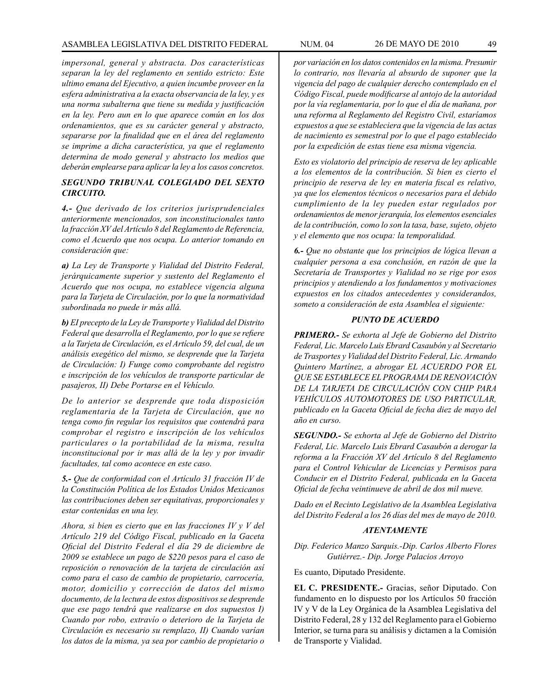*impersonal, general y abstracta. Dos características separan la ley del reglamento en sentido estricto: Este ultimo emana del Ejecutivo, a quien incumbe proveer en la esfera administrativa a la exacta observancia de la ley, y es una norma subalterna que tiene su medida y justificación en la ley. Pero aun en lo que aparece común en los dos ordenamientos, que es su carácter general y abstracto, separarse por la finalidad que en el área del reglamento se imprime a dicha característica, ya que el reglamento determina de modo general y abstracto los medios que deberán emplearse para aplicar la ley a los casos concretos.*

# *SEGUNDO TRIBUNAL COLEGIADO DEL SEXTO CIRCUITO.*

*4.- Que derivado de los criterios jurisprudenciales anteriormente mencionados, son inconstitucionales tanto la fracción XV del Artículo 8 del Reglamento de Referencia, como el Acuerdo que nos ocupa. Lo anterior tomando en consideración que:*

*a) La Ley de Transporte y Vialidad del Distrito Federal, jerárquicamente superior y sustento del Reglamento el Acuerdo que nos ocupa, no establece vigencia alguna para la Tarjeta de Circulación, por lo que la normatividad subordinada no puede ir más allá.*

*b) EI precepto de la Ley de Transporte y Vialidad del Distrito Federal que desarrolla el Reglamento, por lo que se refiere a la Tarjeta de Circulación, es el Artículo 59, del cual, de un análisis exegético del mismo, se desprende que la Tarjeta de Circulación: I) Funge como comprobante del registro e inscripción de los vehículos de transporte particular de pasajeros, II) Debe Portarse en el Vehículo.*

*De lo anterior se desprende que toda disposición reglamentaria de la Tarjeta de Circulación, que no tenga como fin regular los requisitos que contendrá para comprobar el registro e inscripción de los vehículos particulares o la portabilidad de la misma, resulta inconstitucional por ir mas allá de la ley y por invadir facultades, tal como acontece en este caso.*

*5.- Que de conformidad con el Artículo 31 fracción IV de la Constitución Política de los Estados Unidos Mexicanos las contribuciones deben ser equitativas, proporcionales y estar contenidas en una ley.*

*Ahora, si bien es cierto que en las fracciones IV y V del Artículo 219 del Código Fiscal, publicado en la Gaceta Oficial del Distrito Federal el día 29 de diciembre de 2009 se establece un pago de \$220 pesos para el caso de reposición o renovación de la tarjeta de circulación así como para el caso de cambio de propietario, carrocería, motor, domicilio y corrección de datos del mismo documento, de la lectura de estos dispositivos se desprende que ese pago tendrá que realizarse en dos supuestos I) Cuando por robo, extravío o deterioro de la Tarjeta de Circulación es necesario su remplazo, II) Cuando varían los datos de la misma, ya sea por cambio de propietario o* 

*por variación en los datos contenidos en la misma. Presumir lo contrario, nos llevaría al absurdo de suponer que la vigencia del pago de cualquier derecho contemplado en el Código Fiscal, puede modificarse al antojo de la autoridad por la vía reglamentaria, por lo que el día de mañana, por una reforma al Reglamento del Registro Civil, estaríamos expuestos a que se estableciera que la vigencia de las actas de nacimiento es semestral por lo que el pago establecido por la expedición de estas tiene esa misma vigencia.*

*Esto es violatorio del principio de reserva de ley aplicable a los elementos de la contribución. Si bien es cierto el principio de reserva de ley en materia fiscal es relativo, ya que los elementos técnicos o necesarios para el debido cumplimiento de la ley pueden estar regulados por ordenamientos de menor jerarquía, los elementos esenciales de la contribución, como lo son la tasa, base, sujeto, objeto y el elemento que nos ocupa: la temporalidad.*

*6.- Que no obstante que los principios de lógica llevan a cualquier persona a esa conclusión, en razón de que la Secretaría de Transportes y Vialidad no se rige por esos principios y atendiendo a los fundamentos y motivaciones expuestos en los citados antecedentes y considerandos, someto a consideración de esta Asamblea el siguiente:*

### *PUNTO DE ACUERDO*

*PRIMERO.- Se exhorta al Jefe de Gobierno del Distrito Federal, Lic. Marcelo Luis Ebrard Casaubón y al Secretario de Trasportes y Vialidad del Distrito Federal, Lic. Armando Quintero Martínez, a abrogar EL ACUERDO POR EL QUE SE ESTABLECE EL PROGRAMA DE RENOVACIÓN DE LA TARJETA DE CIRCULACIÓN CON CHIP PARA VEHÍCULOS AUTOMOTORES DE USO PARTICULAR, publicado en la Gaceta Oficial de fecha diez de mayo del año en curso.*

*SEGUNDO.- Se exhorta al Jefe de Gobierno del Distrito Federal, Lic. Marcelo Luis Ebrard Casaubón a derogar la reforma a la Fracción XV del Artículo 8 del Reglamento para el Control Vehicular de Licencias y Permisos para Conducir en el Distrito Federal, publicada en la Gaceta Oficial de fecha veintinueve de abril de dos mil nueve.*

*Dado en el Recinto Legislativo de la Asamblea Legislativa del Distrito Federal a los 26 días del mes de mayo de 2010.*

### *ATENTAMENTE*

*Dip. Federico Manzo Sarquis.-Dip. Carlos Alberto Flores Gutiérrez.- Dip. Jorge Palacios Arroyo*

Es cuanto, Diputado Presidente.

**EL C. PRESIDENTE.-** Gracias, señor Diputado. Con fundamento en lo dispuesto por los Artículos 50 fracción IV y V de la Ley Orgánica de la Asamblea Legislativa del Distrito Federal, 28 y 132 del Reglamento para el Gobierno Interior, se turna para su análisis y dictamen a la Comisión de Transporte y Vialidad.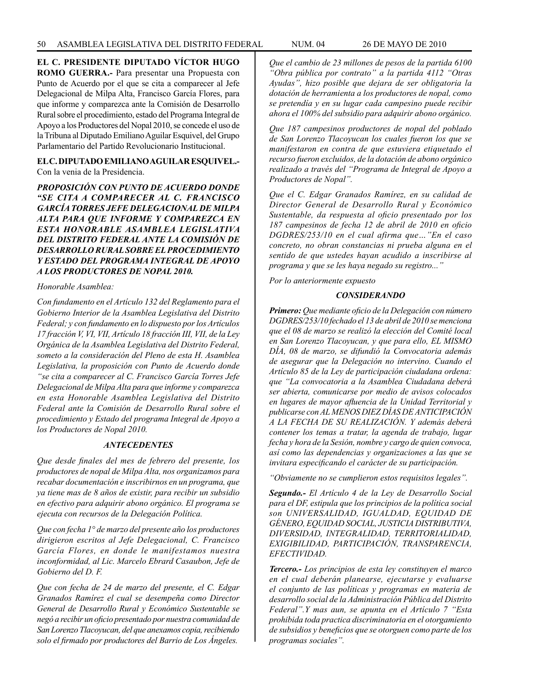**EL C. PRESIDENTE DIPUTADO VÍCTOR HUGO** 

**ROMO GUERRA.-** Para presentar una Propuesta con Punto de Acuerdo por el que se cita a comparecer al Jefe Delegacional de Milpa Alta, Francisco García Flores, para que informe y comparezca ante la Comisión de Desarrollo Rural sobre el procedimiento, estado del Programa Integral de Apoyo a los Productores del Nopal 2010, se concede el uso de la Tribuna al Diputado Emiliano Aguilar Esquivel, del Grupo Parlamentario del Partido Revolucionario Institucional.

### **EL C. DIPUTADO EMILIANO AGUILAR ESQUIVEL.-**  Con la venia de la Presidencia.

*PROPOSICIÓN CON PUNTO DE ACUERDO DONDE "SE CITA A COMPARECER AL C. FRANCISCO GARCÍA TORRES JEFE DELEGACIONAL DE MILPA ALTA PARA QUE INFORME Y COMPAREZCA EN ESTA HONORABLE ASAMBLEA LEGISLATIVA DEL DISTRITO FEDERAL ANTE LA COMISIÓN DE DESARROLLO RURAL SOBRE EL PROCEDIMIENTO Y ESTADO DEL PROGRAMA INTEGRAL DE APOYO A LOS PRODUCTORES DE NOPAL 2010.*

## *Honorable Asamblea:*

*Con fundamento en el Artículo 132 del Reglamento para el Gobierno Interior de la Asamblea Legislativa del Distrito Federal; y con fundamento en lo dispuesto por los Artículos 17 fracción V, VI, VII, Artículo 18 fracción III, VII, de la Ley Orgánica de la Asamblea Legislativa del Distrito Federal, someto a la consideración del Pleno de esta H. Asamblea Legislativa, la proposición con Punto de Acuerdo donde "se cita a comparecer al C. Francisco García Torres Jefe Delegacional de Milpa Alta para que informe y comparezca en esta Honorable Asamblea Legislativa del Distrito Federal ante la Comisión de Desarrollo Rural sobre el procedimiento y Estado del programa Integral de Apoyo a los Productores de Nopal 2010.*

# *ANTECEDENTES*

*Que desde finales del mes de febrero del presente, los productores de nopal de Milpa Alta, nos organizamos para recabar documentación e inscribirnos en un programa, que ya tiene mas de 8 años de existir, para recibir un subsidio en efectivo para adquirir abono orgánico. El programa se ejecuta con recursos de la Delegación Política.*

*Que con fecha 1° de marzo del presente año los productores dirigieron escritos al Jefe Delegacional, C. Francisco García Flores, en donde le manifestamos nuestra inconformidad, al Lic. Marcelo Ebrard Casaubon, Jefe de Gobierno del D. F.*

*Que con fecha de 24 de marzo del presente, el C. Edgar Granados Ramírez el cual se desempeña como Director General de Desarrollo Rural y Económico Sustentable se negó a recibir un oficio presentado por nuestra comunidad de San Lorenzo Tlacoyucan, del que anexamos copia, recibiendo solo el firmado por productores del Barrio de Los Ángeles.*

*Que el cambio de 23 millones de pesos de la partida 6100 "Obra pública por contrato" a la partida 4112 "Otras Ayudas", hizo posible que dejara de ser obligatoria la dotación de herramienta a los productores de nopal, como se pretendía y en su lugar cada campesino puede recibir ahora el 100% del subsidio para adquirir abono orgánico.*

*Que 187 campesinos productores de nopal del poblado de San Lorenzo Tlacoyucan los cuales fueron los que se manifestaron en contra de que estuviera etiquetado el recurso fueron excluidos, de la dotación de abono orgánico realizado a través del "Programa de Integral de Apoyo a Productores de Nopal".*

*Que el C. Edgar Granados Ramírez, en su calidad de Director General de Desarrollo Rural y Económico Sustentable, da respuesta al oficio presentado por los 187 campesinos de fecha 12 de abril de 2010 en oficio DGDRES/253/10 en el cual afirma que…"En el caso concreto, no obran constancias ni prueba alguna en el sentido de que ustedes hayan acudido a inscribirse al programa y que se les haya negado su registro..."* 

*Por lo anteriormente expuesto*

# *CONSIDERANDO*

*Primero: Que mediante oficio de la Delegación con número DGDRES/253/10 fechado el 13 de abril de 2010 se menciona que el 08 de marzo se realizó la elección del Comité local en San Lorenzo Tlacoyucan, y que para ello, EL MISMO DÍA, 08 de marzo, se difundió la Convocatoria además de asegurar que la Delegación no intervino. Cuando el Artículo 85 de la Ley de participación ciudadana ordena: que "La convocatoria a la Asamblea Ciudadana deberá ser abierta, comunicarse por medio de avisos colocados en lugares de mayor afluencia de la Unidad Territorial y publicarse con AL MENOS DIEZ DÍAS DE ANTICIPACIÓN A LA FECHA DE SU REALIZACIÓN. Y además deberá contener los temas a tratar, la agenda de trabajo, lugar fecha y hora de la Sesión, nombre y cargo de quien convoca, así como las dependencias y organizaciones a las que se invitara especificando el carácter de su participación.*

*"Obviamente no se cumplieron estos requisitos legales".*

*Segundo.- El Artículo 4 de la Ley de Desarrollo Social para el DF, estipula que los principios de la política social son UNIVERSALIDAD, IGUALDAD, EQUIDAD DE GÉNERO, EQUIDAD SOCIAL, JUSTICIA DISTRIBUTIVA, DIVERSIDAD, INTEGRALIDAD, TERRITORIALIDAD, EXIGIBILIDAD, PARTICIPACIÓN, TRANSPARENCIA, EFECTIVIDAD.*

*Tercero.- Los principios de esta ley constituyen el marco en el cual deberán planearse, ejecutarse y evaluarse el conjunto de las políticas y programas en materia de desarrollo social de la Administración Pública del Distrito Federal".Y mas aun, se apunta en el Artículo 7 "Esta prohibida toda practica discriminatoria en el otorgamiento de subsidios y beneficios que se otorguen como parte de los programas sociales".*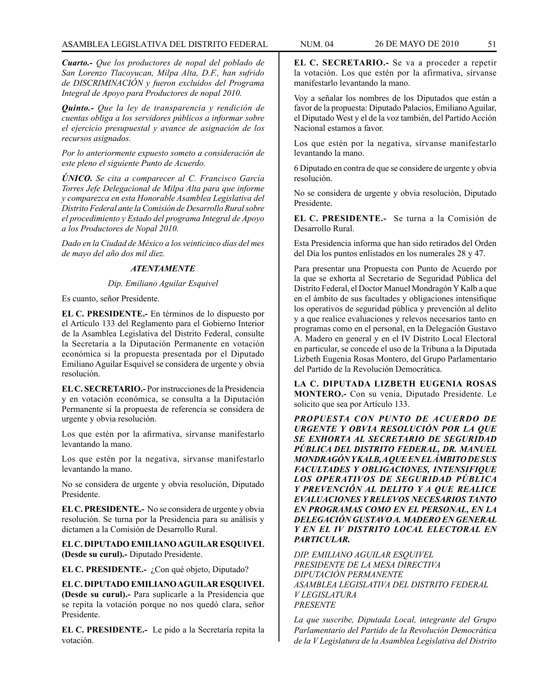*Cuarto.- Que los productores de nopal del poblado de San Lorenzo Tlacoyucan, Milpa Alta, D.F., han sufrido de DISCRIMINACIÓN y fueron excluidos del Programa Integral de Apoyo para Productores de nopal 2010.*

*Quinto.- Que la ley de transparencia y rendición de cuentas obliga a los servidores públicos a informar sobre el ejercicio presupuestal y avance de asignación de los recursos asignados.*

*Por lo anteriormente expuesto someto a consideración de este pleno el siguiente Punto de Acuerdo.*

*ÚNICO. Se cita a comparecer al C. Francisco García Torres Jefe Delegacional de Milpa Alta para que informe y comparezca en esta Honorable Asamblea Legislativa del Distrito Federal ante la Comisión de Desarrollo Rural sobre el procedimiento y Estado del programa Integral de Apoyo a los Productores de Nopal 2010.*

*Dado en la Ciudad de México a los veinticinco días del mes de mayo del año dos mil diez.*

# *ATENTAMENTE*

# *Dip. Emiliano Aguilar Esquivel*

Es cuanto, señor Presidente.

**EL C. PRESIDENTE.-** En términos de lo dispuesto por el Artículo 133 del Reglamento para el Gobierno Interior de la Asamblea Legislativa del Distrito Federal, consulte la Secretaría a la Diputación Permanente en votación económica si la propuesta presentada por el Diputado Emiliano Aguilar Esquivel se considera de urgente y obvia resolución.

**EL C. SECRETARIO.-** Por instrucciones de la Presidencia y en votación económica, se consulta a la Diputación Permanente si la propuesta de referencia se considera de urgente y obvia resolución.

Los que estén por la afirmativa, sírvanse manifestarlo levantando la mano.

Los que estén por la negativa, sírvanse manifestarlo levantando la mano.

No se considera de urgente y obvia resolución, Diputado Presidente.

**EL C. PRESIDENTE.-** No se considera de urgente y obvia resolución. Se turna por la Presidencia para su análisis y dictamen a la Comisión de Desarrollo Rural.

**EL C. DIPUTADO EMILIANO AGUILAR ESQUIVEL (Desde su curul).-** Diputado Presidente.

**EL C. PRESIDENTE.-** ¿Con qué objeto, Diputado?

**EL C. DIPUTADO EMILIANO AGUILAR ESQUIVEL (Desde su curul).-** Para suplicarle a la Presidencia que se repita la votación porque no nos quedó clara, señor Presidente.

**EL C. PRESIDENTE.-** Le pido a la Secretaría repita la votación.

**EL C. SECRETARIO.-** Se va a proceder a repetir la votación. Los que estén por la afirmativa, sírvanse manifestarlo levantando la mano.

Voy a señalar los nombres de los Diputados que están a favor de la propuesta: Diputado Palacios, Emiliano Aguilar, el Diputado West y el de la voz también, del Partido Acción Nacional estamos a favor.

Los que estén por la negativa, sírvanse manifestarlo levantando la mano.

6 Diputado en contra de que se considere de urgente y obvia resolución.

No se considera de urgente y obvia resolución, Diputado Presidente.

**EL C. PRESIDENTE.-** Se turna a la Comisión de Desarrollo Rural.

Esta Presidencia informa que han sido retirados del Orden del Día los puntos enlistados en los numerales 28 y 47.

Para presentar una Propuesta con Punto de Acuerdo por la que se exhorta al Secretario de Seguridad Pública del Distrito Federal, el Doctor Manuel Mondragón Y Kalb a que en el ámbito de sus facultades y obligaciones intensifique los operativos de seguridad pública y prevención al delito y a que realice evaluaciones y relevos necesarios tanto en programas como en el personal, en la Delegación Gustavo A. Madero en general y en el IV Distrito Local Electoral en particular, se concede el uso de la Tribuna a la Diputada Lizbeth Eugenia Rosas Montero, del Grupo Parlamentario del Partido de la Revolución Democrática.

**LA C. DIPUTADA LIZBETH EUGENIA ROSAS MONTERO.-** Con su venia, Diputado Presidente. Le solicito que sea por Artículo 133.

*PROPUESTA CON PUNTO DE ACUERDO DE URGENTE Y OBVIA RESOLUCIÓN POR LA QUE SE EXHORTA AL SECRETARIO DE SEGURIDAD PÚBLICA DEL DISTRITO FEDERAL, DR. MANUEL MONDRAGÓN Y KALB, A QUE EN EL ÁMBITO DE SUS FACULTADES Y OBLIGACIONES, INTENSIFIQUE LOS OPERATIVOS DE SEGURIDAD PÚBLICA Y PREVENCIÓN AL DELITO Y A QUE REALICE EVALUACIONES Y RELEVOS NECESARIOS TANTO EN PROGRAMAS COMO EN EL PERSONAL, EN LA DELEGACIÓN GUSTAVO A. MADERO EN GENERAL Y EN EL IV DISTRITO LOCAL ELECTORAL EN PARTICULAR.*

*DIP. EMILIANO AGUILAR ESQUIVEL PRESIDENTE DE LA MESA DIRECTIVA DIPUTACIÓN PERMANENTE ASAMBLEA LEGISLATIVA DEL DISTRITO FEDERAL V LEGISLATURA PRESENTE*

*La que suscribe, Diputada Local, integrante del Grupo Parlamentario del Partido de la Revolución Democrática de la V Legislatura de la Asamblea Legislativa del Distrito*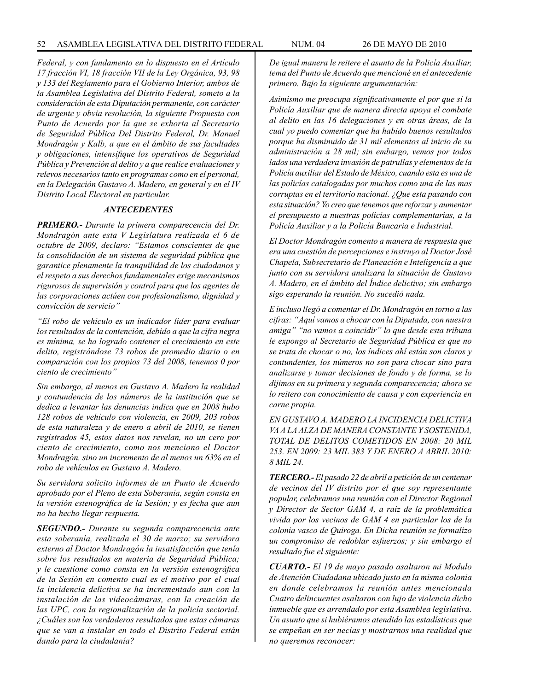*Federal, y con fundamento en lo dispuesto en el Artículo 17 fracción VI, 18 fracción VII de la Ley Orgánica, 93, 98 y 133 del Reglamento para el Gobierno Interior, ambos de la Asamblea Legislativa del Distrito Federal, someto a la consideración de esta Diputación permanente, con carácter de urgente y obvia resolución, la siguiente Propuesta con Punto de Acuerdo por la que se exhorta al Secretario de Seguridad Pública Del Distrito Federal, Dr. Manuel Mondragón y Kalb, a que en el ámbito de sus facultades y obligaciones, intensifique los operativos de Seguridad Pública y Prevención al delito y a que realice evaluaciones y relevos necesarios tanto en programas como en el personal, en la Delegación Gustavo A. Madero, en general y en el IV Distrito Local Electoral en particular.*

#### *ANTECEDENTES*

*PRIMERO.- Durante la primera comparecencia del Dr. Mondragón ante esta V Legislatura realizada el 6 de octubre de 2009, declaro: "Estamos conscientes de que la consolidación de un sistema de seguridad pública que garantice plenamente la tranquilidad de los ciudadanos y el respeto a sus derechos fundamentales exige mecanismos rigurosos de supervisión y control para que los agentes de las corporaciones actúen con profesionalismo, dignidad y convicción de servicio"*

*"El robo de vehiculo es un indicador líder para evaluar los resultados de la contención, debido a que la cifra negra es mínima, se ha logrado contener el crecimiento en este delito, registrándose 73 robos de promedio diario o en comparación con los propios 73 del 2008, tenemos 0 por ciento de crecimiento"*

*Sin embargo, al menos en Gustavo A. Madero la realidad y contundencia de los números de la institución que se dedica a levantar las denuncias indica que en 2008 hubo 128 robos de vehículo con violencia, en 2009, 203 robos de esta naturaleza y de enero a abril de 2010, se tienen registrados 45, estos datos nos revelan, no un cero por ciento de crecimiento, como nos menciono el Doctor Mondragón, sino un incremento de al menos un 63% en el robo de vehículos en Gustavo A. Madero.*

*Su servidora solicito informes de un Punto de Acuerdo aprobado por el Pleno de esta Soberanía, según consta en la versión estenográfica de la Sesión; y es fecha que aun no ha hecho llegar respuesta.*

*SEGUNDO.- Durante su segunda comparecencia ante esta soberanía, realizada el 30 de marzo; su servidora externo al Doctor Mondragón la insatisfacción que tenía sobre los resultados en materia de Seguridad Pública; y le cuestione como consta en la versión estenográfica de la Sesión en comento cual es el motivo por el cual la incidencia delictiva se ha incrementado aun con la instalación de las videocámaras, con la creación de las UPC, con la regionalización de la policía sectorial. ¿Cuáles son los verdaderos resultados que estas cámaras que se van a instalar en todo el Distrito Federal están dando para la ciudadanía?*

*De igual manera le reitere el asunto de la Policía Auxiliar, tema del Punto de Acuerdo que mencioné en el antecedente primero. Bajo la siguiente argumentación:*

*Asimismo me preocupa significativamente el por que si la Policía Auxiliar que de manera directa apoya el combate al delito en las 16 delegaciones y en otras áreas, de la cual yo puedo comentar que ha habido buenos resultados porque ha disminuido de 31 mil elementos al inicio de su administración a 28 mil; sin embargo, vemos por todos lados una verdadera invasión de patrullas y elementos de la Policía auxiliar del Estado de México, cuando esta es una de las policías catalogadas por muchos como una de las mas corruptas en el territorio nacional. ¿Que esta pasando con esta situación? Yo creo que tenemos que reforzar y aumentar el presupuesto a nuestras policías complementarias, a la Policía Auxiliar y a la Policía Bancaria e Industrial.*

*El Doctor Mondragón comento a manera de respuesta que era una cuestión de percepciones e instruyo al Doctor José Chapela, Subsecretario de Planeación e Inteligencia a que junto con su servidora analizara la situación de Gustavo A. Madero, en el ámbito del Índice delictivo; sin embargo sigo esperando la reunión. No sucedió nada.*

*E incluso llegó a comentar el Dr. Mondragón en torno a las cifras: "Aquí vamos a chocar con la Diputada, con nuestra amiga" "no vamos a coincidir" lo que desde esta tribuna le expongo al Secretario de Seguridad Pública es que no se trata de chocar o no, los índices ahí están son claros y contundentes, los números no son para chocar sino para analizarse y tomar decisiones de fondo y de forma, se lo dijimos en su primera y segunda comparecencia; ahora se lo reitero con conocimiento de causa y con experiencia en carne propia.*

*EN GUSTAVO A. MADERO LA INCIDENCIA DELICTIVA VA A LA ALZA DE MANERA CONSTANTE Y SOSTENIDA, TOTAL DE DELITOS COMETIDOS EN 2008: 20 MIL 253. EN 2009: 23 MIL 383 Y DE ENERO A ABRIL 2010: 8 MIL 24.*

*TERCERO.- El pasado 22 de abril a petición de un centenar de vecinos del IV distrito por el que soy representante popular, celebramos una reunión con el Director Regional y Director de Sector GAM 4, a raíz de la problemática vivida por los vecinos de GAM 4 en particular los de la colonia vasco de Quiroga. En Dicha reunión se formalizo un compromiso de redoblar esfuerzos; y sin embargo el resultado fue el siguiente:*

*CUARTO.- El 19 de mayo pasado asaltaron mi Modulo de Atención Ciudadana ubicado justo en la misma colonia en donde celebramos la reunión antes mencionada Cuatro delincuentes asaltaron con lujo de violencia dicho inmueble que es arrendado por esta Asamblea legislativa. Un asunto que si hubiéramos atendido las estadísticas que se empeñan en ser necias y mostrarnos una realidad que no queremos reconocer:*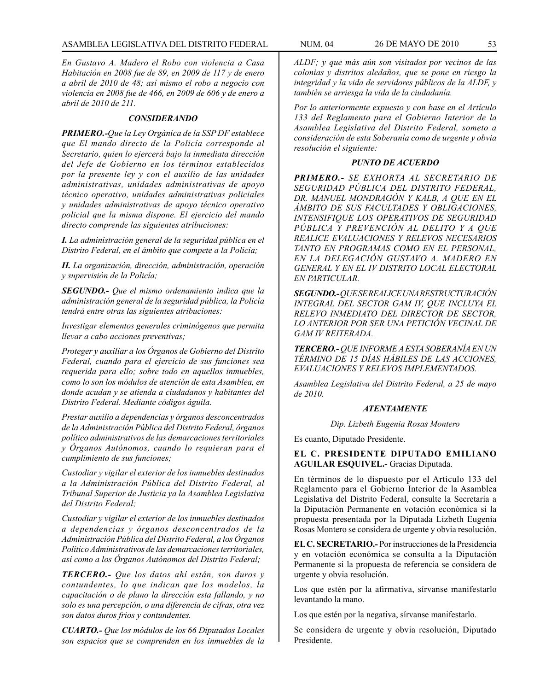*En Gustavo A. Madero el Robo con violencia a Casa Habitación en 2008 fue de 89, en 2009 de 117 y de enero a abril de 2010 de 48; así mismo el robo a negocio con violencia en 2008 fue de 466, en 2009 de 606 y de enero a abril de 2010 de 211.*

#### *CONSIDERANDO*

*PRIMERO.-Que la Ley Orgánica de la SSP DF establece que El mando directo de la Policía corresponde al Secretario, quien lo ejercerá bajo la inmediata dirección del Jefe de Gobierno en los términos establecidos por la presente ley y con el auxilio de las unidades administrativas, unidades administrativas de apoyo técnico operativo, unidades administrativas policiales y unidades administrativas de apoyo técnico operativo policial que la misma dispone. El ejercicio del mando directo comprende las siguientes atribuciones:*

*I. La administración general de la seguridad pública en el Distrito Federal, en el ámbito que compete a la Policía;*

*II. La organización, dirección, administración, operación y supervisión de la Policía;*

*SEGUNDO.- Que el mismo ordenamiento indica que la administración general de la seguridad pública, la Policía tendrá entre otras las siguientes atribuciones:*

*Investigar elementos generales criminógenos que permita llevar a cabo acciones preventivas;*

*Proteger y auxiliar a los Órganos de Gobierno del Distrito Federal, cuando para el ejercicio de sus funciones sea requerida para ello; sobre todo en aquellos inmuebles, como lo son los módulos de atención de esta Asamblea, en donde acudan y se atienda a ciudadanos y habitantes del Distrito Federal. Mediante códigos águila.*

*Prestar auxilio a dependencias y órganos desconcentrados de la Administración Pública del Distrito Federal, órganos político administrativos de las demarcaciones territoriales y Órganos Autónomos, cuando lo requieran para el cumplimiento de sus funciones;*

*Custodiar y vigilar el exterior de los inmuebles destinados a la Administración Pública del Distrito Federal, al Tribunal Superior de Justicia ya la Asamblea Legislativa del Distrito Federal;*

*Custodiar y vigilar el exterior de los inmuebles destinados a dependencias y órganos desconcentrados de la Administración Pública del Distrito Federal, a los Órganos Político Administrativos de las demarcaciones territoriales, así como a los Órganos Autónomos del Distrito Federal;*

*TERCERO.- Que los datos ahí están, son duros y contundentes, lo que indican que los modelos, la capacitación o de plano la dirección esta fallando, y no solo es una percepción, o una diferencia de cifras, otra vez son datos duros fríos y contundentes.*

*CUARTO.- Que los módulos de los 66 Diputados Locales son espacios que se comprenden en los inmuebles de la* 

*ALDF; y que más aún son visitados por vecinos de las colonias y distritos aledaños, que se pone en riesgo la integridad y la vida de servidores públicos de la ALDF, y también se arriesga la vida de la ciudadanía.*

*Por lo anteriormente expuesto y con base en el Artículo 133 del Reglamento para el Gobierno Interior de la Asamblea Legislativa del Distrito Federal, someto a consideración de esta Soberanía como de urgente y obvia resolución el siguiente:*

### *PUNTO DE ACUERDO*

*PRIMERO.- SE EXHORTA AL SECRETARIO DE SEGURIDAD PÚBLICA DEL DISTRITO FEDERAL, DR. MANUEL MONDRAGÓN Y KALB, A QUE EN EL ÁMBITO DE SUS FACULTADES Y OBLIGACIONES, INTENSIFIQUE LOS OPERATIVOS DE SEGURIDAD PÚBLICA Y PREVENCIÓN AL DELITO Y A QUE REALICE EVALUACIONES Y RELEVOS NECESARIOS TANTO EN PROGRAMAS COMO EN EL PERSONAL, EN LA DELEGACIÓN GUSTAVO A. MADERO EN GENERAL Y EN EL IV DISTRITO LOCAL ELECTORAL EN PARTICULAR.*

*SEGUNDO.- QUE SE REALICE UNA RESTRUCTURACIÓN INTEGRAL DEL SECTOR GAM IV, QUE INCLUYA EL RELEVO INMEDIATO DEL DIRECTOR DE SECTOR, LO ANTERIOR POR SER UNA PETICIÓN VECINAL DE GAM IV REITERADA.*

*TERCERO.- QUE INFORME A ESTA SOBERANÍA EN UN TÉRMINO DE 15 DÍAS HÁBILES DE LAS ACCIONES, EVALUACIONES Y RELEVOS IMPLEMENTADOS.*

*Asamblea Legislativa del Distrito Federal, a 25 de mayo de 2010.*

# *ATENTAMENTE*

*Dip. Lizbeth Eugenia Rosas Montero*

Es cuanto, Diputado Presidente.

## **EL C. PRESIDENTE DIPUTADO EMILIANO AGUILAR ESQUIVEL.-** Gracias Diputada.

En términos de lo dispuesto por el Artículo 133 del Reglamento para el Gobierno Interior de la Asamblea Legislativa del Distrito Federal, consulte la Secretaría a la Diputación Permanente en votación económica si la propuesta presentada por la Diputada Lizbeth Eugenia Rosas Montero se considera de urgente y obvia resolución.

**EL C. SECRETARIO.-** Por instrucciones de la Presidencia y en votación económica se consulta a la Diputación Permanente si la propuesta de referencia se considera de urgente y obvia resolución.

Los que estén por la afirmativa, sírvanse manifestarlo levantando la mano.

Los que estén por la negativa, sírvanse manifestarlo.

Se considera de urgente y obvia resolución, Diputado Presidente.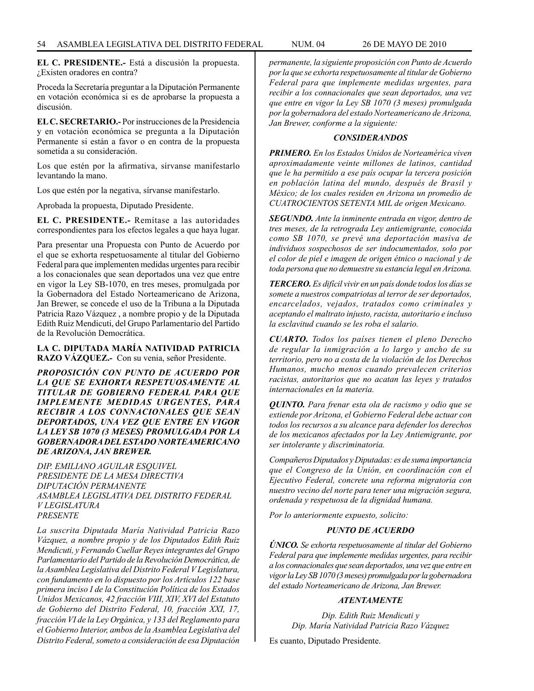**EL C. PRESIDENTE.-** Está a discusión la propuesta. ¿Existen oradores en contra?

Proceda la Secretaría preguntar a la Diputación Permanente en votación económica si es de aprobarse la propuesta a discusión.

**EL C. SECRETARIO.-** Por instrucciones de la Presidencia y en votación económica se pregunta a la Diputación Permanente si están a favor o en contra de la propuesta sometida a su consideración.

Los que estén por la afirmativa, sírvanse manifestarlo levantando la mano.

Los que estén por la negativa, sírvanse manifestarlo.

Aprobada la propuesta, Diputado Presidente.

**EL C. PRESIDENTE.-** Remítase a las autoridades correspondientes para los efectos legales a que haya lugar.

Para presentar una Propuesta con Punto de Acuerdo por el que se exhorta respetuosamente al titular del Gobierno Federal para que implementen medidas urgentes para recibir a los conacionales que sean deportados una vez que entre en vigor la Ley SB-1070, en tres meses, promulgada por la Gobernadora del Estado Norteamericano de Arizona, Jan Brewer, se concede el uso de la Tribuna a la Diputada Patricia Razo Vázquez , a nombre propio y de la Diputada Edith Ruiz Mendicuti, del Grupo Parlamentario del Partido de la Revolución Democrática.

**LA C. DIPUTADA MARÍA NATIVIDAD PATRICIA RAZO VÁZQUEZ.-** Con su venia, señor Presidente.

*PROPOSICIÓN CON PUNTO DE ACUERDO POR LA QUE SE EXHORTA RESPETUOSAMENTE AL TITULAR DE GOBIERNO FEDERAL PARA QUE IMPLEMENTE MEDIDAS URGENTES, PARA RECIBIR A LOS CONNACIONALES QUE SEAN DEPORTADOS, UNA VEZ QUE ENTRE EN VIGOR LA LEY SB 1070 (3 MESES) PROMULGADA POR LA GOBERNADORA DEL ESTADO NORTEAMERICANO DE ARIZONA, JAN BREWER.*

*DIP. EMILIANO AGUILAR ESQUIVEL PRESIDENTE DE LA MESA DIRECTIVA DIPUTACIÓN PERMANENTE ASAMBLEA LEGISLATIVA DEL DISTRITO FEDERAL V LEGISLATURA PRESENTE*

*La suscrita Diputada María Natividad Patricia Razo Vázquez, a nombre propio y de los Diputados Edith Ruiz Mendicuti, y Fernando Cuellar Reyes integrantes del Grupo Parlamentario del Partido de la Revolución Democrática, de la Asamblea Legislativa del Distrito Federal V Legislatura, con fundamento en lo dispuesto por los Artículos 122 base primera inciso I de la Constitución Política de los Estados Unidos Mexicanos, 42 fracción VIII, XIV, XVI del Estatuto de Gobierno del Distrito Federal, 10, fracción XXI, 17, fracción VI de la Ley Orgánica, y 133 del Reglamento para el Gobierno Interior, ambos de la Asamblea Legislativa del Distrito Federal, someto a consideración de esa Diputación* 

*permanente, la siguiente proposición con Punto de Acuerdo por la que se exhorta respetuosamente al titular de Gobierno Federal para que implemente medidas urgentes, para recibir a los connacionales que sean deportados, una vez que entre en vigor la Ley SB 1070 (3 meses) promulgada por la gobernadora del estado Norteamericano de Arizona, Jan Brewer, conforme a la siguiente:*

### *CONSIDERANDOS*

*PRIMERO. En los Estados Unidos de Norteamérica viven aproximadamente veinte millones de latinos, cantidad que le ha permitido a ese país ocupar la tercera posición en población latina del mundo, después de Brasil y México; de los cuales residen en Arizona un promedio de CUATROCIENTOS SETENTA MIL de origen Mexicano.*

*SEGUNDO. Ante la inminente entrada en vigor, dentro de tres meses, de la retrograda Ley antiemigrante, conocida como SB 1070, se prevé una deportación masiva de individuos sospechosos de ser indocumentados, solo por el color de piel e imagen de origen étnico o nacional y de toda persona que no demuestre su estancia legal en Arizona.*

*TERCERO. Es difícil vivir en un país donde todos los días se somete a nuestros compatriotas al terror de ser deportados, encarcelados, vejados, tratados como criminales y aceptando el maltrato injusto, racista, autoritario e incluso la esclavitud cuando se les roba el salario.*

*CUARTO. Todos los países tienen el pleno Derecho de regular la inmigración a lo largo y ancho de su territorio, pero no a costa de la violación de los Derechos Humanos, mucho menos cuando prevalecen criterios racistas, autoritarios que no acatan las leyes y tratados internacionales en la materia.*

*QUINTO. Para frenar esta ola de racismo y odio que se extiende por Arizona, el Gobierno Federal debe actuar con todos los recursos a su alcance para defender los derechos de los mexicanos afectados por la Ley Antiemigrante, por ser intolerante y discriminatoria.*

*Compañeros Diputados y Diputadas: es de suma importancia que el Congreso de la Unión, en coordinación con el Ejecutivo Federal, concrete una reforma migratoria con nuestro vecino del norte para tener una migración segura, ordenada y respetuosa de la dignidad humana.*

*Por lo anteriormente expuesto, solicito:*

### *PUNTO DE ACUERDO*

*ÚNICO. Se exhorta respetuosamente al titular del Gobierno Federal para que implemente medidas urgentes, para recibir a los connacionales que sean deportados, una vez que entre en vigor la Ley SB 1070 (3 meses) promulgada por la gobernadora del estado Norteamericano de Arizona, Jan Brewer.*

# *ATENTAMENTE*

*Dip. Edith Ruiz Mendicuti y Dip. María Natividad Patricia Razo Vázquez*

Es cuanto, Diputado Presidente.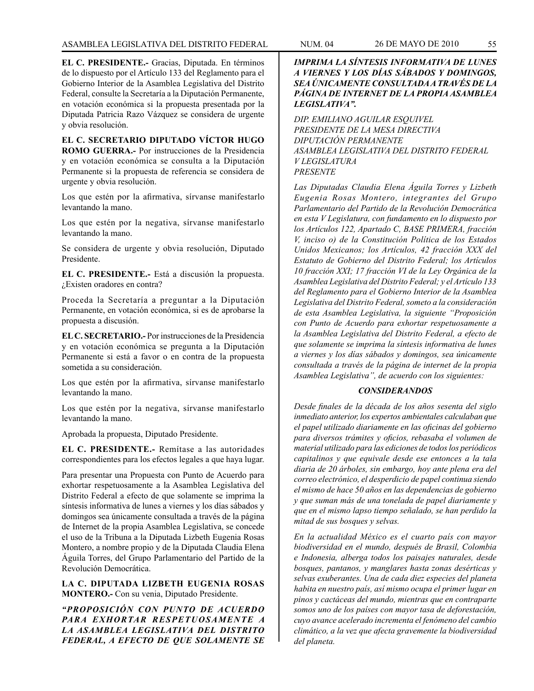**EL C. PRESIDENTE.-** Gracias, Diputada. En términos de lo dispuesto por el Artículo 133 del Reglamento para el Gobierno Interior de la Asamblea Legislativa del Distrito Federal, consulte la Secretaría a la Diputación Permanente, en votación económica si la propuesta presentada por la Diputada Patricia Razo Vázquez se considera de urgente y obvia resolución.

**EL C. SECRETARIO DIPUTADO VÍCTOR HUGO ROMO GUERRA.-** Por instrucciones de la Presidencia y en votación económica se consulta a la Diputación Permanente si la propuesta de referencia se considera de urgente y obvia resolución.

Los que estén por la afirmativa, sírvanse manifestarlo levantando la mano.

Los que estén por la negativa, sírvanse manifestarlo levantando la mano.

Se considera de urgente y obvia resolución, Diputado Presidente.

**EL C. PRESIDENTE.-** Está a discusión la propuesta. ¿Existen oradores en contra?

Proceda la Secretaría a preguntar a la Diputación Permanente, en votación económica, si es de aprobarse la propuesta a discusión.

**EL C. SECRETARIO.-** Por instrucciones de la Presidencia y en votación económica se pregunta a la Diputación Permanente si está a favor o en contra de la propuesta sometida a su consideración.

Los que estén por la afirmativa, sírvanse manifestarlo levantando la mano.

Los que estén por la negativa, sírvanse manifestarlo levantando la mano.

Aprobada la propuesta, Diputado Presidente.

**EL C. PRESIDENTE.-** Remítase a las autoridades correspondientes para los efectos legales a que haya lugar.

Para presentar una Propuesta con Punto de Acuerdo para exhortar respetuosamente a la Asamblea Legislativa del Distrito Federal a efecto de que solamente se imprima la síntesis informativa de lunes a viernes y los días sábados y domingos sea únicamente consultada a través de la página de Internet de la propia Asamblea Legislativa, se concede el uso de la Tribuna a la Diputada Lizbeth Eugenia Rosas Montero, a nombre propio y de la Diputada Claudia Elena Águila Torres, del Grupo Parlamentario del Partido de la Revolución Democrática.

**LA C. DIPUTADA LIZBETH EUGENIA ROSAS MONTERO.-** Con su venia, Diputado Presidente.

*"PROPOSICIÓN CON PUNTO DE ACUERDO PARA EXHORTAR RESPETUOSAMENTE A LA ASAMBLEA LEGISLATIVA DEL DISTRITO FEDERAL, A EFECTO DE QUE SOLAMENTE SE* 

*IMPRIMA LA SÍNTESIS INFORMATIVA DE LUNES A VIERNES Y LOS DÍAS SÁBADOS Y DOMINGOS, SEA ÚNICAMENTE CONSULTADA A TRAVÉS DE LA PÁGINA DE INTERNET DE LA PROPIA ASAMBLEA LEGISLATIVA".*

*DIP. EMILIANO AGUILAR ESQUIVEL PRESIDENTE DE LA MESA DIRECTIVA DIPUTACIÓN PERMANENTE ASAMBLEA LEGISLATIVA DEL DISTRITO FEDERAL V LEGISLATURA PRESENTE*

*Las Diputadas Claudia Elena Águila Torres y Lizbeth Eugenia Rosas Montero, integrantes del Grupo Parlamentario del Partido de la Revolución Democrática en esta V Legislatura, con fundamento en lo dispuesto por los Artículos 122, Apartado C, BASE PRIMERA, fracción V, inciso o) de la Constitución Política de los Estados Unidos Mexicanos; los Artículos, 42 fracción XXX del Estatuto de Gobierno del Distrito Federal; los Artículos 10 fracción XXI; 17 fracción VI de la Ley Orgánica de la Asamblea Legislativa del Distrito Federal; y el Artículo 133 del Reglamento para el Gobierno Interior de la Asamblea Legislativa del Distrito Federal, someto a la consideración de esta Asamblea Legislativa, la siguiente "Proposición con Punto de Acuerdo para exhortar respetuosamente a la Asamblea Legislativa del Distrito Federal, a efecto de que solamente se imprima la síntesis informativa de lunes a viernes y los días sábados y domingos, sea únicamente consultada a través de la página de internet de la propia Asamblea Legislativa", de acuerdo con los siguientes:*

#### *CONSIDERANDOS*

*Desde finales de la década de los años sesenta del siglo inmediato anterior, los expertos ambientales calculaban que el papel utilizado diariamente en las oficinas del gobierno para diversos trámites y oficios, rebasaba el volumen de material utilizado para las ediciones de todos los periódicos capitalinos y que equivale desde ese entonces a la tala diaria de 20 árboles, sin embargo, hoy ante plena era del correo electrónico, el desperdicio de papel continua siendo el mismo de hace 50 años en las dependencias de gobierno y que suman más de una tonelada de papel diariamente y que en el mismo lapso tiempo señalado, se han perdido la mitad de sus bosques y selvas.*

*En la actualidad México es el cuarto país con mayor biodiversidad en el mundo, después de Brasil, Colombia e Indonesia, alberga todos los paisajes naturales, desde bosques, pantanos, y manglares hasta zonas desérticas y selvas exuberantes. Una de cada diez especies del planeta habita en nuestro país, así mismo ocupa el primer lugar en pinos y cactáceas del mundo, mientras que en contraparte somos uno de los países con mayor tasa de deforestación, cuyo avance acelerado incrementa el fenómeno del cambio climático, a la vez que afecta gravemente la biodiversidad del planeta.*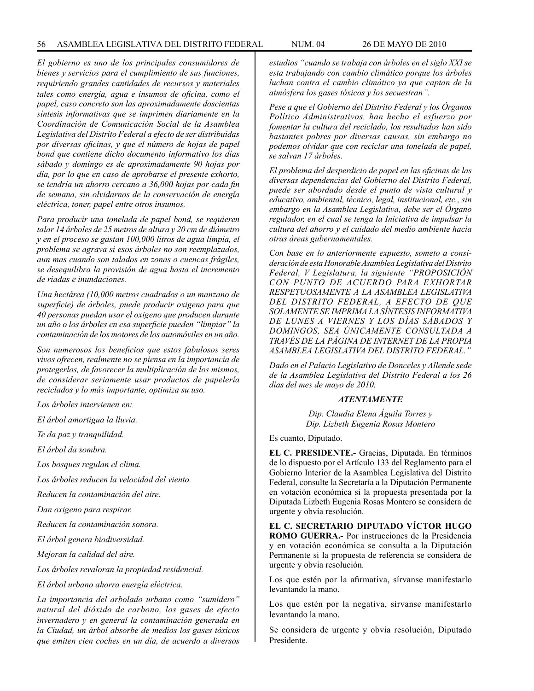*El gobierno es uno de los principales consumidores de bienes y servicios para el cumplimiento de sus funciones, requiriendo grandes cantidades de recursos y materiales tales como energía, agua e insumos de oficina, como el papel, caso concreto son las aproximadamente doscientas síntesis informativas que se imprimen diariamente en la Coordinación de Comunicación Social de la Asamblea Legislativa del Distrito Federal a efecto de ser distribuidas por diversas oficinas, y que el número de hojas de papel bond que contiene dicho documento informativo los días sábado y domingo es de aproximadamente 90 hojas por día, por lo que en caso de aprobarse el presente exhorto, se tendría un ahorro cercano a 36,000 hojas por cada fin de semana, sin olvidarnos de la conservación de energía eléctrica, toner, papel entre otros insumos.* 

*Para producir una tonelada de papel bond, se requieren talar 14 árboles de 25 metros de altura y 20 cm de diámetro y en el proceso se gastan 100,000 litros de agua limpia, el problema se agrava si esos árboles no son reemplazados, aun mas cuando son talados en zonas o cuencas frágiles, se desequilibra la provisión de agua hasta el incremento de riadas e inundaciones.*

*Una hectárea (10,000 metros cuadrados o un manzano de superficie) de árboles, puede producir oxigeno para que 40 personas puedan usar el oxigeno que producen durante un año o los árboles en esa superficie pueden "limpiar" la contaminación de los motores de los automóviles en un año.*

*Son numerosos los beneficios que estos fabulosos seres vivos ofrecen, realmente no se piensa en la importancia de protegerlos, de favorecer la multiplicación de los mismos, de considerar seriamente usar productos de papelería reciclados y lo más importante, optimiza su uso.*

*Los árboles intervienen en:*

*El árbol amortigua la lluvia.*

*Te da paz y tranquilidad.*

*El árbol da sombra.*

*Los bosques regulan el clima.*

*Los árboles reducen la velocidad del viento.*

*Reducen la contaminación del aire.*

*Dan oxigeno para respirar.*

*Reducen la contaminación sonora.*

*El árbol genera biodiversidad.*

*Mejoran la calidad del aire.*

*Los árboles revaloran la propiedad residencial.*

*El árbol urbano ahorra energía eléctrica.*

*La importancia del arbolado urbano como "sumidero" natural del dióxido de carbono, los gases de efecto invernadero y en general la contaminación generada en la Ciudad, un árbol absorbe de medios los gases tóxicos que emiten cien coches en un día, de acuerdo a diversos* 

*estudios "cuando se trabaja con árboles en el siglo XXI se esta trabajando con cambio climático porque los árboles luchan contra el cambio climático ya que captan de la atmósfera los gases tóxicos y los secuestran".*

*Pese a que el Gobierno del Distrito Federal y los Órganos Político Administrativos, han hecho el esfuerzo por fomentar la cultura del reciclado, los resultados han sido bastantes pobres por diversas causas, sin embargo no podemos olvidar que con reciclar una tonelada de papel, se salvan 17 árboles.*

*El problema del desperdicio de papel en las oficinas de las diversas dependencias del Gobierno del Distrito Federal, puede ser abordado desde el punto de vista cultural y educativo, ambiental, técnico, legal, institucional, etc., sin embargo en la Asamblea Legislativa, debe ser el Órgano regulador, en el cual se tenga la Iniciativa de impulsar la cultura del ahorro y el cuidado del medio ambiente hacia otras áreas gubernamentales.*

*Con base en lo anteriormente expuesto, someto a consideración de esta Honorable Asamblea Legislativa del Distrito Federal, V Legislatura, la siguiente "PROPOSICIÓN CON PUNTO DE ACUERDO PARA EXHORTAR RESPETUOSAMENTE A LA ASAMBLEA LEGISLATIVA DEL DISTRITO FEDERAL, A EFECTO DE QUE SOLAMENTE SE IMPRIMA LA SÍNTESIS INFORMATIVA DE LUNES A VIERNES Y LOS DÍAS SÁBADOS Y DOMINGOS, SEA ÚNICAMENTE CONSULTADA A TRAVÉS DE LA PÁGINA DE INTERNET DE LA PROPIA ASAMBLEA LEGISLATIVA DEL DISTRITO FEDERAL."*

*Dado en el Palacio Legislativo de Donceles y Allende sede de la Asamblea Legislativa del Distrito Federal a los 26 días del mes de mayo de 2010.*

# *ATENTAMENTE*

*Dip. Claudia Elena Águila Torres y Dip. Lizbeth Eugenia Rosas Montero*

Es cuanto, Diputado.

**EL C. PRESIDENTE.-** Gracias, Diputada. En términos de lo dispuesto por el Artículo 133 del Reglamento para el Gobierno Interior de la Asamblea Legislativa del Distrito Federal, consulte la Secretaría a la Diputación Permanente en votación económica si la propuesta presentada por la Diputada Lizbeth Eugenia Rosas Montero se considera de urgente y obvia resolución.

**EL C. SECRETARIO DIPUTADO VÍCTOR HUGO ROMO GUERRA.-** Por instrucciones de la Presidencia y en votación económica se consulta a la Diputación Permanente si la propuesta de referencia se considera de urgente y obvia resolución.

Los que estén por la afirmativa, sírvanse manifestarlo levantando la mano.

Los que estén por la negativa, sírvanse manifestarlo levantando la mano.

Se considera de urgente y obvia resolución, Diputado Presidente.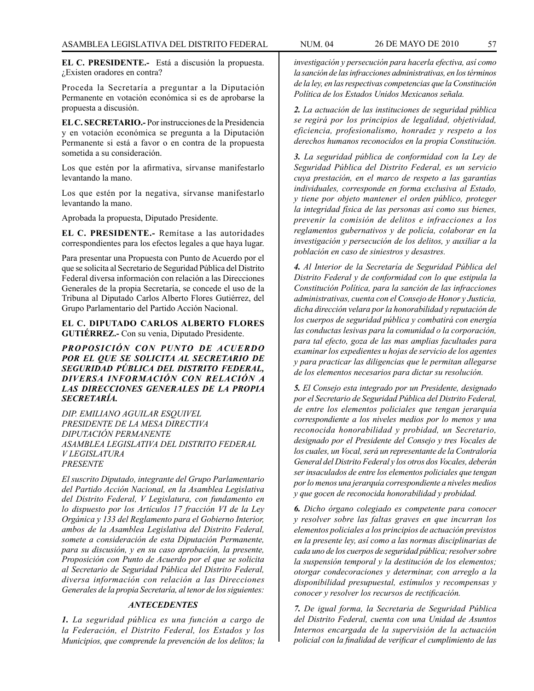**EL C. PRESIDENTE.-** Está a discusión la propuesta. ¿Existen oradores en contra?

Proceda la Secretaría a preguntar a la Diputación Permanente en votación económica si es de aprobarse la propuesta a discusión.

**EL C. SECRETARIO.-** Por instrucciones de la Presidencia y en votación económica se pregunta a la Diputación Permanente si está a favor o en contra de la propuesta sometida a su consideración.

Los que estén por la afirmativa, sírvanse manifestarlo levantando la mano.

Los que estén por la negativa, sírvanse manifestarlo levantando la mano.

Aprobada la propuesta, Diputado Presidente.

**EL C. PRESIDENTE.-** Remítase a las autoridades correspondientes para los efectos legales a que haya lugar.

Para presentar una Propuesta con Punto de Acuerdo por el que se solicita al Secretario de Seguridad Pública del Distrito Federal diversa información con relación a las Direcciones Generales de la propia Secretaría, se concede el uso de la Tribuna al Diputado Carlos Alberto Flores Gutiérrez, del Grupo Parlamentario del Partido Acción Nacional.

**EL C. DIPUTADO CARLOS ALBERTO FLORES GUTIÉRREZ.-** Con su venia, Diputado Presidente.

*PROPOSICIÓN CON PUNTO DE ACUERDO POR EL QUE SE SOLICITA AL SECRETARIO DE SEGURIDAD PÚBLICA DEL DISTRITO FEDERAL, DIVERSA INFORMACIÓN CON RELACIÓN A LAS DIRECCIONES GENERALES DE LA PROPIA SECRETARÍA.*

*DIP. EMILIANO AGUILAR ESQUIVEL PRESIDENTE DE LA MESA DIRECTIVA DIPUTACIÓN PERMANENTE ASAMBLEA LEGISLATIVA DEL DISTRITO FEDERAL V LEGISLATURA PRESENTE*

*El suscrito Diputado, integrante del Grupo Parlamentario del Partido Acción Nacional, en la Asamblea Legislativa del Distrito Federal, V Legislatura, con fundamento en lo dispuesto por los Artículos 17 fracción VI de la Ley Orgánica y 133 del Reglamento para el Gobierno Interior, ambos de la Asamblea Legislativa del Distrito Federal, somete a consideración de esta Diputación Permanente, para su discusión, y en su caso aprobación, la presente, Proposición con Punto de Acuerdo por el que se solicita al Secretario de Seguridad Pública del Distrito Federal, diversa información con relación a las Direcciones Generales de la propia Secretaría, al tenor de los siguientes:*

# *ANTECEDENTES*

*1. La seguridad pública es una función a cargo de la Federación, el Distrito Federal, los Estados y los Municipios, que comprende la prevención de los delitos; la* 

*investigación y persecución para hacerla efectiva, así como la sanción de las infracciones administrativas, en los términos de la ley, en las respectivas competencias que la Constitución Política de los Estados Unidos Mexicanos señala.*

*2. La actuación de las instituciones de seguridad pública se regirá por los principios de legalidad, objetividad, eficiencia, profesionalismo, honradez y respeto a los derechos humanos reconocidos en la propia Constitución.*

*3. La seguridad pública de conformidad con la Ley de Seguridad Pública del Distrito Federal, es un servicio cuya prestación, en el marco de respeto a las garantías individuales, corresponde en forma exclusiva al Estado, y tiene por objeto mantener el orden público, proteger la integridad física de las personas así como sus bienes, prevenir la comisión de delitos e infracciones a los reglamentos gubernativos y de policía, colaborar en la investigación y persecución de los delitos, y auxiliar a la población en caso de siniestros y desastres.*

*4. Al Interior de la Secretaría de Seguridad Pública del Distrito Federal y de conformidad con lo que estipula la Constitución Política, para la sanción de las infracciones administrativas, cuenta con el Consejo de Honor y Justicia, dicha dirección velara por la honorabilidad y reputación de los cuerpos de seguridad pública y combatirá con energía las conductas lesivas para la comunidad o la corporación, para tal efecto, goza de las mas amplias facultades para examinar los expedientes u hojas de servicio de los agentes y para practicar las diligencias que le permitan allegarse de los elementos necesarios para dictar su resolución.*

*5. El Consejo esta integrado por un Presidente, designado por el Secretario de Seguridad Pública del Distrito Federal, de entre los elementos policiales que tengan jerarquía correspondiente a los niveles medios por lo menos y una reconocida honorabilidad y probidad, un Secretario, designado por el Presidente del Consejo y tres Vocales de los cuales, un Vocal, será un representante de la Contraloría General del Distrito Federal y los otros dos Vocales, deberán ser insaculados de entre los elementos policiales que tengan por lo menos una jerarquía correspondiente a niveles medios y que gocen de reconocida honorabilidad y probidad.*

*6. Dicho órgano colegiado es competente para conocer y resolver sobre las faltas graves en que incurran los elementos policiales a los principios de actuación previstos en la presente ley, así como a las normas disciplinarias de cada uno de los cuerpos de seguridad pública; resolver sobre la suspensión temporal y la destitución de los elementos; otorgar condecoraciones y determinar, con arreglo a la disponibilidad presupuestal, estímulos y recompensas y conocer y resolver los recursos de rectificación.*

*7. De igual forma, la Secretaria de Seguridad Pública del Distrito Federal, cuenta con una Unidad de Asuntos Internos encargada de la supervisión de la actuación policial con la finalidad de verificar el cumplimiento de las*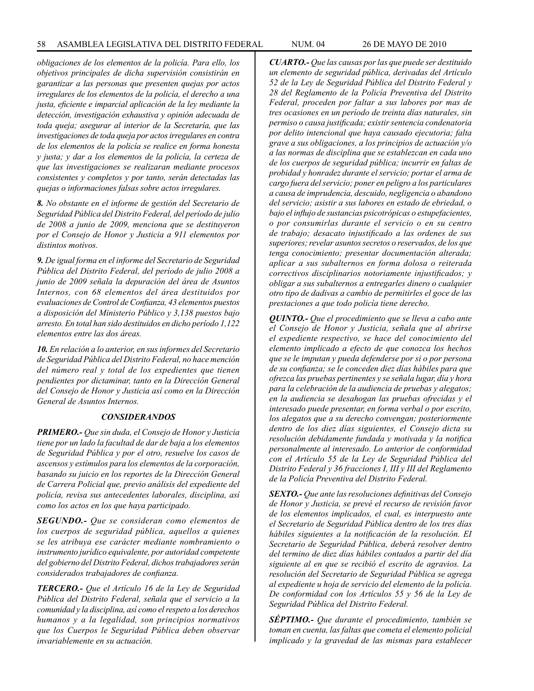*obligaciones de los elementos de la policía. Para ello, los objetivos principales de dicha supervisión consistirán en garantizar a las personas que presenten quejas por actos irregulares de los elementos de la policía, el derecho a una justa, eficiente e imparcial aplicación de la ley mediante la detección, investigación exhaustiva y opinión adecuada de toda queja; asegurar al interior de la Secretaría, que las investigaciones de toda queja por actos irregulares en contra de los elementos de la policía se realice en forma honesta y justa; y dar a los elementos de la policía, la certeza de que las investigaciones se realizaran mediante procesos consistentes y completos y por tanto, serán detectadas las quejas o informaciones falsas sobre actos irregulares.*

*8. No obstante en el informe de gestión del Secretario de Seguridad Pública del Distrito Federal, del período de julio de 2008 a junio de 2009, menciona que se destituyeron por el Consejo de Honor y Justicia a 911 elementos por distintos motivos.*

*9. De igual forma en el informe del Secretario de Seguridad Pública del Distrito Federal, del período de julio 2008 a junio de 2009 señala la depuración del área de Asuntos Internos, con 68 elementos del área destituidos por evaluaciones de Control de Confianza, 43 elementos puestos a disposición del Ministerio Público y 3,138 puestos bajo arresto. En total han sido destituidos en dicho período 1,122 elementos entre las dos áreas.*

*10. En relación a lo anterior, en sus informes del Secretario de Seguridad Pública del Distrito Federal, no hace mención del número real y total de los expedientes que tienen pendientes por dictaminar, tanto en la Dirección General del Consejo de Honor y Justicia así como en la Dirección General de Asuntos Internos.*

### *CONSIDERANDOS*

*PRIMERO.- Que sin duda, el Consejo de Honor y Justicia tiene por un lado la facultad de dar de baja a los elementos de Seguridad Pública y por el otro, resuelve los casos de ascensos y estímulos para los elementos de la corporación, basando su juicio en los reportes de la Dirección General de Carrera Policial que, previo análisis del expediente del policía, revisa sus antecedentes laborales, disciplina, así como los actos en los que haya participado.*

*SEGUNDO.- Que se consideran como elementos de los cuerpos de seguridad pública, aquellos a quienes se les atribuya ese carácter mediante nombramiento o instrumento jurídico equivalente, por autoridad competente del gobierno del Distrito Federal, dichos trabajadores serán considerados trabajadores de confianza.*

*TERCERO.- Que el Artículo 16 de la Ley de Seguridad Pública del Distrito Federal, señala que el servicio a la comunidad y la disciplina, así como el respeto a los derechos humanos y a la legalidad, son principios normativos que los Cuerpos le Seguridad Pública deben observar invariablemente en su actuación.*

*CUARTO.- Que las causas por las que puede ser destituido un elemento de seguridad pública, derivadas del Artículo 52 de la Ley de Seguridad Pública del Distrito Federal y 28 del Reglamento de la Policía Preventiva del Distrito Federal, proceden por faltar a sus labores por mas de tres ocasiones en un período de treinta días naturales, sin permiso o causa justificada; existir sentencia condenatoria por delito intencional que haya causado ejecutoria; falta grave a sus obligaciones, a los principios de actuación y/o a las normas de disciplina que se establezcan en cada uno de los cuerpos de seguridad pública; incurrir en faltas de probidad y honradez durante el servicio; portar el arma de cargo fuera del servicio; poner en peligro a los particulares a causa de imprudencia, descuido, negligencia o abandono del servicio; asistir a sus labores en estado de ebriedad, o bajo el influjo de sustancias psicotrópicas o estupefacientes, o por consumirlas durante el servicio o en su centro de trabajo; desacato injustificado a las ordenes de sus superiores; revelar asuntos secretos o reservados, de los que tenga conocimiento; presentar documentación alterada; aplicar a sus subalternos en forma dolosa o reiterada correctivos disciplinarios notoriamente injustificados; y obligar a sus subalternos a entregarles dinero o cualquier otro tipo de dadivas a cambio de permitirles el goce de las prestaciones a que todo policía tiene derecho.*

*QUINTO.- Que el procedimiento que se lleva a cabo ante el Consejo de Honor y Justicia, señala que al abrirse el expediente respectivo, se hace del conocimiento del elemento implicado a efecto de que conozca los hechos que se le imputan y pueda defenderse por si o por persona de su confianza; se le conceden diez días hábiles para que ofrezca las pruebas pertinentes y se señala lugar, día y hora para la celebración de la audiencia de pruebas y alegatos; en la audiencia se desahogan las pruebas ofrecidas y el interesado puede presentar, en forma verbal o por escrito, los alegatos que a su derecho convengan; posteriormente dentro de los diez días siguientes, el Consejo dicta su resolución debidamente fundada y motivada y la notifica personalmente al interesado. Lo anterior de conformidad con el Artículo 55 de la Ley de Seguridad Pública del Distrito Federal y 36 fracciones I, III y III del Reglamento de la Policía Preventiva del Distrito Federal.*

*SEXTO.- Que ante las resoluciones definitivas del Consejo de Honor y Justicia, se prevé el recurso de revisión favor de los elementos implicados, el cual, es interpuesto ante el Secretario de Seguridad Pública dentro de los tres días hábiles siguientes a la notificación de la resolución. EI Secretario de Seguridad Pública, deberá resolver dentro del termino de diez días hábiles contados a partir del día siguiente al en que se recibió el escrito de agravios. La resolución del Secretario de Seguridad Pública se agrega al expediente u hoja de servicio del elemento de la policía. De conformidad con los Artículos 55 y 56 de la Ley de Seguridad Pública del Distrito Federal.*

*SÉPTIMO.- Que durante el procedimiento, también se toman en cuenta, las faltas que cometa el elemento policial implicado y la gravedad de las mismas para establecer*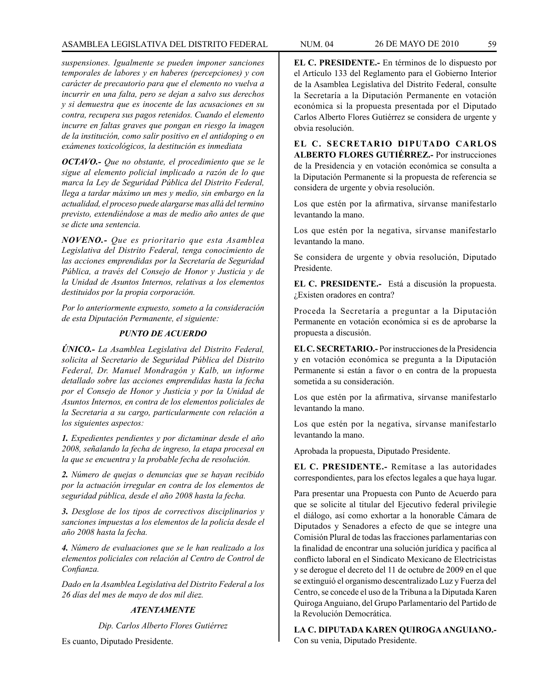# ASAMBLEA LEGISLATIVA DEL DISTRITO FEDERAL NUM. 04 26 de mayo DE 2010 59

*suspensiones. Igualmente se pueden imponer sanciones temporales de labores y en haberes (percepciones) y con carácter de precautorio para que el elemento no vuelva a incurrir en una falta, pero se dejan a salvo sus derechos y si demuestra que es inocente de las acusaciones en su contra, recupera sus pagos retenidos. Cuando el elemento incurre en faltas graves que pongan en riesgo la imagen de la institución, como salir positivo en el antidoping o en exámenes toxicológicos, la destitución es inmediata*

*OCTAVO.- Que no obstante, el procedimiento que se le sigue al elemento policial implicado a razón de lo que marca la Ley de Seguridad Pública del Distrito Federal, llega a tardar máximo un mes y medio, sin embargo en la actualidad, el proceso puede alargarse mas allá del termino previsto, extendiéndose a mas de medio año antes de que se dicte una sentencia.*

*NOVENO.- Que es prioritario que esta Asamblea Legislativa del Distrito Federal, tenga conocimiento de las acciones emprendidas por la Secretaría de Seguridad Pública, a través del Consejo de Honor y Justicia y de la Unidad de Asuntos Internos, relativas a los elementos destituidos por la propia corporación.*

*Por lo anteriormente expuesto, someto a la consideración de esta Diputación Permanente, el siguiente:*

# *PUNTO DE ACUERDO*

*ÚNICO.- La Asamblea Legislativa del Distrito Federal, solicita al Secretario de Seguridad Pública del Distrito Federal, Dr. Manuel Mondragón y Kalb, un informe detallado sobre las acciones emprendidas hasta la fecha por el Consejo de Honor y Justicia y por la Unidad de Asuntos Internos, en contra de los elementos policiales de la Secretaria a su cargo, particularmente con relación a los siguientes aspectos:*

*1. Expedientes pendientes y por dictaminar desde el año 2008, señalando la fecha de ingreso, la etapa procesal en la que se encuentra y la probable fecha de resolución.*

*2. Número de quejas o denuncias que se hayan recibido por la actuación irregular en contra de los elementos de seguridad pública, desde el año 2008 hasta la fecha.*

*3. Desglose de los tipos de correctivos disciplinarios y sanciones impuestas a los elementos de la policía desde el año 2008 hasta la fecha.*

*4. Número de evaluaciones que se le han realizado a los elementos policiales con relación al Centro de Control de Confianza.*

*Dado en la Asamblea Legislativa del Distrito Federal a los 26 días del mes de mayo de dos mil diez.*

# *ATENTAMENTE*

*Dip. Carlos Alberto Flores Gutiérrez*

Es cuanto, Diputado Presidente.

**EL C. PRESIDENTE.-** En términos de lo dispuesto por el Artículo 133 del Reglamento para el Gobierno Interior de la Asamblea Legislativa del Distrito Federal, consulte la Secretaría a la Diputación Permanente en votación económica si la propuesta presentada por el Diputado Carlos Alberto Flores Gutiérrez se considera de urgente y obvia resolución.

**EL C. SECRETARIO DIPUTADO CARLOS ALBERTO FLORES GUTIÉRREZ.-** Por instrucciones de la Presidencia y en votación económica se consulta a la Diputación Permanente si la propuesta de referencia se considera de urgente y obvia resolución.

Los que estén por la afirmativa, sírvanse manifestarlo levantando la mano.

Los que estén por la negativa, sírvanse manifestarlo levantando la mano.

Se considera de urgente y obvia resolución, Diputado Presidente.

**EL C. PRESIDENTE.-** Está a discusión la propuesta. ¿Existen oradores en contra?

Proceda la Secretaría a preguntar a la Diputación Permanente en votación económica si es de aprobarse la propuesta a discusión.

**EL C. SECRETARIO.-** Por instrucciones de la Presidencia y en votación económica se pregunta a la Diputación Permanente si están a favor o en contra de la propuesta sometida a su consideración.

Los que estén por la afirmativa, sírvanse manifestarlo levantando la mano.

Los que estén por la negativa, sírvanse manifestarlo levantando la mano.

Aprobada la propuesta, Diputado Presidente.

**EL C. PRESIDENTE.-** Remítase a las autoridades correspondientes, para los efectos legales a que haya lugar.

Para presentar una Propuesta con Punto de Acuerdo para que se solicite al titular del Ejecutivo federal privilegie el diálogo, así como exhortar a la honorable Cámara de Diputados y Senadores a efecto de que se integre una Comisión Plural de todas las fracciones parlamentarias con la finalidad de encontrar una solución jurídica y pacífica al conflicto laboral en el Sindicato Mexicano de Electricistas y se derogue el decreto del 11 de octubre de 2009 en el que se extinguió el organismo descentralizado Luz y Fuerza del Centro, se concede el uso de la Tribuna a la Diputada Karen Quiroga Anguiano, del Grupo Parlamentario del Partido de la Revolución Democrática.

**LA C. DIPUTADA KAREN QUIROGA ANGUIANO.-** Con su venia, Diputado Presidente.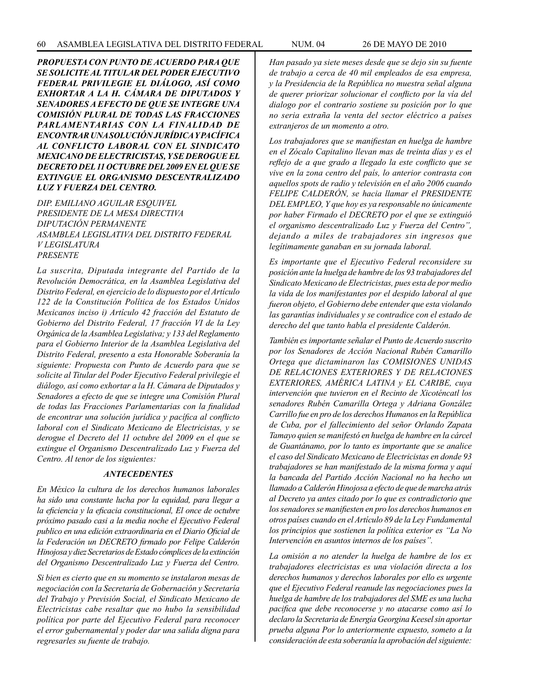*PROPUESTA CON PUNTO DE ACUERDO PARA QUE SE SOLICITE AL TITULAR DEL PODER EJECUTIVO FEDERAL PRIVILEGIE EL DIÁLOGO, ASÍ COMO EXHORTAR A LA H. CÁMARA DE DIPUTADOS Y SENADORES A EFECTO DE QUE SE INTEGRE UNA COMISIÓN PLURAL DE TODAS LAS FRACCIONES PARLAMENTARIAS CON LA FINALIDAD DE ENCONTRAR UNA SOLUCIÓN JURÍDICA Y PACÍFICA AL CONFLICTO LABORAL CON EL SINDICATO MEXICANO DE ELECTRICISTAS, Y SE DEROGUE EL DECRETO DEL 11 OCTUBRE DEL 2009 EN EL QUE SE EXTINGUE EL ORGANISMO DESCENTRALIZADO LUZ Y FUERZA DEL CENTRO.*

*DIP. EMILIANO AGUILAR ESQUIVEL PRESIDENTE DE LA MESA DIRECTIVA DIPUTACIÓN PERMANENTE ASAMBLEA LEGISLATIVA DEL DISTRITO FEDERAL V LEGISLATURA PRESENTE*

*La suscrita, Diputada integrante del Partido de la Revolución Democrática, en la Asamblea Legislativa del Distrito Federal, en ejercicio de lo dispuesto por el Artículo 122 de la Constitución Política de los Estados Unidos Mexicanos inciso i) Artículo 42 fracción del Estatuto de Gobierno del Distrito Federal, 17 fracción VI de la Ley Orgánica de la Asamblea Legislativa; y 133 del Reglamento para el Gobierno Interior de la Asamblea Legislativa del Distrito Federal, presento a esta Honorable Soberanía la siguiente: Propuesta con Punto de Acuerdo para que se solicite al Titular del Poder Ejecutivo Federal privilegie el diálogo, así como exhortar a la H. Cámara de Diputados y Senadores a efecto de que se integre una Comisión Plural de todas las Fracciones Parlamentarias con la finalidad de encontrar una solución jurídica y pacífica al conflicto laboral con el Sindicato Mexicano de Electricistas, y se derogue el Decreto del 11 octubre del 2009 en el que se extingue el Organismo Descentralizado Luz y Fuerza del Centro. Al tenor de los siguientes:*

## *ANTECEDENTES*

*En México la cultura de los derechos humanos laborales ha sido una constante lucha por la equidad, para llegar a la eficiencia y la eficacia constitucional, El once de octubre próximo pasado casi a la media noche el Ejecutivo Federal publico en una edición extraordinaria en el Diario Oficial de la Federación un DECRETO firmado por Felipe Calderón Hinojosa y diez Secretarios de Estado cómplices de la extinción del Organismo Descentralizado Luz y Fuerza del Centro.*

*Si bien es cierto que en su momento se instalaron mesas de negociación con la Secretaría de Gobernación y Secretaría del Trabajo y Previsión Social, el Sindicato Mexicano de Electricistas cabe resaltar que no hubo la sensibilidad política por parte del Ejecutivo Federal para reconocer el error gubernamental y poder dar una salida digna para regresarles su fuente de trabajo.*

*Han pasado ya siete meses desde que se dejo sin su fuente de trabajo a cerca de 40 mil empleados de esa empresa, y la Presidencia de la República no muestra señal alguna de querer priorizar solucionar el conflicto por la vía del dialogo por el contrario sostiene su posición por lo que no seria extraña la venta del sector eléctrico a países extranjeros de un momento a otro.*

*Los trabajadores que se manifiestan en huelga de hambre en el Zócalo Capitalino llevan mas de treinta días y es el reflejo de a que grado a llegado la este conflicto que se vive en la zona centro del país, lo anterior contrasta con aquellos spots de radio y televisión en el año 2006 cuando FELIPE CALDERÓN, se hacia llamar el PRESIDENTE DEL EMPLEO, Y que hoy es ya responsable no únicamente por haber Firmado el DECRETO por el que se extinguió el organismo descentralizado Luz y Fuerza del Centro", dejando a miles de trabajadores sin ingresos que legítimamente ganaban en su jornada laboral.* 

*Es importante que el Ejecutivo Federal reconsidere su posición ante la huelga de hambre de los 93 trabajadores del Sindicato Mexicano de Electricistas, pues esta de por medio la vida de los manifestantes por el despido laboral al que fueron objeto, el Gobierno debe entender que esta violando las garantías individuales y se contradice con el estado de derecho del que tanto habla el presidente Calderón.*

*También es importante señalar el Punto de Acuerdo suscrito por los Senadores de Acción Nacional Rubén Camarillo Ortega que dictaminaron las COMISIONES UNIDAS DE RELACIONES EXTERIORES Y DE RELACIONES EXTERIORES, AMÉRICA LATINA y EL CARIBE, cuya intervención que tuvieron en el Recinto de Xicoténcatl los senadores Rubén Camarilla Ortega y Adriana González Carrillo fue en pro de los derechos Humanos en la República de Cuba, por el fallecimiento del señor Orlando Zapata Tamayo quien se manifestó en huelga de hambre en la cárcel de Guantánamo, por lo tanto es importante que se analice el caso del Sindicato Mexicano de Electricistas en donde 93 trabajadores se han manifestado de la misma forma y aquí la bancada del Partido Acción Nacional no ha hecho un llamado a Calderón Hinojosa a efecto de que de marcha atrás al Decreto ya antes citado por lo que es contradictorio que los senadores se manifiesten en pro los derechos humanos en otros países cuando en el Artículo 89 de la Ley Fundamental los principios que sostienen la política exterior es "La No Intervención en asuntos internos de los países".*

*La omisión a no atender la huelga de hambre de los ex trabajadores electricistas es una violación directa a los derechos humanos y derechos laborales por ello es urgente que el Ejecutivo Federal reanude las negociaciones pues la huelga de hambre de los trabajadores del SME es una lucha pacifica que debe reconocerse y no atacarse como así lo declaro la Secretaria de Energía Georgina Keesel sin aportar prueba alguna Por lo anteriormente expuesto, someto a la consideración de esta soberanía la aprobación del siguiente:*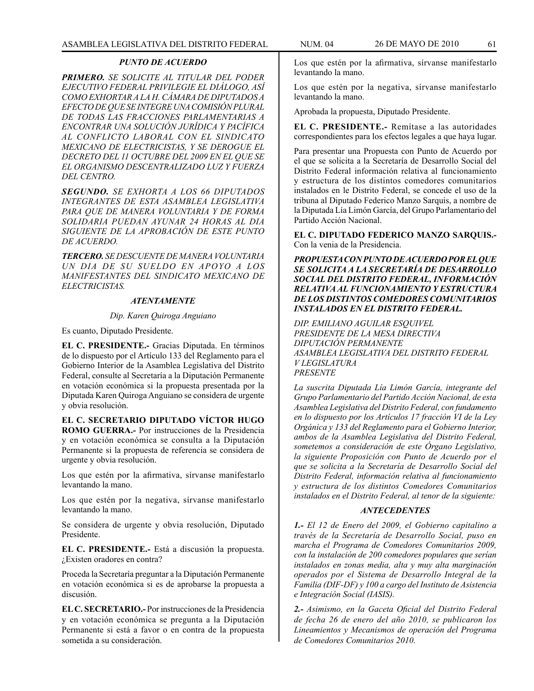### *PUNTO DE ACUERDO*

*PRIMERO. SE SOLICITE AL TITULAR DEL PODER EJECUTIVO FEDERAL PRIVILEGIE EL DIÁLOGO, ASÍ COMO EXHORTAR A LA H. CÁMARA DE DIPUTADOS A EFECTO DE QUE SE INTEGRE UNA COMISIÓN PLURAL DE TODAS LAS FRACCIONES PARLAMENTARIAS A ENCONTRAR UNA SOLUCIÓN JURÍDICA Y PACÍFICA AL CONFLICTO LABORAL CON EL SINDICATO MEXICANO DE ELECTRICISTAS, Y SE DEROGUE EL DECRETO DEL 11 OCTUBRE DEL 2009 EN EL QUE SE EL ORGANISMO DESCENTRALIZADO LUZ Y FUERZA DEL CENTRO.*

*SEGUNDO. SE EXHORTA A LOS 66 DIPUTADOS INTEGRANTES DE ESTA ASAMBLEA LEGISLATIVA PARA QUE DE MANERA VOLUNTARIA Y DE FORMA SOLIDARIA PUEDAN AYUNAR 24 HORAS AL DIA SIGUIENTE DE LA APROBACIÓN DE ESTE PUNTO DE ACUERDO.*

*TERCERO. SE DESCUENTE DE MANERA VOLUNTARIA UN DIA DE SU SUELDO EN APOYO A LOS MANIFESTANTES DEL SINDICATO MEXICANO DE ELECTRICISTAS.*

#### *ATENTAMENTE*

## *Dip. Karen Quiroga Anguiano*

Es cuanto, Diputado Presidente.

**EL C. PRESIDENTE.-** Gracias Diputada. En términos de lo dispuesto por el Artículo 133 del Reglamento para el Gobierno Interior de la Asamblea Legislativa del Distrito Federal, consulte al Secretaría a la Diputación Permanente en votación económica si la propuesta presentada por la Diputada Karen Quiroga Anguiano se considera de urgente y obvia resolución.

**EL C. SECRETARIO DIPUTADO VÍCTOR HUGO ROMO GUERRA.-** Por instrucciones de la Presidencia y en votación económica se consulta a la Diputación Permanente si la propuesta de referencia se considera de urgente y obvia resolución.

Los que estén por la afirmativa, sírvanse manifestarlo levantando la mano.

Los que estén por la negativa, sírvanse manifestarlo levantando la mano.

Se considera de urgente y obvia resolución, Diputado Presidente.

**EL C. PRESIDENTE.-** Está a discusión la propuesta. ¿Existen oradores en contra?

Proceda la Secretaría preguntar a la Diputación Permanente en votación económica si es de aprobarse la propuesta a discusión.

**EL C. SECRETARIO.-** Por instrucciones de la Presidencia y en votación económica se pregunta a la Diputación Permanente si está a favor o en contra de la propuesta sometida a su consideración.

Los que estén por la afirmativa, sírvanse manifestarlo levantando la mano.

Los que estén por la negativa, sírvanse manifestarlo levantando la mano.

Aprobada la propuesta, Diputado Presidente.

**EL C. PRESIDENTE.-** Remítase a las autoridades correspondientes para los efectos legales a que haya lugar.

Para presentar una Propuesta con Punto de Acuerdo por el que se solicita a la Secretaría de Desarrollo Social del Distrito Federal información relativa al funcionamiento y estructura de los distintos comedores comunitarios instalados en le Distrito Federal, se concede el uso de la tribuna al Diputado Federico Manzo Sarquis, a nombre de la Diputada Lía Limón García, del Grupo Parlamentario del Partido Acción Nacional.

**EL C. DIPUTADO FEDERICO MANZO SARQUIS.-** Con la venia de la Presidencia.

*PROPUESTA CON PUNTO DE ACUERDO POR EL QUE SE SOLICITA A LA SECRETARÍA DE DESARROLLO SOCIAL DEL DISTRITO FEDERAL, INFORMACIÓN RELATIVA AL FUNCIONAMIENTO Y ESTRUCTURA DE LOS DISTINTOS COMEDORES COMUNITARIOS INSTALADOS EN EL DISTRITO FEDERAL.*

*DIP. EMILIANO AGUILAR ESQUIVEL PRESIDENTE DE LA MESA DIRECTIVA DIPUTACIÓN PERMANENTE ASAMBLEA LEGISLATIVA DEL DISTRITO FEDERAL V LEGISLATURA PRESENTE*

*La suscrita Diputada Lía Limón García, integrante del Grupo Parlamentario del Partido Acción Nacional, de esta Asamblea Legislativa del Distrito Federal, con fundamento en lo dispuesto por los Artículos 17 fracción VI de la Ley Orgánica y 133 del Reglamento para el Gobierno Interior, ambos de la Asamblea Legislativa del Distrito Federal, sometemos a consideración de este Órgano Legislativo, la siguiente Proposición con Punto de Acuerdo por el que se solicita a la Secretaría de Desarrollo Social del Distrito Federal, información relativa al funcionamiento y estructura de los distintos Comedores Comunitarios instalados en el Distrito Federal, al tenor de la siguiente:*

### *ANTECEDENTES*

*1.- El 12 de Enero del 2009, el Gobierno capitalino a través de la Secretaría de Desarrollo Social, puso en marcha el Programa de Comedores Comunitarios 2009, con la instalación de 200 comedores populares que serían instalados en zonas media, alta y muy alta marginación operados por el Sistema de Desarrollo Integral de la Familia (DIF-DF) y 100 a cargo del Instituto de Asistencia e Integración Social (IASIS).*

*2.- Asimismo, en la Gaceta Oficial del Distrito Federal de fecha 26 de enero del año 2010, se publicaron los Lineamientos y Mecanismos de operación del Programa de Comedores Comunitarios 2010.*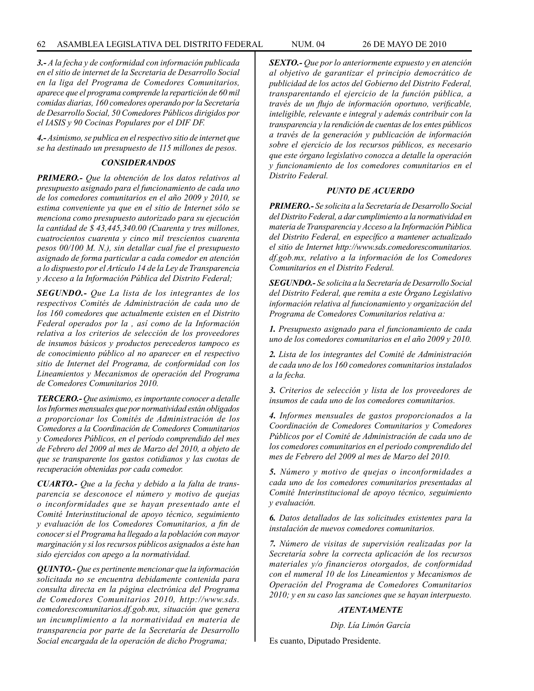*3.- A la fecha y de conformidad con información publicada en el sitio de internet de la Secretaria de Desarrollo Social en la liga del Programa de Comedores Comunitarios, aparece que el programa comprende la repartición de 60 mil comidas diarias, 160 comedores operando por la Secretaría de Desarrollo Social, 50 Comedores Públicos dirigidos por el IASIS y 90 Cocinas Populares por el DIF DF.*

*4.- Asimismo, se publica en el respectivo sitio de internet que se ha destinado un presupuesto de 115 millones de pesos.* 

## *CONSIDERANDOS*

*PRIMERO.- Que la obtención de los datos relativos al presupuesto asignado para el funcionamiento de cada uno de los comedores comunitarios en el año 2009 y 2010, se estima conveniente ya que en el sitio de Internet sólo se menciona como presupuesto autorizado para su ejecución la cantidad de \$ 43,445,340.00 (Cuarenta y tres millones, cuatrocientos cuarenta y cinco mil trescientos cuarenta pesos 00/100 M. N.), sin detallar cual fue el presupuesto asignado de forma particular a cada comedor en atención a lo dispuesto por el Artículo 14 de la Ley de Transparencia y Acceso a la Información Pública del Distrito Federal;*

*SEGUNDO.- Que La lista de los integrantes de los respectivos Comités de Administración de cada uno de los 160 comedores que actualmente existen en el Distrito Federal operados por la , así como de la Información relativa a los criterios de selección de los proveedores de insumos básicos y productos perecederos tampoco es de conocimiento público al no aparecer en el respectivo sitio de Internet del Programa, de conformidad con los Lineamientos y Mecanismos de operación del Programa de Comedores Comunitarios 2010.*

*TERCERO.- Que asimismo, es importante conocer a detalle los Informes mensuales que por normatividad están obligados a proporcionar los Comités de Administración de los Comedores a la Coordinación de Comedores Comunitarios y Comedores Públicos, en el período comprendido del mes de Febrero del 2009 al mes de Marzo del 2010, a objeto de que se transparente los gastos cotidianos y las cuotas de recuperación obtenidas por cada comedor.*

*CUARTO.- Que a la fecha y debido a la falta de transparencia se desconoce el número y motivo de quejas o inconformidades que se hayan presentado ante el Comité Interinstitucional de apoyo técnico, seguimiento y evaluación de los Comedores Comunitarios, a fin de conocer si el Programa ha llegado a la población con mayor marginación y si los recursos públicos asignados a éste han sido ejercidos con apego a la normatividad.*

*QUINTO.- Que es pertinente mencionar que la información solicitada no se encuentra debidamente contenida para consulta directa en la página electrónica del Programa de Comedores Comunitarios 2010, http://www.sds. comedorescomunitarios.df.gob.mx, situación que genera un incumplimiento a la normatividad en materia de transparencia por parte de la Secretaría de Desarrollo Social encargada de la operación de dicho Programa;*

*SEXTO.- Que por lo anteriormente expuesto y en atención al objetivo de garantizar el principio democrático de publicidad de los actos del Gobierno del Distrito Federal, transparentando el ejercicio de la función pública, a través de un flujo de información oportuno, verificable, inteligible, relevante e integral y además contribuir con la transparencia y la rendición de cuentas de los entes públicos a través de la generación y publicación de información sobre el ejercicio de los recursos públicos, es necesario que este órgano legislativo conozca a detalle la operación y funcionamiento de los comedores comunitarios en el Distrito Federal.*

## *PUNTO DE ACUERDO*

*PRIMERO.- Se solicita a la Secretaría de Desarrollo Social del Distrito Federal, a dar cumplimiento a la normatividad en materia de Transparencia y Acceso a la Información Pública del Distrito Federal, en específico a mantener actualizado el sitio de Internet http://www.sds.comedorescomunitarios. df.gob.mx, relativo a la información de los Comedores Comunitarios en el Distrito Federal.*

*SEGUNDO.- Se solicita a la Secretaría de Desarrollo Social del Distrito Federal, que remita a este Órgano Legislativo información relativa al funcionamiento y organización del Programa de Comedores Comunitarios relativa a:* 

*1. Presupuesto asignado para el funcionamiento de cada uno de los comedores comunitarios en el año 2009 y 2010.*

*2. Lista de los integrantes del Comité de Administración de cada uno de los 160 comedores comunitarios instalados a la fecha.*

*3. Criterios de selección y lista de los proveedores de insumos de cada uno de los comedores comunitarios.*

*4. Informes mensuales de gastos proporcionados a la Coordinación de Comedores Comunitarios y Comedores Públicos por el Comité de Administración de cada uno de los comedores comunitarios en el periodo comprendido del mes de Febrero del 2009 al mes de Marzo del 2010.* 

*5. Número y motivo de quejas o inconformidades a cada uno de los comedores comunitarios presentadas al Comité Interinstitucional de apoyo técnico, seguimiento y evaluación.*

*6. Datos detallados de las solicitudes existentes para la instalación de nuevos comedores comunitarios.*

*7. Número de visitas de supervisión realizadas por la Secretaría sobre la correcta aplicación de los recursos materiales y/o financieros otorgados, de conformidad con el numeral 10 de los Lineamientos y Mecanismos de Operación del Programa de Comedores Comunitarios 2010; y en su caso las sanciones que se hayan interpuesto.*

## *ATENTAMENTE*

*Dip. Lía Limón García*

Es cuanto, Diputado Presidente.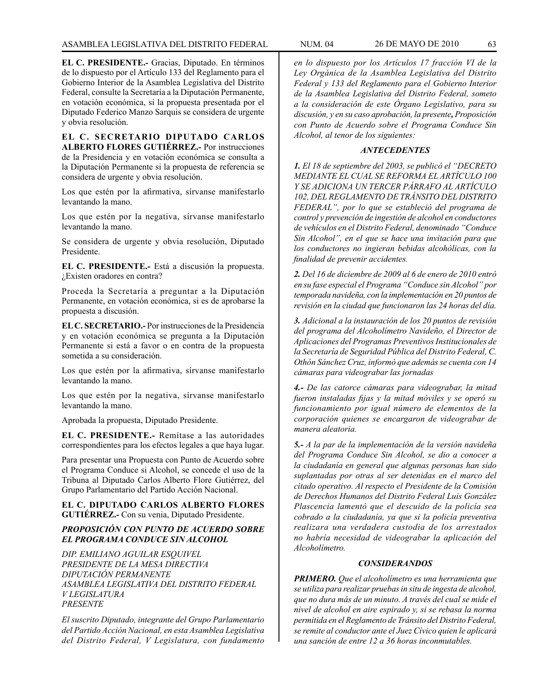**EL C. PRESIDENTE.-** Gracias, Diputado. En términos de lo dispuesto por el Artículo 133 del Reglamento para el Gobierno Interior de la Asamblea Legislativa del Distrito Federal, consulte la Secretaría a la Diputación Permanente, en votación económica, si la propuesta presentada por el Diputado Federico Manzo Sarquis se considera de urgente y obvia resolución.

**EL C. SECRETARIO DIPUTADO CARLOS ALBERTO FLORES GUTIÉRREZ.-** Por instrucciones de la Presidencia y en votación económica se consulta a la Diputación Permanente si la propuesta de referencia se considera de urgente y obvia resolución.

Los que estén por la afirmativa, sírvanse manifestarlo levantando la mano.

Los que estén por la negativa, sírvanse manifestarlo levantando la mano.

Se considera de urgente y obvia resolución, Diputado Presidente.

**EL C. PRESIDENTE.-** Está a discusión la propuesta. ¿Existen oradores en contra?

Proceda la Secretaría a preguntar a la Diputación Permanente, en votación económica, si es de aprobarse la propuesta a discusión.

**EL C. SECRETARIO.-** Por instrucciones de la Presidencia y en votación económica se pregunta a la Diputación Permanente si está a favor o en contra de la propuesta sometida a su consideración.

Los que estén por la afirmativa, sírvanse manifestarlo levantando la mano.

Los que estén por la negativa, sírvanse manifestarlo levantando la mano.

Aprobada la propuesta, Diputado Presidente.

**EL C. PRESIDENTE.-** Remítase a las autoridades correspondientes para los efectos legales a que haya lugar.

Para presentar una Propuesta con Punto de Acuerdo sobre el Programa Conduce si Alcohol, se concede el uso de la Tribuna al Diputado Carlos Alberto Flore Gutiérrez, del Grupo Parlamentario del Partido Acción Nacional.

**EL C. DIPUTADO CARLOS ALBERTO FLORES GUTIÉRREZ.-** Con su venia, Diputado Presidente.

# *PROPOSICIÓN CON PUNTO DE ACUERDO SOBRE EL PROGRAMA CONDUCE SIN ALCOHOL*

*DIP. EMILIANO AGUILAR ESQUIVEL PRESIDENTE DE LA MESA DIRECTIVA DIPUTACIÓN PERMANENTE ASAMBLEA LEGISLATIVA DEL DISTRITO FEDERAL V LEGISLATURA PRESENTE*

*El suscrito Diputado, integrante del Grupo Parlamentario del Partido Acción Nacional, en esta Asamblea Legislativa del Distrito Federal, V Legislatura, con fundamento*  *en lo dispuesto por los Artículos 17 fracción VI de la Ley Orgánica de la Asamblea Legislativa del Distrito Federal y 133 del Reglamento para el Gobierno Interior de la Asamblea Legislativa del Distrito Federal, someto a la consideración de este Órgano Legislativo, para su discusión, y en su caso aprobación, la presente, Proposición con Punto de Acuerdo sobre el Programa Conduce Sin Alcohol, al tenor de los siguientes:*

#### *ANTECEDENTES*

*1. El 18 de septiembre del 2003, se publicó el "DECRETO MEDIANTE EL CUAL SE REFORMA EL ARTÍCULO 100 Y SE ADICIONA UN TERCER PÁRRAFO AL ARTÍCULO 102, DEL REGLAMENTO DE TRÁNSITO DEL DISTRITO FEDERAL", por lo que se estableció del programa de control y prevención de ingestión de alcohol en conductores de vehículos en el Distrito Federal, denominado "Conduce Sin Alcohol", en el que se hace una invitación para que los conductores no ingieran bebidas alcohólicas, con la finalidad de prevenir accidentes.*

*2. Del 16 de diciembre de 2009 al 6 de enero de 2010 entró en su fase especial el Programa "Conduce sin Alcohol" por temporada navideña, con la implementación en 20 puntos de revisión en la ciudad que funcionaron las 24 horas del día.*

*3. Adicional a la instauración de los 20 puntos de revisión del programa del Alcoholímetro Navideño, el Director de Aplicaciones del Programas Preventivos Institucionales de la Secretaría de Seguridad Pública del Distrito Federal, C. Othón Sánchez Cruz, informó que además se cuenta con 14 cámaras para videograbar las jornadas*

*4.- De las catorce cámaras para videograbar, la mitad fueron instaladas fijas y la mitad móviles y se operó su funcionamiento por igual número de elementos de la corporación quienes se encargaron de videograbar de manera aleatoria.* 

*5.- A la par de la implementación de la versión navideña del Programa Conduce Sin Alcohol, se dio a conocer a la ciudadanía en general que algunas personas han sido suplantadas por otras al ser detenidas en el marco del citado operativo. Al respecto el Presidente de la Comisión de Derechos Humanos del Distrito Federal Luis González Plascencia lamentó que el descuido de la policía sea cobrado a la ciudadanía, ya que si la policía preventiva realizara una verdadera custodia de los arrestados no habría necesidad de videograbar la aplicación del Alcoholímetro.*

### *CONSIDERANDOS*

*PRIMERO. Que el alcoholímetro es una herramienta que se utiliza para realizar pruebas in situ de ingesta de alcohol, que no dura más de un minuto. A través del cual se mide el nivel de alcohol en aire espirado y, si se rebasa la norma permitida en el Reglamento de Tránsito del Distrito Federal, se remite al conductor ante el Juez Cívico quien le aplicará una sanción de entre 12 a 36 horas inconmutables.*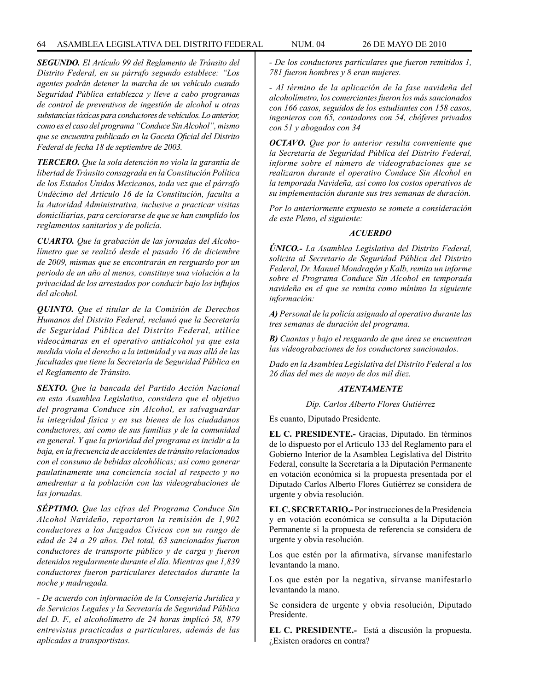*SEGUNDO. El Artículo 99 del Reglamento de Tránsito del Distrito Federal, en su párrafo segundo establece: "Los agentes podrán detener la marcha de un vehículo cuando Seguridad Pública establezca y lleve a cabo programas de control de preventivos de ingestión de alcohol u otras substancias tóxicas para conductores de vehículos. Lo anterior, como es el caso del programa "Conduce Sin Alcohol", mismo que se encuentra publicado en la Gaceta Oficial del Distrito Federal de fecha 18 de septiembre de 2003.*

*TERCERO. Que la sola detención no viola la garantía de libertad de Tránsito consagrada en la Constitución Política de los Estados Unidos Mexicanos, toda vez que el párrafo Undécimo del Artículo 16 de la Constitución, faculta a la Autoridad Administrativa, inclusive a practicar visitas domiciliarias, para cerciorarse de que se han cumplido los reglamentos sanitarios y de policía.*

*CUARTO. Que la grabación de las jornadas del Alcoholímetro que se realizó desde el pasado 16 de diciembre de 2009, mismas que se encontrarán en resguardo por un periodo de un año al menos, constituye una violación a la privacidad de los arrestados por conducir bajo los influjos del alcohol.*

*QUINTO. Que el titular de la Comisión de Derechos Humanos del Distrito Federal, reclamó que la Secretaría de Seguridad Pública del Distrito Federal, utilice videocámaras en el operativo antialcohol ya que esta medida viola el derecho a la intimidad y va mas allá de las facultades que tiene la Secretaría de Seguridad Pública en el Reglamento de Tránsito.*

*SEXTO. Que la bancada del Partido Acción Nacional en esta Asamblea Legislativa, considera que el objetivo del programa Conduce sin Alcohol, es salvaguardar la integridad física y en sus bienes de los ciudadanos conductores, así como de sus familias y de la comunidad en general. Y que la prioridad del programa es incidir a la baja, en la frecuencia de accidentes de tránsito relacionados con el consumo de bebidas alcohólicas; así como generar paulatinamente una conciencia social al respecto y no amedrentar a la población con las videograbaciones de las jornadas.*

*SÉPTIMO. Que las cifras del Programa Conduce Sin Alcohol Navideño, reportaron la remisión de 1,902 conductores a los Juzgados Cívicos con un rango de edad de 24 a 29 años. Del total, 63 sancionados fueron conductores de transporte público y de carga y fueron detenidos regularmente durante el día. Mientras que 1,839 conductores fueron particulares detectados durante la noche y madrugada.*

*- De acuerdo con información de la Consejería Jurídica y de Servicios Legales y la Secretaría de Seguridad Pública del D. F., el alcoholímetro de 24 horas implicó 58, 879 entrevistas practicadas a particulares, además de las aplicadas a transportistas.*

*- De los conductores particulares que fueron remitidos 1, 781 fueron hombres y 8 eran mujeres.*

*- Al término de la aplicación de la fase navideña del alcoholímetro, los comerciantes fueron los más sancionados con 166 casos, seguidos de los estudiantes con 158 casos, ingenieros con 65, contadores con 54, chóferes privados con 51 y abogados con 34*

*OCTAVO. Que por lo anterior resulta conveniente que la Secretaría de Seguridad Pública del Distrito Federal, informe sobre el número de videograbaciones que se realizaron durante el operativo Conduce Sin Alcohol en la temporada Navideña, así como los costos operativos de su implementación durante sus tres semanas de duración.*

*Por lo anteriormente expuesto se somete a consideración de este Pleno, el siguiente:*

### *ACUERDO*

*ÚNICO.- La Asamblea Legislativa del Distrito Federal, solicita al Secretario de Seguridad Pública del Distrito Federal, Dr. Manuel Mondragón y Kalb, remita un informe sobre el Programa Conduce Sin Alcohol en temporada navideña en el que se remita como mínimo la siguiente información:*

*A) Personal de la policía asignado al operativo durante las tres semanas de duración del programa.*

*B) Cuantas y bajo el resguardo de que área se encuentran las videograbaciones de los conductores sancionados.*

*Dado en la Asamblea Legislativa del Distrito Federal a los 26 días del mes de mayo de dos mil diez.*

# *ATENTAMENTE*

*Dip. Carlos Alberto Flores Gutiérrez*

Es cuanto, Diputado Presidente.

**EL C. PRESIDENTE.-** Gracias, Diputado. En términos de lo dispuesto por el Artículo 133 del Reglamento para el Gobierno Interior de la Asamblea Legislativa del Distrito Federal, consulte la Secretaría a la Diputación Permanente en votación económica si la propuesta presentada por el Diputado Carlos Alberto Flores Gutiérrez se considera de urgente y obvia resolución.

**EL C. SECRETARIO.-** Por instrucciones de la Presidencia y en votación económica se consulta a la Diputación Permanente si la propuesta de referencia se considera de urgente y obvia resolución.

Los que estén por la afirmativa, sírvanse manifestarlo levantando la mano.

Los que estén por la negativa, sírvanse manifestarlo levantando la mano.

Se considera de urgente y obvia resolución, Diputado Presidente.

**EL C. PRESIDENTE.-** Está a discusión la propuesta. ¿Existen oradores en contra?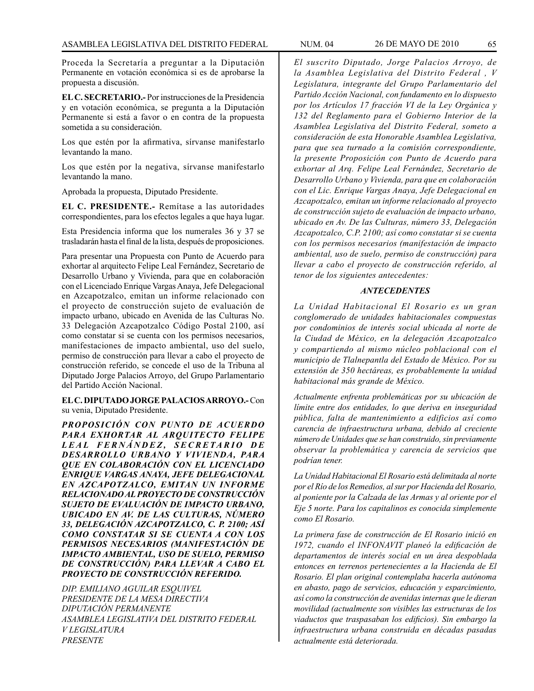Proceda la Secretaría a preguntar a la Diputación Permanente en votación económica si es de aprobarse la propuesta a discusión.

**EL C. SECRETARIO.-** Por instrucciones de la Presidencia y en votación económica, se pregunta a la Diputación Permanente si está a favor o en contra de la propuesta sometida a su consideración.

Los que estén por la afirmativa, sírvanse manifestarlo levantando la mano.

Los que estén por la negativa, sírvanse manifestarlo levantando la mano.

Aprobada la propuesta, Diputado Presidente.

**EL C. PRESIDENTE.-** Remítase a las autoridades correspondientes, para los efectos legales a que haya lugar.

Esta Presidencia informa que los numerales 36 y 37 se trasladarán hasta el final de la lista, después de proposiciones.

Para presentar una Propuesta con Punto de Acuerdo para exhortar al arquitecto Felipe Leal Fernández, Secretario de Desarrollo Urbano y Vivienda, para que en colaboración con el Licenciado Enrique Vargas Anaya, Jefe Delegacional en Azcapotzalco, emitan un informe relacionado con el proyecto de construcción sujeto de evaluación de impacto urbano, ubicado en Avenida de las Culturas No. 33 Delegación Azcapotzalco Código Postal 2100, así como constatar si se cuenta con los permisos necesarios, manifestaciones de impacto ambiental, uso del suelo, permiso de construcción para llevar a cabo el proyecto de construcción referido, se concede el uso de la Tribuna al Diputado Jorge Palacios Arroyo, del Grupo Parlamentario del Partido Acción Nacional.

**EL C. DIPUTADO JORGE PALACIOS ARROYO.-** Con su venia, Diputado Presidente.

*PROPOSICIÓN CON PUNTO DE ACUERDO PARA EXHORTAR AL ARQUITECTO FELIPE L E A L F E R N Á N D E Z , S E C R E TA R I O D E DESARROLLO URBANO Y VIVIENDA, PARA QUE EN COLABORACIÓN CON EL LICENCIADO ENRIQUE VARGAS ANAYA, JEFE DELEGACIONAL EN AZCAPOTZALCO, EMITAN UN INFORME RELACIONADO AL PROYECTO DE CONSTRUCCIÓN SUJETO DE EVALUACIÓN DE IMPACTO URBANO, UBICADO EN AV. DE LAS CULTURAS, NÚMERO 33, DELEGACIÓN AZCAPOTZALCO, C. P. 2100; ASÍ COMO CONSTATAR SI SE CUENTA A CON LOS PERMISOS NECESARIOS (MANIFESTACIÓN DE IMPACTO AMBIENTAL, USO DE SUELO, PERMISO DE CONSTRUCCIÓN) PARA LLEVAR A CABO EL PROYECTO DE CONSTRUCCIÓN REFERIDO.*

*DIP. EMILIANO AGUILAR ESQUIVEL PRESIDENTE DE LA MESA DIRECTIVA DIPUTACIÓN PERMANENTE ASAMBLEA LEGISLATIVA DEL DISTRITO FEDERAL V LEGISLATURA PRESENTE*

*El suscrito Diputado, Jorge Palacios Arroyo, de la Asamblea Legislativa del Distrito Federal , V Legislatura, integrante del Grupo Parlamentario del Partido Acción Nacional, con fundamento en lo dispuesto por los Artículos 17 fracción VI de la Ley Orgánica y 132 del Reglamento para el Gobierno Interior de la Asamblea Legislativa del Distrito Federal, someto a consideración de esta Honorable Asamblea Legislativa, para que sea turnado a la comisión correspondiente, la presente Proposición con Punto de Acuerdo para exhortar al Arq. Felipe Leal Fernández, Secretario de Desarrollo Urbano y Vivienda, para que en colaboración con el Lic. Enrique Vargas Anaya, Jefe Delegacional en Azcapotzalco, emitan un informe relacionado al proyecto de construcción sujeto de evaluación de impacto urbano, ubicado en Av. De las Culturas, número 33, Delegación Azcapotzalco, C.P. 2100; así como constatar si se cuenta con los permisos necesarios (manifestación de impacto ambiental, uso de suelo, permiso de construcción) para llevar a cabo el proyecto de construcción referido, al tenor de los siguientes antecedentes:*

## *ANTECEDENTES*

*La Unidad Habitacional El Rosario es un gran conglomerado de unidades habitacionales compuestas por condominios de interés social ubicada al norte de la Ciudad de México, en la delegación Azcapotzalco y compartiendo al mismo núcleo poblacional con el municipio de Tlalnepantla del Estado de México. Por su extensión de 350 hectáreas, es probablemente la unidad habitacional más grande de México.*

*Actualmente enfrenta problemáticas por su ubicación de límite entre dos entidades, lo que deriva en inseguridad pública, falta de mantenimiento a edificios así como carencia de infraestructura urbana, debido al creciente número de Unidades que se han construido, sin previamente observar la problemática y carencia de servicios que podrían tener.*

*La Unidad Habitacional El Rosario está delimitada al norte por el Río de los Remedios, al sur por Hacienda del Rosario, al poniente por la Calzada de las Armas y al oriente por el Eje 5 norte. Para los capitalinos es conocida simplemente como El Rosario.*

*La primera fase de construcción de El Rosario inició en 1972, cuando el INFONAVIT planeó la edificación de departamentos de interés social en un área despoblada entonces en terrenos pertenecientes a la Hacienda de El Rosario. El plan original contemplaba hacerla autónoma en abasto, pago de servicios, educación y esparcimiento, así como la construcción de avenidas internas que le dieran movilidad (actualmente son visibles las estructuras de los viaductos que traspasaban los edificios). Sin embargo la infraestructura urbana construida en décadas pasadas actualmente está deteriorada.*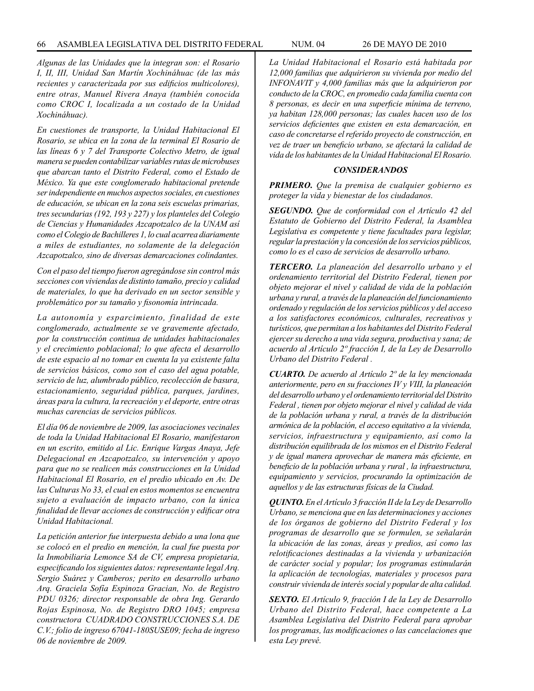*Algunas de las Unidades que la integran son: el Rosario I, II, III, Unidad San Martín Xochináhuac (de las más recientes y caracterizada por sus edificios multicolores), entre otras, Manuel Rivera Anaya (también conocida como CROC I, localizada a un costado de la Unidad Xochináhuac).* 

*En cuestiones de transporte, la Unidad Habitacional El Rosario, se ubica en la zona de la terminal El Rosario de las líneas 6 y 7 del Transporte Colectivo Metro, de igual manera se pueden contabilizar variables rutas de microbuses que abarcan tanto el Distrito Federal, como el Estado de México. Ya que este conglomerado habitacional pretende ser independiente en muchos aspectos sociales, en cuestiones de educación, se ubican en la zona seis escuelas primarias, tres secundarias (192, 193 y 227) y los planteles del Colegio de Ciencias y Humanidades Azcapotzalco de la UNAM así como el Colegio de Bachilleres 1, lo cual acarrea diariamente a miles de estudiantes, no solamente de la delegación Azcapotzalco, sino de diversas demarcaciones colindantes.*

*Con el paso del tiempo fueron agregándose sin control más secciones con viviendas de distinto tamaño, precio y calidad de materiales, lo que ha derivado en un sector sensible y problemático por su tamaño y fisonomía intrincada.* 

*La autonomía y esparcimiento, finalidad de este conglomerado, actualmente se ve gravemente afectado, por la construcción continua de unidades habitacionales y el crecimiento poblacional; lo que afecta el desarrollo de este espacio al no tomar en cuenta la ya existente falta de servicios básicos, como son el caso del agua potable, servicio de luz, alumbrado público, recolección de basura, estacionamiento, seguridad pública, parques, jardines, áreas para la cultura, la recreación y el deporte, entre otras muchas carencias de servicios públicos.*

*El día 06 de noviembre de 2009, las asociaciones vecinales de toda la Unidad Habitacional El Rosario, manifestaron en un escrito, emitido al Lic. Enrique Vargas Anaya, Jefe Delegacional en Azcapotzalco, su intervención y apoyo para que no se realicen más construcciones en la Unidad Habitacional El Rosario, en el predio ubicado en Av. De las Culturas No 33, el cual en estos momentos se encuentra sujeto a evaluación de impacto urbano, con la única finalidad de llevar acciones de construcción y edificar otra Unidad Habitacional.*

*La petición anterior fue interpuesta debido a una lona que se colocó en el predio en mención, la cual fue puesta por la Inmobiliaria Lemonce SA de CV, empresa propietaria, especificando los siguientes datos: representante legal Arq. Sergio Suárez y Camberos; perito en desarrollo urbano Arq. Graciela Sofía Espinoza Gracian, No. de Registro PDU 0326; director responsable de obra Ing. Gerardo Rojas Espinosa, No. de Registro DRO 1045; empresa constructora CUADRADO CONSTRUCCIONES S.A. DE C.V.; folio de ingreso 67041-180SUSE09; fecha de ingreso 06 de noviembre de 2009.*

*La Unidad Habitacional el Rosario está habitada por 12,000 familias que adquirieron su vivienda por medio del INFONAVIT y 4,000 familias más que la adquirieron por conducto de la CROC, en promedio cada familia cuenta con 8 personas, es decir en una superficie mínima de terreno, ya habitan 128,000 personas; las cuales hacen uso de los servicios deficientes que existen en esta demarcación, en caso de concretarse el referido proyecto de construcción, en vez de traer un beneficio urbano, se afectará la calidad de vida de los habitantes de la Unidad Habitacional El Rosario.*

#### *CONSIDERANDOS*

*PRIMERO. Que la premisa de cualquier gobierno es proteger la vida y bienestar de los ciudadanos.*

*SEGUNDO. Que de conformidad con el Artículo 42 del Estatuto de Gobierno del Distrito Federal, la Asamblea Legislativa es competente y tiene facultades para legislar, regular la prestación y la concesión de los servicios públicos, como lo es el caso de servicios de desarrollo urbano.*

*TERCERO. La planeación del desarrollo urbano y el ordenamiento territorial del Distrito Federal, tienen por objeto mejorar el nivel y calidad de vida de la población urbana y rural, a través de la planeación del funcionamiento ordenado y regulación de los servicios públicos y del acceso a los satisfactores económicos, culturales, recreativos y turísticos, que permitan a los habitantes del Distrito Federal ejercer su derecho a una vida segura, productiva y sana; de acuerdo al Artículo 2º fracción I, de la Ley de Desarrollo Urbano del Distrito Federal .*

*CUARTO. De acuerdo al Artículo 2º de la ley mencionada anteriormente, pero en su fracciones IV y VIII, la planeación del desarrollo urbano y el ordenamiento territorial del Distrito Federal , tienen por objeto mejorar el nivel y calidad de vida de la población urbana y rural, a través de la distribución armónica de la población, el acceso equitativo a la vivienda, servicios, infraestructura y equipamiento, así como la distribución equilibrada de los mismos en el Distrito Federal y de igual manera aprovechar de manera más eficiente, en beneficio de la población urbana y rural , la infraestructura, equipamiento y servicios, procurando la optimización de aquellos y de las estructuras físicas de la Ciudad.*

*QUINTO. En el Artículo 3 fracción II de la Ley de Desarrollo Urbano, se menciona que en las determinaciones y acciones de los órganos de gobierno del Distrito Federal y los programas de desarrollo que se formulen, se señalarán la ubicación de las zonas, áreas y predios, así como las relotificaciones destinadas a la vivienda y urbanización de carácter social y popular; los programas estimularán la aplicación de tecnologías, materiales y procesos para construir vivienda de interés social y popular de alta calidad.*

*SEXTO. El Artículo 9, fracción I de la Ley de Desarrollo Urbano del Distrito Federal, hace competente a La Asamblea Legislativa del Distrito Federal para aprobar los programas, las modificaciones o las cancelaciones que esta Ley prevé.*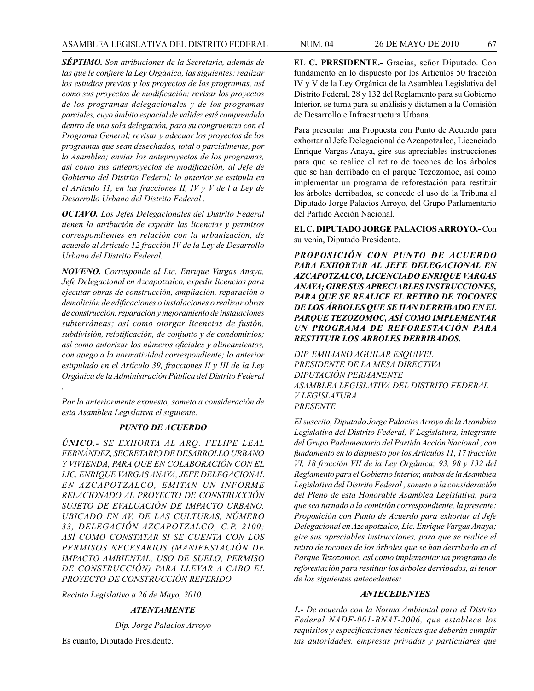*SÉPTIMO. Son atribuciones de la Secretaría, además de las que le confiere la Ley Orgánica, las siguientes: realizar los estudios previos y los proyectos de los programas, así como sus proyectos de modificación; revisar los proyectos de los programas delegacionales y de los programas parciales, cuyo ámbito espacial de validez esté comprendido dentro de una sola delegación, para su congruencia con el Programa General; revisar y adecuar los proyectos de los programas que sean desechados, total o parcialmente, por la Asamblea; enviar los anteproyectos de los programas, así como sus anteproyectos de modificación, al Jefe de Gobierno del Distrito Federal; lo anterior se estipula en el Artículo 11, en las fracciones II, IV y V de l a Ley de Desarrollo Urbano del Distrito Federal .*

*OCTAVO. Los Jefes Delegacionales del Distrito Federal tienen la atribución de expedir las licencias y permisos correspondientes en relación con la urbanización, de acuerdo al Artículo 12 fracción IV de la Ley de Desarrollo Urbano del Distrito Federal.*

*NOVENO. Corresponde al Lic. Enrique Vargas Anaya, Jefe Delegacional en Azcapotzalco, expedir licencias para ejecutar obras de construcción, ampliación, reparación o demolición de edificaciones o instalaciones o realizar obras de construcción, reparación y mejoramiento de instalaciones subterráneas; así como otorgar licencias de fusión, subdivisión, relotificación, de conjunto y de condominios; así como autorizar los números oficiales y alineamientos, con apego a la normatividad correspondiente; lo anterior estipulado en el Artículo 39, fracciones II y III de la Ley Orgánica de la Administración Pública del Distrito Federal* 

*Por lo anteriormente expuesto, someto a consideración de esta Asamblea Legislativa el siguiente:*

*.* 

# *PUNTO DE ACUERDO*

*ÚNICO.- SE EXHORTA AL ARQ. FELIPE LEAL FERNÁNDEZ, SECRETARIO DE DESARROLLO URBANO Y VIVIENDA, PARA QUE EN COLABORACIÓN CON EL LIC. ENRIQUE VARGAS ANAYA, JEFE DELEGACIONAL EN AZCAPOTZALCO, EMITAN UN INFORME RELACIONADO AL PROYECTO DE CONSTRUCCIÓN SUJETO DE EVALUACIÓN DE IMPACTO URBANO, UBICADO EN AV. DE LAS CULTURAS, NÚMERO 33, DELEGACIÓN AZCAPOTZALCO, C.P. 2100; ASÍ COMO CONSTATAR SI SE CUENTA CON LOS PERMISOS NECESARIOS (MANIFESTACIÓN DE IMPACTO AMBIENTAL, USO DE SUELO, PERMISO DE CONSTRUCCIÓN) PARA LLEVAR A CABO EL PROYECTO DE CONSTRUCCIÓN REFERIDO.*

*Recinto Legislativo a 26 de Mayo, 2010.*

*ATENTAMENTE*

*Dip. Jorge Palacios Arroyo*

Es cuanto, Diputado Presidente.

**EL C. PRESIDENTE.-** Gracias, señor Diputado. Con fundamento en lo dispuesto por los Artículos 50 fracción IV y V de la Ley Orgánica de la Asamblea Legislativa del Distrito Federal, 28 y 132 del Reglamento para su Gobierno Interior, se turna para su análisis y dictamen a la Comisión de Desarrollo e Infraestructura Urbana.

Para presentar una Propuesta con Punto de Acuerdo para exhortar al Jefe Delegacional de Azcapotzalco, Licenciado Enrique Vargas Anaya, gire sus apreciables instrucciones para que se realice el retiro de tocones de los árboles que se han derribado en el parque Tezozomoc, así como implementar un programa de reforestación para restituir los árboles derribados, se concede el uso de la Tribuna al Diputado Jorge Palacios Arroyo, del Grupo Parlamentario del Partido Acción Nacional.

# **EL C. DIPUTADO JORGE PALACIOS ARROYO.-** Con su venia, Diputado Presidente.

*PROPOSICIÓN CON PUNTO DE ACUERDO PARA EXHORTAR AL JEFE DELEGACIONAL EN AZCAPOTZALCO, LICENCIADO ENRIQUE VARGAS ANAYA; GIRE SUS APRECIABLES INSTRUCCIONES, PARA QUE SE REALICE EL RETIRO DE TOCONES DE LOS ÁRBOLES QUE SE HAN DERRIBADO EN EL PARQUE TEZOZOMOC, ASÍ COMO IMPLEMENTAR UN PROGRAMA DE REFORESTACIÓN PARA RESTITUIR LOS ÁRBOLES DERRIBADOS.*

*DIP. EMILIANO AGUILAR ESQUIVEL PRESIDENTE DE LA MESA DIRECTIVA DIPUTACIÓN PERMANENTE ASAMBLEA LEGISLATIVA DEL DISTRITO FEDERAL V LEGISLATURA PRESENTE*

*El suscrito, Diputado Jorge Palacios Arroyo de la Asamblea Legislativa del Distrito Federal, V Legislatura, integrante del Grupo Parlamentario del Partido Acción Nacional , con fundamento en lo dispuesto por los Artículos 11, 17 fracción VI, 18 fracción VII de la Ley Orgánica; 93, 98 y 132 del Reglamento para el Gobierno Interior, ambos de la Asamblea Legislativa del Distrito Federal , someto a la consideración del Pleno de esta Honorable Asamblea Legislativa, para que sea turnado a la comisión correspondiente, la presente: Proposición con Punto de Acuerdo para exhortar al Jefe Delegacional en Azcapotzalco, Lic. Enrique Vargas Anaya; gire sus apreciables instrucciones, para que se realice el retiro de tocones de los árboles que se han derribado en el Parque Tezozomoc, así como implementar un programa de reforestación para restituir los árboles derribados, al tenor de los siguientes antecedentes:*

# *ANTECEDENTES*

*1.- De acuerdo con la Norma Ambiental para el Distrito Federal NADF-001-RNAT-2006, que establece los requisitos y especificaciones técnicas que deberán cumplir las autoridades, empresas privadas y particulares que*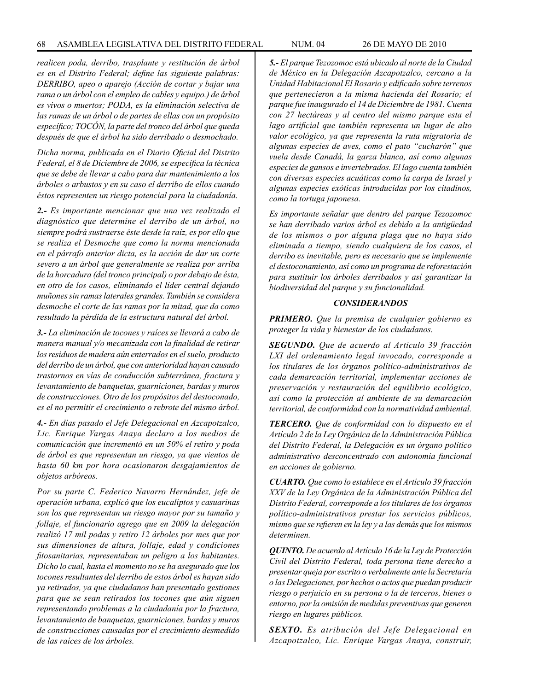*realicen poda, derribo, trasplante y restitución de árbol es en el Distrito Federal; define las siguiente palabras: DERRIBO, apeo o aparejo (Acción de cortar y bajar una rama o un árbol con el empleo de cables y equipo.) de árbol es vivos o muertos; PODA, es la eliminación selectiva de las ramas de un árbol o de partes de ellas con un propósito específico; TOCÓN, la parte del tronco del árbol que queda después de que el árbol ha sido derribado o desmochado.*

*Dicha norma, publicada en el Diario Oficial del Distrito Federal, el 8 de Diciembre de 2006, se especifica la técnica que se debe de llevar a cabo para dar mantenimiento a los árboles o arbustos y en su caso el derribo de ellos cuando éstos representen un riesgo potencial para la ciudadanía.*

*2.- Es importante mencionar que una vez realizado el diagnóstico que determine el derribo de un árbol, no siempre podrá sustraerse éste desde la raíz, es por ello que se realiza el Desmoche que como la norma mencionada en el párrafo anterior dicta, es la acción de dar un corte severo a un árbol que generalmente se realiza por arriba de la horcadura (del tronco principal) o por debajo de ésta, en otro de los casos, eliminando el líder central dejando muñones sin ramas laterales grandes. También se considera desmoche el corte de las ramas por la mitad, que da como resultado la pérdida de la estructura natural del árbol.*

*3.- La eliminación de tocones y raíces se llevará a cabo de manera manual y/o mecanizada con la finalidad de retirar los residuos de madera aún enterrados en el suelo, producto del derribo de un árbol, que con anterioridad hayan causado trastornos en vías de conducción subterránea, fractura y levantamiento de banquetas, guarniciones, bardas y muros de construcciones. Otro de los propósitos del destoconado, es el no permitir el crecimiento o rebrote del mismo árbol.*

*4.- En días pasado el Jefe Delegacional en Azcapotzalco, Lic. Enrique Vargas Anaya declaro a los medios de comunicación que incrementó en un 50% el retiro y poda de árbol es que representan un riesgo, ya que vientos de hasta 60 km por hora ocasionaron desgajamientos de objetos arbóreos.*

*Por su parte C. Federico Navarro Hernández, jefe de operación urbana, explicó que los eucaliptos y casuarinas son los que representan un riesgo mayor por su tamaño y follaje, el funcionario agrego que en 2009 la delegación realizó 17 mil podas y retiro 12 árboles por mes que por sus dimensiones de altura, follaje, edad y condiciones fitosanitarias, representaban un peligro a los habitantes. Dicho lo cual, hasta el momento no se ha asegurado que los tocones resultantes del derribo de estos árbol es hayan sido ya retirados, ya que ciudadanos han presentado gestiones para que se sean retirados los tocones que aún siguen representando problemas a la ciudadanía por la fractura, levantamiento de banquetas, guarniciones, bardas y muros de construcciones causadas por el crecimiento desmedido de las raíces de los árboles.* 

*5.- El parque Tezozomoc está ubicado al norte de la Ciudad de México en la Delegación Azcapotzalco, cercano a la Unidad Habitacional El Rosario y edificado sobre terrenos que pertenecieron a la misma hacienda del Rosario; el parque fue inaugurado el 14 de Diciembre de 1981. Cuenta con 27 hectáreas y al centro del mismo parque esta el lago artificial que también representa un lugar de alto valor ecológico, ya que representa la ruta migratoria de algunas especies de aves, como el pato "cucharón" que vuela desde Canadá, la garza blanca, así como algunas especies de gansos e invertebrados. El lago cuenta también con diversas especies acuáticas como la carpa de Israel y algunas especies exóticas introducidas por los citadinos, como la tortuga japonesa.*

*Es importante señalar que dentro del parque Tezozomoc se han derribado varios árbol es debido a la antigüedad de los mismos o por alguna plaga que no haya sido eliminada a tiempo, siendo cualquiera de los casos, el derribo es inevitable, pero es necesario que se implemente el destoconamiento, así como un programa de reforestación para sustituir los árboles derribados y así garantizar la biodiversidad del parque y su funcionalidad.* 

## *CONSIDERANDOS*

*PRIMERO. Que la premisa de cualquier gobierno es proteger la vida y bienestar de los ciudadanos.*

*SEGUNDO. Que de acuerdo al Artículo 39 fracción LXI del ordenamiento legal invocado, corresponde a los titulares de los órganos político-administrativos de cada demarcación territorial, implementar acciones de preservación y restauración del equilibrio ecológico, así como la protección al ambiente de su demarcación territorial, de conformidad con la normatividad ambiental.*

*TERCERO. Que de conformidad con lo dispuesto en el Artículo 2 de la Ley Orgánica de la Administración Pública del Distrito Federal, la Delegación es un órgano político administrativo desconcentrado con autonomía funcional en acciones de gobierno.*

*CUARTO. Que como lo establece en el Artículo 39 fracción XXV de la Ley Orgánica de la Administración Pública del Distrito Federal, corresponde a los titulares de los órganos político-administrativos prestar los servicios públicos, mismo que se refieren en la ley y a las demás que los mismos determinen.*

*QUINTO. De acuerdo al Artículo 16 de la Ley de Protección Civil del Distrito Federal, toda persona tiene derecho a presentar queja por escrito o verbalmente ante la Secretaría o las Delegaciones, por hechos o actos que puedan producir riesgo o perjuicio en su persona o la de terceros, bienes o entorno, por la omisión de medidas preventivas que generen riesgo en lugares públicos.*

*SEXTO. Es atribución del Jefe Delegacional en Azcapotzalco, Lic. Enrique Vargas Anaya, construir,*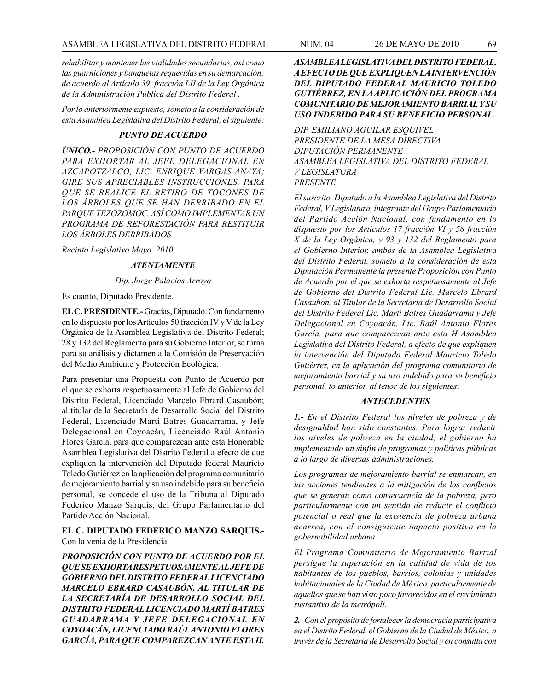*rehabilitar y mantener las vialidades secundarias, así como las guarniciones y banquetas requeridas en su demarcación; de acuerdo al Artículo 39, fracción LII de la Ley Orgánica de la Administración Pública del Distrito Federal .*

*Por lo anteriormente expuesto, someto a la consideración de ésta Asamblea Legislativa del Distrito Federal, el siguiente:* 

# *PUNTO DE ACUERDO*

*ÚNICO.- PROPOSICIÓN CON PUNTO DE ACUERDO PARA EXHORTAR AL JEFE DELEGACIONAL EN AZCAPOTZALCO, LIC. ENRIQUE VARGAS ANAYA; GIRE SUS APRECIABLES INSTRUCCIONES, PARA QUE SE REALICE EL RETIRO DE TOCONES DE LOS ÁRBOLES QUE SE HAN DERRIBADO EN EL PARQUE TEZOZOMOC, ASÍ COMO IMPLEMENTAR UN PROGRAMA DE REFORESTACIÓN PARA RESTITUIR LOS ÁRBOLES DERRIBADOS.*

*Recinto Legislativo Mayo, 2010.*

# *ATENTAMENTE*

*Dip. Jorge Palacios Arroyo*

Es cuanto, Diputado Presidente.

**EL C. PRESIDENTE.-** Gracias, Diputado. Con fundamento en lo dispuesto por los Artículos 50 fracción IV y V de la Ley Orgánica de la Asamblea Legislativa del Distrito Federal; 28 y 132 del Reglamento para su Gobierno Interior, se turna para su análisis y dictamen a la Comisión de Preservación del Medio Ambiente y Protección Ecológica.

Para presentar una Propuesta con Punto de Acuerdo por el que se exhorta respetuosamente al Jefe de Gobierno del Distrito Federal, Licenciado Marcelo Ebrard Casaubón; al titular de la Secretaría de Desarrollo Social del Distrito Federal, Licenciado Martí Batres Guadarrama, y Jefe Delegacional en Coyoacán, Licenciado Raúl Antonio Flores García, para que comparezcan ante esta Honorable Asamblea Legislativa del Distrito Federal a efecto de que expliquen la intervención del Diputado federal Mauricio Toledo Gutiérrez en la aplicación del programa comunitario de mejoramiento barrial y su uso indebido para su beneficio personal, se concede el uso de la Tribuna al Diputado Federico Manzo Sarquis, del Grupo Parlamentario del Partido Acción Nacional.

# **EL C. DIPUTADO FEDERICO MANZO SARQUIS.-** Con la venia de la Presidencia.

*PROPOSICIÓN CON PUNTO DE ACUERDO POR EL QUE SE EXHORTA RESPETUOSAMENTE AL JEFE DE GOBIERNO DEL DISTRITO FEDERAL LICENCIADO MARCELO EBRARD CASAUBÓN, AL TITULAR DE LA SECRETARÍA DE DESARROLLO SOCIAL DEL DISTRITO FEDERAL LICENCIADO MARTÍ BATRES GUADARRAMA Y JEFE DELEGACIONAL EN COYOACÁN, LICENCIADO RAÚL ANTONIO FLORES GARCÍA, PARA QUE COMPAREZCAN ANTE ESTA H.* 

*ASAMBLEA LEGISLATIVA DEL DISTRITO FEDERAL, A EFECTO DE QUE EXPLIQUEN LA INTERVENCIÓN DEL DIPUTADO FEDERAL MAURICIO TOLEDO GUTIÉRREZ, EN LA APLICACIÓN DEL PROGRAMA COMUNITARIO DE MEJORAMIENTO BARRIAL Y SU USO INDEBIDO PARA SU BENEFICIO PERSONAL.*

*DIP. EMILIANO AGUILAR ESQUIVEL PRESIDENTE DE LA MESA DIRECTIVA DIPUTACIÓN PERMANENTE ASAMBLEA LEGISLATIVA DEL DISTRITO FEDERAL V LEGISLATURA PRESENTE*

*El suscrito, Diputado a la Asamblea Legislativa del Distrito Federal, V Legislatura, integrante del Grupo Parlamentario del Partido Acción Nacional, con fundamento en lo dispuesto por los Artículos 17 fracción VI y 58 fracción X de la Ley Orgánica, y 93 y 132 del Reglamento para el Gobierno Interior, ambos de la Asamblea Legislativa del Distrito Federal, someto a la consideración de esta Diputación Permanente la presente Proposición con Punto de Acuerdo por el que se exhorta respetuosamente al Jefe de Gobierno del Distrito Federal Lic. Marcelo Ebrard Casaubon, al Titular de la Secretaria de Desarrollo Social del Distrito Federal Lic. Martí Batres Guadarrama y Jefe Delegacional en Coyoacán, Lic. Raúl Antonio Flores García, para que comparezcan ante esta H Asamblea Legislativa del Distrito Federal, a efecto de que expliquen la intervención del Diputado Federal Mauricio Toledo Gutiérrez, en la aplicación del programa comunitario de mejoramiento barrial y su uso indebido para su beneficio personal, lo anterior, al tenor de los siguientes:* 

## *ANTECEDENTES*

*1.- En el Distrito Federal los niveles de pobreza y de desigualdad han sido constantes. Para lograr reducir los niveles de pobreza en la ciudad, el gobierno ha implementado un sinfín de programas y políticas públicas a lo largo de diversas administraciones.*

*Los programas de mejoramiento barrial se enmarcan, en las acciones tendientes a la mitigación de los conflictos que se generan como consecuencia de la pobreza, pero particularmente con un sentido de reducir el conflicto potencial o real que la existencia de pobreza urbana acarrea, con el consiguiente impacto positivo en la gobernabilidad urbana.*

*El Programa Comunitario de Mejoramiento Barrial persigue la superación en la calidad de vida de los habitantes de los pueblos, barrios, colonias y unidades habitacionales de la Ciudad de México, particularmente de aquellos que se han visto poco favorecidos en el crecimiento sustantivo de la metrópoli.* 

*2.- Con el propósito de fortalecer la democracia participativa en el Distrito Federal, el Gobierno de la Ciudad de México, a través de la Secretaría de Desarrollo Social y en consulta con*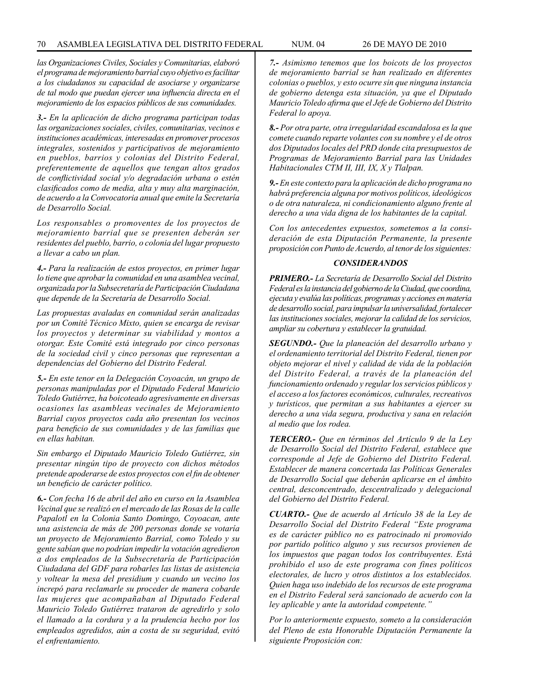*las Organizaciones Civiles, Sociales y Comunitarias, elaboró el programa de mejoramiento barrial cuyo objetivo es facilitar a los ciudadanos su capacidad de asociarse y organizarse de tal modo que puedan ejercer una influencia directa en el mejoramiento de los espacios públicos de sus comunidades.* 

*3.- En la aplicación de dicho programa participan todas las organizaciones sociales, civiles, comunitarias, vecinos e instituciones académicas, interesadas en promover procesos integrales, sostenidos y participativos de mejoramiento en pueblos, barrios y colonias del Distrito Federal, preferentemente de aquellos que tengan altos grados de conflictividad social y/o degradación urbana o estén clasificados como de media, alta y muy alta marginación, de acuerdo a la Convocatoria anual que emite la Secretaría de Desarrollo Social.*

*Los responsables o promoventes de los proyectos de mejoramiento barrial que se presenten deberán ser residentes del pueblo, barrio, o colonia del lugar propuesto a llevar a cabo un plan.*

*4.- Para la realización de estos proyectos, en primer lugar lo tiene que aprobar la comunidad en una asamblea vecinal, organizada por la Subsecretaría de Participación Ciudadana que depende de la Secretaría de Desarrollo Social.* 

*Las propuestas avaladas en comunidad serán analizadas por un Comité Técnico Mixto, quien se encarga de revisar los proyectos y determinar su viabilidad y montos a otorgar. Este Comité está integrado por cinco personas de la sociedad civil y cinco personas que representan a dependencias del Gobierno del Distrito Federal.*

*5.- En este tenor en la Delegación Coyoacán, un grupo de personas manipuladas por el Diputado Federal Mauricio Toledo Gutiérrez, ha boicoteado agresivamente en diversas ocasiones las asambleas vecinales de Mejoramiento Barrial cuyos proyectos cada año presentan los vecinos para beneficio de sus comunidades y de las familias que en ellas habitan.*

*Sin embargo el Diputado Mauricio Toledo Gutiérrez, sin presentar ningún tipo de proyecto con dichos métodos pretende apoderarse de estos proyectos con el fin de obtener un beneficio de carácter político.*

*6.- Con fecha 16 de abril del año en curso en la Asamblea Vecinal que se realizó en el mercado de las Rosas de la calle Papalotl en la Colonia Santo Domingo, Coyoacan, ante una asistencia de más de 200 personas donde se votaría un proyecto de Mejoramiento Barrial, como Toledo y su gente sabían que no podrían impedir la votación agredieron a dos empleados de la Subsecretaría de Participación Ciudadana del GDF para robarles las listas de asistencia y voltear la mesa del presidium y cuando un vecino los increpó para reclamarle su proceder de manera cobarde las mujeres que acompañaban al Diputado Federal Mauricio Toledo Gutiérrez trataron de agredirlo y solo el llamado a la cordura y a la prudencia hecho por los empleados agredidos, aún a costa de su seguridad, evitó el enfrentamiento.* 

*7.- Asimismo tenemos que los boicots de los proyectos de mejoramiento barrial se han realizado en diferentes colonias o pueblos, y esto ocurre sin que ninguna instancia de gobierno detenga esta situación, ya que el Diputado Mauricio Toledo afirma que el Jefe de Gobierno del Distrito Federal lo apoya.*

*8.- Por otra parte, otra irregularidad escandalosa es la que comete cuando reparte volantes con su nombre y el de otros dos Diputados locales del PRD donde cita presupuestos de Programas de Mejoramiento Barrial para las Unidades Habitacionales CTM II, III, IX, X y Tlalpan.*

*9.- En este contexto para la aplicación de dicho programa no habrá preferencia alguna por motivos políticos, ideológicos o de otra naturaleza, ni condicionamiento alguno frente al derecho a una vida digna de los habitantes de la capital.* 

*Con los antecedentes expuestos, sometemos a la consideración de esta Diputación Permanente, la presente proposición con Punto de Acuerdo, al tenor de los siguientes:*

## *CONSIDERANDOS*

*PRIMERO.- La Secretaría de Desarrollo Social del Distrito Federal es la instancia del gobierno de la Ciudad, que coordina, ejecuta y evalúa las políticas, programas y acciones en materia de desarrollo social, para impulsar la universalidad, fortalecer las instituciones sociales, mejorar la calidad de los servicios, ampliar su cobertura y establecer la gratuidad.*

*SEGUNDO.- Que la planeación del desarrollo urbano y el ordenamiento territorial del Distrito Federal, tienen por objeto mejorar el nivel y calidad de vida de la población del Distrito Federal, a través de la planeación del funcionamiento ordenado y regular los servicios públicos y el acceso a los factores económicos, culturales, recreativos y turísticos, que permitan a sus habitantes a ejercer su derecho a una vida segura, productiva y sana en relación al medio que los rodea.* 

*TERCERO.- Que en términos del Artículo 9 de la Ley de Desarrollo Social del Distrito Federal, establece que corresponde al Jefe de Gobierno del Distrito Federal. Establecer de manera concertada las Políticas Generales de Desarrollo Social que deberán aplicarse en el ámbito central, desconcentrado, descentralizado y delegacional del Gobierno del Distrito Federal.*

*CUARTO.- Que de acuerdo al Artículo 38 de la Ley de Desarrollo Social del Distrito Federal "Este programa es de carácter público no es patrocinado ni promovido por partido político alguno y sus recursos provienen de los impuestos que pagan todos los contribuyentes. Está prohibido el uso de este programa con fines políticos electorales, de lucro y otros distintos a los establecidos. Quien haga uso indebido de los recursos de este programa en el Distrito Federal será sancionado de acuerdo con la ley aplicable y ante la autoridad competente."* 

*Por lo anteriormente expuesto, someto a la consideración del Pleno de esta Honorable Diputación Permanente la siguiente Proposición con:*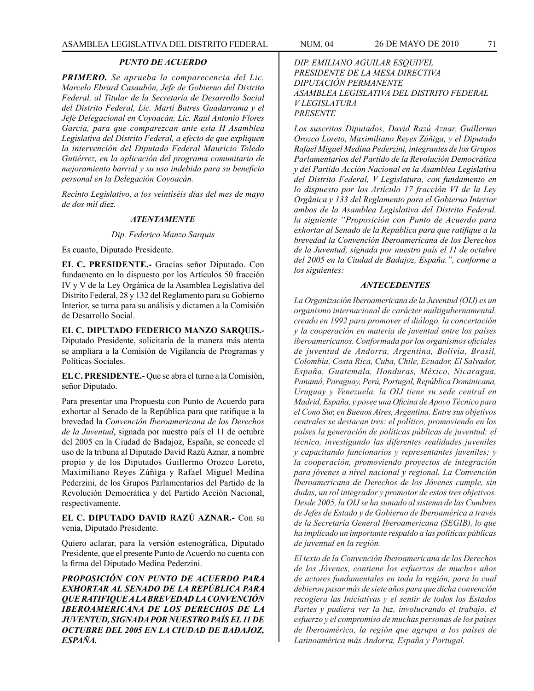## *PUNTO DE ACUERDO*

*PRIMERO. Se aprueba la comparecencia del Lic. Marcelo Ebrard Casaubón, Jefe de Gobierno del Distrito Federal, al Titular de la Secretaría de Desarrollo Social del Distrito Federal, Lic. Martí Batres Guadarrama y el Jefe Delegacional en Coyoacán, Lic. Raúl Antonio Flores García, para que comparezcan ante esta H Asamblea Legislativa del Distrito Federal, a efecto de que expliquen la intervención del Diputado Federal Mauricio Toledo Gutiérrez, en la aplicación del programa comunitario de mejoramiento barrial y su uso indebido para su beneficio personal en la Delegación Coyoacán.*

*Recinto Legislativo, a los veintiséis días del mes de mayo de dos mil diez.*

#### *ATENTAMENTE*

#### *Dip. Federico Manzo Sarquis*

Es cuanto, Diputado Presidente.

**EL C. PRESIDENTE.-** Gracias señor Diputado. Con fundamento en lo dispuesto por los Artículos 50 fracción IV y V de la Ley Orgánica de la Asamblea Legislativa del Distrito Federal, 28 y 132 del Reglamento para su Gobierno Interior, se turna para su análisis y dictamen a la Comisión de Desarrollo Social.

**EL C. DIPUTADO FEDERICO MANZO SARQUIS.-** Diputado Presidente, solicitaría de la manera más atenta se ampliara a la Comisión de Vigilancia de Programas y Políticas Sociales.

**EL C. PRESIDENTE.-** Que se abra el turno a la Comisión, señor Diputado.

Para presentar una Propuesta con Punto de Acuerdo para exhortar al Senado de la República para que ratifique a la brevedad la *Convención Iberoamericana de los Derechos de la Juventud*, signada por nuestro país el 11 de octubre del 2005 en la Ciudad de Badajoz, España, se concede el uso de la tribuna al Diputado David Razú Aznar, a nombre propio y de los Diputados Guillermo Orozco Loreto, Maximiliano Reyes Zúñiga y Rafael Miguel Medina Pederzini, de los Grupos Parlamentarios del Partido de la Revolución Democrática y del Partido Acción Nacional, respectivamente.

**EL C. DIPUTADO DAVID RAZÚ AZNAR.-** Con su venia, Diputado Presidente.

Quiero aclarar, para la versión estenográfica, Diputado Presidente, que el presente Punto de Acuerdo no cuenta con la firma del Diputado Medina Pederzini.

*PROPOSICIÓN CON PUNTO DE ACUERDO PARA EXHORTAR AL SENADO DE LA REPÚBLICA PARA QUE RATIFIQUE A LA BREVEDAD LA CONVENCIÓN IBEROAMERICANA DE LOS DERECHOS DE LA JUVENTUD, SIGNADA POR NUESTRO PAÍS EL 11 DE OCTUBRE DEL 2005 EN LA CIUDAD DE BADAJOZ, ESPAÑA.*

## *DIP. EMILIANO AGUILAR ESQUIVEL PRESIDENTE DE LA MESA DIRECTIVA DIPUTACIÓN PERMANENTE ASAMBLEA LEGISLATIVA DEL DISTRITO FEDERAL V LEGISLATURA PRESENTE*

*Los suscritos Diputados, David Razú Aznar, Guillermo Orozco Loreto, Maximiliano Reyes Zúñiga, y el Diputado Rafael Miguel Medina Pederzini, integrantes de los Grupos Parlamentarios del Partido de la Revolución Democrática y del Partido Acción Nacional en la Asamblea Legislativa del Distrito Federal, V Legislatura, con fundamento en lo dispuesto por los Artículo 17 fracción VI de la Ley Orgánica y 133 del Reglamento para el Gobierno Interior ambos de la Asamblea Legislativa del Distrito Federal, la siguiente "Proposición con Punto de Acuerdo para exhortar al Senado de la República para que ratifique a la brevedad la Convención Iberoamericana de los Derechos de la Juventud, signada por nuestro país el 11 de octubre del 2005 en la Ciudad de Badajoz, España.", conforme a los siguientes:*

#### *ANTECEDENTES*

*La Organización Iberoamericana de la Juventud (OIJ) es un organismo internacional de carácter multigubernamental, creado en 1992 para promover el diálogo, la concertación y la cooperación en materia de juventud entre los países iberoamericanos. Conformada por los organismos oficiales de juventud de Andorra, Argentina, Bolivia, Brasil, Colombia, Costa Rica, Cuba, Chile, Ecuador, El Salvador, España, Guatemala, Honduras, México, Nicaragua, Panamá, Paraguay, Perú, Portugal, República Dominicana, Uruguay y Venezuela, la OIJ tiene su sede central en Madrid, España, y posee una Oficina de Apoyo Técnico para el Cono Sur, en Buenos Aires, Argentina. Entre sus objetivos centrales se destacan tres: el político, promoviendo en los países la generación de políticas públicas de juventud; el técnico, investigando las diferentes realidades juveniles y capacitando funcionarios y representantes juveniles; y la cooperación, promoviendo proyectos de integración para jóvenes a nivel nacional y regional. La Convención Iberoamericana de Derechos de los Jóvenes cumple, sin dudas, un rol integrador y promotor de estos tres objetivos. Desde 2005, la OIJ se ha sumado al sistema de las Cumbres de Jefes de Estado y de Gobierno de Iberoamérica a través de la Secretaría General Iberoamericana (SEGIB), lo que ha implicado un importante respaldo a las políticas públicas de juventud en la región.*

*El texto de la Convención Iberoamericana de los Derechos de los Jóvenes, contiene los esfuerzos de muchos años de actores fundamentales en toda la región, para lo cual debieron pasar más de siete años para que dicha convención recogiera las Iniciativas y el sentir de todos los Estados Partes y pudiera ver la luz, involucrando el trabajo, el esfuerzo y el compromiso de muchas personas de los países de Iberoamérica, la región que agrupa a los países de Latinoamérica más Andorra, España y Portugal.*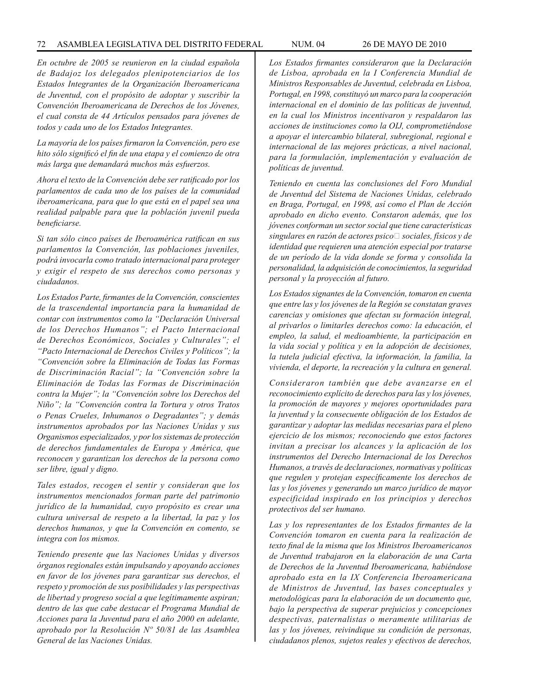### 72 ASAMBLEA LEGISLATIVA DEL DISTRITO FEDERAL NUM. 04 26 de mayo de 2010

*En octubre de 2005 se reunieron en la ciudad española de Badajoz los delegados plenipotenciarios de los Estados Integrantes de la Organización Iberoamericana de Juventud, con el propósito de adoptar y suscribir la Convención Iberoamericana de Derechos de los Jóvenes, el cual consta de 44 Artículos pensados para jóvenes de todos y cada uno de los Estados Integrantes.*

*La mayoría de los países firmaron la Convención, pero ese hito sólo significó el fin de una etapa y el comienzo de otra más larga que demandará muchos más esfuerzos.* 

*Ahora el texto de la Convención debe ser ratificado por los parlamentos de cada uno de los países de la comunidad iberoamericana, para que lo que está en el papel sea una realidad palpable para que la población juvenil pueda beneficiarse.*

*Si tan sólo cinco países de Iberoamérica ratifican en sus parlamentos la Convención, las poblaciones juveniles, podrá invocarla como tratado internacional para proteger y exigir el respeto de sus derechos como personas y ciudadanos.* 

*Los Estados Parte, firmantes de la Convención, conscientes de la trascendental importancia para la humanidad de contar con instrumentos como la "Declaración Universal de los Derechos Humanos"; el Pacto Internacional de Derechos Económicos, Sociales y Culturales"; el "Pacto Internacional de Derechos Civiles y Políticos"; la "Convención sobre la Eliminación de Todas las Formas de Discriminación Racial"; la "Convención sobre la Eliminación de Todas las Formas de Discriminación contra la Mujer"; la "Convención sobre los Derechos del Niño"; la "Convención contra la Tortura y otros Tratos o Penas Crueles, Inhumanos o Degradantes"; y demás instrumentos aprobados por las Naciones Unidas y sus Organismos especializados, y por los sistemas de protección de derechos fundamentales de Europa y América, que reconocen y garantizan los derechos de la persona como ser libre, igual y digno.*

*Tales estados, recogen el sentir y consideran que los instrumentos mencionados forman parte del patrimonio jurídico de la humanidad, cuyo propósito es crear una cultura universal de respeto a la libertad, la paz y los derechos humanos, y que la Convención en comento, se integra con los mismos.*

*Teniendo presente que las Naciones Unidas y diversos órganos regionales están impulsando y apoyando acciones en favor de los jóvenes para garantizar sus derechos, el respeto y promoción de sus posibilidades y las perspectivas de libertad y progreso social a que legítimamente aspiran; dentro de las que cabe destacar el Programa Mundial de Acciones para la Juventud para el año 2000 en adelante, aprobado por la Resolución Nº 50/81 de las Asamblea General de las Naciones Unidas.*

*Los Estados firmantes consideraron que la Declaración de Lisboa, aprobada en la I Conferencia Mundial de Ministros Responsables de Juventud, celebrada en Lisboa, Portugal, en 1998, constituyó un marco para la cooperación internacional en el dominio de las políticas de juventud, en la cual los Ministros incentivaron y respaldaron las acciones de instituciones como la OIJ, comprometiéndose a apoyar el intercambio bilateral, subregional, regional e internacional de las mejores prácticas, a nivel nacional, para la formulación, implementación y evaluación de políticas de juventud.*

*Teniendo en cuenta las conclusiones del Foro Mundial de Juventud del Sistema de Naciones Unidas, celebrado en Braga, Portugal, en 1998, así como el Plan de Acción aprobado en dicho evento. Constaron además, que los jóvenes conforman un sector social que tiene características singulares en razón de actores psico*‐ *sociales, físicos y de identidad que requieren una atención especial por tratarse de un período de la vida donde se forma y consolida la personalidad, la adquisición de conocimientos, la seguridad personal y la proyección al futuro.*

*Los Estados signantes de la Convención, tomaron en cuenta que entre las y los jóvenes de la Región se constatan graves carencias y omisiones que afectan su formación integral, al privarlos o limitarles derechos como: la educación, el empleo, la salud, el medioambiente, la participación en la vida social y política y en la adopción de decisiones, la tutela judicial efectiva, la información, la familia, la vivienda, el deporte, la recreación y la cultura en general.*

*Consideraron también que debe avanzarse en el reconocimiento explícito de derechos para las y los jóvenes, la promoción de mayores y mejores oportunidades para la juventud y la consecuente obligación de los Estados de garantizar y adoptar las medidas necesarias para el pleno ejercicio de los mismos; reconociendo que estos factores invitan a precisar los alcances y la aplicación de los instrumentos del Derecho Internacional de los Derechos Humanos, a través de declaraciones, normativas y políticas que regulen y protejan específicamente los derechos de las y los jóvenes y generando un marco jurídico de mayor especificidad inspirado en los principios y derechos protectivos del ser humano.*

*Las y los representantes de los Estados firmantes de la Convención tomaron en cuenta para la realización de texto final de la misma que los Ministros Iberoamericanos de Juventud trabajaron en la elaboración de una Carta de Derechos de la Juventud Iberoamericana, habiéndose aprobado esta en la IX Conferencia Iberoamericana de Ministros de Juventud, las bases conceptuales y metodológicas para la elaboración de un documento que, bajo la perspectiva de superar prejuicios y concepciones despectivas, paternalistas o meramente utilitarias de las y los jóvenes, reivindique su condición de personas, ciudadanos plenos, sujetos reales y efectivos de derechos,*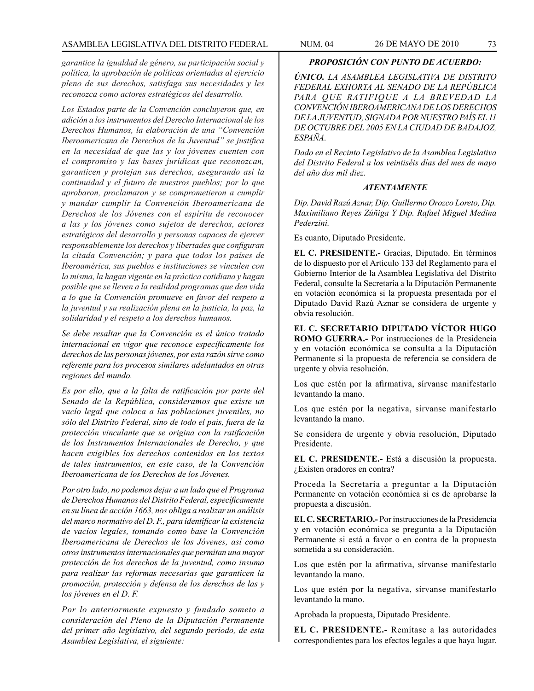*garantice la igualdad de género, su participación social y política, la aprobación de políticas orientadas al ejercicio pleno de sus derechos, satisfaga sus necesidades y les reconozca como actores estratégicos del desarrollo.* 

*Los Estados parte de la Convención concluyeron que, en adición a los instrumentos del Derecho Internacional de los Derechos Humanos, la elaboración de una "Convención Iberoamericana de Derechos de la Juventud" se justifica en la necesidad de que las y los jóvenes cuenten con el compromiso y las bases jurídicas que reconozcan, garanticen y protejan sus derechos, asegurando así la continuidad y el futuro de nuestros pueblos; por lo que aprobaron, proclamaron y se comprometieron a cumplir y mandar cumplir la Convención Iberoamericana de Derechos de los Jóvenes con el espíritu de reconocer a las y los jóvenes como sujetos de derechos, actores estratégicos del desarrollo y personas capaces de ejercer responsablemente los derechos y libertades que configuran la citada Convención; y para que todos los países de Iberoamérica, sus pueblos e instituciones se vinculen con la misma, la hagan vigente en la práctica cotidiana y hagan posible que se lleven a la realidad programas que den vida a lo que la Convención promueve en favor del respeto a la juventud y su realización plena en la justicia, la paz, la solidaridad y el respeto a los derechos humanos.*

*Se debe resaltar que la Convención es el único tratado internacional en vigor que reconoce específicamente los derechos de las personas jóvenes, por esta razón sirve como referente para los procesos similares adelantados en otras regiones del mundo.* 

*Es por ello, que a la falta de ratificación por parte del Senado de la República, consideramos que existe un vacío legal que coloca a las poblaciones juveniles, no sólo del Distrito Federal, sino de todo el país, fuera de la protección vinculante que se origina con la ratificación de los Instrumentos Internacionales de Derecho, y que hacen exigibles los derechos contenidos en los textos de tales instrumentos, en este caso, de la Convención Iberoamericana de los Derechos de los Jóvenes.*

*Por otro lado, no podemos dejar a un lado que el Programa de Derechos Humanos del Distrito Federal, específicamente en su línea de acción 1663, nos obliga a realizar un análisis del marco normativo del D. F., para identificar la existencia de vacíos legales, tomando como base la Convención Iberoamericana de Derechos de los Jóvenes, así como otros instrumentos internacionales que permitan una mayor protección de los derechos de la juventud, como insumo para realizar las reformas necesarias que garanticen la promoción, protección y defensa de los derechos de las y los jóvenes en el D. F.*

*Por lo anteriormente expuesto y fundado someto a consideración del Pleno de la Diputación Permanente del primer año legislativo, del segundo periodo, de esta Asamblea Legislativa, el siguiente:*

# *PROPOSICIÓN CON PUNTO DE ACUERDO:*

*ÚNICO. LA ASAMBLEA LEGISLATIVA DE DISTRITO FEDERAL EXHORTA AL SENADO DE LA REPÚBLICA PARA QUE RATIFIQUE A LA BREVEDAD LA CONVENCIÓN IBEROAMERICANA DE LOS DERECHOS DE LA JUVENTUD, SIGNADA POR NUESTRO PAÍS EL 11 DE OCTUBRE DEL 2005 EN LA CIUDAD DE BADAJOZ, ESPAÑA.*

*Dado en el Recinto Legislativo de la Asamblea Legislativa del Distrito Federal a los veintiséis días del mes de mayo del año dos mil diez.*

## *ATENTAMENTE*

*Dip. David Razú Aznar, Dip. Guillermo Orozco Loreto, Dip. Maximiliano Reyes Zúñiga Y Dip. Rafael Miguel Medina Pederzini.*

Es cuanto, Diputado Presidente.

**EL C. PRESIDENTE.-** Gracias, Diputado. En términos de lo dispuesto por el Artículo 133 del Reglamento para el Gobierno Interior de la Asamblea Legislativa del Distrito Federal, consulte la Secretaría a la Diputación Permanente en votación económica si la propuesta presentada por el Diputado David Razú Aznar se considera de urgente y obvia resolución.

**EL C. SECRETARIO DIPUTADO VÍCTOR HUGO ROMO GUERRA.-** Por instrucciones de la Presidencia y en votación económica se consulta a la Diputación Permanente si la propuesta de referencia se considera de urgente y obvia resolución.

Los que estén por la afirmativa, sírvanse manifestarlo levantando la mano.

Los que estén por la negativa, sírvanse manifestarlo levantando la mano.

Se considera de urgente y obvia resolución, Diputado Presidente.

**EL C. PRESIDENTE.-** Está a discusión la propuesta. ¿Existen oradores en contra?

Proceda la Secretaría a preguntar a la Diputación Permanente en votación económica si es de aprobarse la propuesta a discusión.

**EL C. SECRETARIO.-** Por instrucciones de la Presidencia y en votación económica se pregunta a la Diputación Permanente si está a favor o en contra de la propuesta sometida a su consideración.

Los que estén por la afirmativa, sírvanse manifestarlo levantando la mano.

Los que estén por la negativa, sírvanse manifestarlo levantando la mano.

Aprobada la propuesta, Diputado Presidente.

**EL C. PRESIDENTE.-** Remítase a las autoridades correspondientes para los efectos legales a que haya lugar.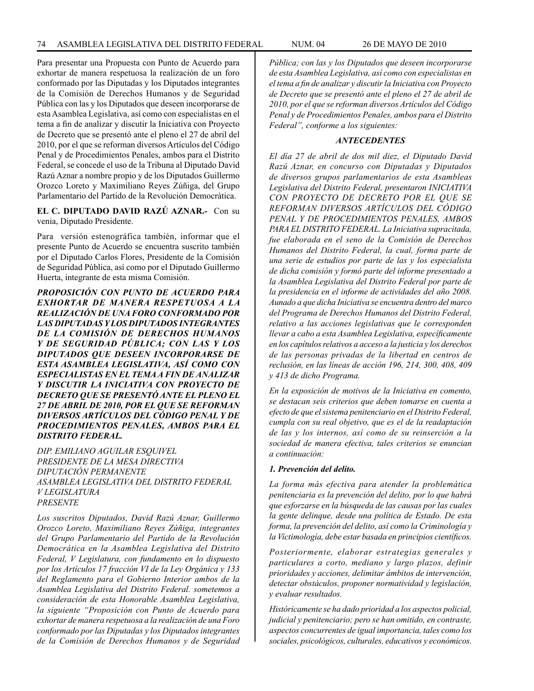Para presentar una Propuesta con Punto de Acuerdo para exhortar de manera respetuosa la realización de un foro conformado por las Diputadas y los Diputados integrantes de la Comisión de Derechos Humanos y de Seguridad Pública con las y los Diputados que deseen incorporarse de esta Asamblea Legislativa, así como con especialistas en el tema a fin de analizar y discutir la Iniciativa con Proyecto de Decreto que se presentó ante el pleno el 27 de abril del 2010, por el que se reforman diversos Artículos del Código Penal y de Procedimientos Penales, ambos para el Distrito Federal, se concede el uso de la Tribuna al Diputado David Razú Aznar a nombre propio y de los Diputados Guillermo Orozco Loreto y Maximiliano Reyes Zúñiga, del Grupo Parlamentario del Partido de la Revolución Democrática.

**EL C. DIPUTADO DAVID RAZÚ AZNAR.-** Con su venia, Diputado Presidente.

Para versión estenográfica también, informar que el presente Punto de Acuerdo se encuentra suscrito también por el Diputado Carlos Flores, Presidente de la Comisión de Seguridad Pública, así como por el Diputado Guillermo Huerta, integrante de esta misma Comisión.

*PROPOSICIÓN CON PUNTO DE ACUERDO PARA EXHORTAR DE MANERA RESPETUOSA A LA REALIZACIÓN DE UNA FORO CONFORMADO POR LAS DIPUTADAS Y LOS DIPUTADOS INTEGRANTES DE LA COMISIÓN DE DERECHOS HUMANOS Y DE SEGURIDAD PÚBLICA; CON LAS Y LOS DIPUTADOS QUE DESEEN INCORPORARSE DE ESTA ASAMBLEA LEGISLATIVA, ASÍ COMO CON ESPECIALISTAS EN EL TEMA A FIN DE ANALIZAR Y DISCUTIR LA INICIATIVA CON PROYECTO DE DECRETO QUE SE PRESENTÓ ANTE EL PLENO EL 27 DE ABRIL DE 2010, POR EL QUE SE REFORMAN DIVERSOS ARTÍCULOS DEL CÓDIGO PENAL Y DE PROCEDIMIENTOS PENALES, AMBOS PARA EL DISTRITO FEDERAL.*

*DIP. EMILIANO AGUILAR ESQUIVEL PRESIDENTE DE LA MESA DIRECTIVA DIPUTACIÓN PERMANENTE ASAMBLEA LEGISLATIVA DEL DISTRITO FEDERAL V LEGISLATURA PRESENTE*

*Los suscritos Diputados, David Razú Aznar, Guillermo Orozco Loreto, Maximiliano Reyes Zúñiga, integrantes del Grupo Parlamentario del Partido de la Revolución Democrática en la Asamblea Legislativa del Distrito Federal, V Legislatura, con fundamento en lo dispuesto por los Artículos 17 fracción VI de la Ley Orgánica y 133 del Reglamento para el Gobierno Interior ambos de la Asamblea Legislativa del Distrito Federal. sometemos a consideración de esta Honorable Asamblea Legislativa, la siguiente "Proposición con Punto de Acuerdo para exhortar de manera respetuosa a la realización de una Foro conformado por las Diputadas y los Diputados integrantes de la Comisión de Derechos Humanos y de Seguridad*  *Pública; con las y los Diputados que deseen incorporarse de esta Asamblea Legislativa, así como con especialistas en el tema a fin de analizar y discutir la Iniciativa con Proyecto de Decreto que se presentó ante el pleno el 27 de abril de 2010, por el que se reforman diversos Artículos del Código Penal y de Procedimientos Penales, ambos para el Distrito Federal", conforme a los siguientes:*

### *ANTECEDENTES*

*El día 27 de abril de dos mil diez, el Diputado David Razú Aznar, en concurso con Diputadas y Diputados de diversos grupos parlamentarios de esta Asambleas Legislativa del Distrito Federal, presentaron INICIATIVA CON PROYECTO DE DECRETO POR EL QUE SE REFORMAN DIVERSOS ARTÍCULOS DEL CÓDIGO PENAL Y DE PROCEDIMIENTOS PENALES, AMBOS PARA EL DISTRITO FEDERAL. La Iniciativa supracitada, fue elaborada en el seno de la Comisión de Derechos Humanos del Distrito Federal, la cual, forma parte de una serie de estudios por parte de las y los especialista de dicha comisión y formó parte del informe presentado a la Asamblea Legislativa del Distrito Federal por parte de la presidencia en el informe de actividades del año 2008. Aunado a que dicha Iniciativa se encuentra dentro del marco del Programa de Derechos Humanos del Distrito Federal, relativo a las acciones legislativas que le corresponden llevar a cabo a esta Asamblea Legislativa, específicamente en los capítulos relativos a acceso a la justicia y los derechos de las personas privadas de la libertad en centros de reclusión, en las líneas de acción 196, 214, 300, 408, 409 y 413 de dicho Programa.*

*En la exposición de motivos de la Iniciativa en comento, se destacan seis criterios que deben tomarse en cuenta a efecto de que el sistema penitenciario en el Distrito Federal, cumpla con su real objetivo, que es el de la readaptación de las y los internos, así como de su reinserción a la sociedad de manera efectiva, tales criterios se enuncian a continuación:*

### *1. Prevención del delito.*

*La forma más efectiva para atender la problemática penitenciaria es la prevención del delito, por lo que habrá que esforzarse en la búsqueda de las causas por las cuales la gente delinque, desde una política de Estado. De esta forma, la prevención del delito, así como la Criminología y la Victimología, debe estar basada en principios científicos.* 

*Posteriormente, elaborar estrategias generales y particulares a corto, mediano y largo plazos, definir prioridades y acciones, delimitar ámbitos de intervención, detectar obstáculos, proponer normatividad y legislación, y evaluar resultados.* 

*Históricamente se ha dado prioridad a los aspectos policial, judicial y penitenciario; pero se han omitido, en contraste, aspectos concurrentes de igual importancia, tales como los sociales, psicológicos, culturales, educativos y económicos.*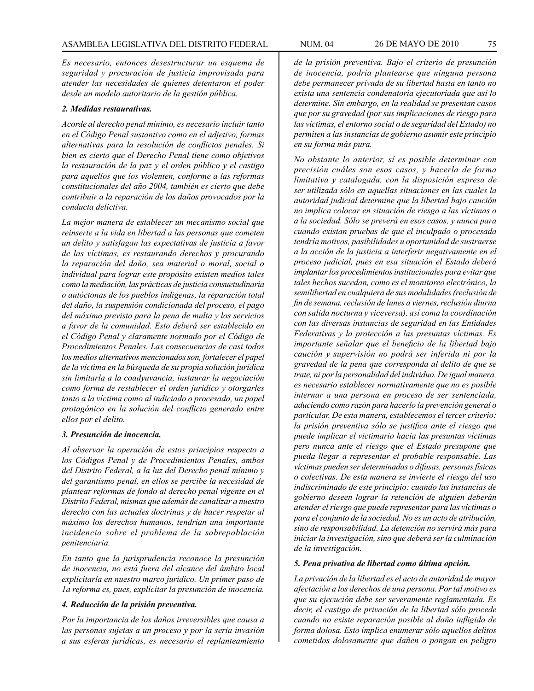*Es necesario, entonces desestructurar un esquema de seguridad y procuración de justicia improvisada para atender las necesidades de quienes detentaron el poder desde un modelo autoritario de la gestión pública.*

### *2. Medidas restaurativas.*

*Acorde al derecho penal mínimo, es necesario incluir tanto en el Código Penal sustantivo como en el adjetivo, formas alternativas para la resolución de conflictos penales. Si bien es cierto que el Derecho Penal tiene como objetivos la restauración de la paz y el orden público y el castigo para aquellos que los violenten, conforme a las reformas constitucionales del año 2004, también es cierto que debe contribuir a la reparación de los daños provocados por la conducta delictiva.*

*La mejor manera de establecer un mecanismo social que reinserte a la vida en libertad a las personas que cometen un delito y satisfagan las expectativas de justicia a favor de las víctimas, es restaurando derechos y procurando la reparación del daño, sea material o moral, social o individual para lograr este propósito existen medios tales como la mediación, las prácticas de justicia consuetudinaria o autóctonas de los pueblos indígenas, la reparación total del daño, la suspensión condicionada del proceso, el pago del máximo previsto para la pena de multa y los servicios a favor de la comunidad. Esto deberá ser establecido en el Código Penal y claramente normado por el Código de Procedimientos Penales. Las consecuencias de casi todos los medios alternativos mencionados son, fortalecer el papel de la víctima en la búsqueda de su propia solución jurídica sin limitarla a la coadyuvancia, instaurar la negociación como forma de restablecer el orden jurídico y otorgarles tanto a la víctima como al indiciado o procesado, un papel protagónico en la solución del conflicto generado entre ellos por el delito.*

## *3. Presunción de inocencia.*

*Al observar la operación de estos principios respecto a los Códigos Penal y de Procedimientos Penales, ambos del Distrito Federal, a la luz del Derecho penal mínimo y del garantismo penal, en ellos se percibe la necesidad de plantear reformas de fondo al derecho penal vigente en el Distrito Federal, mismas que además de canalizar a nuestro derecho con las actuales doctrinas y de hacer respetar al máximo los derechos humanos, tendrían una importante incidencia sobre el problema de la sobrepoblación penitenciaria.*

*En tanto que la jurisprudencia reconoce la presunción de inocencia, no está fuera del alcance del ámbito local explicitarla en nuestro marco jurídico. Un primer paso de 1a reforma es, pues, explicitar la presunción de inocencia.*

# *4. Reducción de la prisión preventiva.*

*Por la importancia de los daños irreversibles que causa a las personas sujetas a un proceso y por la seria invasión a sus esferas jurídicas, es necesario el replanteamiento*  *de la prisión preventiva. Bajo el criterio de presunción de inocencia, podría plantearse que ninguna persona debe permanecer privada de su libertad hasta en tanto no exista una sentencia condenatoria ejecutoriada que así lo determine. Sin embargo, en la realidad se presentan casos que por su gravedad (por sus implicaciones de riesgo para las víctimas, el entorno social o de seguridad del Estado) no permiten a las instancias de gobierno asumir este principio en su forma más pura.*

*No obstante lo anterior, sí es posible determinar con precisión cuáles son esos casos, y hacerla de forma limitativa y catalogada, con la disposición expresa de ser utilizada sólo en aquellas situaciones en las cuales la autoridad judicial determine que la libertad bajo caución no implica colocar en situación de riesgo a las víctimas o a la sociedad. Sólo se preverá en esos casos, y nunca para cuando existan pruebas de que el inculpado o procesada tendría motivos, pasibilidades u oportunidad de sustraerse a la acción de la justicia a interferir negativamente en el proceso judicial, pues en esa situación el Estado deberá implantar los procedimientos institucionales para evitar que tales hechos sucedan, como es el monitoreo electrónico, la semilibertad en cualquiera de sus modalidades (reclusión de fin de semana, reclusión de lunes a viernes, reclusión diurna con salida nocturna y viceversa), así coma la coordinación con las diversas instancias de seguridad en las Entidades Federativas y la protección a las presuntas víctimas. Es importante señalar que el beneficio de la libertad bajo caución y supervisión no podrá ser inferida ni por la gravedad de la pena que corresponda al delito de que se trate, ni por la personalidad del individuo. De igual manera, es necesario establecer normativamente que no es posible internar a una persona en proceso de ser sentenciada, aduciendo como razón para hacerlo la prevención general o particular. De esta manera, establecemos el tercer criterio: la prisión preventiva sólo se justifica ante el riesgo que puede implicar el victimario hacia las presuntas víctimas pero nunca ante el riesgo que el Estado presupone que pueda llegar a representar el probable responsable. Las víctimas pueden ser determinadas o difusas, personas físicas o colectivas. De esta manera se invierte el riesgo del uso indiscriminado de este principio: cuando las instancias de gobierno deseen lograr la retención de alguien deberán atender el riesgo que puede representar para las víctimas o para el conjunto de la sociedad. No es un acto de atribución, sino de responsabilidad. La detención no servirá más para iniciar la investigación, sino que deberá ser la culminación de la investigación.*

#### *5. Pena privativa de libertad como última opción.*

*La privación de la libertad es el acto de autoridad de mayor afectación a los derechos de una persona. Por tal motivo es que su ejecución debe ser severamente reglamentada. Es decir, el castigo de privación de la libertad sólo procede cuando no existe reparación posible al daño infligido de forma dolosa. Esto implica enumerar sólo aquellos delitos cometidos dolosamente que dañen o pongan en peligro*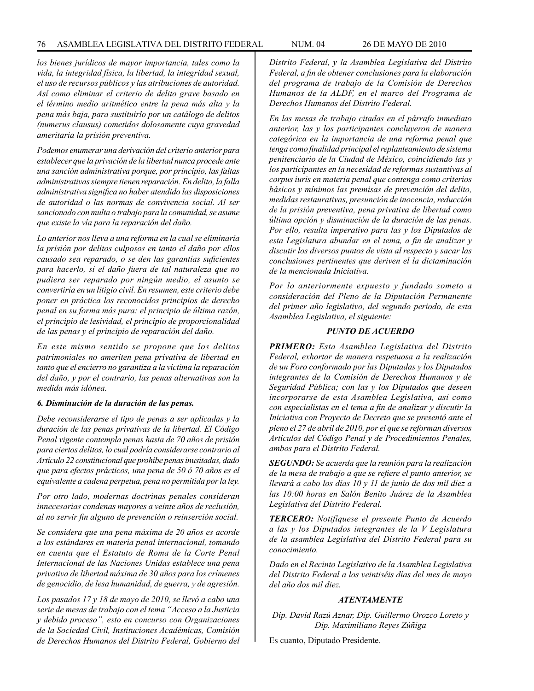*los bienes jurídicos de mayor importancia, tales como la vida, la integridad física, la libertad, la integridad sexual, el uso de recursos públicos y las atribuciones de autoridad. Así como eliminar el criterio de delito grave basado en el término medio aritmético entre la pena más alta y la pena más baja, para sustituirlo por un catálogo de delitos (numerus clausus) cometidos dolosamente cuya gravedad ameritaría la prisión preventiva.* 

*Podemos enumerar una derivación del criterio anterior para establecer que la privación de la libertad nunca procede ante una sanción administrativa porque, por principio, las faltas administrativas siempre tienen reparación. En delito, la falla administrativa significa no haber atendido las disposiciones de autoridad o las normas de convivencia social. Al ser sancionado con multa o trabajo para la comunidad, se asume que existe la vía para la reparación del daño.*

*Lo anterior nos lleva a una reforma en la cual se eliminaría la prisión por delitos culposos en tanto el daño por ellos causado sea reparado, o se den las garantías suficientes para hacerlo, si el daño fuera de tal naturaleza que no pudiera ser reparado por ningún medio, el asunto se convertiría en un litigio civil. En resumen, este criterio debe poner en práctica los reconocidos principios de derecho penal en su forma más pura: el principio de última razón, el principio de lesividad, el principio de proporcionalidad de las penas y el principio de reparación del daño.*

*En este mismo sentido se propone que los delitos patrimoniales no ameriten pena privativa de libertad en tanto que el encierro no garantiza a la víctima la reparación del daño, y por el contrario, las penas alternativas son la medida más idónea.* 

### *6. Disminución de la duración de las penas.*

*Debe reconsiderarse el tipo de penas a ser aplicadas y la duración de las penas privativas de la libertad. El Código Penal vigente contempla penas hasta de 70 años de prisión para ciertos delitos, lo cual podría considerarse contrario al Artículo 22 constitucional que prohíbe penas inusitadas, dado que para efectos prácticos, una pena de 50 ó 70 años es el equivalente a cadena perpetua, pena no permitida por la ley.* 

*Por otro lado, modernas doctrinas penales consideran innecesarias condenas mayores a veinte años de reclusión, al no servir fin alguno de prevención o reinserción social.* 

*Se considera que una pena máxima de 20 años es acorde a los estándares en materia penal internacional, tomando en cuenta que el Estatuto de Roma de la Corte Penal Internacional de las Naciones Unidas establece una pena privativa de libertad máxima de 30 años para los crímenes de genocidio, de lesa humanidad, de guerra, y de agresión.* 

*Los pasados 17 y 18 de mayo de 2010, se llevó a cabo una serie de mesas de trabajo con el tema "Acceso a la Justicia y debido proceso", esto en concurso con Organizaciones de la Sociedad Civil, Instituciones Académicas, Comisión de Derechos Humanos del Distrito Federal, Gobierno del*  *Distrito Federal, y la Asamblea Legislativa del Distrito Federal, a fin de obtener conclusiones para la elaboración del programa de trabajo de la Comisión de Derechos Humanos de la ALDF, en el marco del Programa de Derechos Humanos del Distrito Federal.*

*En las mesas de trabajo citadas en el párrafo inmediato anterior, las y los participantes concluyeron de manera categórica en la importancia de una reforma penal que tenga como finalidad principal el replanteamiento de sistema penitenciario de la Ciudad de México, coincidiendo las y los participantes en la necesidad de reformas sustantivas al corpus iuris en materia penal que contenga como criterios básicos y mínimos las premisas de prevención del delito, medidas restaurativas, presunción de inocencia, reducción de la prisión preventiva, pena privativa de libertad como última opción y disminución de la duración de las penas. Por ello, resulta imperativo para las y los Diputados de esta Legislatura abundar en el tema, a fin de analizar y discutir los diversos puntos de vista al respecto y sacar las conclusiones pertinentes que deriven el la dictaminación de la mencionada Iniciativa.*

*Por lo anteriormente expuesto y fundado someto a consideración del Pleno de la Diputación Permanente del primer año legislativo, del segundo periodo, de esta Asamblea Legislativa, el siguiente:*

## *PUNTO DE ACUERDO*

*PRIMERO: Esta Asamblea Legislativa del Distrito Federal, exhortar de manera respetuosa a la realización de un Foro conformado por las Diputadas y los Diputados integrantes de la Comisión de Derechos Humanos y de Seguridad Pública; con las y los Diputados que deseen incorporarse de esta Asamblea Legislativa, así como con especialistas en el tema a fin de analizar y discutir la Iniciativa con Proyecto de Decreto que se presentó ante el pleno el 27 de abril de 2010, por el que se reforman diversos Artículos del Código Penal y de Procedimientos Penales, ambos para el Distrito Federal.*

*SEGUNDO: Se acuerda que la reunión para la realización de la mesa de trabajo a que se refiere el punto anterior, se llevará a cabo los días 10 y 11 de junio de dos mil diez a las 10:00 horas en Salón Benito Juárez de la Asamblea Legislativa del Distrito Federal.* 

*TERCERO: Notifíquese el presente Punto de Acuerdo a las y los Diputados integrantes de la V Legislatura de la asamblea Legislativa del Distrito Federal para su conocimiento.* 

*Dado en el Recinto Legislativo de la Asamblea Legislativa del Distrito Federal a los veintiséis días del mes de mayo del año dos mil diez.*

# *ATENTAMENTE*

*Dip. David Razú Aznar, Dip. Guillermo Orozco Loreto y Dip. Maximiliano Reyes Zúñiga*

Es cuanto, Diputado Presidente.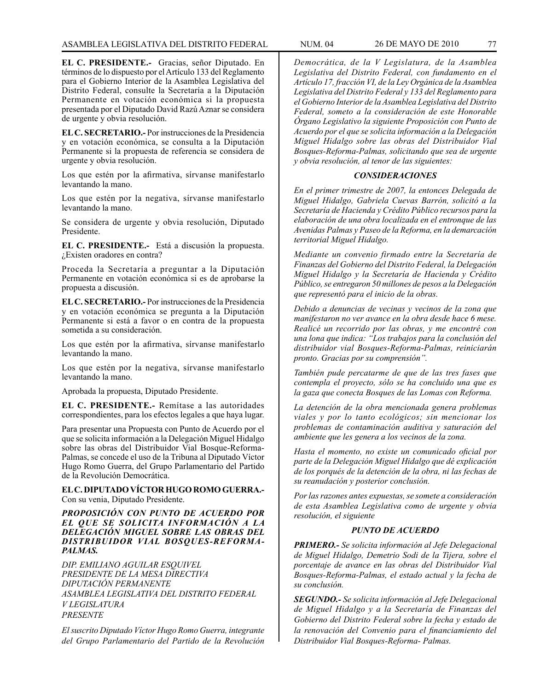**EL C. PRESIDENTE.-** Gracias, señor Diputado. En términos de lo dispuesto por el Artículo 133 del Reglamento para el Gobierno Interior de la Asamblea Legislativa del Distrito Federal, consulte la Secretaría a la Diputación Permanente en votación económica si la propuesta presentada por el Diputado David Razú Aznar se considera de urgente y obvia resolución.

**EL C. SECRETARIO.-** Por instrucciones de la Presidencia y en votación económica, se consulta a la Diputación Permanente si la propuesta de referencia se considera de urgente y obvia resolución.

Los que estén por la afirmativa, sírvanse manifestarlo levantando la mano.

Los que estén por la negativa, sírvanse manifestarlo levantando la mano.

Se considera de urgente y obvia resolución, Diputado Presidente.

**EL C. PRESIDENTE.-** Está a discusión la propuesta. ¿Existen oradores en contra?

Proceda la Secretaría a preguntar a la Diputación Permanente en votación económica si es de aprobarse la propuesta a discusión.

**EL C. SECRETARIO.-** Por instrucciones de la Presidencia y en votación económica se pregunta a la Diputación Permanente si está a favor o en contra de la propuesta sometida a su consideración.

Los que estén por la afirmativa, sírvanse manifestarlo levantando la mano.

Los que estén por la negativa, sírvanse manifestarlo levantando la mano.

Aprobada la propuesta, Diputado Presidente.

**EL C. PRESIDENTE.-** Remítase a las autoridades correspondientes, para los efectos legales a que haya lugar.

Para presentar una Propuesta con Punto de Acuerdo por el que se solicita información a la Delegación Miguel Hidalgo sobre las obras del Distribuidor Vial Bosque-Reforma-Palmas, se concede el uso de la Tribuna al Diputado Víctor Hugo Romo Guerra, del Grupo Parlamentario del Partido de la Revolución Democrática.

## **EL C. DIPUTADO VÍCTOR HUGO ROMO GUERRA.-** Con su venia, Diputado Presidente.

## *PROPOSICIÓN CON PUNTO DE ACUERDO POR EL QUE SE SOLICITA INFORMACIÓN A LA DELEGACIÓN MIGUEL SOBRE LAS OBRAS DEL DISTRIBUIDOR VIAL BOSQUES-REFORMA-PALMAS.*

*DIP. EMILIANO AGUILAR ESQUIVEL PRESIDENTE DE LA MESA DIRECTIVA DIPUTACIÓN PERMANENTE ASAMBLEA LEGISLATIVA DEL DISTRITO FEDERAL V LEGISLATURA PRESENTE*

*El suscrito Diputado Víctor Hugo Romo Guerra, integrante del Grupo Parlamentario del Partido de la Revolución* 

*Democrática, de la V Legislatura, de la Asamblea Legislativa del Distrito Federal, con fundamento en el Artículo 17, fracción VI, de la Ley Orgánica de la Asamblea Legislativa del Distrito Federal y 133 del Reglamento para el Gobierno Interior de la Asamblea Legislativa del Distrito Federal, someto a la consideración de este Honorable Órgano Legislativo la siguiente Proposición con Punto de Acuerdo por el que se solicita información a la Delegación Miguel Hidalgo sobre las obras del Distribuidor Vial Bosques-Reforma-Palmas, solicitando que sea de urgente y obvia resolución, al tenor de las siguientes:*

### *CONSIDERACIONES*

*En el primer trimestre de 2007, la entonces Delegada de Miguel Hidalgo, Gabriela Cuevas Barrón, solicitó a la Secretaría de Hacienda y Crédito Público recursos para la elaboración de una obra localizada en el entronque de las Avenidas Palmas y Paseo de la Reforma, en la demarcación territorial Miguel Hidalgo.*

*Mediante un convenio firmado entre la Secretaría de Finanzas del Gobierno del Distrito Federal, la Delegación Miguel Hidalgo y la Secretaría de Hacienda y Crédito Público, se entregaron 50 millones de pesos a la Delegación que representó para el inicio de la obras.* 

*Debido a denuncias de vecinas y vecinos de la zona que manifestaron no ver avance en la obra desde hace 6 mese. Realicé un recorrido por las obras, y me encontré con una lona que indica: "Los trabajos para la conclusión del distribuidor vial Bosques-Reforma-Palmas, reiniciarán pronto. Gracias por su comprensión".* 

*También pude percatarme de que de las tres fases que contempla el proyecto, sólo se ha concluido una que es la gaza que conecta Bosques de las Lomas con Reforma.* 

*La detención de la obra mencionada genera problemas viales y por lo tanto ecológicos; sin mencionar los problemas de contaminación auditiva y saturación del ambiente que les genera a los vecinos de la zona.*

*Hasta el momento, no existe un comunicado oficial por parte de la Delegación Miguel Hidalgo que dé explicación de los porqués de la detención de la obra, ni las fechas de su reanudación y posterior conclusión.*

*Por las razones antes expuestas, se somete a consideración de esta Asamblea Legislativa como de urgente y obvia resolución, el siguiente*

## *PUNTO DE ACUERDO*

*PRIMERO.- Se solicita información al Jefe Delegacional de Miguel Hidalgo, Demetrio Sodi de la Tijera, sobre el porcentaje de avance en las obras del Distribuidor Vial Bosques-Reforma-Palmas, el estado actual y la fecha de su conclusión.*

*SEGUNDO.- Se solicita información al Jefe Delegacional de Miguel Hidalgo y a la Secretaría de Finanzas del Gobierno del Distrito Federal sobre la fecha y estado de la renovación del Convenio para el financiamiento del Distribuidor Vial Bosques-Reforma- Palmas.*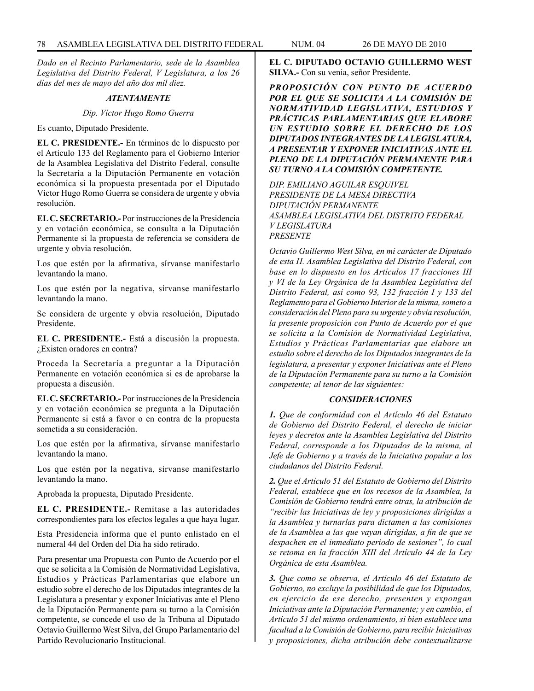*Dado en el Recinto Parlamentario, sede de la Asamblea Legislativa del Distrito Federal, V Legislatura, a los 26 días del mes de mayo del año dos mil diez.*

### *ATENTAMENTE*

*Dip. Víctor Hugo Romo Guerra*

Es cuanto, Diputado Presidente.

**EL C. PRESIDENTE.-** En términos de lo dispuesto por el Artículo 133 del Reglamento para el Gobierno Interior de la Asamblea Legislativa del Distrito Federal, consulte la Secretaría a la Diputación Permanente en votación económica si la propuesta presentada por el Diputado Víctor Hugo Romo Guerra se considera de urgente y obvia resolución.

**EL C. SECRETARIO.-** Por instrucciones de la Presidencia y en votación económica, se consulta a la Diputación Permanente si la propuesta de referencia se considera de urgente y obvia resolución.

Los que estén por la afirmativa, sírvanse manifestarlo levantando la mano.

Los que estén por la negativa, sírvanse manifestarlo levantando la mano.

Se considera de urgente y obvia resolución, Diputado Presidente.

**EL C. PRESIDENTE.-** Está a discusión la propuesta. ¿Existen oradores en contra?

Proceda la Secretaría a preguntar a la Diputación Permanente en votación económica si es de aprobarse la propuesta a discusión.

**EL C. SECRETARIO.-** Por instrucciones de la Presidencia y en votación económica se pregunta a la Diputación Permanente si está a favor o en contra de la propuesta sometida a su consideración.

Los que estén por la afirmativa, sírvanse manifestarlo levantando la mano.

Los que estén por la negativa, sírvanse manifestarlo levantando la mano.

Aprobada la propuesta, Diputado Presidente.

**EL C. PRESIDENTE.-** Remítase a las autoridades correspondientes para los efectos legales a que haya lugar.

Esta Presidencia informa que el punto enlistado en el numeral 44 del Orden del Día ha sido retirado.

Para presentar una Propuesta con Punto de Acuerdo por el que se solicita a la Comisión de Normatividad Legislativa, Estudios y Prácticas Parlamentarias que elabore un estudio sobre el derecho de los Diputados integrantes de la Legislatura a presentar y exponer Iniciativas ante el Pleno de la Diputación Permanente para su turno a la Comisión competente, se concede el uso de la Tribuna al Diputado Octavio Guillermo West Silva, del Grupo Parlamentario del Partido Revolucionario Institucional.

**EL C. DIPUTADO OCTAVIO GUILLERMO WEST SILVA.-** Con su venia, señor Presidente.

*PROPOSICIÓN CON PUNTO DE ACUERDO POR EL QUE SE SOLICITA A LA COMISIÓN DE NORMATIVIDAD LEGISLATIVA, ESTUDIOS Y PRÁCTICAS PARLAMENTARIAS QUE ELABORE UN ESTUDIO SOBRE EL DERECHO DE LOS DIPUTADOS INTEGRANTES DE LA LEGISLATURA, A PRESENTAR Y EXPONER INICIATIVAS ANTE EL PLENO DE LA DIPUTACIÓN PERMANENTE PARA SU TURNO A LA COMISIÓN COMPETENTE.*

*DIP. EMILIANO AGUILAR ESQUIVEL PRESIDENTE DE LA MESA DIRECTIVA DIPUTACIÓN PERMANENTE ASAMBLEA LEGISLATIVA DEL DISTRITO FEDERAL V LEGISLATURA PRESENTE*

*Octavio Guillermo West Silva, en mi carácter de Diputado de esta H. Asamblea Legislativa del Distrito Federal, con base en lo dispuesto en los Artículos 17 fracciones III y VI de la Ley Orgánica de la Asamblea Legislativa del Distrito Federal, así como 93, 132 fracción I y 133 del Reglamento para el Gobierno Interior de la misma, someto a consideración del Pleno para su urgente y obvia resolución, la presente proposición con Punto de Acuerdo por el que se solicita a la Comisión de Normatividad Legislativa, Estudios y Prácticas Parlamentarias que elabore un estudio sobre el derecho de los Diputados integrantes de la legislatura, a presentar y exponer Iniciativas ante el Pleno de la Diputación Permanente para su turno a la Comisión competente; al tenor de las siguientes:*

## *CONSIDERACIONES*

*1. Que de conformidad con el Artículo 46 del Estatuto de Gobierno del Distrito Federal, el derecho de iniciar leyes y decretos ante la Asamblea Legislativa del Distrito Federal, corresponde a los Diputados de la misma, al Jefe de Gobierno y a través de la Iniciativa popular a los ciudadanos del Distrito Federal.*

*2. Que el Artículo 51 del Estatuto de Gobierno del Distrito Federal, establece que en los recesos de la Asamblea, la Comisión de Gobierno tendrá entre otras, la atribución de "recibir las Iniciativas de ley y proposiciones dirigidas a la Asamblea y turnarlas para dictamen a las comisiones de la Asamblea a las que vayan dirigidas, a fin de que se despachen en el inmediato periodo de sesiones", lo cual se retoma en la fracción XIII del Artículo 44 de la Ley Orgánica de esta Asamblea.*

*3. Que como se observa, el Artículo 46 del Estatuto de Gobierno, no excluye la posibilidad de que los Diputados, en ejercicio de ese derecho, presenten y expongan Iniciativas ante la Diputación Permanente; y en cambio, el Artículo 51 del mismo ordenamiento, si bien establece una facultad a la Comisión de Gobierno, para recibir Iniciativas y proposiciones, dicha atribución debe contextualizarse*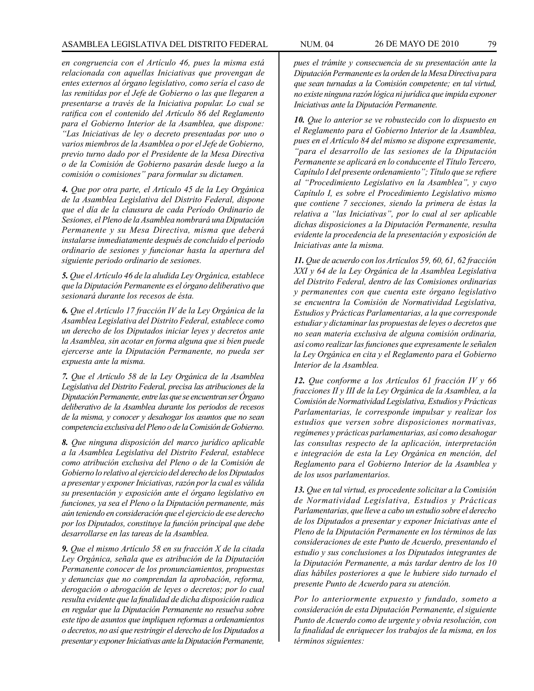*en congruencia con el Artículo 46, pues la misma está relacionada con aquellas Iniciativas que provengan de entes externos al órgano legislativo, como sería el caso de las remitidas por el Jefe de Gobierno o las que llegaren a presentarse a través de la Iniciativa popular. Lo cual se ratifica con el contenido del Artículo 86 del Reglamento para el Gobierno Interior de la Asamblea, que dispone: "Las Iniciativas de ley o decreto presentadas por uno o varios miembros de la Asamblea o por el Jefe de Gobierno, previo turno dado por el Presidente de la Mesa Directiva o de la Comisión de Gobierno pasarán desde luego a la comisión o comisiones" para formular su dictamen.*

*4. Que por otra parte, el Artículo 45 de la Ley Orgánica de la Asamblea Legislativa del Distrito Federal, dispone que el día de la clausura de cada Período Ordinario de Sesiones, el Pleno de la Asamblea nombrará una Diputación Permanente y su Mesa Directiva, misma que deberá instalarse inmediatamente después de concluido el periodo ordinario de sesiones y funcionar hasta la apertura del siguiente periodo ordinario de sesiones.*

*5. Que el Artículo 46 de la aludida Ley Orgánica, establece que la Diputación Permanente es el órgano deliberativo que sesionará durante los recesos de ésta.*

*6. Que el Artículo 17 fracción IV de la Ley Orgánica de la Asamblea Legislativa del Distrito Federal, establece como un derecho de los Diputados iniciar leyes y decretos ante la Asamblea, sin acotar en forma alguna que si bien puede ejercerse ante la Diputación Permanente, no pueda ser expuesta ante la misma.*

*7. Que el Artículo 58 de la Ley Orgánica de la Asamblea Legislativa del Distrito Federal, precisa las atribuciones de la Diputación Permanente, entre las que se encuentran ser Órgano deliberativo de la Asamblea durante los periodos de recesos de la misma, y conocer y desahogar los asuntos que no sean competencia exclusiva del Pleno o de la Comisión de Gobierno.*

*8. Que ninguna disposición del marco jurídico aplicable a la Asamblea Legislativa del Distrito Federal, establece como atribución exclusiva del Pleno o de la Comisión de Gobierno lo relativo al ejercicio del derecho de los Diputados a presentar y exponer Iniciativas, razón por la cual es válida su presentación y exposición ante el órgano legislativo en funciones, ya sea el Pleno o la Diputación permanente, más aún teniendo en consideración que el ejercicio de ese derecho por los Diputados, constituye la función principal que debe desarrollarse en las tareas de la Asamblea.*

*9. Que el mismo Artículo 58 en su fracción X de la citada Ley Orgánica, señala que es atribución de la Diputación Permanente conocer de los pronunciamientos, propuestas y denuncias que no comprendan la aprobación, reforma, derogación o abrogación de leyes o decretos; por lo cual resulta evidente que la finalidad de dicha disposición radica en regular que la Diputación Permanente no resuelva sobre este tipo de asuntos que impliquen reformas a ordenamientos o decretos, no así que restringir el derecho de los Diputados a presentar y exponer Iniciativas ante la Diputación Permanente,* 

*pues el trámite y consecuencia de su presentación ante la Diputación Permanente es la orden de la Mesa Directiva para que sean turnadas a la Comisión competente; en tal virtud, no existe ninguna razón lógica ni jurídica que impida exponer Iniciativas ante la Diputación Permanente.*

*10. Que lo anterior se ve robustecido con lo dispuesto en el Reglamento para el Gobierno Interior de la Asamblea, pues en el Artículo 84 del mismo se dispone expresamente, "para el desarrollo de las sesiones de la Diputación Permanente se aplicará en lo conducente el Título Tercero, Capítulo I del presente ordenamiento"; Título que se refiere al "Procedimiento Legislativo en la Asamblea", y cuyo Capítulo I, es sobre el Procedimiento Legislativo mismo que contiene 7 secciones, siendo la primera de éstas la relativa a "las Iniciativas", por lo cual al ser aplicable dichas disposiciones a la Diputación Permanente, resulta evidente la procedencia de la presentación y exposición de Iniciativas ante la misma.* 

*11. Que de acuerdo con los Artículos 59, 60, 61, 62 fracción XXI y 64 de la Ley Orgánica de la Asamblea Legislativa del Distrito Federal, dentro de las Comisiones ordinarias y permanentes con que cuenta este órgano legislativo se encuentra la Comisión de Normatividad Legislativa, Estudios y Prácticas Parlamentarias, a la que corresponde estudiar y dictaminar las propuestas de leyes o decretos que no sean materia exclusiva de alguna comisión ordinaria, así como realizar las funciones que expresamente le señalen la Ley Orgánica en cita y el Reglamento para el Gobierno Interior de la Asamblea.*

*12. Que conforme a los Artículos 61 fracción IV y 66 fracciones II y III de la Ley Orgánica de la Asamblea, a la Comisión de Normatividad Legislativa, Estudios y Prácticas Parlamentarias, le corresponde impulsar y realizar los estudios que versen sobre disposiciones normativas, regímenes y prácticas parlamentarias, así como desahogar las consultas respecto de la aplicación, interpretación e integración de esta la Ley Orgánica en mención, del Reglamento para el Gobierno Interior de la Asamblea y de los usos parlamentarios.*

*13. Que en tal virtud, es procedente solicitar a la Comisión de Normatividad Legislativa, Estudios y Prácticas Parlamentarias, que lleve a cabo un estudio sobre el derecho de los Diputados a presentar y exponer Iniciativas ante el Pleno de la Diputación Permanente en los términos de las consideraciones de este Punto de Acuerdo, presentando el estudio y sus conclusiones a los Diputados integrantes de la Diputación Permanente, a más tardar dentro de los 10 días hábiles posteriores a que le hubiere sido turnado el presente Punto de Acuerdo para su atención.*

*Por lo anteriormente expuesto y fundado, someto a consideración de esta Diputación Permanente, el siguiente Punto de Acuerdo como de urgente y obvia resolución, con la finalidad de enriquecer los trabajos de la misma, en los términos siguientes:*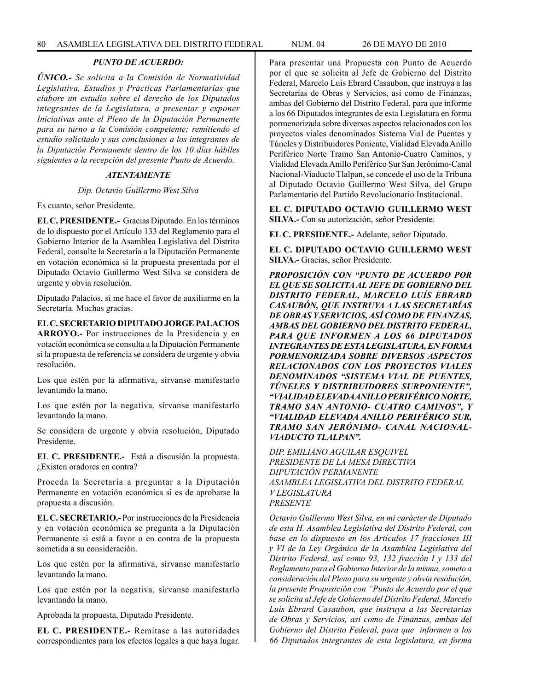# *PUNTO DE ACUERDO:*

*ÚNICO.- Se solicita a la Comisión de Normatividad Legislativa, Estudios y Prácticas Parlamentarias que elabore un estudio sobre el derecho de los Diputados integrantes de la Legislatura, a presentar y exponer Iniciativas ante el Pleno de la Diputación Permanente para su turno a la Comisión competente; remitiendo el estudio solicitado y sus conclusiones a los integrantes de la Diputación Permanente dentro de los 10 días hábiles siguientes a la recepción del presente Punto de Acuerdo.*

### *ATENTAMENTE*

#### *Dip. Octavio Guillermo West Silva*

Es cuanto, señor Presidente.

**EL C. PRESIDENTE.-** Gracias Diputado. En los términos de lo dispuesto por el Artículo 133 del Reglamento para el Gobierno Interior de la Asamblea Legislativa del Distrito Federal, consulte la Secretaría a la Diputación Permanente en votación económica si la propuesta presentada por el Diputado Octavio Guillermo West Silva se considera de urgente y obvia resolución.

Diputado Palacios, si me hace el favor de auxiliarme en la Secretaría. Muchas gracias.

**EL C. SECRETARIO DIPUTADO JORGE PALACIOS ARROYO.-** Por instrucciones de la Presidencia y en votación económica se consulta a la Diputación Permanente si la propuesta de referencia se considera de urgente y obvia resolución.

Los que estén por la afirmativa, sírvanse manifestarlo levantando la mano.

Los que estén por la negativa, sírvanse manifestarlo levantando la mano.

Se considera de urgente y obvia resolución, Diputado Presidente.

**EL C. PRESIDENTE.-** Está a discusión la propuesta. ¿Existen oradores en contra?

Proceda la Secretaría a preguntar a la Diputación Permanente en votación económica si es de aprobarse la propuesta a discusión.

**EL C. SECRETARIO.-** Por instrucciones de la Presidencia y en votación económica se pregunta a la Diputación Permanente si está a favor o en contra de la propuesta sometida a su consideración.

Los que estén por la afirmativa, sírvanse manifestarlo levantando la mano.

Los que estén por la negativa, sírvanse manifestarlo levantando la mano.

Aprobada la propuesta, Diputado Presidente.

**EL C. PRESIDENTE.-** Remítase a las autoridades correspondientes para los efectos legales a que haya lugar. Para presentar una Propuesta con Punto de Acuerdo por el que se solicita al Jefe de Gobierno del Distrito Federal, Marcelo Luis Ebrard Casaubon, que instruya a las Secretarías de Obras y Servicios, así como de Finanzas, ambas del Gobierno del Distrito Federal, para que informe a los 66 Diputados integrantes de esta Legislatura en forma pormenorizada sobre diversos aspectos relacionados con los proyectos viales denominados Sistema Vial de Puentes y Túneles y Distribuidores Poniente, Vialidad Elevada Anillo Periférico Norte Tramo San Antonio-Cuatro Caminos, y Vialidad Elevada Anillo Periférico Sur San Jerónimo-Canal Nacional-Viaducto Tlalpan, se concede el uso de la Tribuna al Diputado Octavio Guillermo West Silva, del Grupo Parlamentario del Partido Revolucionario Institucional.

**EL C. DIPUTADO OCTAVIO GUILLERMO WEST SILVA.-** Con su autorización, señor Presidente.

**EL C. PRESIDENTE.-** Adelante, señor Diputado.

**EL C. DIPUTADO OCTAVIO GUILLERMO WEST SILVA.-** Gracias, señor Presidente.

*PROPOSICIÓN CON "PUNTO DE ACUERDO POR EL QUE SE SOLICITA AL JEFE DE GOBIERNO DEL DISTRITO FEDERAL, MARCELO LUÍS EBRARD CASAUBÓN, QUE INSTRUYA A LAS SECRETARÍAS DE OBRAS Y SERVICIOS, ASÍ COMO DE FINANZAS, AMBAS DEL GOBIERNO DEL DISTRITO FEDERAL, PARA QUE INFORMEN A LOS 66 DIPUTADOS INTEGRANTES DE ESTA LEGISLATURA, EN FORMA PORMENORIZADA SOBRE DIVERSOS ASPECTOS RELACIONADOS CON LOS PROYECTOS VIALES DENOMINADOS "SISTEMA VIAL DE PUENTES, TÚNELES Y DISTRIBUIDORES SURPONIENTE", "VIALIDAD ELEVADA ANILLO PERIFÉRICO NORTE, TRAMO SAN ANTONIO- CUATRO CAMINOS", Y "VIALIDAD ELEVADA ANILLO PERIFÉRICO SUR, TRAMO SAN JERÓNIMO- CANAL NACIONAL-VIADUCTO TLALPAN".*

*DIP. EMILIANO AGUILAR ESQUIVEL PRESIDENTE DE LA MESA DIRECTIVA DIPUTACIÓN PERMANENTE ASAMBLEA LEGISLATIVA DEL DISTRITO FEDERAL V LEGISLATURA PRESENTE*

*Octavio Guillermo West Silva, en mi carácter de Diputado de esta H. Asamblea Legislativa del Distrito Federal, con base en lo dispuesto en los Artículos 17 fracciones III y VI de la Ley Orgánica de la Asamblea Legislativa del Distrito Federal, así como 93, 132 fracción I y 133 del Reglamento para el Gobierno Interior de la misma, someto a consideración del Pleno para su urgente y obvia resolución, la presente Proposición con "Punto de Acuerdo por el que se solicita al Jefe de Gobierno del Distrito Federal, Marcelo Luís Ebrard Casaubon, que instruya a las Secretarías de Obras y Servicios, así como de Finanzas, ambas del Gobierno del Distrito Federal, para que informen a los 66 Diputados integrantes de esta legislatura, en forma*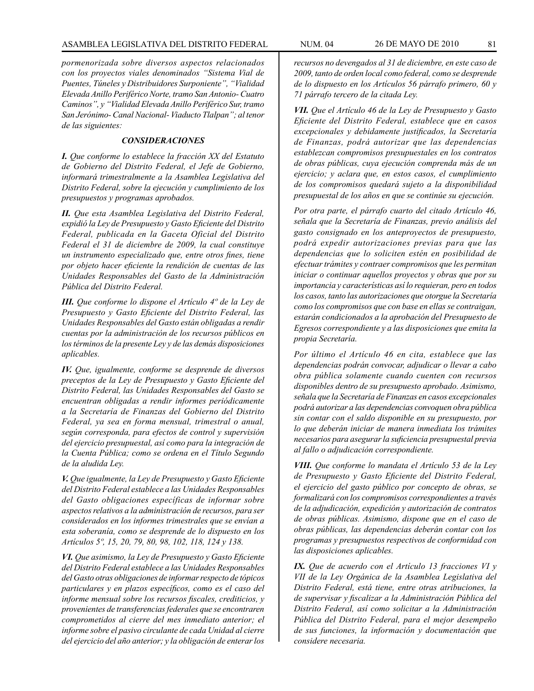*pormenorizada sobre diversos aspectos relacionados con los proyectos viales denominados "Sistema Vial de Puentes, Túneles y Distribuidores Surponiente", "Vialidad Elevada Anillo Periférico Norte, tramo San Antonio- Cuatro Caminos", y "Vialidad Elevada Anillo Periférico Sur, tramo San Jerónimo- Canal Nacional- Viaducto Tlalpan"; al tenor de las siguientes:*

## *CONSIDERACIONES*

*I. Que conforme lo establece la fracción XX del Estatuto de Gobierno del Distrito Federal, el Jefe de Gobierno, informará trimestralmente a la Asamblea Legislativa del Distrito Federal, sobre la ejecución y cumplimiento de los presupuestos y programas aprobados.*

*II. Que esta Asamblea Legislativa del Distrito Federal, expidió la Ley de Presupuesto y Gasto Eficiente del Distrito Federal, publicada en la Gaceta Oficial del Distrito Federal el 31 de diciembre de 2009, la cual constituye un instrumento especializado que, entre otros fines, tiene por objeto hacer eficiente la rendición de cuentas de las Unidades Responsables del Gasto de la Administración Pública del Distrito Federal.*

*III. Que conforme lo dispone el Artículo 4º de la Ley de Presupuesto y Gasto Eficiente del Distrito Federal, las Unidades Responsables del Gasto están obligadas a rendir cuentas por la administración de los recursos públicos en los términos de la presente Ley y de las demás disposiciones aplicables.* 

*IV. Que, igualmente, conforme se desprende de diversos preceptos de la Ley de Presupuesto y Gasto Eficiente del Distrito Federal, las Unidades Responsables del Gasto se encuentran obligadas a rendir informes periódicamente a la Secretaría de Finanzas del Gobierno del Distrito Federal, ya sea en forma mensual, trimestral o anual, según corresponda, para efectos de control y supervisión del ejercicio presupuestal, así como para la integración de la Cuenta Pública; como se ordena en el Título Segundo de la aludida Ley.*

*V. Que igualmente, la Ley de Presupuesto y Gasto Eficiente del Distrito Federal establece a las Unidades Responsables del Gasto obligaciones específicas de informar sobre aspectos relativos a la administración de recursos, para ser considerados en los informes trimestrales que se envían a esta soberanía, como se desprende de lo dispuesto en los Artículos 5º, 15, 20, 79, 80, 98, 102, 118, 124 y 138.*

*VI. Que asimismo, la Ley de Presupuesto y Gasto Eficiente del Distrito Federal establece a las Unidades Responsables del Gasto otras obligaciones de informar respecto de tópicos particulares y en plazos específicos, como es el caso del informe mensual sobre los recursos fiscales, crediticios, y provenientes de transferencias federales que se encontraren comprometidos al cierre del mes inmediato anterior; el informe sobre el pasivo circulante de cada Unidad al cierre del ejercicio del año anterior; y la obligación de enterar los* 

*recursos no devengados al 31 de diciembre, en este caso de 2009, tanto de orden local como federal, como se desprende de lo dispuesto en los Artículos 56 párrafo primero, 60 y 71 párrafo tercero de la citada Ley.*

*VII. Que el Artículo 46 de la Ley de Presupuesto y Gasto Eficiente del Distrito Federal, establece que en casos excepcionales y debidamente justificados, la Secretaría de Finanzas, podrá autorizar que las dependencias establezcan compromisos presupuestales en los contratos de obras públicas, cuya ejecución comprenda más de un ejercicio; y aclara que, en estos casos, el cumplimiento de los compromisos quedará sujeto a la disponibilidad presupuestal de los años en que se continúe su ejecución.*

*Por otra parte, el párrafo cuarto del citado Artículo 46, señala que la Secretaría de Finanzas, previo análisis del gasto consignado en los anteproyectos de presupuesto, podrá expedir autorizaciones previas para que las dependencias que lo soliciten estén en posibilidad de efectuar trámites y contraer compromisos que les permitan iniciar o continuar aquellos proyectos y obras que por su importancia y características así lo requieran, pero en todos los casos, tanto las autorizaciones que otorgue la Secretaría como los compromisos que con base en ellas se contraigan, estarán condicionados a la aprobación del Presupuesto de Egresos correspondiente y a las disposiciones que emita la propia Secretaría.* 

*Por último el Artículo 46 en cita, establece que las dependencias podrán convocar, adjudicar o llevar a cabo obra pública solamente cuando cuenten con recursos disponibles dentro de su presupuesto aprobado. Asimismo, señala que la Secretaría de Finanzas en casos excepcionales podrá autorizar a las dependencias convoquen obra pública sin contar con el saldo disponible en su presupuesto, por lo que deberán iniciar de manera inmediata los trámites necesarios para asegurar la suficiencia presupuestal previa al fallo o adjudicación correspondiente.*

*VIII. Que conforme lo mandata el Artículo 53 de la Ley de Presupuesto y Gasto Eficiente del Distrito Federal, el ejercicio del gasto público por concepto de obras, se formalizará con los compromisos correspondientes a través de la adjudicación, expedición y autorización de contratos de obras públicas. Asimismo, dispone que en el caso de obras públicas, las dependencias deberán contar con los programas y presupuestos respectivos de conformidad con las disposiciones aplicables.*

*IX. Que de acuerdo con el Artículo 13 fracciones VI y VII de la Ley Orgánica de la Asamblea Legislativa del Distrito Federal, está tiene, entre otras atribuciones, la de supervisar y fiscalizar a la Administración Pública del Distrito Federal, así como solicitar a la Administración Pública del Distrito Federal, para el mejor desempeño de sus funciones, la información y documentación que considere necesaria.*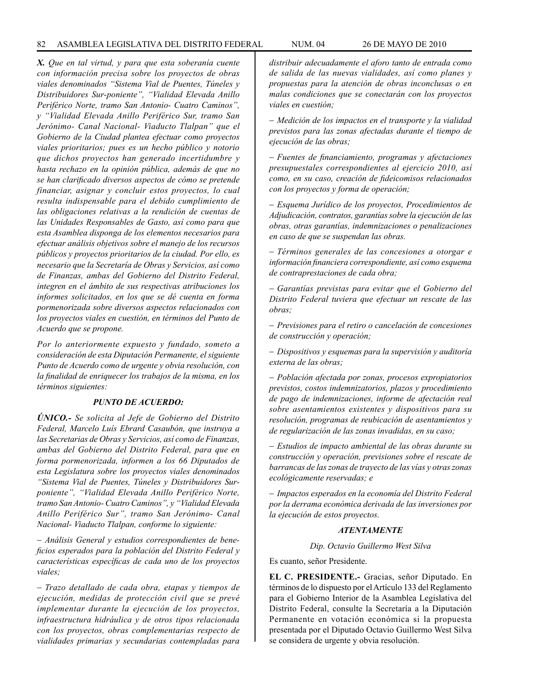*X. Que en tal virtud, y para que esta soberanía cuente con información precisa sobre los proyectos de obras viales denominados "Sistema Vial de Puentes, Túneles y Distribuidores Sur-poniente", "Vialidad Elevada Anillo Periférico Norte, tramo San Antonio- Cuatro Caminos", y "Vialidad Elevada Anillo Periférico Sur, tramo San Jerónimo- Canal Nacional- Viaducto Tlalpan" que el Gobierno de la Ciudad plantea efectuar como proyectos viales prioritarios; pues es un hecho público y notorio que dichos proyectos han generado incertidumbre y hasta rechazo en la opinión pública, además de que no se han clarificado diversos aspectos de cómo se pretende financiar, asignar y concluir estos proyectos, lo cual resulta indispensable para el debido cumplimiento de las obligaciones relativas a la rendición de cuentas de las Unidades Responsables de Gasto, así como para que esta Asamblea disponga de los elementos necesarios para efectuar análisis objetivos sobre el manejo de los recursos públicos y proyectos prioritarios de la ciudad. Por ello, es necesario que la Secretaría de Obras y Servicios, así como de Finanzas, ambas del Gobierno del Distrito Federal, integren en el ámbito de sus respectivas atribuciones los informes solicitados, en los que se dé cuenta en forma pormenorizada sobre diversos aspectos relacionados con los proyectos viales en cuestión, en términos del Punto de Acuerdo que se propone.*

*Por lo anteriormente expuesto y fundado, someto a consideración de esta Diputación Permanente, el siguiente Punto de Acuerdo como de urgente y obvia resolución, con la finalidad de enriquecer los trabajos de la misma, en los términos siguientes:*

## *PUNTO DE ACUERDO:*

*ÚNICO.- Se solicita al Jefe de Gobierno del Distrito Federal, Marcelo Luís Ebrard Casaubón, que instruya a las Secretarias de Obras y Servicios, así como de Finanzas, ambas del Gobierno del Distrito Federal, para que en forma pormenorizada, informen a los 66 Diputados de esta Legislatura sobre los proyectos viales denominados "Sistema Vial de Puentes, Túneles y Distribuidores Surponiente", "Vialidad Elevada Anillo Periférico Norte, tramo San Antonio- Cuatro Caminos", y "Vialidad Elevada Anillo Periférico Sur", tramo San Jerónimo- Canal Nacional- Viaducto Tlalpan, conforme lo siguiente:*

− *Análisis General y estudios correspondientes de beneficios esperados para la población del Distrito Federal y características específicas de cada uno de los proyectos viales;* 

− *Trazo detallado de cada obra, etapas y tiempos de ejecución, medidas de protección civil que se prevé implementar durante la ejecución de los proyectos, infraestructura hidráulica y de otros tipos relacionada con los proyectos, obras complementarias respecto de vialidades primarias y secundarias contempladas para* 

*distribuir adecuadamente el aforo tanto de entrada como de salida de las nuevas vialidades, así como planes y propuestas para la atención de obras inconclusas o en malas condiciones que se conectarán con los proyectos viales en cuestión;* 

− *Medición de los impactos en el transporte y la vialidad previstos para las zonas afectadas durante el tiempo de ejecución de las obras;*

− *Fuentes de financiamiento, programas y afectaciones presupuestales correspondientes al ejercicio 2010, así como, en su caso, creación de fideicomisos relacionados con los proyectos y forma de operación;*

− *Esquema Jurídico de los proyectos, Procedimientos de Adjudicación, contratos, garantías sobre la ejecución de las obras, otras garantías, indemnizaciones o penalizaciones en caso de que se suspendan las obras.*

− *Términos generales de las concesiones a otorgar e información financiera correspondiente, así como esquema de contraprestaciones de cada obra;*

− *Garantías previstas para evitar que el Gobierno del Distrito Federal tuviera que efectuar un rescate de las obras;* 

− *Previsiones para el retiro o cancelación de concesiones de construcción y operación;*

− *Dispositivos y esquemas para la supervisión y auditoría externa de las obras;*

− *Población afectada por zonas, procesos expropiatorios previstos, costos indemnizatorios, plazos y procedimiento de pago de indemnizaciones, informe de afectación real sobre asentamientos existentes y dispositivos para su resolución, programas de reubicación de asentamientos y de regularización de las zonas invadidas, en su caso;*

− *Estudios de impacto ambiental de las obras durante su construcción y operación, previsiones sobre el rescate de barrancas de las zonas de trayecto de las vías y otras zonas ecológicamente reservadas; e*

− *Impactos esperados en la economía del Distrito Federal por la derrama económica derivada de las inversiones por la ejecución de estos proyectos.*

### *ATENTAMENTE*

*Dip. Octavio Guillermo West Silva*

Es cuanto, señor Presidente.

**EL C. PRESIDENTE.-** Gracias, señor Diputado. En términos de lo dispuesto por el Artículo 133 del Reglamento para el Gobierno Interior de la Asamblea Legislativa del Distrito Federal, consulte la Secretaría a la Diputación Permanente en votación económica si la propuesta presentada por el Diputado Octavio Guillermo West Silva se considera de urgente y obvia resolución.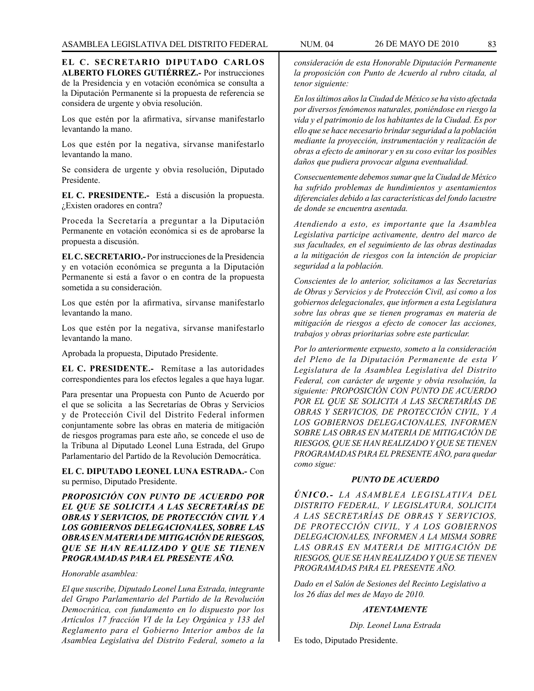**EL C. SECRETARIO DIPUTADO CARLOS ALBERTO FLORES GUTIÉRREZ.-** Por instrucciones de la Presidencia y en votación económica se consulta a la Diputación Permanente si la propuesta de referencia se considera de urgente y obvia resolución.

Los que estén por la afirmativa, sírvanse manifestarlo levantando la mano.

Los que estén por la negativa, sírvanse manifestarlo levantando la mano.

Se considera de urgente y obvia resolución, Diputado Presidente.

**EL C. PRESIDENTE.-** Está a discusión la propuesta. ¿Existen oradores en contra?

Proceda la Secretaría a preguntar a la Diputación Permanente en votación económica si es de aprobarse la propuesta a discusión.

**EL C. SECRETARIO.-** Por instrucciones de la Presidencia y en votación económica se pregunta a la Diputación Permanente si está a favor o en contra de la propuesta sometida a su consideración.

Los que estén por la afirmativa, sírvanse manifestarlo levantando la mano.

Los que estén por la negativa, sírvanse manifestarlo levantando la mano.

Aprobada la propuesta, Diputado Presidente.

**EL C. PRESIDENTE.-** Remítase a las autoridades correspondientes para los efectos legales a que haya lugar.

Para presentar una Propuesta con Punto de Acuerdo por el que se solicita a las Secretarías de Obras y Servicios y de Protección Civil del Distrito Federal informen conjuntamente sobre las obras en materia de mitigación de riesgos programas para este año, se concede el uso de la Tribuna al Diputado Leonel Luna Estrada, del Grupo Parlamentario del Partido de la Revolución Democrática.

**EL C. DIPUTADO LEONEL LUNA ESTRADA.-** Con su permiso, Diputado Presidente.

*PROPOSICIÓN CON PUNTO DE ACUERDO POR EL QUE SE SOLICITA A LAS SECRETARÍAS DE OBRAS Y SERVICIOS, DE PROTECCIÓN CIVIL Y A LOS GOBIERNOS DELEGACIONALES, SOBRE LAS OBRAS EN MATERIA DE MITIGACIÓN DE RIESGOS, QUE SE HAN REALIZADO Y QUE SE TIENEN PROGRAMADAS PARA EL PRESENTE AÑO.*

## *Honorable asamblea:*

*El que suscribe, Diputado Leonel Luna Estrada, integrante del Grupo Parlamentario del Partido de la Revolución Democrática, con fundamento en lo dispuesto por los Artículos 17 fracción VI de la Ley Orgánica y 133 del Reglamento para el Gobierno Interior ambos de la Asamblea Legislativa del Distrito Federal, someto a la* 

*consideración de esta Honorable Diputación Permanente la proposición con Punto de Acuerdo al rubro citada, al tenor siguiente:*

*En los últimos años la Ciudad de México se ha visto afectada por diversos fenómenos naturales, poniéndose en riesgo la vida y el patrimonio de los habitantes de la Ciudad. Es por ello que se hace necesario brindar seguridad a la población mediante la proyección, instrumentación y realización de obras a efecto de aminorar y en su coso evitar los posibles daños que pudiera provocar alguna eventualidad.*

*Consecuentemente debemos sumar que la Ciudad de México ha sufrido problemas de hundimientos y asentamientos diferenciales debido a las características del fondo lacustre de donde se encuentra asentada.*

*Atendiendo a esto, es importante que la Asamblea Legislativa participe activamente, dentro del marco de sus facultades, en el seguimiento de las obras destinadas a la mitigación de riesgos con la intención de propiciar seguridad a la población.*

*Conscientes de lo anterior, solicitamos a las Secretarías de Obras y Servicios y de Protección Civil, así como a los gobiernos delegacionales, que informen a esta Legislatura sobre las obras que se tienen programas en materia de mitigación de riesgos a efecto de conocer las acciones, trabajos y obras prioritarias sobre este particular.*

*Por lo anteriormente expuesto, someto a la consideración del Pleno de la Diputación Permanente de esta V Legislatura de la Asamblea Legislativa del Distrito Federal, con carácter de urgente y obvia resolución, la siguiente: PROPOSICIÓN CON PUNTO DE ACUERDO POR EL QUE SE SOLICITA A LAS SECRETARÍAS DE OBRAS Y SERVICIOS, DE PROTECCIÓN CIVIL, Y A LOS GOBIERNOS DELEGACIONALES, INFORMEN SOBRE LAS OBRAS EN MATERIA DE MITIGACIÓN DE RIESGOS, QUE SE HAN REALIZADO Y QUE SE TIENEN PROGRAMADAS PARA EL PRESENTE AÑO, para quedar como sigue:*

## *PUNTO DE ACUERDO*

*ÚNICO.- LA ASAMBLEA LEGISLATIVA DEL DISTRITO FEDERAL, V LEGISLATURA, SOLICITA A LAS SECRETARÍAS DE OBRAS Y SERVICIOS, DE PROTECCIÓN CIVIL, Y A LOS GOBIERNOS DELEGACIONALES, INFORMEN A LA MISMA SOBRE LAS OBRAS EN MATERIA DE MITIGACIÓN DE RIESGOS, QUE SE HAN REALIZADO Y QUE SE TIENEN PROGRAMADAS PARA EL PRESENTE AÑO.*

*Dado en el Salón de Sesiones del Recinto Legislativo a los 26 días del mes de Mayo de 2010.*

# *ATENTAMENTE*

*Dip. Leonel Luna Estrada*

Es todo, Diputado Presidente.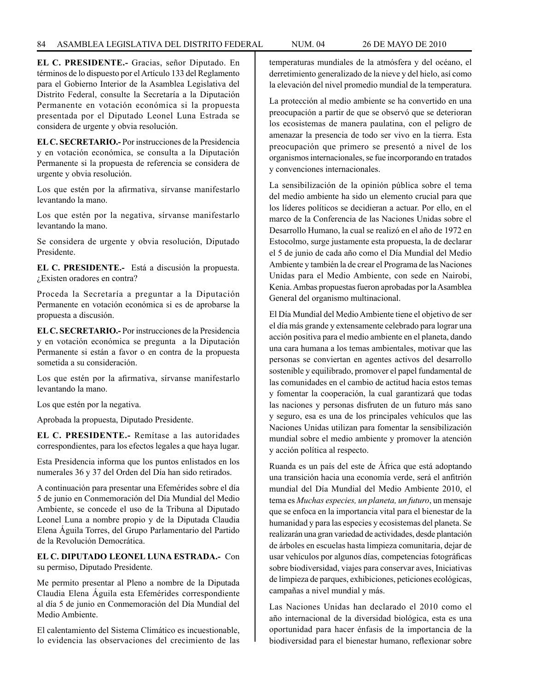**EL C. PRESIDENTE.-** Gracias, señor Diputado. En términos de lo dispuesto por el Artículo 133 del Reglamento para el Gobierno Interior de la Asamblea Legislativa del Distrito Federal, consulte la Secretaría a la Diputación Permanente en votación económica si la propuesta presentada por el Diputado Leonel Luna Estrada se considera de urgente y obvia resolución.

**EL C. SECRETARIO.-** Por instrucciones de la Presidencia y en votación económica, se consulta a la Diputación Permanente si la propuesta de referencia se considera de urgente y obvia resolución.

Los que estén por la afirmativa, sírvanse manifestarlo levantando la mano.

Los que estén por la negativa, sírvanse manifestarlo levantando la mano.

Se considera de urgente y obvia resolución, Diputado Presidente.

**EL C. PRESIDENTE.-** Está a discusión la propuesta. ¿Existen oradores en contra?

Proceda la Secretaría a preguntar a la Diputación Permanente en votación económica si es de aprobarse la propuesta a discusión.

**EL C. SECRETARIO.-** Por instrucciones de la Presidencia y en votación económica se pregunta a la Diputación Permanente si están a favor o en contra de la propuesta sometida a su consideración.

Los que estén por la afirmativa, sírvanse manifestarlo levantando la mano.

Los que estén por la negativa.

Aprobada la propuesta, Diputado Presidente.

**EL C. PRESIDENTE.-** Remítase a las autoridades correspondientes, para los efectos legales a que haya lugar.

Esta Presidencia informa que los puntos enlistados en los numerales 36 y 37 del Orden del Día han sido retirados.

A continuación para presentar una Efemérides sobre el día 5 de junio en Conmemoración del Día Mundial del Medio Ambiente, se concede el uso de la Tribuna al Diputado Leonel Luna a nombre propio y de la Diputada Claudia Elena Águila Torres, del Grupo Parlamentario del Partido de la Revolución Democrática.

# **EL C. DIPUTADO LEONEL LUNA ESTRADA.-** Con su permiso, Diputado Presidente.

Me permito presentar al Pleno a nombre de la Diputada Claudia Elena Águila esta Efemérides correspondiente al día 5 de junio en Conmemoración del Día Mundial del Medio Ambiente.

El calentamiento del Sistema Climático es incuestionable, lo evidencia las observaciones del crecimiento de las temperaturas mundiales de la atmósfera y del océano, el derretimiento generalizado de la nieve y del hielo, así como la elevación del nivel promedio mundial de la temperatura.

La protección al medio ambiente se ha convertido en una preocupación a partir de que se observó que se deterioran los ecosistemas de manera paulatina, con el peligro de amenazar la presencia de todo ser vivo en la tierra. Esta preocupación que primero se presentó a nivel de los organismos internacionales, se fue incorporando en tratados y convenciones internacionales.

La sensibilización de la opinión pública sobre el tema del medio ambiente ha sido un elemento crucial para que los líderes políticos se decidieran a actuar. Por ello, en el marco de la Conferencia de las Naciones Unidas sobre el Desarrollo Humano, la cual se realizó en el año de 1972 en Estocolmo, surge justamente esta propuesta, la de declarar el 5 de junio de cada año como el Día Mundial del Medio Ambiente y también la de crear el Programa de las Naciones Unidas para el Medio Ambiente, con sede en Nairobi, Kenia. Ambas propuestas fueron aprobadas por la Asamblea General del organismo multinacional.

El Día Mundial del Medio Ambiente tiene el objetivo de ser el día más grande y extensamente celebrado para lograr una acción positiva para el medio ambiente en el planeta, dando una cara humana a los temas ambientales, motivar que las personas se conviertan en agentes activos del desarrollo sostenible y equilibrado, promover el papel fundamental de las comunidades en el cambio de actitud hacia estos temas y fomentar la cooperación, la cual garantizará que todas las naciones y personas disfruten de un futuro más sano y seguro, esa es una de los principales vehículos que las Naciones Unidas utilizan para fomentar la sensibilización mundial sobre el medio ambiente y promover la atención y acción política al respecto.

Ruanda es un país del este de África que está adoptando una transición hacia una economía verde, será el anfitrión mundial del Día Mundial del Medio Ambiente 2010, el tema es *Muchas especies, un planeta, un futuro*, un mensaje que se enfoca en la importancia vital para el bienestar de la humanidad y para las especies y ecosistemas del planeta. Se realizarán una gran variedad de actividades, desde plantación de árboles en escuelas hasta limpieza comunitaria, dejar de usar vehículos por algunos días, competencias fotográficas sobre biodiversidad, viajes para conservar aves, Iniciativas de limpieza de parques, exhibiciones, peticiones ecológicas, campañas a nivel mundial y más.

Las Naciones Unidas han declarado el 2010 como el año internacional de la diversidad biológica, esta es una oportunidad para hacer énfasis de la importancia de la biodiversidad para el bienestar humano, reflexionar sobre